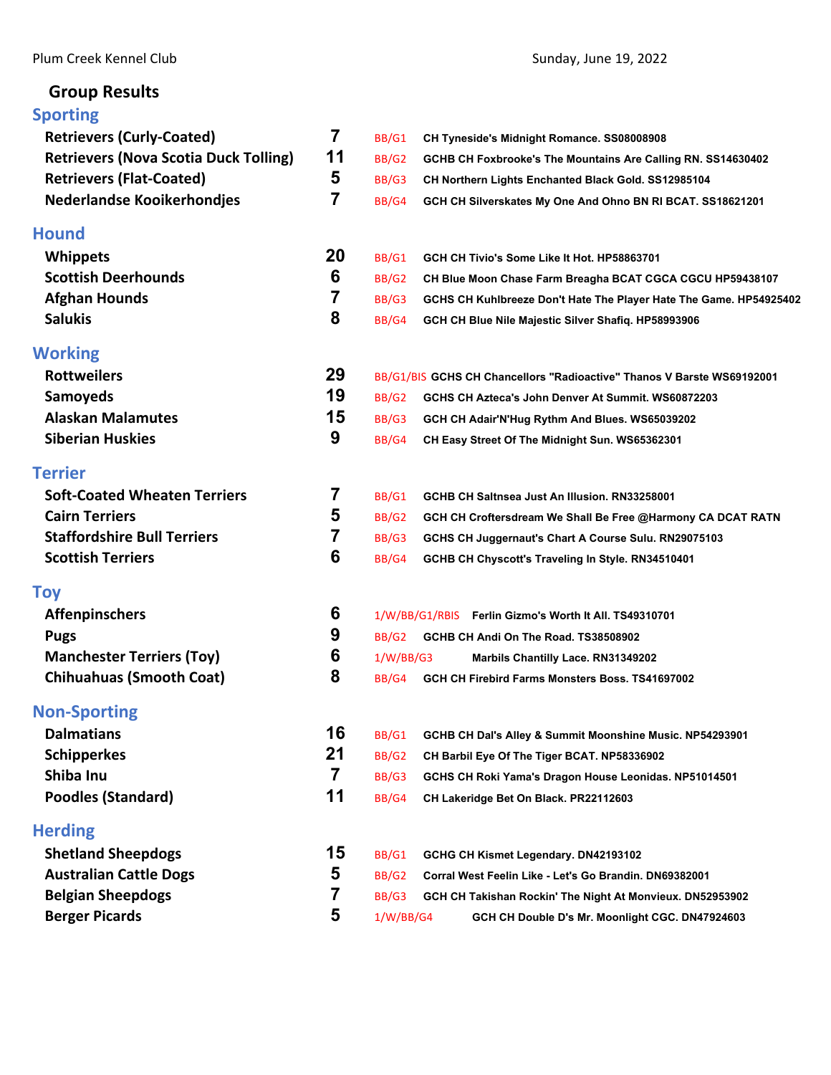# **Group Results**

# **[Sporting](#page-2-0)**

| <b>Retrievers (Curly-Coated)</b>             | $\overline{7}$ | BB/G1     | CH Tyneside's Midnight Romance. SS08008908                             |
|----------------------------------------------|----------------|-----------|------------------------------------------------------------------------|
| <b>Retrievers (Nova Scotia Duck Tolling)</b> | 11             | BB/G2     | GCHB CH Foxbrooke's The Mountains Are Calling RN. SS14630402           |
| <b>Retrievers (Flat-Coated)</b>              | 5              | BB/G3     | CH Northern Lights Enchanted Black Gold. SS12985104                    |
| <b>Nederlandse Kooikerhondjes</b>            | 7              | BB/G4     | GCH CH Silverskates My One And Ohno BN RI BCAT. SS18621201             |
| <b>Hound</b>                                 |                |           |                                                                        |
| <b>Whippets</b>                              | 20             | BB/G1     | GCH CH Tivio's Some Like It Hot. HP58863701                            |
| <b>Scottish Deerhounds</b>                   | 6              | BB/G2     | CH Blue Moon Chase Farm Breagha BCAT CGCA CGCU HP59438107              |
| <b>Afghan Hounds</b>                         | 7              | BB/G3     | GCHS CH Kuhlbreeze Don't Hate The Player Hate The Game. HP54925402     |
| <b>Salukis</b>                               | 8              | BB/G4     | GCH CH Blue Nile Majestic Silver Shafiq. HP58993906                    |
| <b>Working</b>                               |                |           |                                                                        |
| <b>Rottweilers</b>                           | 29             |           | BB/G1/BIS GCHS CH Chancellors "Radioactive" Thanos V Barste WS69192001 |
| <b>Samoyeds</b>                              | 19             | BB/G2     | GCHS CH Azteca's John Denver At Summit, WS60872203                     |
| <b>Alaskan Malamutes</b>                     | 15             | BB/G3     | GCH CH Adair'N'Hug Rythm And Blues. WS65039202                         |
| <b>Siberian Huskies</b>                      | 9              | BB/G4     | CH Easy Street Of The Midnight Sun. WS65362301                         |
| <b>Terrier</b>                               |                |           |                                                                        |
| <b>Soft-Coated Wheaten Terriers</b>          | 7              | BB/G1     | GCHB CH Saltnsea Just An Illusion. RN33258001                          |
| <b>Cairn Terriers</b>                        | 5              | BB/G2     | GCH CH Croftersdream We Shall Be Free @Harmony CA DCAT RATN            |
| <b>Staffordshire Bull Terriers</b>           | 7              | BB/G3     | GCHS CH Juggernaut's Chart A Course Sulu. RN29075103                   |
| <b>Scottish Terriers</b>                     | 6              | BB/G4     | GCHB CH Chyscott's Traveling In Style. RN34510401                      |
| <b>Toy</b>                                   |                |           |                                                                        |
| <b>Affenpinschers</b>                        | 6              |           | 1/W/BB/G1/RBIS Ferlin Gizmo's Worth It All. TS49310701                 |
| <b>Pugs</b>                                  | 9              |           | BB/G2 GCHB CH Andi On The Road. TS38508902                             |
| <b>Manchester Terriers (Toy)</b>             | 6              | 1/W/BB/G3 | Marbils Chantilly Lace. RN31349202                                     |
| <b>Chihuahuas (Smooth Coat)</b>              | 8              | BB/G4     | GCH CH Firebird Farms Monsters Boss. TS41697002                        |
| <b>Non-Sporting</b>                          |                |           |                                                                        |
| <b>Dalmatians</b>                            | 16             | BB/G1     | GCHB CH Dal's Alley & Summit Moonshine Music. NP54293901               |
| <b>Schipperkes</b>                           | 21             | BB/G2     | CH Barbil Eye Of The Tiger BCAT. NP58336902                            |
| Shiba Inu                                    | $\overline{7}$ | BB/G3     | GCHS CH Roki Yama's Dragon House Leonidas. NP51014501                  |
| <b>Poodles (Standard)</b>                    | 11             | BB/G4     | CH Lakeridge Bet On Black. PR22112603                                  |
| <b>Herding</b>                               |                |           |                                                                        |
| <b>Shetland Sheepdogs</b>                    | 15             | BB/G1     | GCHG CH Kismet Legendary. DN42193102                                   |
| <b>Australian Cattle Dogs</b>                | 5              | BB/G2     | Corral West Feelin Like - Let's Go Brandin. DN69382001                 |
| <b>Belgian Sheepdogs</b>                     | 7              | BB/G3     | GCH CH Takishan Rockin' The Night At Monvieux. DN52953902              |
| <b>Berger Picards</b>                        | 5              | 1/W/BB/G4 | GCH CH Double D's Mr. Moonlight CGC. DN47924603                        |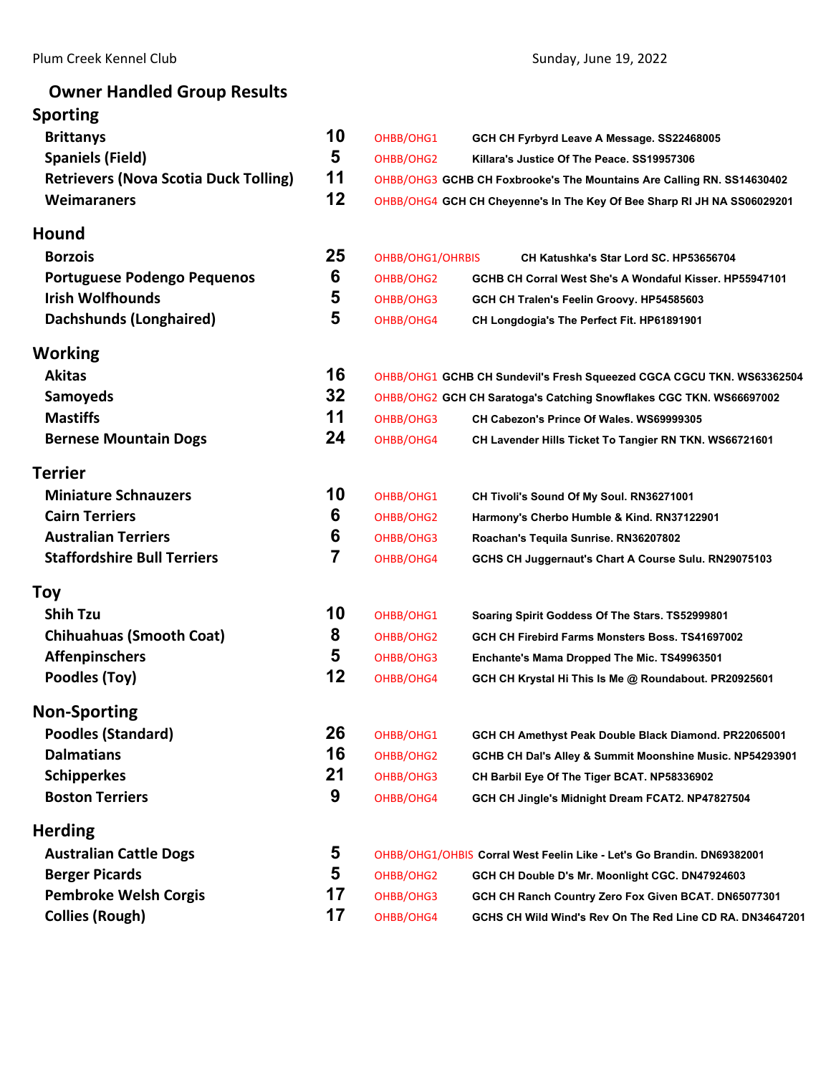| <b>Owner Handled Group Results</b>           |                |                  |                                                                         |
|----------------------------------------------|----------------|------------------|-------------------------------------------------------------------------|
| <b>Sporting</b>                              |                |                  |                                                                         |
| <b>Brittanys</b>                             | 10             | OHBB/OHG1        | GCH CH Fyrbyrd Leave A Message. SS22468005                              |
| <b>Spaniels (Field)</b>                      | 5              | OHBB/OHG2        | Killara's Justice Of The Peace. SS19957306                              |
| <b>Retrievers (Nova Scotia Duck Tolling)</b> | 11             |                  | OHBB/OHG3 GCHB CH Foxbrooke's The Mountains Are Calling RN. SS14630402  |
| <b>Weimaraners</b>                           | 12             |                  | OHBB/OHG4 GCH CH Cheyenne's In The Key Of Bee Sharp RI JH NA SS06029201 |
| <b>Hound</b>                                 |                |                  |                                                                         |
| <b>Borzois</b>                               | 25             | OHBB/OHG1/OHRBIS | CH Katushka's Star Lord SC. HP53656704                                  |
| Portuguese Podengo Pequenos                  | 6              | OHBB/OHG2        | GCHB CH Corral West She's A Wondaful Kisser. HP55947101                 |
| <b>Irish Wolfhounds</b>                      | 5              | OHBB/OHG3        | GCH CH Tralen's Feelin Groovy. HP54585603                               |
| Dachshunds (Longhaired)                      | 5              | OHBB/OHG4        | CH Longdogia's The Perfect Fit. HP61891901                              |
| Working                                      |                |                  |                                                                         |
| <b>Akitas</b>                                | 16             |                  | OHBB/OHG1 GCHB CH Sundevil's Fresh Squeezed CGCA CGCU TKN. WS63362504   |
| <b>Samoyeds</b>                              | 32             |                  | OHBB/OHG2 GCH CH Saratoga's Catching Snowflakes CGC TKN. WS66697002     |
| <b>Mastiffs</b>                              | 11             | OHBB/OHG3        | CH Cabezon's Prince Of Wales. WS69999305                                |
| <b>Bernese Mountain Dogs</b>                 | 24             | OHBB/OHG4        | CH Lavender Hills Ticket To Tangier RN TKN. WS66721601                  |
|                                              |                |                  |                                                                         |
| <b>Terrier</b>                               |                |                  |                                                                         |
| <b>Miniature Schnauzers</b>                  | 10             | OHBB/OHG1        | CH Tivoli's Sound Of My Soul. RN36271001                                |
| <b>Cairn Terriers</b>                        | 6              | OHBB/OHG2        | Harmony's Cherbo Humble & Kind. RN37122901                              |
| <b>Australian Terriers</b>                   | 6              | OHBB/OHG3        | Roachan's Tequila Sunrise. RN36207802                                   |
| <b>Staffordshire Bull Terriers</b>           | $\overline{7}$ | OHBB/OHG4        | GCHS CH Juggernaut's Chart A Course Sulu. RN29075103                    |
| <b>Toy</b>                                   |                |                  |                                                                         |
| <b>Shih Tzu</b>                              | 10             | OHBB/OHG1        | Soaring Spirit Goddess Of The Stars. TS52999801                         |
| <b>Chihuahuas (Smooth Coat)</b>              | 8              | OHBB/OHG2        | GCH CH Firebird Farms Monsters Boss, TS41697002                         |
| <b>Affenpinschers</b>                        | 5              | OHBB/OHG3        | Enchante's Mama Dropped The Mic. TS49963501                             |
| Poodles (Toy)                                | 12             | OHBB/OHG4        | GCH CH Krystal Hi This Is Me @ Roundabout. PR20925601                   |
| <b>Non-Sporting</b>                          |                |                  |                                                                         |
| <b>Poodles (Standard)</b>                    | 26             | OHBB/OHG1        | GCH CH Amethyst Peak Double Black Diamond. PR22065001                   |
| <b>Dalmatians</b>                            | 16             | OHBB/OHG2        | GCHB CH Dal's Alley & Summit Moonshine Music. NP54293901                |
| <b>Schipperkes</b>                           | 21             | OHBB/OHG3        | CH Barbil Eye Of The Tiger BCAT. NP58336902                             |
| <b>Boston Terriers</b>                       | 9              | OHBB/OHG4        | GCH CH Jingle's Midnight Dream FCAT2. NP47827504                        |
| <b>Herding</b>                               |                |                  |                                                                         |
| <b>Australian Cattle Dogs</b>                | 5              |                  | OHBB/OHG1/OHBIS Corral West Feelin Like - Let's Go Brandin. DN69382001  |
| <b>Berger Picards</b>                        | 5              | OHBB/OHG2        | GCH CH Double D's Mr. Moonlight CGC. DN47924603                         |
| <b>Pembroke Welsh Corgis</b>                 | 17             | OHBB/OHG3        | GCH CH Ranch Country Zero Fox Given BCAT. DN65077301                    |
| <b>Collies (Rough)</b>                       | 17             | OHBB/OHG4        | GCHS CH Wild Wind's Rev On The Red Line CD RA. DN34647201               |
|                                              |                |                  |                                                                         |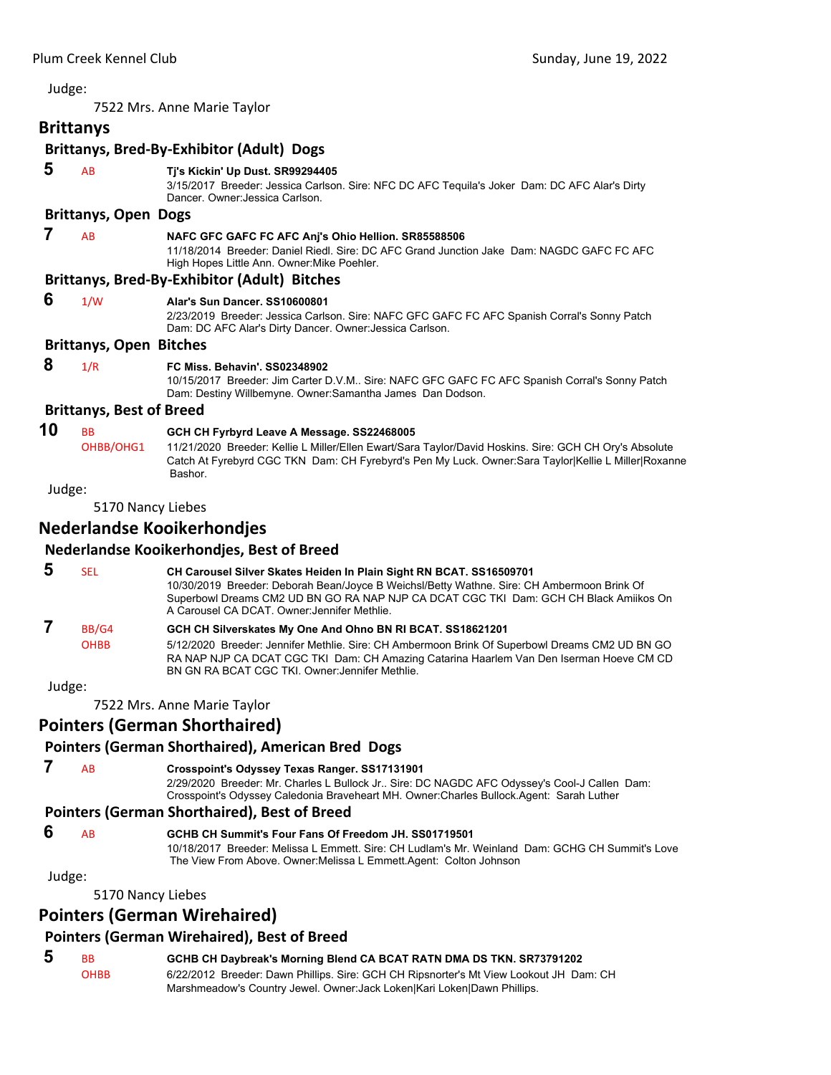<span id="page-2-0"></span>7522 Mrs. Anne Marie Taylor

# **Brittanys**

# **Brittanys, Bred‐By‐Exhibitor (Adult) Dogs**

| 5      | AB                              | Tj's Kickin' Up Dust. SR99294405<br>3/15/2017 Breeder: Jessica Carlson. Sire: NFC DC AFC Tequila's Joker Dam: DC AFC Alar's Dirty<br>Dancer, Owner: Jessica Carlson.                                                                                                                                              |
|--------|---------------------------------|-------------------------------------------------------------------------------------------------------------------------------------------------------------------------------------------------------------------------------------------------------------------------------------------------------------------|
|        | <b>Brittanys, Open Dogs</b>     |                                                                                                                                                                                                                                                                                                                   |
| 7      | AB                              | NAFC GFC GAFC FC AFC Anj's Ohio Hellion. SR85588506<br>11/18/2014 Breeder: Daniel Riedl. Sire: DC AFC Grand Junction Jake Dam: NAGDC GAFC FC AFC<br>High Hopes Little Ann. Owner: Mike Poehler.                                                                                                                   |
|        |                                 | <b>Brittanys, Bred-By-Exhibitor (Adult) Bitches</b>                                                                                                                                                                                                                                                               |
| 6      | 1/W                             | Alar's Sun Dancer, SS10600801<br>2/23/2019 Breeder: Jessica Carlson. Sire: NAFC GFC GAFC FC AFC Spanish Corral's Sonny Patch<br>Dam: DC AFC Alar's Dirty Dancer. Owner: Jessica Carlson.                                                                                                                          |
|        | <b>Brittanys, Open Bitches</b>  |                                                                                                                                                                                                                                                                                                                   |
| 8      | 1/R                             | FC Miss. Behavin', SS02348902<br>10/15/2017 Breeder: Jim Carter D.V.M Sire: NAFC GFC GAFC FC AFC Spanish Corral's Sonny Patch<br>Dam: Destiny Willbemyne. Owner: Samantha James Dan Dodson.                                                                                                                       |
|        | <b>Brittanys, Best of Breed</b> |                                                                                                                                                                                                                                                                                                                   |
| 10     | <b>BB</b><br>OHBB/OHG1          | GCH CH Fyrbyrd Leave A Message. SS22468005<br>11/21/2020 Breeder: Kellie L Miller/Ellen Ewart/Sara Taylor/David Hoskins. Sire: GCH CH Ory's Absolute<br>Catch At Fyrebyrd CGC TKN Dam: CH Fyrebyrd's Pen My Luck. Owner: Sara Taylor Kellie L Miller Roxanne<br>Bashor.                                           |
| Judge: |                                 |                                                                                                                                                                                                                                                                                                                   |
|        | 5170 Nancy Liebes               |                                                                                                                                                                                                                                                                                                                   |
|        |                                 | <b>Nederlandse Kooikerhondjes</b>                                                                                                                                                                                                                                                                                 |
|        |                                 | Nederlandse Kooikerhondjes, Best of Breed                                                                                                                                                                                                                                                                         |
| 5      | <b>SEL</b>                      | <b>CH Carousel Silver Skates Heiden In Plain Sight RN BCAT. SS16509701</b><br>10/30/2019 Breeder: Deborah Bean/Joyce B Weichsl/Betty Wathne. Sire: CH Ambermoon Brink Of<br>Superbowl Dreams CM2 UD BN GO RA NAP NJP CA DCAT CGC TKI Dam: GCH CH Black Amiikos On<br>A Carousel CA DCAT. Owner: Jennifer Methlie. |

# **7** BB/G4 **GCH CH Silverskates My One And Ohno BN RI BCAT. SS18621201**

OHBB 5/12/2020 Breeder: Jennifer Methlie. Sire: CH Ambermoon Brink Of Superbowl Dreams CM2 UD BN GO RA NAP NJP CA DCAT CGC TKI Dam: CH Amazing Catarina Haarlem Van Den Iserman Hoeve CM CD BN GN RA BCAT CGC TKI. Owner:Jennifer Methlie.

# Judge:

7522 Mrs. Anne Marie Taylor

# **Pointers (German Shorthaired)**

# **Pointers (German Shorthaired), American Bred Dogs**

 **7** AB **Crosspoint's Odyssey Texas Ranger. SS17131901** 2/29/2020 Breeder: Mr. Charles L Bullock Jr.. Sire: DC NAGDC AFC Odyssey's Cool-J Callen Dam: Crosspoint's Odyssey Caledonia Braveheart MH. Owner:Charles Bullock.Agent: Sarah Luther

# **Pointers (German Shorthaired), Best of Breed**

- **6** AB **GCHB CH Summit's Four Fans Of Freedom JH. SS01719501**
	- 10/18/2017 Breeder: Melissa L Emmett. Sire: CH Ludlam's Mr. Weinland Dam: GCHG CH Summit's Love The View From Above. Owner:Melissa L Emmett.Agent: Colton Johnson

Judge:

5170 Nancy Liebes

# **Pointers (German Wirehaired)**

# **Pointers (German Wirehaired), Best of Breed**

 **5** BB **GCHB CH Daybreak's Morning Blend CA BCAT RATN DMA DS TKN. SR73791202** OHBB 6/22/2012 Breeder: Dawn Phillips. Sire: GCH CH Ripsnorter's Mt View Lookout JH Dam: CH Marshmeadow's Country Jewel. Owner:Jack Loken|Kari Loken|Dawn Phillips.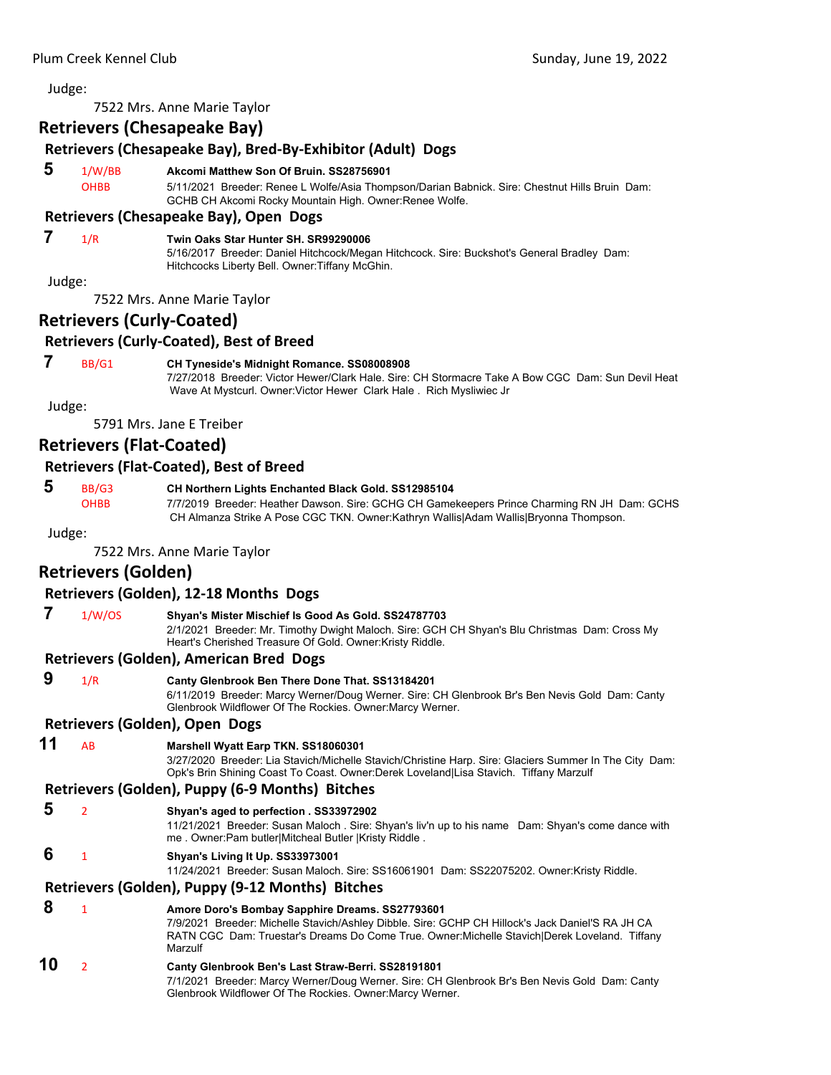7522 Mrs. Anne Marie Taylor

# **Retrievers (Chesapeake Bay)**

# **Retrievers (Chesapeake Bay), Bred‐By‐Exhibitor (Adult) Dogs**

- **5** 1/W/BB **Akcomi Matthew Son Of Bruin. SS28756901**
	- OHBB 5/11/2021 Breeder: Renee L Wolfe/Asia Thompson/Darian Babnick. Sire: Chestnut Hills Bruin Dam: GCHB CH Akcomi Rocky Mountain High. Owner:Renee Wolfe.

# **Retrievers (Chesapeake Bay), Open Dogs**

# **7** 1/R **Twin Oaks Star Hunter SH. SR99290006**

5/16/2017 Breeder: Daniel Hitchcock/Megan Hitchcock. Sire: Buckshot's General Bradley Dam: Hitchcocks Liberty Bell. Owner:Tiffany McGhin.

Judge:

7522 Mrs. Anne Marie Taylor

# **Retrievers (Curly‐Coated)**

# **Retrievers (Curly‐Coated), Best of Breed**

### **7** BB/G1 **CH Tyneside's Midnight Romance. SS08008908**

7/27/2018 Breeder: Victor Hewer/Clark Hale. Sire: CH Stormacre Take A Bow CGC Dam: Sun Devil Heat Wave At Mystcurl. Owner:Victor Hewer Clark Hale . Rich Mysliwiec Jr

Judge:

5791 Mrs. Jane E Treiber

# **Retrievers (Flat‐Coated)**

# **Retrievers (Flat‐Coated), Best of Breed**

# **5** BB/G3 **CH Northern Lights Enchanted Black Gold. SS12985104**

OHBB 7/7/2019 Breeder: Heather Dawson. Sire: GCHG CH Gamekeepers Prince Charming RN JH Dam: GCHS CH Almanza Strike A Pose CGC TKN. Owner:Kathryn Wallis|Adam Wallis|Bryonna Thompson.

#### Judge:

7522 Mrs. Anne Marie Taylor

# **Retrievers (Golden)**

#### **Retrievers (Golden), 12‐18 Months Dogs**

 **7** 1/W/OS **Shyan's Mister Mischief Is Good As Gold. SS24787703** 2/1/2021 Breeder: Mr. Timothy Dwight Maloch. Sire: GCH CH Shyan's Blu Christmas Dam: Cross My Heart's Cherished Treasure Of Gold. Owner:Kristy Riddle.

#### **Retrievers (Golden), American Bred Dogs**

- **9** 1/R **Canty Glenbrook Ben There Done That. SS13184201** 6/11/2019 Breeder: Marcy Werner/Doug Werner. Sire: CH Glenbrook Br's Ben Nevis Gold Dam: Canty Glenbrook Wildflower Of The Rockies. Owner:Marcy Werner. **Retrievers (Golden), Open Dogs 11** AB **Marshell Wyatt Earp TKN. SS18060301** 3/27/2020 Breeder: Lia Stavich/Michelle Stavich/Christine Harp. Sire: Glaciers Summer In The City Dam: Opk's Brin Shining Coast To Coast. Owner:Derek Loveland|Lisa Stavich. Tiffany Marzulf **Retrievers (Golden), Puppy (6‐9 Months) Bitches 5** <sup>2</sup> **Shyan's aged to perfection . SS33972902** 11/21/2021 Breeder: Susan Maloch . Sire: Shyan's liv'n up to his name Dam: Shyan's come dance with me . Owner:Pam butler|Mitcheal Butler |Kristy Riddle .  **6** <sup>1</sup> **Shyan's Living It Up. SS33973001** 11/24/2021 Breeder: Susan Maloch. Sire: SS16061901 Dam: SS22075202. Owner:Kristy Riddle. **Retrievers (Golden), Puppy (9‐12 Months) Bitches 8** <sup>1</sup> **Amore Doro's Bombay Sapphire Dreams. SS27793601** 7/9/2021 Breeder: Michelle Stavich/Ashley Dibble. Sire: GCHP CH Hillock's Jack Daniel'S RA JH CA RATN CGC Dam: Truestar's Dreams Do Come True. Owner:Michelle Stavich|Derek Loveland. Tiffany Marzulf
- **10** <sup>2</sup> **Canty Glenbrook Ben's Last Straw-Berri. SS28191801** 7/1/2021 Breeder: Marcy Werner/Doug Werner. Sire: CH Glenbrook Br's Ben Nevis Gold Dam: Canty Glenbrook Wildflower Of The Rockies. Owner:Marcy Werner.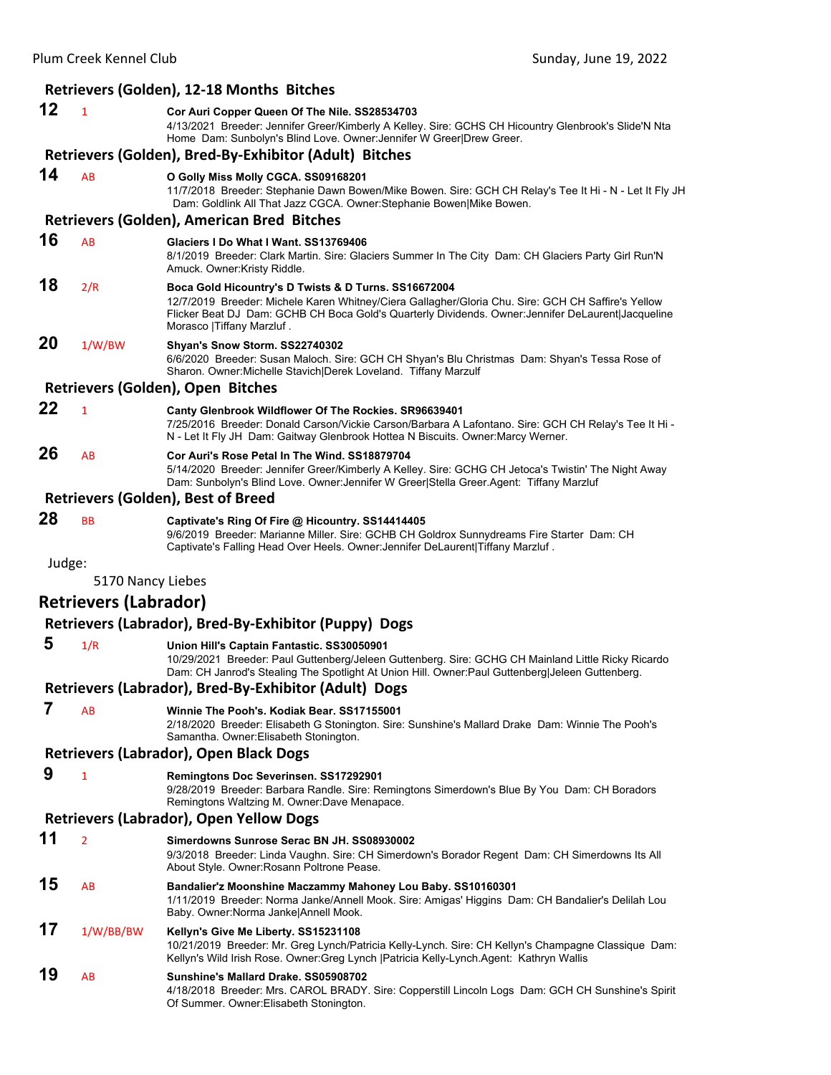|        |                              | Retrievers (Golden), 12-18 Months Bitches                                                                                                                                                                                                                                                      |
|--------|------------------------------|------------------------------------------------------------------------------------------------------------------------------------------------------------------------------------------------------------------------------------------------------------------------------------------------|
| 12     | $\mathbf{1}$                 | Cor Auri Copper Queen Of The Nile. SS28534703<br>4/13/2021 Breeder: Jennifer Greer/Kimberly A Kelley. Sire: GCHS CH Hicountry Glenbrook's Slide'N Nta<br>Home Dam: Sunbolyn's Blind Love. Owner: Jennifer W Greer Drew Greer.                                                                  |
|        |                              | Retrievers (Golden), Bred-By-Exhibitor (Adult) Bitches                                                                                                                                                                                                                                         |
| 14     | AB                           | O Golly Miss Molly CGCA. SS09168201<br>11/7/2018 Breeder: Stephanie Dawn Bowen/Mike Bowen. Sire: GCH CH Relay's Tee It Hi - N - Let It Fly JH<br>Dam: Goldlink All That Jazz CGCA. Owner:Stephanie Bowen Mike Bowen.                                                                           |
|        |                              | <b>Retrievers (Golden), American Bred Bitches</b>                                                                                                                                                                                                                                              |
| 16     | AB                           | Glaciers I Do What I Want, SS13769406<br>8/1/2019 Breeder: Clark Martin. Sire: Glaciers Summer In The City Dam: CH Glaciers Party Girl Run'N<br>Amuck. Owner:Kristy Riddle.                                                                                                                    |
| 18     | 2/R                          | Boca Gold Hicountry's D Twists & D Turns. SS16672004<br>12/7/2019 Breeder: Michele Karen Whitney/Ciera Gallagher/Gloria Chu. Sire: GCH CH Saffire's Yellow<br>Flicker Beat DJ Dam: GCHB CH Boca Gold's Quarterly Dividends. Owner: Jennifer DeLaurent Jacqueline<br>Morasco   Tiffany Marzluf. |
| 20     | 1/W/BW                       | Shyan's Snow Storm. SS22740302<br>6/6/2020 Breeder: Susan Maloch. Sire: GCH CH Shyan's Blu Christmas Dam: Shyan's Tessa Rose of<br>Sharon. Owner: Michelle Stavich Derek Loveland. Tiffany Marzulf                                                                                             |
|        |                              | Retrievers (Golden), Open Bitches                                                                                                                                                                                                                                                              |
| 22     | $\mathbf{1}$                 | Canty Glenbrook Wildflower Of The Rockies. SR96639401<br>7/25/2016 Breeder: Donald Carson/Vickie Carson/Barbara A Lafontano. Sire: GCH CH Relay's Tee It Hi -<br>N - Let It Fly JH Dam: Gaitway Glenbrook Hottea N Biscuits. Owner: Marcy Werner.                                              |
| 26     | AB                           | Cor Auri's Rose Petal In The Wind, SS18879704<br>5/14/2020 Breeder: Jennifer Greer/Kimberly A Kelley. Sire: GCHG CH Jetoca's Twistin' The Night Away<br>Dam: Sunbolyn's Blind Love. Owner: Jennifer W Greer Stella Greer.Agent: Tiffany Marzluf                                                |
|        |                              | <b>Retrievers (Golden), Best of Breed</b>                                                                                                                                                                                                                                                      |
| 28     | <b>BB</b>                    | Captivate's Ring Of Fire @ Hicountry. SS14414405<br>9/6/2019 Breeder: Marianne Miller. Sire: GCHB CH Goldrox Sunnydreams Fire Starter Dam: CH<br>Captivate's Falling Head Over Heels. Owner: Jennifer DeLaurent Tiffany Marzluf.                                                               |
| Judge: |                              |                                                                                                                                                                                                                                                                                                |
|        | 5170 Nancy Liebes            |                                                                                                                                                                                                                                                                                                |
|        | <b>Retrievers (Labrador)</b> |                                                                                                                                                                                                                                                                                                |
|        |                              | Retrievers (Labrador), Bred-By-Exhibitor (Puppy) Dogs                                                                                                                                                                                                                                          |
| 5      | 1/R                          | Union Hill's Captain Fantastic. SS30050901<br>10/29/2021 Breeder: Paul Guttenberg/Jeleen Guttenberg. Sire: GCHG CH Mainland Little Ricky Ricardo<br>Dam: CH Janrod's Stealing The Spotlight At Union Hill. Owner:Paul Guttenberg Jeleen Guttenberg.                                            |
|        |                              | Retrievers (Labrador), Bred-By-Exhibitor (Adult) Dogs                                                                                                                                                                                                                                          |
| 7      | AB                           | Winnie The Pooh's, Kodiak Bear, SS17155001<br>2/18/2020 Breeder: Elisabeth G Stonington. Sire: Sunshine's Mallard Drake Dam: Winnie The Pooh's<br>Samantha. Owner: Elisabeth Stonington.                                                                                                       |
|        |                              | <b>Retrievers (Labrador), Open Black Dogs</b>                                                                                                                                                                                                                                                  |
| 9      | $\mathbf{1}$                 | Remingtons Doc Severinsen. SS17292901<br>9/28/2019 Breeder: Barbara Randle. Sire: Remingtons Simerdown's Blue By You Dam: CH Boradors<br>Remingtons Waltzing M. Owner:Dave Menapace.                                                                                                           |
|        |                              | <b>Retrievers (Labrador), Open Yellow Dogs</b>                                                                                                                                                                                                                                                 |
| 11     | $\overline{2}$               | Simerdowns Sunrose Serac BN JH. SS08930002<br>9/3/2018 Breeder: Linda Vaughn. Sire: CH Simerdown's Borador Regent Dam: CH Simerdowns Its All<br>About Style. Owner: Rosann Poltrone Pease.                                                                                                     |
| 15     | AB                           | Bandalier'z Moonshine Maczammy Mahoney Lou Baby. SS10160301<br>1/11/2019 Breeder: Norma Janke/Annell Mook. Sire: Amigas' Higgins Dam: CH Bandalier's Delilah Lou<br>Baby. Owner: Norma Janke Annell Mook.                                                                                      |
| 17     | 1/W/BB/BW                    | Kellyn's Give Me Liberty. SS15231108<br>10/21/2019 Breeder: Mr. Greg Lynch/Patricia Kelly-Lynch. Sire: CH Kellyn's Champagne Classique Dam:<br>Kellyn's Wild Irish Rose. Owner: Greg Lynch   Patricia Kelly-Lynch. Agent: Kathryn Wallis                                                       |
| 19     | AB                           | Sunshine's Mallard Drake. SS05908702<br>4/18/2018 Breeder: Mrs. CAROL BRADY. Sire: Copperstill Lincoln Logs Dam: GCH CH Sunshine's Spirit<br>Of Summer. Owner: Elisabeth Stonington.                                                                                                           |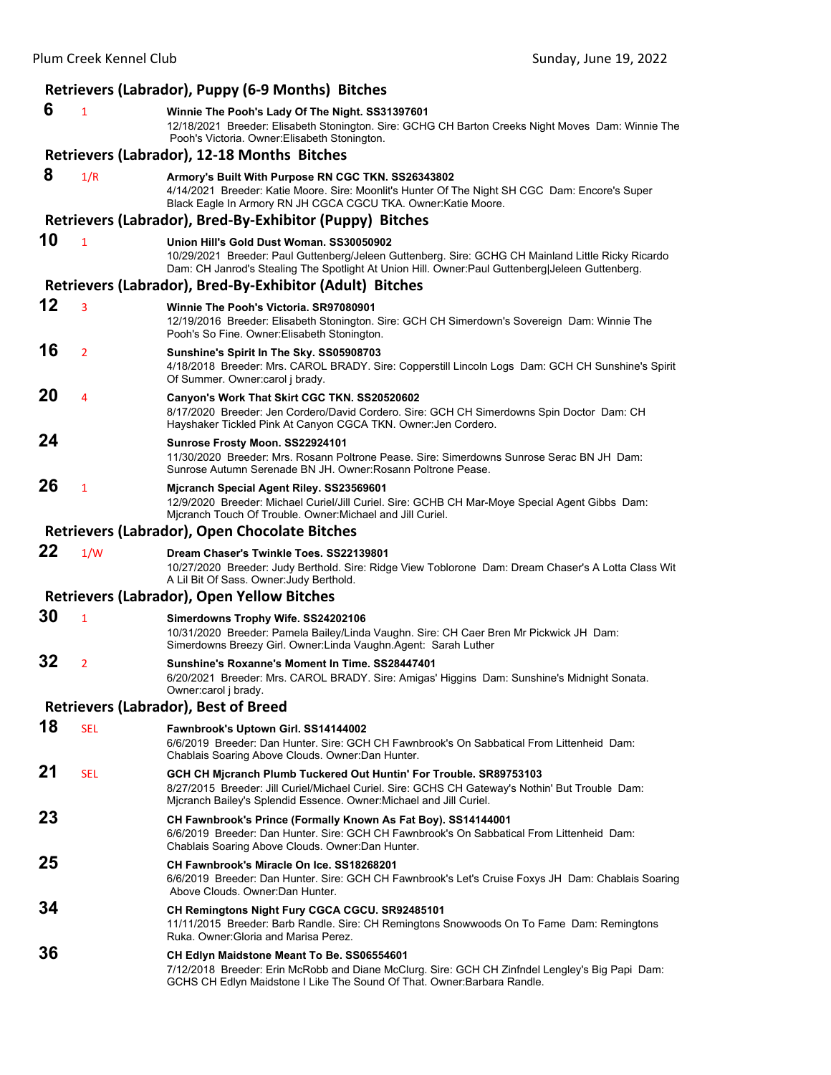|    |                | Retrievers (Labrador), Puppy (6-9 Months) Bitches                                                                                                                                                                                                  |
|----|----------------|----------------------------------------------------------------------------------------------------------------------------------------------------------------------------------------------------------------------------------------------------|
| 6  | $\mathbf{1}$   | Winnie The Pooh's Lady Of The Night. SS31397601<br>12/18/2021 Breeder: Elisabeth Stonington. Sire: GCHG CH Barton Creeks Night Moves Dam: Winnie The<br>Pooh's Victoria. Owner: Elisabeth Stonington.                                              |
|    |                | Retrievers (Labrador), 12-18 Months Bitches                                                                                                                                                                                                        |
| 8  | 1/R            | Armory's Built With Purpose RN CGC TKN. SS26343802<br>4/14/2021 Breeder: Katie Moore. Sire: Moonlit's Hunter Of The Night SH CGC Dam: Encore's Super<br>Black Eagle In Armory RN JH CGCA CGCU TKA. Owner: Katie Moore.                             |
|    |                | Retrievers (Labrador), Bred-By-Exhibitor (Puppy) Bitches                                                                                                                                                                                           |
| 10 | $\mathbf{1}$   | Union Hill's Gold Dust Woman. SS30050902<br>10/29/2021 Breeder: Paul Guttenberg/Jeleen Guttenberg. Sire: GCHG CH Mainland Little Ricky Ricardo<br>Dam: CH Janrod's Stealing The Spotlight At Union Hill. Owner: Paul Guttenberg Jeleen Guttenberg. |
|    |                | Retrievers (Labrador), Bred-By-Exhibitor (Adult) Bitches                                                                                                                                                                                           |
| 12 | 3              | Winnie The Pooh's Victoria. SR97080901<br>12/19/2016 Breeder: Elisabeth Stonington. Sire: GCH CH Simerdown's Sovereign Dam: Winnie The<br>Pooh's So Fine. Owner: Elisabeth Stonington.                                                             |
| 16 | $\overline{2}$ | Sunshine's Spirit In The Sky. SS05908703<br>4/18/2018 Breeder: Mrs. CAROL BRADY. Sire: Copperstill Lincoln Logs Dam: GCH CH Sunshine's Spirit<br>Of Summer. Owner: carol j brady.                                                                  |
| 20 | 4              | Canyon's Work That Skirt CGC TKN. SS20520602<br>8/17/2020 Breeder: Jen Cordero/David Cordero. Sire: GCH CH Simerdowns Spin Doctor Dam: CH<br>Hayshaker Tickled Pink At Canyon CGCA TKN. Owner: Jen Cordero.                                        |
| 24 |                | Sunrose Frosty Moon. SS22924101<br>11/30/2020 Breeder: Mrs. Rosann Poltrone Pease. Sire: Simerdowns Sunrose Serac BN JH Dam:<br>Sunrose Autumn Serenade BN JH. Owner: Rosann Poltrone Pease.                                                       |
| 26 | $\mathbf{1}$   | Mjcranch Special Agent Riley. SS23569601<br>12/9/2020 Breeder: Michael Curiel/Jill Curiel. Sire: GCHB CH Mar-Moye Special Agent Gibbs Dam:<br>Micranch Touch Of Trouble. Owner: Michael and Jill Curiel.                                           |
|    |                | Retrievers (Labrador), Open Chocolate Bitches                                                                                                                                                                                                      |
| 22 | 1/W            | Dream Chaser's Twinkle Toes. SS22139801<br>10/27/2020 Breeder: Judy Berthold. Sire: Ridge View Toblorone Dam: Dream Chaser's A Lotta Class Wit<br>A Lil Bit Of Sass. Owner: Judy Berthold.                                                         |
|    |                | <b>Retrievers (Labrador), Open Yellow Bitches</b>                                                                                                                                                                                                  |
| 30 | $\mathbf{1}$   | Simerdowns Trophy Wife. SS24202106<br>10/31/2020 Breeder: Pamela Bailey/Linda Vaughn. Sire: CH Caer Bren Mr Pickwick JH Dam:<br>Simerdowns Breezy Girl. Owner:Linda Vaughn.Agent: Sarah Luther                                                     |
| 32 | $\overline{2}$ | Sunshine's Roxanne's Moment In Time. SS28447401<br>6/20/2021 Breeder: Mrs. CAROL BRADY. Sire: Amigas' Higgins Dam: Sunshine's Midnight Sonata.<br>Owner:carol j brady.                                                                             |
|    |                | <b>Retrievers (Labrador), Best of Breed</b>                                                                                                                                                                                                        |
| 18 | <b>SEL</b>     | Fawnbrook's Uptown Girl. SS14144002<br>6/6/2019 Breeder: Dan Hunter. Sire: GCH CH Fawnbrook's On Sabbatical From Littenheid Dam:<br>Chablais Soaring Above Clouds. Owner: Dan Hunter.                                                              |
| 21 | <b>SEL</b>     | GCH CH Mjcranch Plumb Tuckered Out Huntin' For Trouble. SR89753103<br>8/27/2015 Breeder: Jill Curiel/Michael Curiel. Sire: GCHS CH Gateway's Nothin' But Trouble Dam:<br>Micranch Bailey's Splendid Essence. Owner: Michael and Jill Curiel.       |
| 23 |                | CH Fawnbrook's Prince (Formally Known As Fat Boy). SS14144001<br>6/6/2019 Breeder: Dan Hunter. Sire: GCH CH Fawnbrook's On Sabbatical From Littenheid Dam:<br>Chablais Soaring Above Clouds. Owner: Dan Hunter.                                    |
| 25 |                | CH Fawnbrook's Miracle On Ice. SS18268201<br>6/6/2019 Breeder: Dan Hunter. Sire: GCH CH Fawnbrook's Let's Cruise Foxys JH Dam: Chablais Soaring<br>Above Clouds. Owner: Dan Hunter.                                                                |
| 34 |                | CH Remingtons Night Fury CGCA CGCU. SR92485101<br>11/11/2015 Breeder: Barb Randle. Sire: CH Remingtons Snowwoods On To Fame Dam: Remingtons<br>Ruka. Owner: Gloria and Marisa Perez.                                                               |
| 36 |                | CH Edlyn Maidstone Meant To Be. SS06554601<br>7/12/2018 Breeder: Erin McRobb and Diane McClurg. Sire: GCH CH Zinfndel Lengley's Big Papi Dam:<br>GCHS CH Edlyn Maidstone I Like The Sound Of That. Owner: Barbara Randle.                          |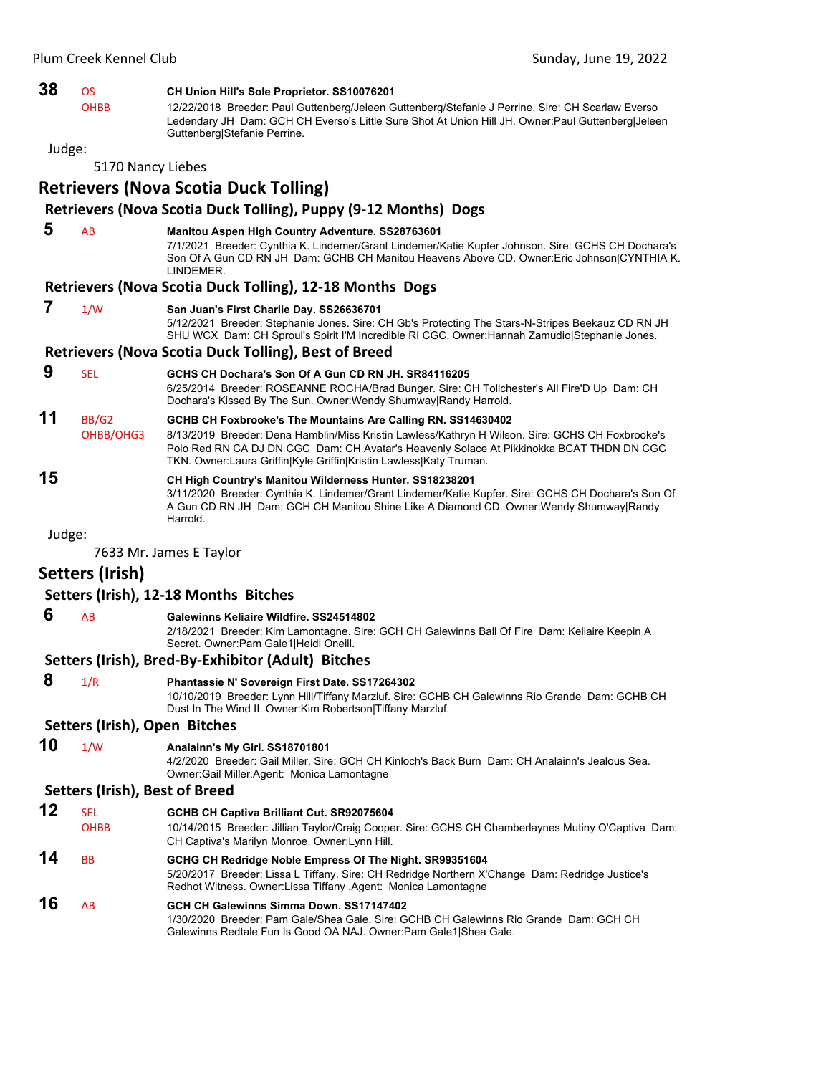| 38     | <b>OS</b>         | CH Union Hill's Sole Proprietor. SS10076201                                                                                                                                                                                                                         |
|--------|-------------------|---------------------------------------------------------------------------------------------------------------------------------------------------------------------------------------------------------------------------------------------------------------------|
|        | <b>OHBB</b>       | 12/22/2018 Breeder: Paul Guttenberg/Jeleen Guttenberg/Stefanie J Perrine. Sire: CH Scarlaw Everso<br>Ledendary JH Dam: GCH CH Everso's Little Sure Shot At Union Hill JH. Owner: Paul Guttenberg Jeleen<br>Guttenberg Stefanie Perrine.                             |
| Judge: |                   |                                                                                                                                                                                                                                                                     |
|        | 5170 Nancy Liebes |                                                                                                                                                                                                                                                                     |
|        |                   | <b>Retrievers (Nova Scotia Duck Tolling)</b>                                                                                                                                                                                                                        |
|        |                   | Retrievers (Nova Scotia Duck Tolling), Puppy (9-12 Months) Dogs                                                                                                                                                                                                     |
| 5      | AB                | Manitou Aspen High Country Adventure. SS28763601<br>7/1/2021 Breeder: Cynthia K. Lindemer/Grant Lindemer/Katie Kupfer Johnson. Sire: GCHS CH Dochara's<br>Son Of A Gun CD RN JH Dam: GCHB CH Manitou Heavens Above CD. Owner: Eric Johnson CYNTHIA K.<br>LINDEMER.  |
|        |                   | <b>Retrievers (Nova Scotia Duck Tolling), 12-18 Months Dogs</b>                                                                                                                                                                                                     |
| 7      | 1/W               | San Juan's First Charlie Day. SS26636701<br>5/12/2021 Breeder: Stephanie Jones. Sire: CH Gb's Protecting The Stars-N-Stripes Beekauz CD RN JH<br>SHU WCX Dam: CH Sproul's Spirit I'M Incredible RI CGC. Owner: Hannah Zamudio Stephanie Jones.                      |
|        |                   | <b>Retrievers (Nova Scotia Duck Tolling), Best of Breed</b>                                                                                                                                                                                                         |
| 9      | <b>SEL</b>        | GCHS CH Dochara's Son Of A Gun CD RN JH, SR84116205<br>6/25/2014 Breeder: ROSEANNE ROCHA/Brad Bunger. Sire: CH Tollchester's All Fire'D Up Dam: CH<br>Dochara's Kissed By The Sun. Owner: Wendy Shumway Randy Harrold.                                              |
| 11     | BB/G2             | GCHB CH Foxbrooke's The Mountains Are Calling RN. SS14630402                                                                                                                                                                                                        |
|        | OHBB/OHG3         | 8/13/2019 Breeder: Dena Hamblin/Miss Kristin Lawless/Kathryn H Wilson. Sire: GCHS CH Foxbrooke's<br>Polo Red RN CA DJ DN CGC Dam: CH Avatar's Heavenly Solace At Pikkinokka BCAT THDN DN CGC<br>TKN. Owner: Laura Griffin Kyle Griffin Kristin Lawless Katy Truman. |
| 15     |                   | CH High Country's Manitou Wilderness Hunter. SS18238201<br>3/11/2020 Breeder: Cynthia K. Lindemer/Grant Lindemer/Katie Kupfer. Sire: GCHS CH Dochara's Son Of<br>A Gun CD RN JH Dam: GCH CH Manitou Shine Like A Diamond CD. Owner: Wendy Shumway Randy<br>Harrold. |
| Judge: |                   |                                                                                                                                                                                                                                                                     |
|        |                   | 7633 Mr. James E Taylor                                                                                                                                                                                                                                             |

# **Setters (Irish)**

#### **Setters (Irish), 12‐18 Months Bitches**

 **6** AB **Galewinns Keliaire Wildfire. SS24514802**

2/18/2021 Breeder: Kim Lamontagne. Sire: GCH CH Galewinns Ball Of Fire Dam: Keliaire Keepin A Secret. Owner:Pam Gale1|Heidi Oneill.

#### **Setters (Irish), Bred‐By‐Exhibitor (Adult) Bitches**

- **8** 1/R **Phantassie N' Sovereign First Date. SS17264302** 10/10/2019 Breeder: Lynn Hill/Tiffany Marzluf. Sire: GCHB CH Galewinns Rio Grande Dam: GCHB CH Dust In The Wind II. Owner:Kim Robertson|Tiffany Marzluf. **Setters (Irish), Open Bitches**
- **10** 1/W **Analainn's My Girl. SS18701801**

4/2/2020 Breeder: Gail Miller. Sire: GCH CH Kinloch's Back Burn Dam: CH Analainn's Jealous Sea. Owner:Gail Miller.Agent: Monica Lamontagne

### **Setters (Irish), Best of Breed**

- **12** SEL **GCHB CH Captiva Brilliant Cut. SR92075604**
- OHBB 10/14/2015 Breeder: Jillian Taylor/Craig Cooper. Sire: GCHS CH Chamberlaynes Mutiny O'Captiva Dam: CH Captiva's Marilyn Monroe. Owner:Lynn Hill.
- **14** BB **GCHG CH Redridge Noble Empress Of The Night. SR99351604** 5/20/2017 Breeder: Lissa L Tiffany. Sire: CH Redridge Northern X'Change Dam: Redridge Justice's Redhot Witness. Owner:Lissa Tiffany .Agent: Monica Lamontagne
- **16** AB **GCH CH Galewinns Simma Down. SS17147402** 1/30/2020 Breeder: Pam Gale/Shea Gale. Sire: GCHB CH Galewinns Rio Grande Dam: GCH CH Galewinns Redtale Fun Is Good OA NAJ. Owner:Pam Gale1|Shea Gale.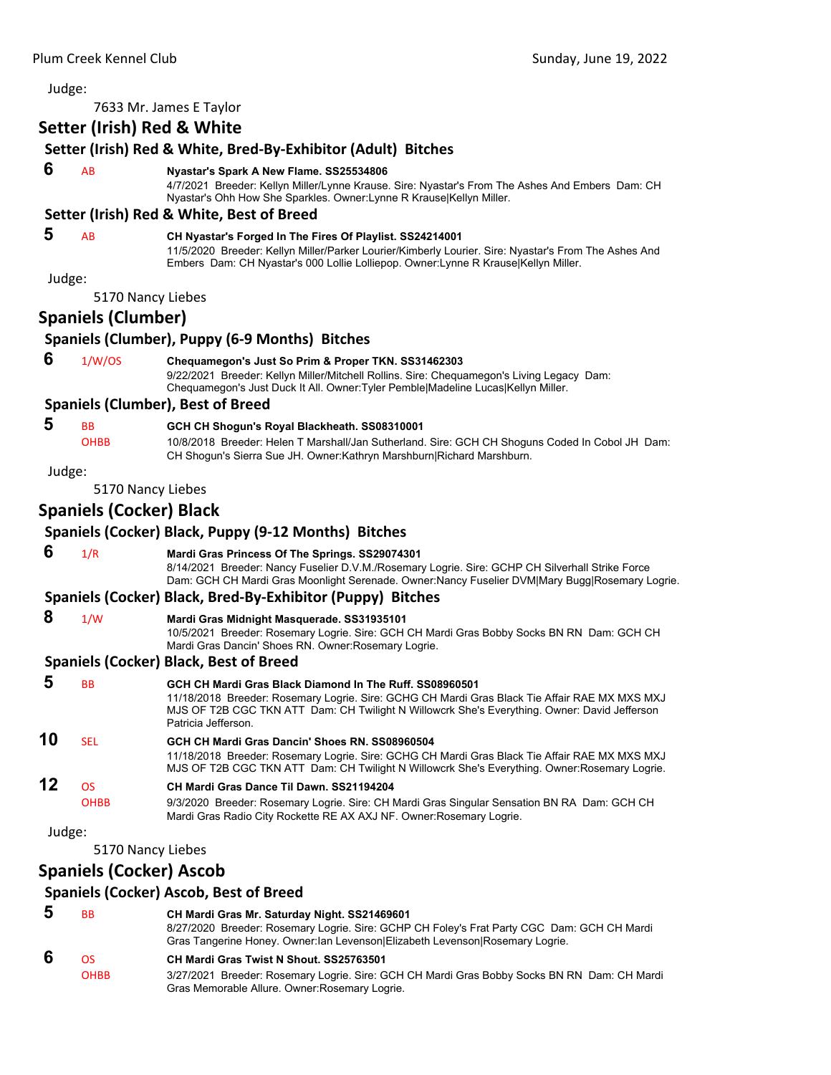| Judge: |                                |                                                                                                                                                                                                                                                                                 |
|--------|--------------------------------|---------------------------------------------------------------------------------------------------------------------------------------------------------------------------------------------------------------------------------------------------------------------------------|
|        |                                | 7633 Mr. James E Taylor                                                                                                                                                                                                                                                         |
|        | Setter (Irish) Red & White     |                                                                                                                                                                                                                                                                                 |
|        |                                | Setter (Irish) Red & White, Bred-By-Exhibitor (Adult) Bitches                                                                                                                                                                                                                   |
| 6      | AB                             | Nyastar's Spark A New Flame. SS25534806<br>4/7/2021 Breeder: Kellyn Miller/Lynne Krause. Sire: Nyastar's From The Ashes And Embers Dam: CH<br>Nyastar's Ohh How She Sparkles. Owner: Lynne R Krause Kellyn Miller.                                                              |
|        |                                | Setter (Irish) Red & White, Best of Breed                                                                                                                                                                                                                                       |
| 5      | AB                             | CH Nyastar's Forged In The Fires Of Playlist. SS24214001<br>11/5/2020 Breeder: Kellyn Miller/Parker Lourier/Kimberly Lourier. Sire: Nyastar's From The Ashes And<br>Embers Dam: CH Nyastar's 000 Lollie Lolliepop. Owner: Lynne R Krause Kellyn Miller.                         |
| Judge: |                                |                                                                                                                                                                                                                                                                                 |
|        | 5170 Nancy Liebes              |                                                                                                                                                                                                                                                                                 |
|        | <b>Spaniels (Clumber)</b>      |                                                                                                                                                                                                                                                                                 |
|        |                                | Spaniels (Clumber), Puppy (6-9 Months) Bitches                                                                                                                                                                                                                                  |
| 6      | 1/W/OS                         | Chequamegon's Just So Prim & Proper TKN. SS31462303<br>9/22/2021 Breeder: Kellyn Miller/Mitchell Rollins. Sire: Chequamegon's Living Legacy Dam:<br>Chequamegon's Just Duck It All. Owner: Tyler Pemble Madeline Lucas Kellyn Miller.                                           |
|        |                                | <b>Spaniels (Clumber), Best of Breed</b>                                                                                                                                                                                                                                        |
| 5      | BB<br><b>OHBB</b>              | GCH CH Shogun's Royal Blackheath. SS08310001<br>10/8/2018 Breeder: Helen T Marshall/Jan Sutherland. Sire: GCH CH Shoguns Coded In Cobol JH Dam:<br>CH Shogun's Sierra Sue JH. Owner: Kathryn Marshburn Richard Marshburn.                                                       |
| Judge: |                                |                                                                                                                                                                                                                                                                                 |
|        | 5170 Nancy Liebes              |                                                                                                                                                                                                                                                                                 |
|        | <b>Spaniels (Cocker) Black</b> |                                                                                                                                                                                                                                                                                 |
|        |                                | Spaniels (Cocker) Black, Puppy (9-12 Months) Bitches                                                                                                                                                                                                                            |
| 6      | 1/R                            | Mardi Gras Princess Of The Springs. SS29074301<br>8/14/2021 Breeder: Nancy Fuselier D.V.M./Rosemary Logrie. Sire: GCHP CH Silverhall Strike Force<br>Dam: GCH CH Mardi Gras Moonlight Serenade. Owner:Nancy Fuselier DVM Mary Bugg Rosemary Logrie.                             |
|        |                                | Spaniels (Cocker) Black, Bred-By-Exhibitor (Puppy) Bitches                                                                                                                                                                                                                      |
| 8      | 1/W                            | Mardi Gras Midnight Masquerade. SS31935101<br>10/5/2021 Breeder: Rosemary Logrie. Sire: GCH CH Mardi Gras Bobby Socks BN RN Dam: GCH CH<br>Mardi Gras Dancin' Shoes RN. Owner: Rosemary Logrie.                                                                                 |
|        |                                | <b>Spaniels (Cocker) Black, Best of Breed</b>                                                                                                                                                                                                                                   |
| 5      | BB                             | GCH CH Mardi Gras Black Diamond In The Ruff. SS08960501<br>11/18/2018 Breeder: Rosemary Logrie. Sire: GCHG CH Mardi Gras Black Tie Affair RAE MX MXS MXJ<br>MJS OF T2B CGC TKN ATT Dam: CH Twilight N Willowcrk She's Everything. Owner: David Jefferson<br>Patricia Jefferson. |
| 10     | <b>SEL</b>                     | GCH CH Mardi Gras Dancin' Shoes RN, SS08960504<br>11/18/2018 Breeder: Rosemary Logrie. Sire: GCHG CH Mardi Gras Black Tie Affair RAE MX MXS MXJ<br>MJS OF T2B CGC TKN ATT Dam: CH Twilight N Willowcrk She's Everything. Owner: Rosemary Logrie.                                |
| 12     | <b>OS</b><br><b>OHBB</b>       | CH Mardi Gras Dance Til Dawn, SS21194204<br>9/3/2020 Breeder: Rosemary Logrie. Sire: CH Mardi Gras Singular Sensation BN RA Dam: GCH CH<br>Mardi Gras Radio City Rockette RE AX AXJ NF. Owner: Rosemary Logrie.                                                                 |
| Judge: |                                |                                                                                                                                                                                                                                                                                 |
|        | 5170 Nancy Liebes              |                                                                                                                                                                                                                                                                                 |
|        | <b>Spaniels (Cocker) Ascob</b> |                                                                                                                                                                                                                                                                                 |
|        |                                | <b>Spaniels (Cocker) Ascob, Best of Breed</b>                                                                                                                                                                                                                                   |
| 5      | ВB                             | CH Mardi Gras Mr. Saturday Night. SS21469601                                                                                                                                                                                                                                    |
|        |                                | 8/27/2020 Breeder: Rosemary Logrie. Sire: GCHP CH Foley's Frat Party CGC Dam: GCH CH Mardi<br>Gras Tangerine Honey. Owner: lan Levenson Elizabeth Levenson Rosemary Logrie.                                                                                                     |
| 6      | <b>OS</b><br><b>OHBB</b>       | CH Mardi Gras Twist N Shout. SS25763501<br>3/27/2021 Breeder: Rosemary Logrie. Sire: GCH CH Mardi Gras Bobby Socks BN RN Dam: CH Mardi<br>Gras Memorable Allure. Owner: Rosemary Logrie.                                                                                        |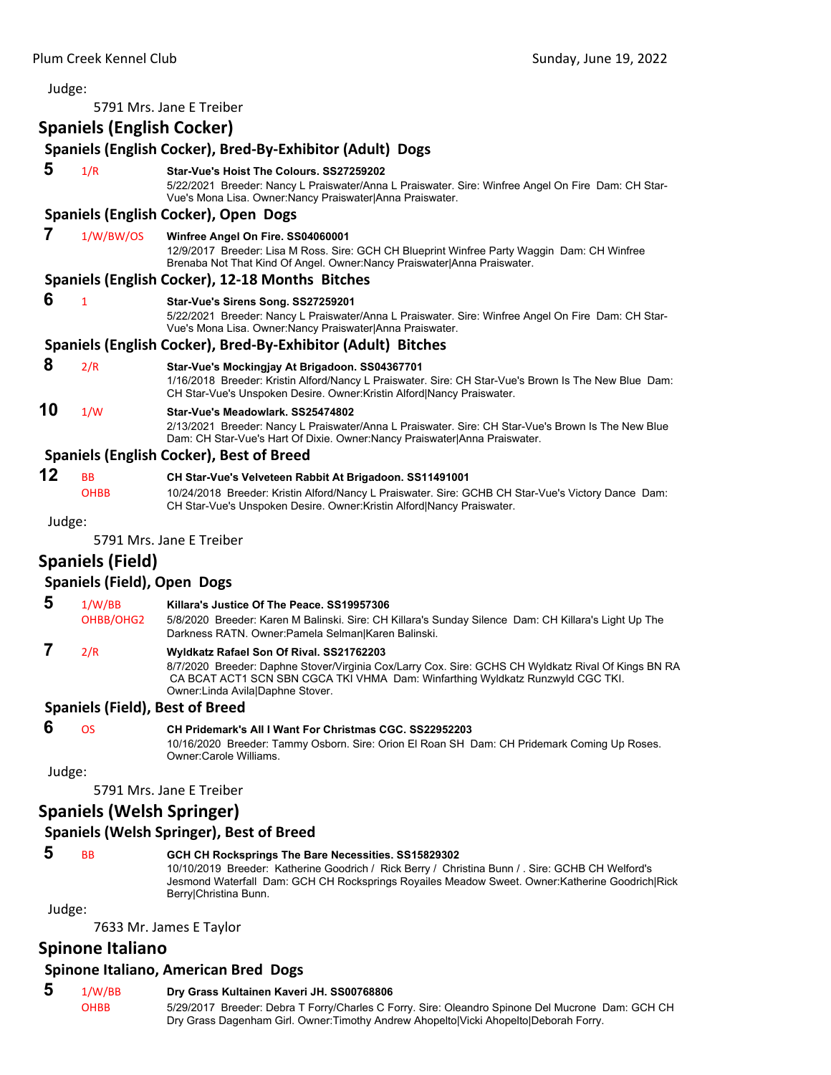| Judge: |                                        |                                                                                                                                                                                                                                                                        |
|--------|----------------------------------------|------------------------------------------------------------------------------------------------------------------------------------------------------------------------------------------------------------------------------------------------------------------------|
|        |                                        | 5791 Mrs. Jane E Treiber                                                                                                                                                                                                                                               |
|        | <b>Spaniels (English Cocker)</b>       |                                                                                                                                                                                                                                                                        |
|        |                                        | Spaniels (English Cocker), Bred-By-Exhibitor (Adult) Dogs                                                                                                                                                                                                              |
| 5      | 1/R                                    | Star-Vue's Hoist The Colours, SS27259202<br>5/22/2021 Breeder: Nancy L Praiswater/Anna L Praiswater. Sire: Winfree Angel On Fire Dam: CH Star-<br>Vue's Mona Lisa. Owner: Nancy Praiswater Anna Praiswater.                                                            |
|        |                                        | Spaniels (English Cocker), Open Dogs                                                                                                                                                                                                                                   |
| 7      | 1/W/BW/OS                              | Winfree Angel On Fire. SS04060001<br>12/9/2017 Breeder: Lisa M Ross. Sire: GCH CH Blueprint Winfree Party Waggin Dam: CH Winfree<br>Brenaba Not That Kind Of Angel. Owner: Nancy Praiswater Anna Praiswater.                                                           |
|        |                                        | Spaniels (English Cocker), 12-18 Months Bitches                                                                                                                                                                                                                        |
| 6      | 1                                      | Star-Vue's Sirens Song. SS27259201<br>5/22/2021 Breeder: Nancy L Praiswater/Anna L Praiswater. Sire: Winfree Angel On Fire Dam: CH Star-<br>Vue's Mona Lisa. Owner: Nancy Praiswater Anna Praiswater.                                                                  |
|        |                                        | Spaniels (English Cocker), Bred-By-Exhibitor (Adult) Bitches                                                                                                                                                                                                           |
| 8      | 2/R                                    | Star-Vue's Mockingjay At Brigadoon. SS04367701<br>1/16/2018 Breeder: Kristin Alford/Nancy L Praiswater. Sire: CH Star-Vue's Brown Is The New Blue Dam:<br>CH Star-Vue's Unspoken Desire. Owner: Kristin Alford Nancy Praiswater.                                       |
| 10     | 1/W                                    | Star-Vue's Meadowlark, SS25474802<br>2/13/2021 Breeder: Nancy L Praiswater/Anna L Praiswater. Sire: CH Star-Vue's Brown Is The New Blue<br>Dam: CH Star-Vue's Hart Of Dixie. Owner:Nancy Praiswater Anna Praiswater.                                                   |
|        |                                        | <b>Spaniels (English Cocker), Best of Breed</b>                                                                                                                                                                                                                        |
| 12     | <b>BB</b><br><b>OHBB</b>               | CH Star-Vue's Velveteen Rabbit At Brigadoon. SS11491001<br>10/24/2018 Breeder: Kristin Alford/Nancy L Praiswater. Sire: GCHB CH Star-Vue's Victory Dance Dam:<br>CH Star-Vue's Unspoken Desire. Owner: Kristin Alford Nancy Praiswater.                                |
| Judge: |                                        |                                                                                                                                                                                                                                                                        |
|        |                                        | 5791 Mrs. Jane E Treiber                                                                                                                                                                                                                                               |
|        | <b>Spaniels (Field)</b>                |                                                                                                                                                                                                                                                                        |
|        | <b>Spaniels (Field), Open Dogs</b>     |                                                                                                                                                                                                                                                                        |
| 5      | 1/W/BB<br>OHBB/OHG2                    | Killara's Justice Of The Peace, SS19957306<br>5/8/2020 Breeder: Karen M Balinski. Sire: CH Killara's Sunday Silence Dam: CH Killara's Light Up The<br>Darkness RATN. Owner: Pamela Selman Karen Balinski.                                                              |
| 7      | 2/R                                    | Wyldkatz Rafael Son Of Rival. SS21762203<br>8/7/2020 Breeder: Daphne Stover/Virginia Cox/Larry Cox. Sire: GCHS CH Wyldkatz Rival Of Kings BN RA<br>CA BCAT ACT1 SCN SBN CGCA TKI VHMA Dam: Winfarthing Wyldkatz Runzwyld CGC TKI.<br>Owner: Linda Avila Daphne Stover. |
|        | <b>Spaniels (Field), Best of Breed</b> |                                                                                                                                                                                                                                                                        |
| 6      | <b>OS</b>                              | CH Pridemark's All I Want For Christmas CGC. SS22952203<br>10/16/2020 Breeder: Tammy Osborn. Sire: Orion El Roan SH Dam: CH Pridemark Coming Up Roses.<br>Owner:Carole Williams.                                                                                       |
| Judge: |                                        |                                                                                                                                                                                                                                                                        |
|        |                                        | 5791 Mrs. Jane E Treiber                                                                                                                                                                                                                                               |
|        | <b>Spaniels (Welsh Springer)</b>       |                                                                                                                                                                                                                                                                        |
|        |                                        | Connicle (Wicleb Coninces), Dest of Duced                                                                                                                                                                                                                              |

# **Spaniels (Welsh Springer), Best of Breed**

# **5** BB **GCH CH Rocksprings The Bare Necessities. SS15829302**

10/10/2019 Breeder: Katherine Goodrich / Rick Berry / Christina Bunn / . Sire: GCHB CH Welford's Jesmond Waterfall Dam: GCH CH Rocksprings Royailes Meadow Sweet. Owner:Katherine Goodrich|Rick Berry|Christina Bunn.

Judge:

7633 Mr. James E Taylor

# **Spinone Italiano**

# **Spinone Italiano, American Bred Dogs**

**5** 1/W/BB **Dry Grass Kultainen Kaveri JH. SS00768806**<br>OHBB 5/29/2017 Breeder: Debra T Forry/Charles C F 5/29/2017 Breeder: Debra T Forry/Charles C Forry. Sire: Oleandro Spinone Del Mucrone Dam: GCH CH Dry Grass Dagenham Girl. Owner:Timothy Andrew Ahopelto|Vicki Ahopelto|Deborah Forry.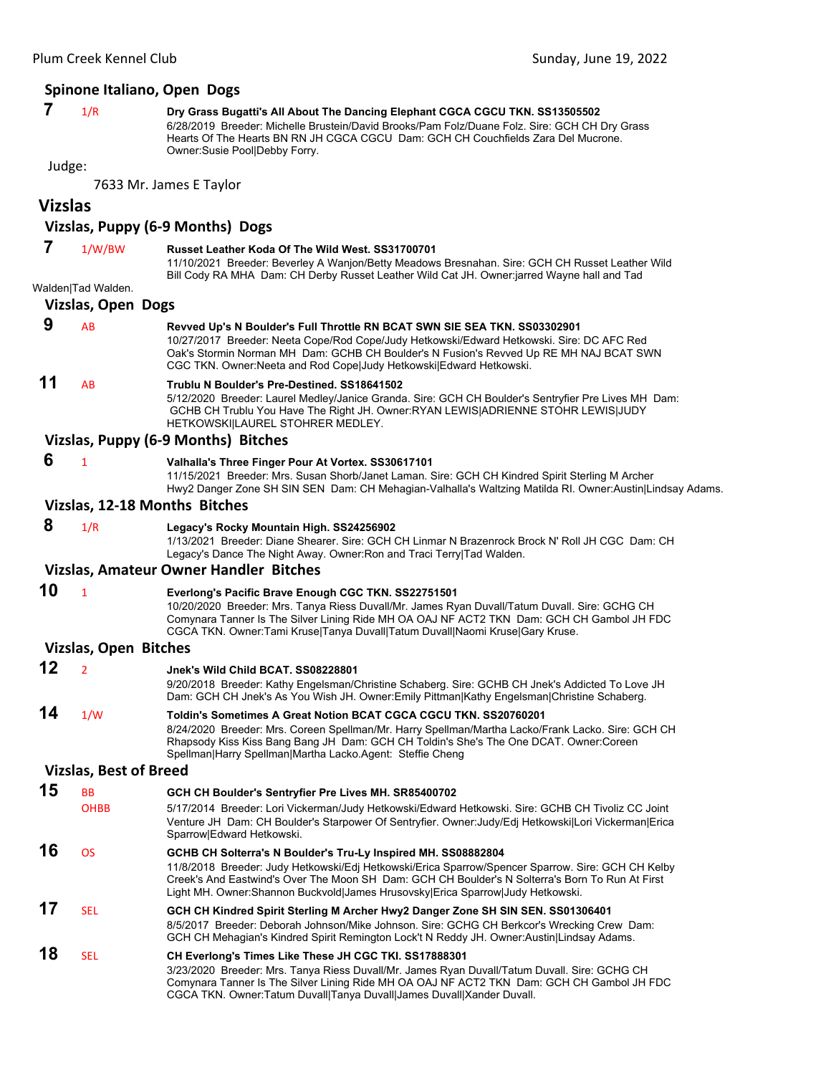#### **Spinone Italiano, Open Dogs**

 **7** 1/R **Dry Grass Bugatti's All About The Dancing Elephant CGCA CGCU TKN. SS13505502** 6/28/2019 Breeder: Michelle Brustein/David Brooks/Pam Folz/Duane Folz. Sire: GCH CH Dry Grass

Hearts Of The Hearts BN RN JH CGCA CGCU Dam: GCH CH Couchfields Zara Del Mucrone. Owner:Susie Pool|Debby Forry.

Judge:

7633 Mr. James E Taylor

# **Vizslas**

### **Vizslas, Puppy (6‐9 Months) Dogs**

- **7** 1/W/BW **Russet Leather Koda Of The Wild West. SS31700701** 11/10/2021 Breeder: Beverley A Wanjon/Betty Meadows Bresnahan. Sire: GCH CH Russet Leather Wild Bill Cody RA MHA Dam: CH Derby Russet Leather Wild Cat JH. Owner:jarred Wayne hall and Tad Walden|Tad Walden. **Vizslas, Open Dogs 9** AB **Revved Up's N Boulder's Full Throttle RN BCAT SWN SIE SEA TKN. SS03302901** 10/27/2017 Breeder: Neeta Cope/Rod Cope/Judy Hetkowski/Edward Hetkowski. Sire: DC AFC Red Oak's Stormin Norman MH Dam: GCHB CH Boulder's N Fusion's Revved Up RE MH NAJ BCAT SWN CGC TKN. Owner:Neeta and Rod Cope|Judy Hetkowski|Edward Hetkowski. **11** AB **Trublu N Boulder's Pre-Destined. SS18641502** 5/12/2020 Breeder: Laurel Medley/Janice Granda. Sire: GCH CH Boulder's Sentryfier Pre Lives MH Dam: GCHB CH Trublu You Have The Right JH. Owner:RYAN LEWIS|ADRIENNE STOHR LEWIS|JUDY HETKOWSKI|LAUREL STOHRER MEDLEY. **Vizslas, Puppy (6‐9 Months) Bitches 6** <sup>1</sup> **Valhalla's Three Finger Pour At Vortex. SS30617101** 11/15/2021 Breeder: Mrs. Susan Shorb/Janet Laman. Sire: GCH CH Kindred Spirit Sterling M Archer Hwy2 Danger Zone SH SIN SEN Dam: CH Mehagian-Valhalla's Waltzing Matilda RI. Owner:Austin|Lindsay Adams. **Vizslas, 12‐18 Months Bitches 8** 1/R **Legacy's Rocky Mountain High. SS24256902** 1/13/2021 Breeder: Diane Shearer. Sire: GCH CH Linmar N Brazenrock Brock N' Roll JH CGC Dam: CH Legacy's Dance The Night Away. Owner:Ron and Traci Terry|Tad Walden. **Vizslas, Amateur Owner Handler Bitches 10** <sup>1</sup> **Everlong's Pacific Brave Enough CGC TKN. SS22751501** 10/20/2020 Breeder: Mrs. Tanya Riess Duvall/Mr. James Ryan Duvall/Tatum Duvall. Sire: GCHG CH Comynara Tanner Is The Silver Lining Ride MH OA OAJ NF ACT2 TKN Dam: GCH CH Gambol JH FDC CGCA TKN. Owner:Tami Kruse|Tanya Duvall|Tatum Duvall|Naomi Kruse|Gary Kruse. **Vizslas, Open Bitches 12** <sup>2</sup> **Jnek's Wild Child BCAT. SS08228801** 9/20/2018 Breeder: Kathy Engelsman/Christine Schaberg. Sire: GCHB CH Jnek's Addicted To Love JH Dam: GCH CH Jnek's As You Wish JH. Owner:Emily Pittman|Kathy Engelsman|Christine Schaberg.
- **14** 1/W **Toldin's Sometimes A Great Notion BCAT CGCA CGCU TKN. SS20760201** 8/24/2020 Breeder: Mrs. Coreen Spellman/Mr. Harry Spellman/Martha Lacko/Frank Lacko. Sire: GCH CH Rhapsody Kiss Kiss Bang Bang JH Dam: GCH CH Toldin's She's The One DCAT. Owner:Coreen Spellman|Harry Spellman|Martha Lacko.Agent: Steffie Cheng

#### **Vizslas, Best of Breed**

**15** BB **GCH CH Boulder's Sentryfier Pre Lives MH. SR85400702** OHBB 5/17/2014 Breeder: Lori Vickerman/Judy Hetkowski/Edward Hetkowski. Sire: GCHB CH Tivoliz CC Joint Venture JH Dam: CH Boulder's Starpower Of Sentryfier. Owner:Judy/Edj Hetkowski|Lori Vickerman|Erica Sparrow|Edward Hetkowski. **16** OS **GCHB CH Solterra's N Boulder's Tru-Ly Inspired MH. SS08882804** 11/8/2018 Breeder: Judy Hetkowski/Edj Hetkowski/Erica Sparrow/Spencer Sparrow. Sire: GCH CH Kelby Creek's And Eastwind's Over The Moon SH Dam: GCH CH Boulder's N Solterra's Born To Run At First Light MH. Owner:Shannon Buckvold|James Hrusovsky|Erica Sparrow|Judy Hetkowski. **17** SEL **GCH CH Kindred Spirit Sterling M Archer Hwy2 Danger Zone SH SIN SEN. SS01306401** 8/5/2017 Breeder: Deborah Johnson/Mike Johnson. Sire: GCHG CH Berkcor's Wrecking Crew Dam: GCH CH Mehagian's Kindred Spirit Remington Lock't N Reddy JH. Owner:Austin|Lindsay Adams. **18** SEL **CH Everlong's Times Like These JH CGC TKI. SS17888301** 3/23/2020 Breeder: Mrs. Tanya Riess Duvall/Mr. James Ryan Duvall/Tatum Duvall. Sire: GCHG CH Comynara Tanner Is The Silver Lining Ride MH OA OAJ NF ACT2 TKN Dam: GCH CH Gambol JH FDC CGCA TKN. Owner:Tatum Duvall|Tanya Duvall|James Duvall|Xander Duvall.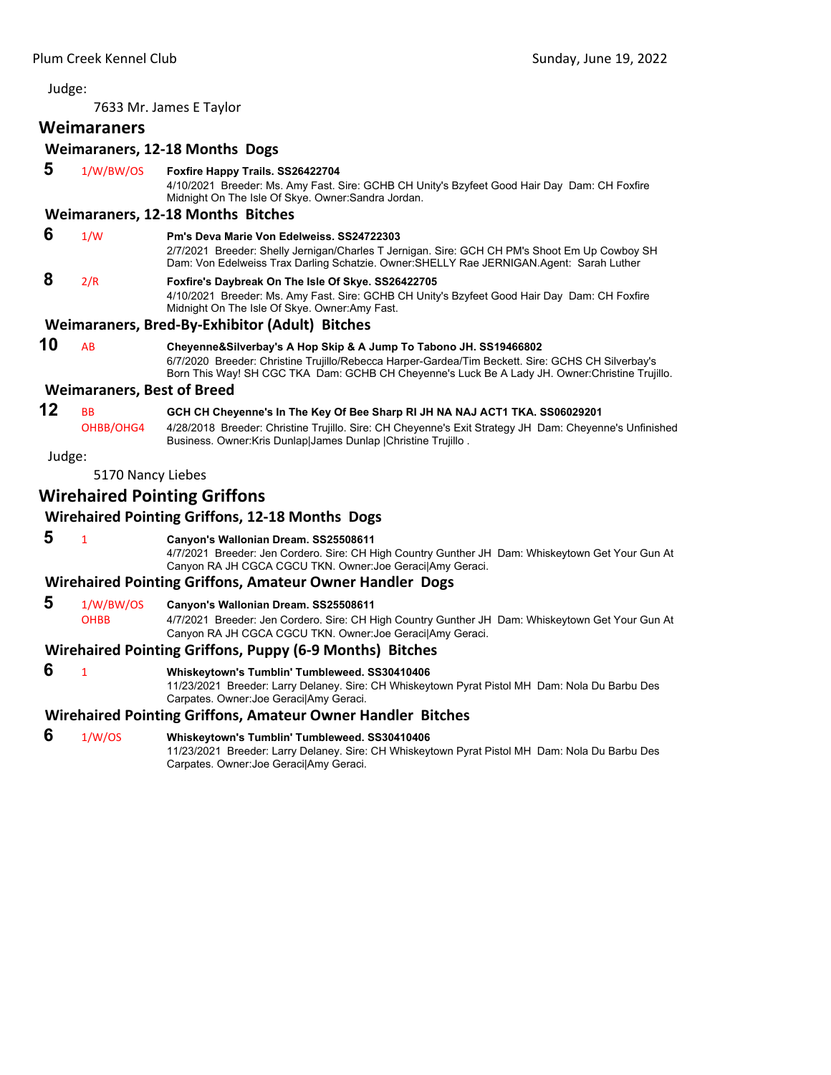7633 Mr. James E Taylor

# **Weimaraners**

# **Weimaraners, 12‐18 Months Dogs**

- **5** 1/W/BW/OS **Foxfire Happy Trails. SS26422704** 4/10/2021 Breeder: Ms. Amy Fast. Sire: GCHB CH Unity's Bzyfeet Good Hair Day Dam: CH Foxfire Midnight On The Isle Of Skye. Owner:Sandra Jordan. **Weimaraners, 12‐18 Months Bitches 6** 1/W **Pm's Deva Marie Von Edelweiss. SS24722303** 2/7/2021 Breeder: Shelly Jernigan/Charles T Jernigan. Sire: GCH CH PM's Shoot Em Up Cowboy SH Dam: Von Edelweiss Trax Darling Schatzie. Owner:SHELLY Rae JERNIGAN.Agent: Sarah Luther  **8** 2/R **Foxfire's Daybreak On The Isle Of Skye. SS26422705**
	- 4/10/2021 Breeder: Ms. Amy Fast. Sire: GCHB CH Unity's Bzyfeet Good Hair Day Dam: CH Foxfire Midnight On The Isle Of Skye. Owner:Amy Fast.

# **Weimaraners, Bred‐By‐Exhibitor (Adult) Bitches**

**10** AB **Cheyenne&Silverbay's A Hop Skip & A Jump To Tabono JH. SS19466802** 6/7/2020 Breeder: Christine Trujillo/Rebecca Harper-Gardea/Tim Beckett. Sire: GCHS CH Silverbay's Born This Way! SH CGC TKA Dam: GCHB CH Cheyenne's Luck Be A Lady JH. Owner:Christine Trujillo.

#### **Weimaraners, Best of Breed**

**12** BB **GCH CH Cheyenne's In The Key Of Bee Sharp RI JH NA NAJ ACT1 TKA. SS06029201** OHBB/OHG4 4/28/2018 Breeder: Christine Trujillo. Sire: CH Cheyenne's Exit Strategy JH Dam: Cheyenne's Unfinished Business. Owner:Kris Dunlap|James Dunlap |Christine Trujillo .

Judge:

5170 Nancy Liebes

# **Wirehaired Pointing Griffons**

# **Wirehaired Pointing Griffons, 12‐18 Months Dogs**

 **5** <sup>1</sup> **Canyon's Wallonian Dream. SS25508611** 4/7/2021 Breeder: Jen Cordero. Sire: CH High Country Gunther JH Dam: Whiskeytown Get Your Gun At Canyon RA JH CGCA CGCU TKN. Owner:Joe Geraci|Amy Geraci.

# **Wirehaired Pointing Griffons, Amateur Owner Handler Dogs**

- **5** 1/W/BW/OS **Canyon's Wallonian Dream. SS25508611**
	- OHBB 4/7/2021 Breeder: Jen Cordero. Sire: CH High Country Gunther JH Dam: Whiskeytown Get Your Gun At Canyon RA JH CGCA CGCU TKN. Owner:Joe Geraci|Amy Geraci.

# **Wirehaired Pointing Griffons, Puppy (6‐9 Months) Bitches**

- **6** <sup>1</sup> **Whiskeytown's Tumblin' Tumbleweed. SS30410406**
	- 11/23/2021 Breeder: Larry Delaney. Sire: CH Whiskeytown Pyrat Pistol MH Dam: Nola Du Barbu Des Carpates. Owner:Joe Geraci|Amy Geraci.

# **Wirehaired Pointing Griffons, Amateur Owner Handler Bitches**

- **6** 1/W/OS **Whiskeytown's Tumblin' Tumbleweed. SS30410406**
	- 11/23/2021 Breeder: Larry Delaney. Sire: CH Whiskeytown Pyrat Pistol MH Dam: Nola Du Barbu Des Carpates. Owner:Joe Geraci|Amy Geraci.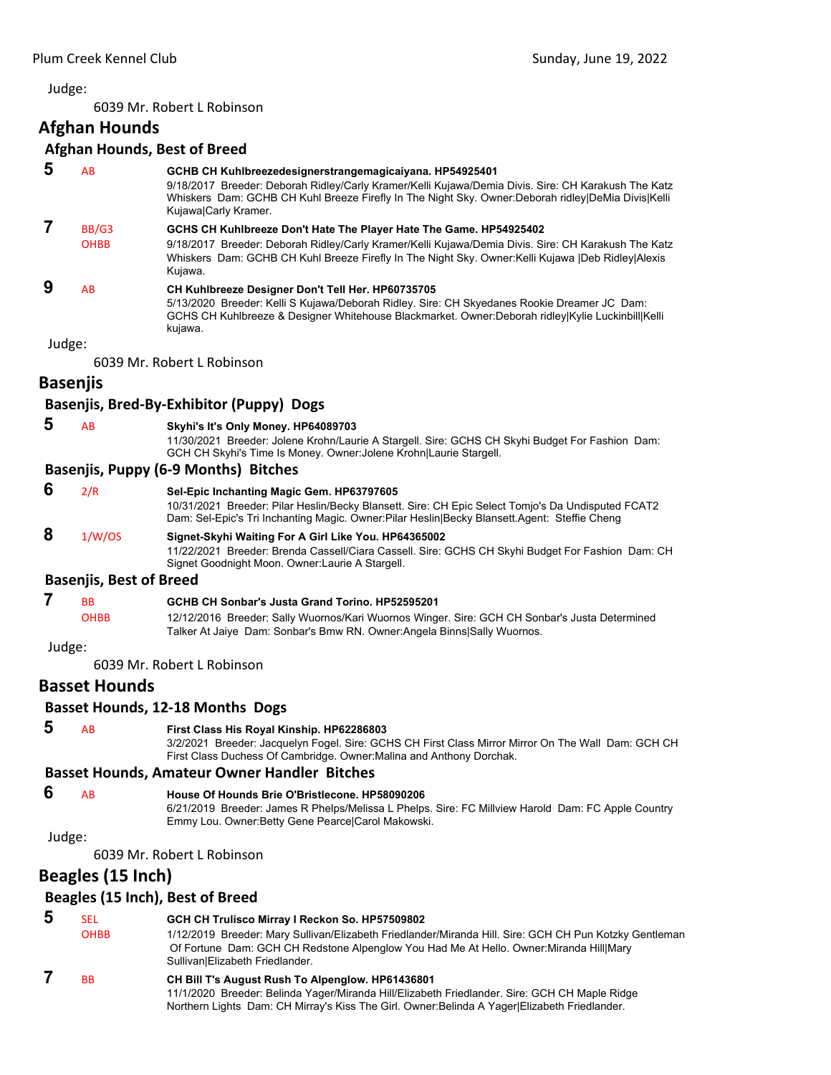<span id="page-11-0"></span>6039 Mr. Robert L Robinson

**Afghan Hounds**

# **Afghan Hounds, Best of Breed**

|        |                                | Arghan Hounds, best of Breed                                                                                                                                                                                                                                                                  |
|--------|--------------------------------|-----------------------------------------------------------------------------------------------------------------------------------------------------------------------------------------------------------------------------------------------------------------------------------------------|
| 5      | AB                             | GCHB CH Kuhlbreezedesignerstrangemagicaiyana. HP54925401<br>9/18/2017 Breeder: Deborah Ridley/Carly Kramer/Kelli Kujawa/Demia Divis. Sire: CH Karakush The Katz<br>Whiskers Dam: GCHB CH Kuhl Breeze Firefly In The Night Sky. Owner:Deborah ridley DeMia Divis Kelli<br>Kujawa Carly Kramer. |
| 7      | BB/G3<br><b>OHBB</b>           | GCHS CH Kuhlbreeze Don't Hate The Player Hate The Game. HP54925402<br>9/18/2017 Breeder: Deborah Ridley/Carly Kramer/Kelli Kujawa/Demia Divis. Sire: CH Karakush The Katz<br>Whiskers Dam: GCHB CH Kuhl Breeze Firefly In The Night Sky. Owner: Kelli Kujawa  Deb Ridley Alexis<br>Kujawa.    |
| 9      | AB                             | CH Kuhlbreeze Designer Don't Tell Her. HP60735705<br>5/13/2020 Breeder: Kelli S Kujawa/Deborah Ridley. Sire: CH Skyedanes Rookie Dreamer JC Dam:<br>GCHS CH Kuhlbreeze & Designer Whitehouse Blackmarket. Owner:Deborah ridley Kylie Luckinbill Kelli<br>kujawa.                              |
| Judge: |                                |                                                                                                                                                                                                                                                                                               |
|        |                                | 6039 Mr. Robert L Robinson                                                                                                                                                                                                                                                                    |
|        | Basenjis                       |                                                                                                                                                                                                                                                                                               |
|        |                                | Basenjis, Bred-By-Exhibitor (Puppy) Dogs                                                                                                                                                                                                                                                      |
| 5      | AB                             | Skyhi's It's Only Money. HP64089703<br>11/30/2021 Breeder: Jolene Krohn/Laurie A Stargell. Sire: GCHS CH Skyhi Budget For Fashion Dam:<br>GCH CH Skyhi's Time Is Money. Owner: Jolene Krohn Laurie Stargell.                                                                                  |
|        |                                | <b>Basenjis, Puppy (6-9 Months) Bitches</b>                                                                                                                                                                                                                                                   |
| 6      | 2/R                            | Sel-Epic Inchanting Magic Gem. HP63797605<br>10/31/2021 Breeder: Pilar Heslin/Becky Blansett. Sire: CH Epic Select Tomjo's Da Undisputed FCAT2<br>Dam: Sel-Epic's Tri Inchanting Magic. Owner: Pilar Heslin Becky Blansett. Agent: Steffie Cheng                                              |
| 8      | 1/W/OS                         | Signet-Skyhi Waiting For A Girl Like You. HP64365002<br>11/22/2021 Breeder: Brenda Cassell/Ciara Cassell. Sire: GCHS CH Skyhi Budget For Fashion Dam: CH<br>Signet Goodnight Moon. Owner: Laurie A Stargell.                                                                                  |
|        | <b>Basenjis, Best of Breed</b> |                                                                                                                                                                                                                                                                                               |
| 7      | <b>BB</b><br><b>OHBB</b>       | GCHB CH Sonbar's Justa Grand Torino. HP52595201<br>12/12/2016 Breeder: Sally Wuornos/Kari Wuornos Winger. Sire: GCH CH Sonbar's Justa Determined<br>Talker At Jaiye Dam: Sonbar's Bmw RN. Owner: Angela Binns Sally Wuornos.                                                                  |
| Judge: |                                |                                                                                                                                                                                                                                                                                               |
|        |                                | 6039 Mr. Robert L Robinson                                                                                                                                                                                                                                                                    |
|        | <b>Basset Hounds</b>           |                                                                                                                                                                                                                                                                                               |
|        |                                | <b>Basset Hounds, 12-18 Months Dogs</b>                                                                                                                                                                                                                                                       |
| 5      | AB                             | First Class His Royal Kinship. HP62286803<br>3/2/2021 Breeder: Jacquelyn Fogel. Sire: GCHS CH First Class Mirror Mirror On The Wall Dam: GCH CH<br>First Class Duchess Of Cambridge. Owner: Malina and Anthony Dorchak.                                                                       |
|        |                                | <b>Basset Hounds, Amateur Owner Handler Bitches</b>                                                                                                                                                                                                                                           |
| 6      | AB                             | House Of Hounds Brie O'Bristlecone. HP58090206<br>6/21/2019 Breeder: James R Phelps/Melissa L Phelps. Sire: FC Millview Harold Dam: FC Apple Country<br>Emmy Lou. Owner: Betty Gene Pearce Carol Makowski.                                                                                    |
| Judge: |                                |                                                                                                                                                                                                                                                                                               |
|        |                                | 6039 Mr. Robert L Robinson                                                                                                                                                                                                                                                                    |
|        | Beagles (15 Inch)              |                                                                                                                                                                                                                                                                                               |
|        |                                | Beagles (15 Inch), Best of Breed                                                                                                                                                                                                                                                              |
| 5      | SEL<br><b>OHBB</b>             | GCH CH Trulisco Mirray I Reckon So. HP57509802<br>1/12/2019 Breeder: Mary Sullivan/Elizabeth Friedlander/Miranda Hill. Sire: GCH CH Pun Kotzky Gentleman<br>Of Fortune Dam: GCH CH Redstone Alpenglow You Had Me At Hello. Owner: Miranda Hill Mary<br>Sullivan Elizabeth Friedlander.        |
|        |                                |                                                                                                                                                                                                                                                                                               |

 **7** BB **CH Bill T's August Rush To Alpenglow. HP61436801** 11/1/2020 Breeder: Belinda Yager/Miranda Hill/Elizabeth Friedlander. Sire: GCH CH Maple Ridge Northern Lights Dam: CH Mirray's Kiss The Girl. Owner:Belinda A Yager|Elizabeth Friedlander.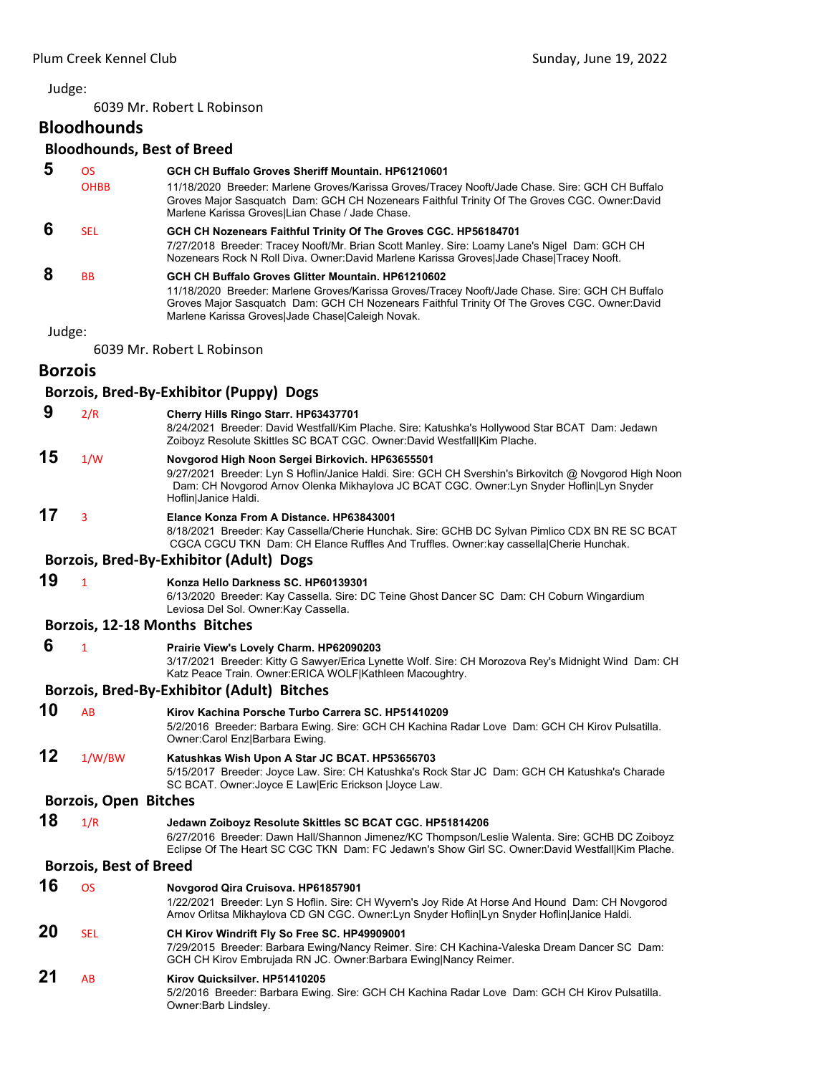6039 Mr. Robert L Robinson

# **Bloodhounds**

# **Bloodhounds, Best of Breed**

| 5              | OS                            | GCH CH Buffalo Groves Sheriff Mountain, HP61210601                                                                                                                                                                                                                                                        |
|----------------|-------------------------------|-----------------------------------------------------------------------------------------------------------------------------------------------------------------------------------------------------------------------------------------------------------------------------------------------------------|
|                | <b>OHBB</b>                   | 11/18/2020 Breeder: Marlene Groves/Karissa Groves/Tracey Nooft/Jade Chase. Sire: GCH CH Buffalo<br>Groves Major Sasquatch Dam: GCH CH Nozenears Faithful Trinity Of The Groves CGC. Owner:David<br>Marlene Karissa Groves Lian Chase / Jade Chase.                                                        |
| 6              | <b>SEL</b>                    | GCH CH Nozenears Faithful Trinity Of The Groves CGC. HP56184701<br>7/27/2018 Breeder: Tracey Nooft/Mr. Brian Scott Manley. Sire: Loamy Lane's Nigel Dam: GCH CH<br>Nozenears Rock N Roll Diva. Owner:David Marlene Karissa Groves Jade Chase Tracey Nooft.                                                |
| 8              | <b>BB</b>                     | GCH CH Buffalo Groves Glitter Mountain, HP61210602<br>11/18/2020 Breeder: Marlene Groves/Karissa Groves/Tracey Nooft/Jade Chase. Sire: GCH CH Buffalo<br>Groves Major Sasquatch Dam: GCH CH Nozenears Faithful Trinity Of The Groves CGC. Owner:David<br>Marlene Karissa Groves Jade Chase Caleigh Novak. |
| Judge:         |                               |                                                                                                                                                                                                                                                                                                           |
|                |                               | 6039 Mr. Robert L Robinson                                                                                                                                                                                                                                                                                |
| <b>Borzois</b> |                               |                                                                                                                                                                                                                                                                                                           |
|                |                               | Borzois, Bred-By-Exhibitor (Puppy) Dogs                                                                                                                                                                                                                                                                   |
| 9              | 2/R                           | Cherry Hills Ringo Starr. HP63437701<br>8/24/2021 Breeder: David Westfall/Kim Plache. Sire: Katushka's Hollywood Star BCAT Dam: Jedawn<br>Zoiboyz Resolute Skittles SC BCAT CGC. Owner:David Westfall Kim Plache.                                                                                         |
| 15             | 1/W                           | Novgorod High Noon Sergei Birkovich. HP63655501<br>9/27/2021 Breeder: Lyn S Hoflin/Janice Haldi. Sire: GCH CH Svershin's Birkovitch @ Novgorod High Noon<br>Dam: CH Novgorod Arnov Olenka Mikhaylova JC BCAT CGC. Owner:Lyn Snyder Hoflin Lyn Snyder<br>Hoflin Janice Haldi.                              |
| 17             | 3                             | Elance Konza From A Distance, HP63843001<br>8/18/2021 Breeder: Kay Cassella/Cherie Hunchak. Sire: GCHB DC Sylvan Pimlico CDX BN RE SC BCAT<br>CGCA CGCU TKN Dam: CH Elance Ruffles And Truffles. Owner: kay cassella Cherie Hunchak.                                                                      |
|                |                               | Borzois, Bred-By-Exhibitor (Adult) Dogs                                                                                                                                                                                                                                                                   |
| 19             | $\mathbf{1}$                  | Konza Hello Darkness SC. HP60139301<br>6/13/2020 Breeder: Kay Cassella. Sire: DC Teine Ghost Dancer SC Dam: CH Coburn Wingardium<br>Leviosa Del Sol. Owner: Kay Cassella.                                                                                                                                 |
|                |                               | Borzois, 12-18 Months Bitches                                                                                                                                                                                                                                                                             |
| 6              | $\mathbf{1}$                  | Prairie View's Lovely Charm. HP62090203<br>3/17/2021 Breeder: Kitty G Sawyer/Erica Lynette Wolf. Sire: CH Morozova Rey's Midnight Wind Dam: CH<br>Katz Peace Train. Owner: ERICA WOLF   Kathleen Macoughtry.                                                                                              |
|                |                               | Borzois, Bred-By-Exhibitor (Adult) Bitches                                                                                                                                                                                                                                                                |
| 10             | AB                            | Kirov Kachina Porsche Turbo Carrera SC. HP51410209<br>5/2/2016 Breeder: Barbara Ewing. Sire: GCH CH Kachina Radar Love Dam: GCH CH Kirov Pulsatilla.<br>Owner:Carol Enz Barbara Ewing.                                                                                                                    |
| 12             | 1/W/BW                        | Katushkas Wish Upon A Star JC BCAT. HP53656703<br>5/15/2017 Breeder: Joyce Law. Sire: CH Katushka's Rock Star JC Dam: GCH CH Katushka's Charade<br>SC BCAT. Owner: Joyce E Law Eric Erickson   Joyce Law.                                                                                                 |
|                | <b>Borzois, Open Bitches</b>  |                                                                                                                                                                                                                                                                                                           |
| 18             | 1/R                           | Jedawn Zoiboyz Resolute Skittles SC BCAT CGC. HP51814206<br>6/27/2016 Breeder: Dawn Hall/Shannon Jimenez/KC Thompson/Leslie Walenta. Sire: GCHB DC Zoiboyz<br>Eclipse Of The Heart SC CGC TKN Dam: FC Jedawn's Show Girl SC. Owner:David Westfall Kim Plache.                                             |
|                | <b>Borzois, Best of Breed</b> |                                                                                                                                                                                                                                                                                                           |
| 16             | <b>OS</b>                     | Novgorod Qira Cruisova. HP61857901<br>1/22/2021 Breeder: Lyn S Hoflin. Sire: CH Wyvern's Joy Ride At Horse And Hound Dam: CH Novgorod<br>Arnov Orlitsa Mikhaylova CD GN CGC. Owner:Lyn Snyder Hoflin Lyn Snyder Hoflin Janice Haldi.                                                                      |
| 20             | <b>SEL</b>                    | CH Kirov Windrift Fly So Free SC. HP49909001<br>7/29/2015 Breeder: Barbara Ewing/Nancy Reimer. Sire: CH Kachina-Valeska Dream Dancer SC Dam:<br>GCH CH Kirov Embrujada RN JC. Owner: Barbara Ewing Nancy Reimer.                                                                                          |
| 21             | AB                            | Kirov Quicksilver. HP51410205<br>5/2/2016 Breeder: Barbara Ewing. Sire: GCH CH Kachina Radar Love Dam: GCH CH Kirov Pulsatilla.<br>Owner:Barb Lindsley.                                                                                                                                                   |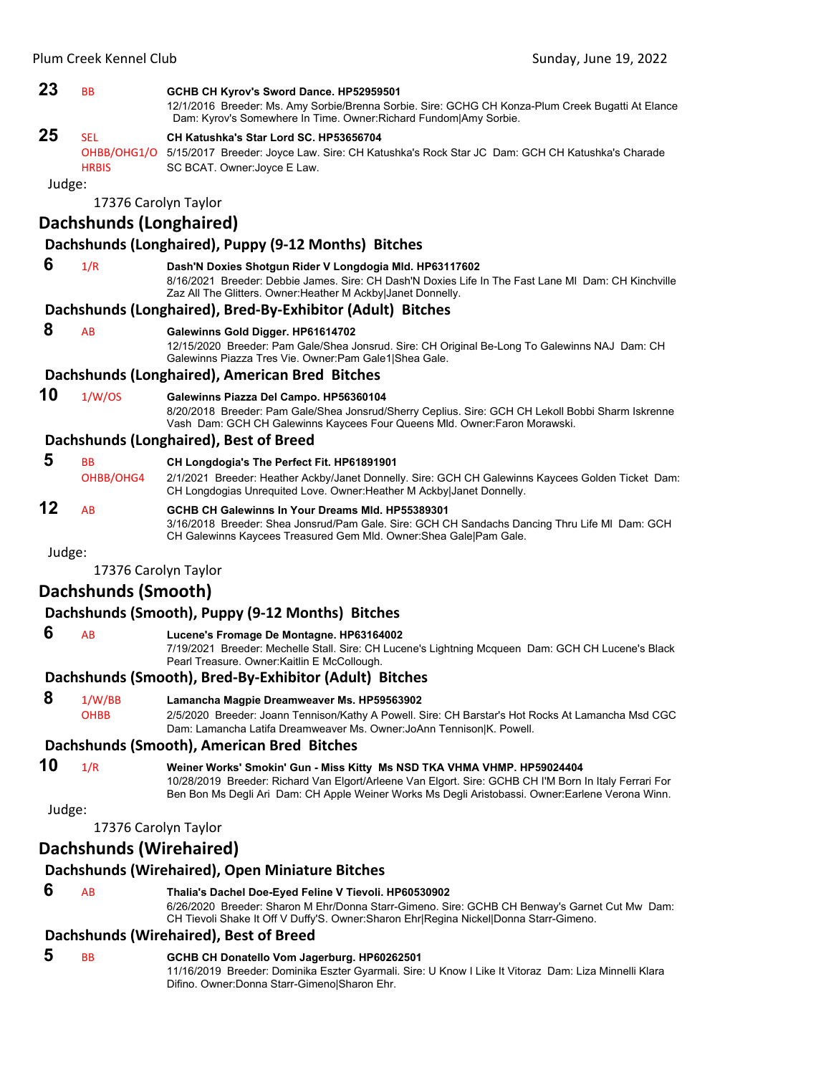|              | Plum Creek Kennel Club         | Sunday, June 19, 2022                                                                                                                                                                                                                                                                 |
|--------------|--------------------------------|---------------------------------------------------------------------------------------------------------------------------------------------------------------------------------------------------------------------------------------------------------------------------------------|
| 23           | ВB                             | GCHB CH Kyrov's Sword Dance. HP52959501<br>12/1/2016 Breeder: Ms. Amy Sorbie/Brenna Sorbie. Sire: GCHG CH Konza-Plum Creek Bugatti At Elance<br>Dam: Kyrov's Somewhere In Time. Owner: Richard Fundom Amy Sorbie.                                                                     |
| 25<br>Judge: | <b>SEL</b><br><b>HRBIS</b>     | CH Katushka's Star Lord SC. HP53656704<br>OHBB/OHG1/O 5/15/2017 Breeder: Joyce Law. Sire: CH Katushka's Rock Star JC Dam: GCH CH Katushka's Charade<br>SC BCAT. Owner: Joyce E Law.                                                                                                   |
|              | 17376 Carolyn Taylor           |                                                                                                                                                                                                                                                                                       |
|              | <b>Dachshunds (Longhaired)</b> |                                                                                                                                                                                                                                                                                       |
|              |                                | Dachshunds (Longhaired), Puppy (9-12 Months) Bitches                                                                                                                                                                                                                                  |
| 6            | 1/R                            | Dash'N Doxies Shotgun Rider V Longdogia Mld. HP63117602<br>8/16/2021 Breeder: Debbie James. Sire: CH Dash'N Doxies Life In The Fast Lane MI Dam: CH Kinchville<br>Zaz All The Glitters. Owner: Heather M Ackby Janet Donnelly.                                                        |
|              |                                | Dachshunds (Longhaired), Bred-By-Exhibitor (Adult) Bitches                                                                                                                                                                                                                            |
| 8            | AB                             | Galewinns Gold Digger. HP61614702<br>12/15/2020 Breeder: Pam Gale/Shea Jonsrud. Sire: CH Original Be-Long To Galewinns NAJ Dam: CH<br>Galewinns Piazza Tres Vie. Owner: Pam Gale1 Shea Gale.                                                                                          |
| 10           |                                | Dachshunds (Longhaired), American Bred Bitches                                                                                                                                                                                                                                        |
|              | 1/W/OS                         | Galewinns Piazza Del Campo. HP56360104<br>8/20/2018 Breeder: Pam Gale/Shea Jonsrud/Sherry Ceplius. Sire: GCH CH Lekoll Bobbi Sharm Iskrenne<br>Vash Dam: GCH CH Galewinns Kaycees Four Queens Mld. Owner: Faron Morawski.                                                             |
|              |                                | Dachshunds (Longhaired), Best of Breed                                                                                                                                                                                                                                                |
| 5            | <b>BB</b><br>OHBB/OHG4         | CH Longdogia's The Perfect Fit. HP61891901<br>2/1/2021 Breeder: Heather Ackby/Janet Donnelly. Sire: GCH CH Galewinns Kaycees Golden Ticket Dam:<br>CH Longdogias Unrequited Love. Owner: Heather M Ackby Janet Donnelly.                                                              |
| 12           | AB                             | GCHB CH Galewinns In Your Dreams MId. HP55389301<br>3/16/2018 Breeder: Shea Jonsrud/Pam Gale. Sire: GCH CH Sandachs Dancing Thru Life MI Dam: GCH<br>CH Galewinns Kaycees Treasured Gem Mld. Owner: Shea Gale   Pam Gale.                                                             |
| Judge:       |                                |                                                                                                                                                                                                                                                                                       |
|              | 17376 Carolyn Taylor           |                                                                                                                                                                                                                                                                                       |
|              | Dachshunds (Smooth)            |                                                                                                                                                                                                                                                                                       |
| 6            |                                | Dachshunds (Smooth), Puppy (9-12 Months) Bitches                                                                                                                                                                                                                                      |
|              | AB                             | Lucene's Fromage De Montagne. HP63164002<br>7/19/2021 Breeder: Mechelle Stall. Sire: CH Lucene's Lightning Mcqueen Dam: GCH CH Lucene's Black<br>Pearl Treasure. Owner: Kaitlin E McCollough.                                                                                         |
|              |                                | Dachshunds (Smooth), Bred-By-Exhibitor (Adult) Bitches                                                                                                                                                                                                                                |
| 8            | 1/W/BB<br><b>OHBB</b>          | Lamancha Magpie Dreamweaver Ms. HP59563902<br>2/5/2020 Breeder: Joann Tennison/Kathy A Powell. Sire: CH Barstar's Hot Rocks At Lamancha Msd CGC<br>Dam: Lamancha Latifa Dreamweaver Ms. Owner: JoAnn Tennison K. Powell.                                                              |
|              |                                | Dachshunds (Smooth), American Bred Bitches                                                                                                                                                                                                                                            |
| 10           | 1/R                            | Weiner Works' Smokin' Gun - Miss Kitty Ms NSD TKA VHMA VHMP. HP59024404<br>10/28/2019 Breeder: Richard Van Elgort/Arleene Van Elgort. Sire: GCHB CH I'M Born In Italy Ferrari For<br>Ben Bon Ms Degli Ari Dam: CH Apple Weiner Works Ms Degli Aristobassi. Owner:Earlene Verona Winn. |
| Judge:       |                                |                                                                                                                                                                                                                                                                                       |
|              | 17376 Carolyn Taylor           |                                                                                                                                                                                                                                                                                       |
|              | Dachshunds (Wirehaired)        |                                                                                                                                                                                                                                                                                       |
|              |                                | Dachshunds (Wirehaired), Open Miniature Bitches                                                                                                                                                                                                                                       |
| 6            | AB                             | Thalia's Dachel Doe-Eyed Feline V Tievoli. HP60530902<br>6/26/2020 Breeder: Sharon M Ehr/Donna Starr-Gimeno. Sire: GCHB CH Benway's Garnet Cut Mw Dam:<br>CH Tievoli Shake It Off V Duffy'S. Owner: Sharon Ehr Regina Nickel Donna Starr-Gimeno.                                      |
|              |                                | Dachshunds (Wirehaired), Best of Breed                                                                                                                                                                                                                                                |
| 5            | ВB                             | GCHB CH Donatello Vom Jagerburg. HP60262501                                                                                                                                                                                                                                           |

11/16/2019 Breeder: Dominika Eszter Gyarmali. Sire: U Know I Like It Vitoraz Dam: Liza Minnelli Klara

Difino. Owner:Donna Starr-Gimeno|Sharon Ehr.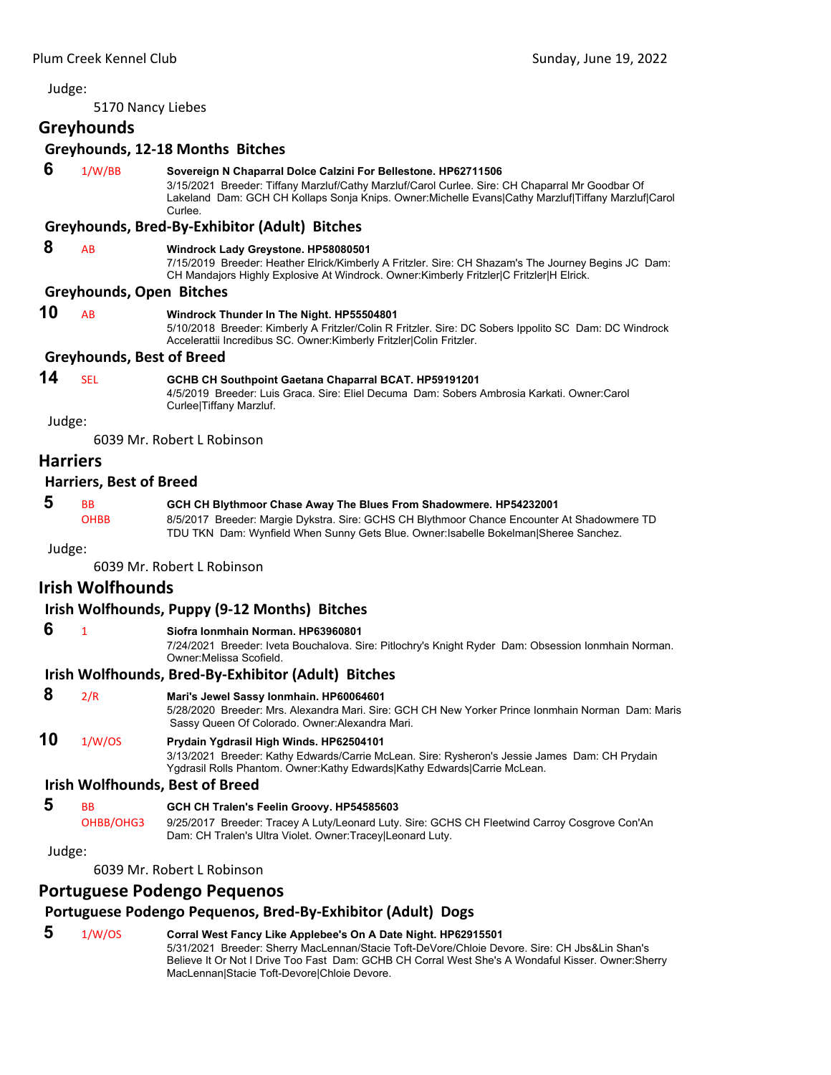5170 Nancy Liebes

# **Greyhounds**

#### **Greyhounds, 12‐18 Months Bitches**

 **6** 1/W/BB **Sovereign N Chaparral Dolce Calzini For Bellestone. HP62711506** 3/15/2021 Breeder: Tiffany Marzluf/Cathy Marzluf/Carol Curlee. Sire: CH Chaparral Mr Goodbar Of Lakeland Dam: GCH CH Kollaps Sonja Knips. Owner:Michelle Evans|Cathy Marzluf|Tiffany Marzluf|Carol Curlee.

#### **Greyhounds, Bred‐By‐Exhibitor (Adult) Bitches**

#### **8** AB **Windrock Lady Greystone. HP58080501**

7/15/2019 Breeder: Heather Elrick/Kimberly A Fritzler. Sire: CH Shazam's The Journey Begins JC Dam: CH Mandajors Highly Explosive At Windrock. Owner:Kimberly Fritzler|C Fritzler|H Elrick.

#### **Greyhounds, Open Bitches**

**10** AB **Windrock Thunder In The Night. HP55504801**

5/10/2018 Breeder: Kimberly A Fritzler/Colin R Fritzler. Sire: DC Sobers Ippolito SC Dam: DC Windrock Accelerattii Incredibus SC. Owner:Kimberly Fritzler|Colin Fritzler.

#### **Greyhounds, Best of Breed**

# **14** SEL **GCHB CH Southpoint Gaetana Chaparral BCAT. HP59191201**

4/5/2019 Breeder: Luis Graca. Sire: Eliel Decuma Dam: Sobers Ambrosia Karkati. Owner:Carol Curlee|Tiffany Marzluf.

Judge:

6039 Mr. Robert L Robinson

# **Harriers**

#### **Harriers, Best of Breed**

 **5** BB **GCH CH Blythmoor Chase Away The Blues From Shadowmere. HP54232001** OHBB 8/5/2017 Breeder: Margie Dykstra. Sire: GCHS CH Blythmoor Chance Encounter At Shadowmere TD TDU TKN Dam: Wynfield When Sunny Gets Blue. Owner:Isabelle Bokelman|Sheree Sanchez.

Judge:

6039 Mr. Robert L Robinson

# **Irish Wolfhounds**

#### **Irish Wolfhounds, Puppy (9‐12 Months) Bitches**

 **6** <sup>1</sup> **Siofra Ionmhain Norman. HP63960801**

7/24/2021 Breeder: Iveta Bouchalova. Sire: Pitlochry's Knight Ryder Dam: Obsession Ionmhain Norman. Owner:Melissa Scofield.

# **Irish Wolfhounds, Bred‐By‐Exhibitor (Adult) Bitches**

# **8** 2/R **Mari's Jewel Sassy Ionmhain. HP60064601**

5/28/2020 Breeder: Mrs. Alexandra Mari. Sire: GCH CH New Yorker Prince Ionmhain Norman Dam: Maris Sassy Queen Of Colorado. Owner:Alexandra Mari.

# **10** 1/W/OS **Prydain Ygdrasil High Winds. HP62504101**

3/13/2021 Breeder: Kathy Edwards/Carrie McLean. Sire: Rysheron's Jessie James Dam: CH Prydain Ygdrasil Rolls Phantom. Owner:Kathy Edwards|Kathy Edwards|Carrie McLean.

#### **Irish Wolfhounds, Best of Breed**

- **5** BB **GCH CH Tralen's Feelin Groovy. HP54585603**
	- OHBB/OHG3 9/25/2017 Breeder: Tracey A Luty/Leonard Luty. Sire: GCHS CH Fleetwind Carroy Cosgrove Con'An Dam: CH Tralen's Ultra Violet. Owner:Tracey|Leonard Luty.

Judge:

6039 Mr. Robert L Robinson

# **Portuguese Podengo Pequenos**

# **Portuguese Podengo Pequenos, Bred‐By‐Exhibitor (Adult) Dogs**

#### **5** 1/W/OS **Corral West Fancy Like Applebee's On A Date Night. HP62915501** 5/31/2021 Breeder: Sherry MacLennan/Stacie Toft-DeVore/Chloie Devore. Sire: CH Jbs&Lin Shan's Believe It Or Not I Drive Too Fast Dam: GCHB CH Corral West She's A Wondaful Kisser. Owner:Sherry MacLennan|Stacie Toft-Devore|Chloie Devore.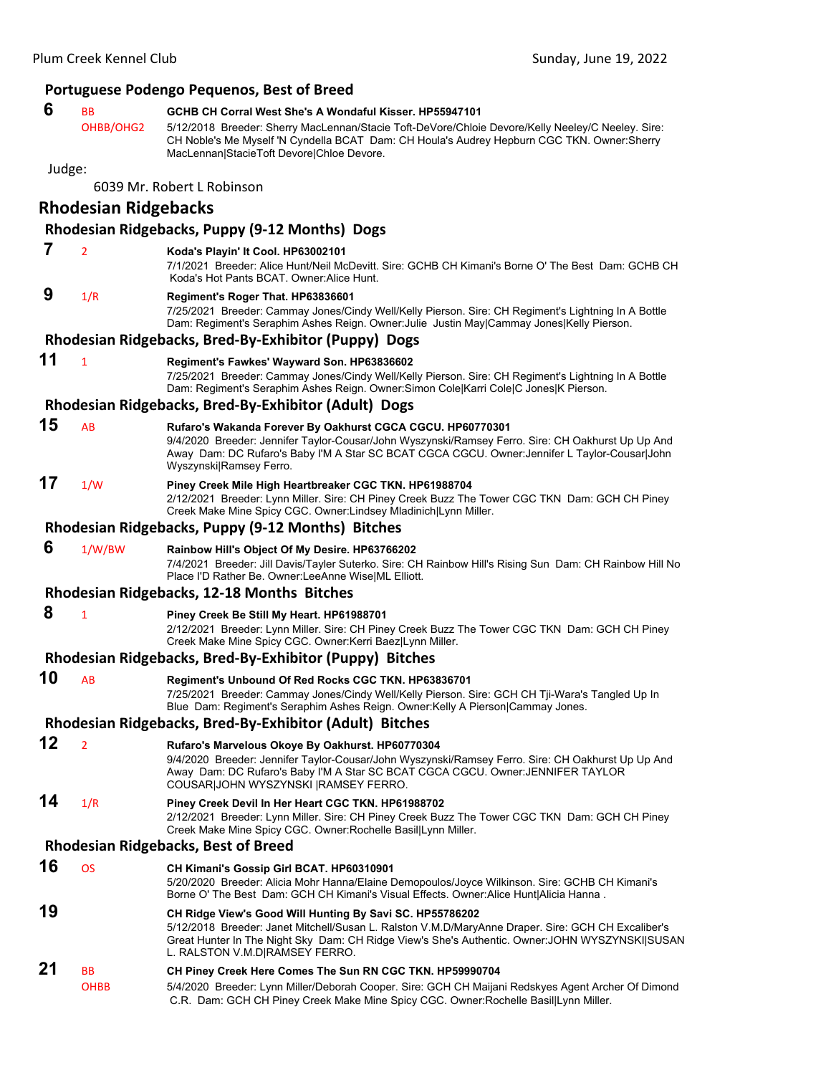|        |                             | Portuguese Podengo Pequenos, Best of Breed                                                                                                                                                                                                                                                              |
|--------|-----------------------------|---------------------------------------------------------------------------------------------------------------------------------------------------------------------------------------------------------------------------------------------------------------------------------------------------------|
| 6      | <b>BB</b><br>OHBB/OHG2      | GCHB CH Corral West She's A Wondaful Kisser, HP55947101<br>5/12/2018 Breeder: Sherry MacLennan/Stacie Toft-DeVore/Chloie Devore/Kelly Neeley/C Neeley. Sire:<br>CH Noble's Me Myself 'N Cyndella BCAT Dam: CH Houla's Audrey Hepburn CGC TKN. Owner:Sherry<br>MacLennan StacieToft Devore Chloe Devore. |
| Judge: |                             |                                                                                                                                                                                                                                                                                                         |
|        |                             | 6039 Mr. Robert L Robinson                                                                                                                                                                                                                                                                              |
|        | <b>Rhodesian Ridgebacks</b> |                                                                                                                                                                                                                                                                                                         |
|        |                             | Rhodesian Ridgebacks, Puppy (9-12 Months) Dogs                                                                                                                                                                                                                                                          |
| 7      | $\overline{2}$              | Koda's Playin' It Cool. HP63002101<br>7/1/2021 Breeder: Alice Hunt/Neil McDevitt. Sire: GCHB CH Kimani's Borne O' The Best Dam: GCHB CH<br>Koda's Hot Pants BCAT. Owner:Alice Hunt.                                                                                                                     |
| 9      | 1/R                         | Regiment's Roger That. HP63836601<br>7/25/2021 Breeder: Cammay Jones/Cindy Well/Kelly Pierson. Sire: CH Regiment's Lightning In A Bottle<br>Dam: Regiment's Seraphim Ashes Reign. Owner: Julie Justin May Cammay Jones Kelly Pierson.                                                                   |
|        |                             | Rhodesian Ridgebacks, Bred-By-Exhibitor (Puppy) Dogs                                                                                                                                                                                                                                                    |
| 11     | $\mathbf{1}$                | Regiment's Fawkes' Wayward Son. HP63836602<br>7/25/2021 Breeder: Cammay Jones/Cindy Well/Kelly Pierson. Sire: CH Regiment's Lightning In A Bottle<br>Dam: Regiment's Seraphim Ashes Reign. Owner:Simon Cole Karri Cole C Jones K Pierson.                                                               |
|        |                             | Rhodesian Ridgebacks, Bred-By-Exhibitor (Adult) Dogs                                                                                                                                                                                                                                                    |
| 15     | AB                          | Rufaro's Wakanda Forever By Oakhurst CGCA CGCU. HP60770301<br>9/4/2020 Breeder: Jennifer Taylor-Cousar/John Wyszynski/Ramsey Ferro. Sire: CH Oakhurst Up Up And<br>Away Dam: DC Rufaro's Baby I'M A Star SC BCAT CGCA CGCU. Owner: Jennifer L Taylor-Cousar John<br>Wyszynski Ramsey Ferro.             |
| 17     | 1/W                         | Piney Creek Mile High Heartbreaker CGC TKN. HP61988704<br>2/12/2021 Breeder: Lynn Miller. Sire: CH Piney Creek Buzz The Tower CGC TKN Dam: GCH CH Piney<br>Creek Make Mine Spicy CGC. Owner:Lindsey Mladinich Lynn Miller.                                                                              |
|        |                             | Rhodesian Ridgebacks, Puppy (9-12 Months) Bitches                                                                                                                                                                                                                                                       |
|        |                             |                                                                                                                                                                                                                                                                                                         |
| 6      | 1/W/BW                      | Rainbow Hill's Object Of My Desire. HP63766202<br>7/4/2021 Breeder: Jill Davis/Tayler Suterko. Sire: CH Rainbow Hill's Rising Sun Dam: CH Rainbow Hill No<br>Place I'D Rather Be. Owner:LeeAnne Wise ML Elliott.                                                                                        |
|        |                             | <b>Rhodesian Ridgebacks, 12-18 Months Bitches</b>                                                                                                                                                                                                                                                       |
| 8      | $\mathbf{1}$                | Piney Creek Be Still My Heart. HP61988701<br>2/12/2021 Breeder: Lynn Miller. Sire: CH Piney Creek Buzz The Tower CGC TKN Dam: GCH CH Piney<br>Creek Make Mine Spicy CGC. Owner: Kerri Baez Lynn Miller.                                                                                                 |
|        |                             | Rhodesian Ridgebacks, Bred-By-Exhibitor (Puppy) Bitches                                                                                                                                                                                                                                                 |
| 10     | AB                          | Regiment's Unbound Of Red Rocks CGC TKN. HP63836701<br>7/25/2021 Breeder: Cammay Jones/Cindy Well/Kelly Pierson. Sire: GCH CH Tji-Wara's Tangled Up In<br>Blue Dam: Regiment's Seraphim Ashes Reign. Owner: Kelly A Pierson Cammay Jones.                                                               |
|        |                             | Rhodesian Ridgebacks, Bred-By-Exhibitor (Adult) Bitches                                                                                                                                                                                                                                                 |
| 12     | $\overline{2}$              | Rufaro's Marvelous Okoye By Oakhurst. HP60770304<br>9/4/2020 Breeder: Jennifer Taylor-Cousar/John Wyszynski/Ramsey Ferro. Sire: CH Oakhurst Up Up And<br>Away Dam: DC Rufaro's Baby I'M A Star SC BCAT CGCA CGCU. Owner: JENNIFER TAYLOR<br>COUSAR JOHN WYSZYNSKI  RAMSEY FERRO.                        |
| 14     | 1/R                         | Piney Creek Devil In Her Heart CGC TKN. HP61988702<br>2/12/2021 Breeder: Lynn Miller. Sire: CH Piney Creek Buzz The Tower CGC TKN Dam: GCH CH Piney<br>Creek Make Mine Spicy CGC. Owner: Rochelle Basil Lynn Miller.                                                                                    |
|        |                             | <b>Rhodesian Ridgebacks, Best of Breed</b>                                                                                                                                                                                                                                                              |
| 16     | <b>OS</b>                   | CH Kimani's Gossip Girl BCAT. HP60310901<br>5/20/2020 Breeder: Alicia Mohr Hanna/Elaine Demopoulos/Joyce Wilkinson. Sire: GCHB CH Kimani's<br>Borne O' The Best Dam: GCH CH Kimani's Visual Effects. Owner: Alice Hunt Alicia Hanna.                                                                    |
| 19     |                             | CH Ridge View's Good Will Hunting By Savi SC. HP55786202<br>5/12/2018 Breeder: Janet Mitchell/Susan L. Ralston V.M.D/MaryAnne Draper. Sire: GCH CH Excaliber's<br>Great Hunter In The Night Sky Dam: CH Ridge View's She's Authentic. Owner: JOHN WYSZYNSKI SUSAN<br>L. RALSTON V.M.D RAMSEY FERRO.     |
| 21     | BB                          | CH Piney Creek Here Comes The Sun RN CGC TKN. HP59990704                                                                                                                                                                                                                                                |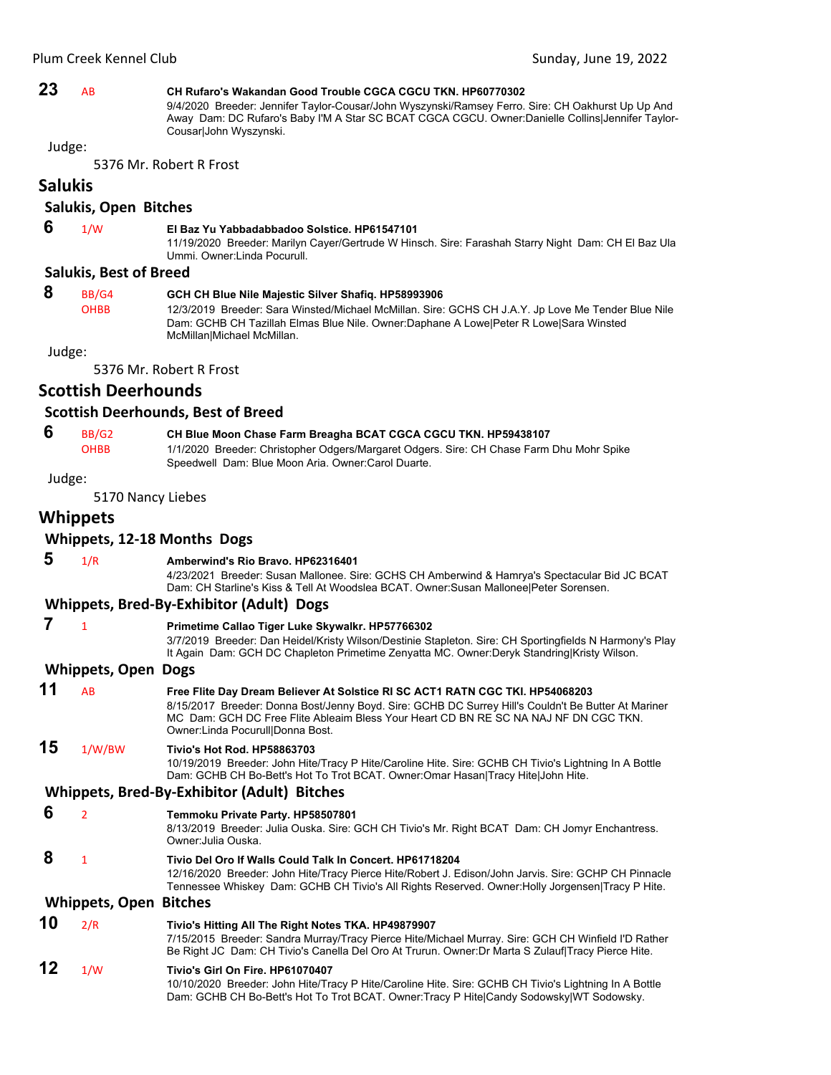# **23** AB **CH Rufaro's Wakandan Good Trouble CGCA CGCU TKN. HP60770302**

9/4/2020 Breeder: Jennifer Taylor-Cousar/John Wyszynski/Ramsey Ferro. Sire: CH Oakhurst Up Up And Away Dam: DC Rufaro's Baby I'M A Star SC BCAT CGCA CGCU. Owner:Danielle Collins|Jennifer Taylor-Cousar|John Wyszynski.

Judge:

5376 Mr. Robert R Frost

# **Salukis**

### **Salukis, Open Bitches**

# **6** 1/W **El Baz Yu Yabbadabbadoo Solstice. HP61547101**

11/19/2020 Breeder: Marilyn Cayer/Gertrude W Hinsch. Sire: Farashah Starry Night Dam: CH El Baz Ula Ummi. Owner:Linda Pocurull.

# **Salukis, Best of Breed**

 **8** BB/G4 **GCH CH Blue Nile Majestic Silver Shafiq. HP58993906** OHBB 12/3/2019 Breeder: Sara Winsted/Michael McMillan. Sire: GCHS CH J.A.Y. Jp Love Me Tender Blue Nile Dam: GCHB CH Tazillah Elmas Blue Nile. Owner:Daphane A Lowe|Peter R Lowe|Sara Winsted McMillan|Michael McMillan.

Judge:

5376 Mr. Robert R Frost

# **Scottish Deerhounds**

#### **Scottish Deerhounds, Best of Breed**

# **6** BB/G2 **CH Blue Moon Chase Farm Breagha BCAT CGCA CGCU TKN. HP59438107**

OHBB 1/1/2020 Breeder: Christopher Odgers/Margaret Odgers. Sire: CH Chase Farm Dhu Mohr Spike Speedwell Dam: Blue Moon Aria. Owner:Carol Duarte.

Judge:

5170 Nancy Liebes

# **Whippets**

### **Whippets, 12‐18 Months Dogs**

#### **5** 1/R **Amberwind's Rio Bravo. HP62316401**

4/23/2021 Breeder: Susan Mallonee. Sire: GCHS CH Amberwind & Hamrya's Spectacular Bid JC BCAT Dam: CH Starline's Kiss & Tell At Woodslea BCAT. Owner:Susan Mallonee|Peter Sorensen.

# **Whippets, Bred‐By‐Exhibitor (Adult) Dogs**

|    |                            | Primetime Callao Tiger Luke Skywalkr. HP57766302<br>3/7/2019 Breeder: Dan Heidel/Kristy Wilson/Destinie Stapleton. Sire: CH Sportingfields N Harmony's Play<br>It Again Dam: GCH DC Chapleton Primetime Zenyatta MC. Owner:Deryk Standring Kristy Wilson.                                                         |
|----|----------------------------|-------------------------------------------------------------------------------------------------------------------------------------------------------------------------------------------------------------------------------------------------------------------------------------------------------------------|
|    | <b>Whippets, Open Dogs</b> |                                                                                                                                                                                                                                                                                                                   |
| 11 | AB                         | Free Flite Day Dream Believer At Solstice RI SC ACT1 RATN CGC TKI. HP54068203<br>8/15/2017 Breeder: Donna Bost/Jenny Boyd. Sire: GCHB DC Surrey Hill's Couldn't Be Butter At Mariner<br>MC Dam: GCH DC Free Flite Ableaim Bless Your Heart CD BN RE SC NA NAJ NF DN CGC TKN.<br>Owner: Linda Pocurull Donna Bost. |
| 15 | 1/W/BW                     | <b>Tivio's Hot Rod. HP58863703</b><br>10/19/2019 Breeder: John Hite/Tracy P Hite/Caroline Hite. Sire: GCHB CH Tivio's Lightning In A Bottle<br>Dam: GCHB CH Bo-Bett's Hot To Trot BCAT. Owner:Omar Hasan Tracy Hite John Hite.<br><b>Whippets, Bred-By-Exhibitor (Adult) Bitches</b>                              |
|    |                            |                                                                                                                                                                                                                                                                                                                   |
| 6  | $\overline{2}$             | Temmoku Private Party. HP58507801<br>8/13/2019 Breeder: Julia Ouska. Sire: GCH CH Tivio's Mr. Right BCAT Dam: CH Jomyr Enchantress.<br>Owner: Julia Ouska.                                                                                                                                                        |
| 8  | $\mathbf{1}$               | Tivio Del Oro If Walls Could Talk In Concert, HP61718204<br>12/16/2020 Breeder: John Hite/Tracy Pierce Hite/Robert J. Edison/John Jarvis. Sire: GCHP CH Pinnacle<br>Tennessee Whiskey Dam: GCHB CH Tivio's All Rights Reserved. Owner: Holly Jorgensen Tracy P Hite.                                              |
|    |                            | .                                                                                                                                                                                                                                                                                                                 |

#### **Whippets, Open Bitches**

**10** 2/R **Tivio's Hitting All The Right Notes TKA. HP49879907** 7/15/2015 Breeder: Sandra Murray/Tracy Pierce Hite/Michael Murray. Sire: GCH CH Winfield I'D Rather Be Right JC Dam: CH Tivio's Canella Del Oro At Trurun. Owner:Dr Marta S Zulauf|Tracy Pierce Hite.

# **12** 1/W **Tivio's Girl On Fire. HP61070407**

10/10/2020 Breeder: John Hite/Tracy P Hite/Caroline Hite. Sire: GCHB CH Tivio's Lightning In A Bottle Dam: GCHB CH Bo-Bett's Hot To Trot BCAT. Owner:Tracy P Hite|Candy Sodowsky|WT Sodowsky.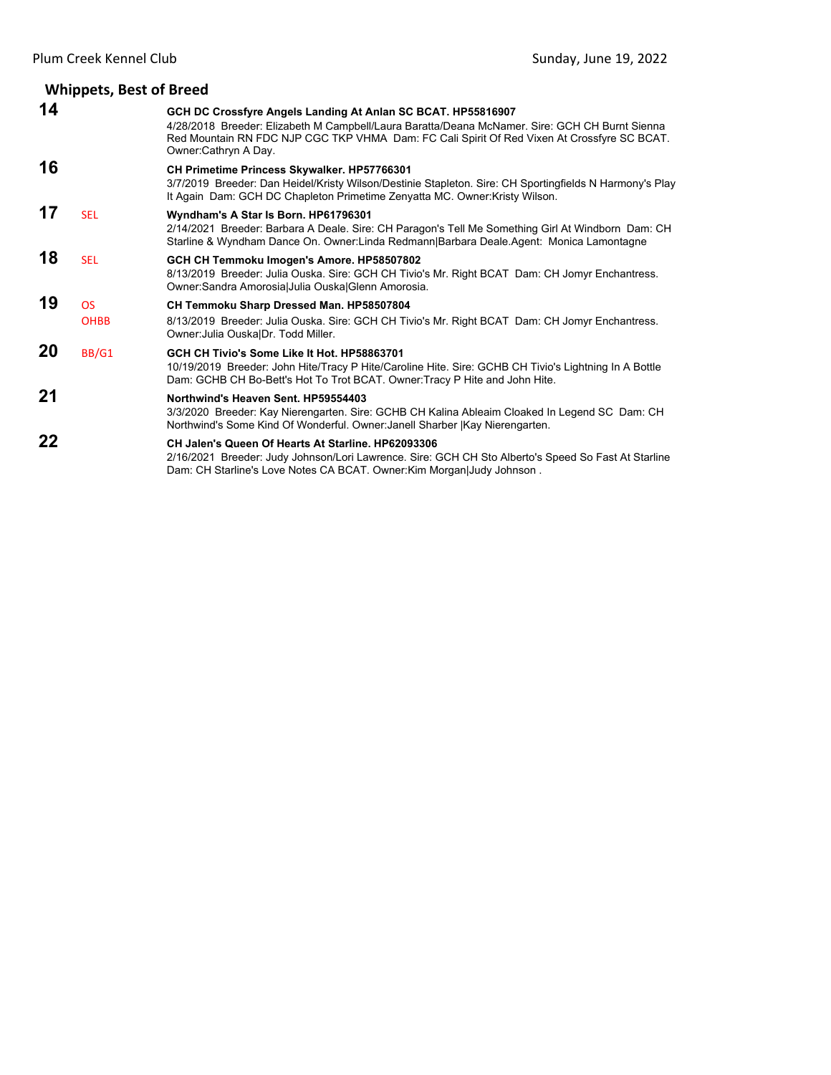#### **Whippets, Best of Breed 14 GCH DC Crossfyre Angels Landing At Anlan SC BCAT. HP55816907** 4/28/2018 Breeder: Elizabeth M Campbell/Laura Baratta/Deana McNamer. Sire: GCH CH Burnt Sienna Red Mountain RN FDC NJP CGC TKP VHMA Dam: FC Cali Spirit Of Red Vixen At Crossfyre SC BCAT. Owner:Cathryn A Day. **16 CH Primetime Princess Skywalker. HP57766301** 3/7/2019 Breeder: Dan Heidel/Kristy Wilson/Destinie Stapleton. Sire: CH Sportingfields N Harmony's Play It Again Dam: GCH DC Chapleton Primetime Zenyatta MC. Owner:Kristy Wilson. **17** SEL **Wyndham's A Star Is Born. HP61796301** 2/14/2021 Breeder: Barbara A Deale. Sire: CH Paragon's Tell Me Something Girl At Windborn Dam: CH Starline & Wyndham Dance On. Owner:Linda Redmann|Barbara Deale.Agent: Monica Lamontagne **18** SEL **GCH CH Temmoku Imogen's Amore. HP58507802** 8/13/2019 Breeder: Julia Ouska. Sire: GCH CH Tivio's Mr. Right BCAT Dam: CH Jomyr Enchantress. Owner:Sandra Amorosia|Julia Ouska|Glenn Amorosia. **19** OS **CH Temmoku Sharp Dressed Man. HP58507804**<br>OHBB 8/13/2019 Breeder: Julia Ouska. Sire: GCH CH Tiv 8/13/2019 Breeder: Julia Ouska. Sire: GCH CH Tivio's Mr. Right BCAT Dam: CH Jomyr Enchantress. Owner:Julia Ouska|Dr. Todd Miller. **20** BB/G1 **GCH CH Tivio's Some Like It Hot. HP58863701**

10/19/2019 Breeder: John Hite/Tracy P Hite/Caroline Hite. Sire: GCHB CH Tivio's Lightning In A Bottle Dam: GCHB CH Bo-Bett's Hot To Trot BCAT. Owner:Tracy P Hite and John Hite.

# **21 Northwind's Heaven Sent. HP59554403**

3/3/2020 Breeder: Kay Nierengarten. Sire: GCHB CH Kalina Ableaim Cloaked In Legend SC Dam: CH Northwind's Some Kind Of Wonderful. Owner:Janell Sharber |Kay Nierengarten.

#### **22 CH Jalen's Queen Of Hearts At Starline. HP62093306** 2/16/2021 Breeder: Judy Johnson/Lori Lawrence. Sire: GCH CH Sto Alberto's Speed So Fast At Starline Dam: CH Starline's Love Notes CA BCAT. Owner:Kim Morgan|Judy Johnson .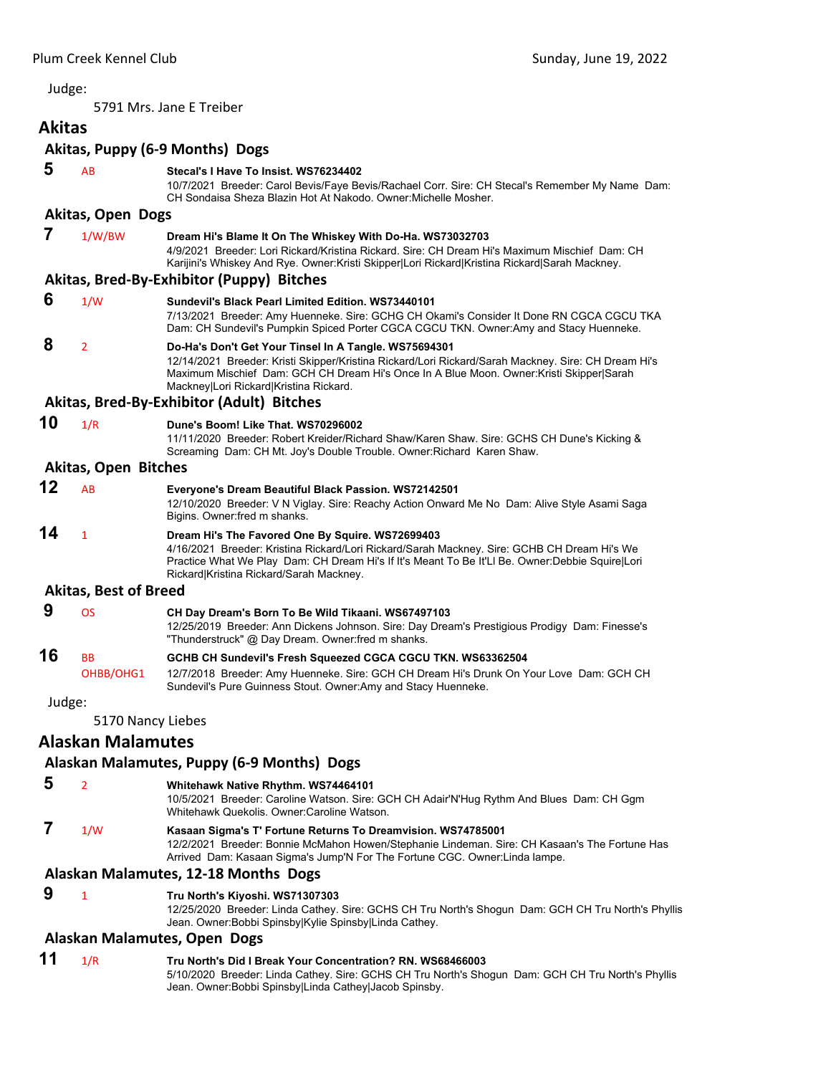<span id="page-18-0"></span>5791 Mrs. Jane E Treiber

# **Akitas**

# **Akitas, Puppy (6‐9 Months) Dogs 5** AB **Stecal's I Have To Insist. WS76234402** 10/7/2021 Breeder: Carol Bevis/Faye Bevis/Rachael Corr. Sire: CH Stecal's Remember My Name Dam: CH Sondaisa Sheza Blazin Hot At Nakodo. Owner:Michelle Mosher. **Akitas, Open Dogs 7** 1/W/BW **Dream Hi's Blame It On The Whiskey With Do-Ha. WS73032703** 4/9/2021 Breeder: Lori Rickard/Kristina Rickard. Sire: CH Dream Hi's Maximum Mischief Dam: CH Karijini's Whiskey And Rye. Owner:Kristi Skipper|Lori Rickard|Kristina Rickard|Sarah Mackney. **Akitas, Bred‐By‐Exhibitor (Puppy) Bitches 6** 1/W **Sundevil's Black Pearl Limited Edition. WS73440101** 7/13/2021 Breeder: Amy Huenneke. Sire: GCHG CH Okami's Consider It Done RN CGCA CGCU TKA Dam: CH Sundevil's Pumpkin Spiced Porter CGCA CGCU TKN. Owner:Amy and Stacy Huenneke.  **8** <sup>2</sup> **Do-Ha's Don't Get Your Tinsel In A Tangle. WS75694301** 12/14/2021 Breeder: Kristi Skipper/Kristina Rickard/Lori Rickard/Sarah Mackney. Sire: CH Dream Hi's Maximum Mischief Dam: GCH CH Dream Hi's Once In A Blue Moon. Owner:Kristi Skipper|Sarah Mackney|Lori Rickard|Kristina Rickard. **Akitas, Bred‐By‐Exhibitor (Adult) Bitches 10** 1/R **Dune's Boom! Like That. WS70296002** 11/11/2020 Breeder: Robert Kreider/Richard Shaw/Karen Shaw. Sire: GCHS CH Dune's Kicking & Screaming Dam: CH Mt. Joy's Double Trouble. Owner:Richard Karen Shaw. **Akitas, Open Bitches 12** AB **Everyone's Dream Beautiful Black Passion. WS72142501** 12/10/2020 Breeder: V N Viglay. Sire: Reachy Action Onward Me No Dam: Alive Style Asami Saga Bigins. Owner:fred m shanks. **14** <sup>1</sup> **Dream Hi's The Favored One By Squire. WS72699403** 4/16/2021 Breeder: Kristina Rickard/Lori Rickard/Sarah Mackney. Sire: GCHB CH Dream Hi's We Practice What We Play Dam: CH Dream Hi's If It's Meant To Be It'Ll Be. Owner:Debbie Squire|Lori Rickard|Kristina Rickard/Sarah Mackney. **Akitas, Best of Breed 9** OS **CH Day Dream's Born To Be Wild Tikaani. WS67497103** 12/25/2019 Breeder: Ann Dickens Johnson. Sire: Day Dream's Prestigious Prodigy Dam: Finesse's "Thunderstruck" @ Day Dream. Owner:fred m shanks. **16** BB **GCHB CH Sundevil's Fresh Squeezed CGCA CGCU TKN. WS63362504** OHBB/OHG1 12/7/2018 Breeder: Amy Huenneke. Sire: GCH CH Dream Hi's Drunk On Your Love Dam: GCH CH Sundevil's Pure Guinness Stout. Owner:Amy and Stacy Huenneke. Judge: 5170 Nancy Liebes **Alaskan Malamutes Alaskan Malamutes, Puppy (6‐9 Months) Dogs 5** <sup>2</sup> **Whitehawk Native Rhythm. WS74464101** 10/5/2021 Breeder: Caroline Watson. Sire: GCH CH Adair'N'Hug Rythm And Blues Dam: CH Ggm Whitehawk Quekolis. Owner:Caroline Watson.  **7** 1/W **Kasaan Sigma's T' Fortune Returns To Dreamvision. WS74785001** 12/2/2021 Breeder: Bonnie McMahon Howen/Stephanie Lindeman. Sire: CH Kasaan's The Fortune Has Arrived Dam: Kasaan Sigma's Jump'N For The Fortune CGC. Owner:Linda lampe. **Alaskan Malamutes, 12‐18 Months Dogs 9** <sup>1</sup> **Tru North's Kiyoshi. WS71307303** 12/25/2020 Breeder: Linda Cathey. Sire: GCHS CH Tru North's Shogun Dam: GCH CH Tru North's Phyllis Jean. Owner:Bobbi Spinsby|Kylie Spinsby|Linda Cathey.

# **Alaskan Malamutes, Open Dogs**

# **11** 1/R **Tru North's Did I Break Your Concentration? RN. WS68466003**

5/10/2020 Breeder: Linda Cathey. Sire: GCHS CH Tru North's Shogun Dam: GCH CH Tru North's Phyllis Jean. Owner:Bobbi Spinsby|Linda Cathey|Jacob Spinsby.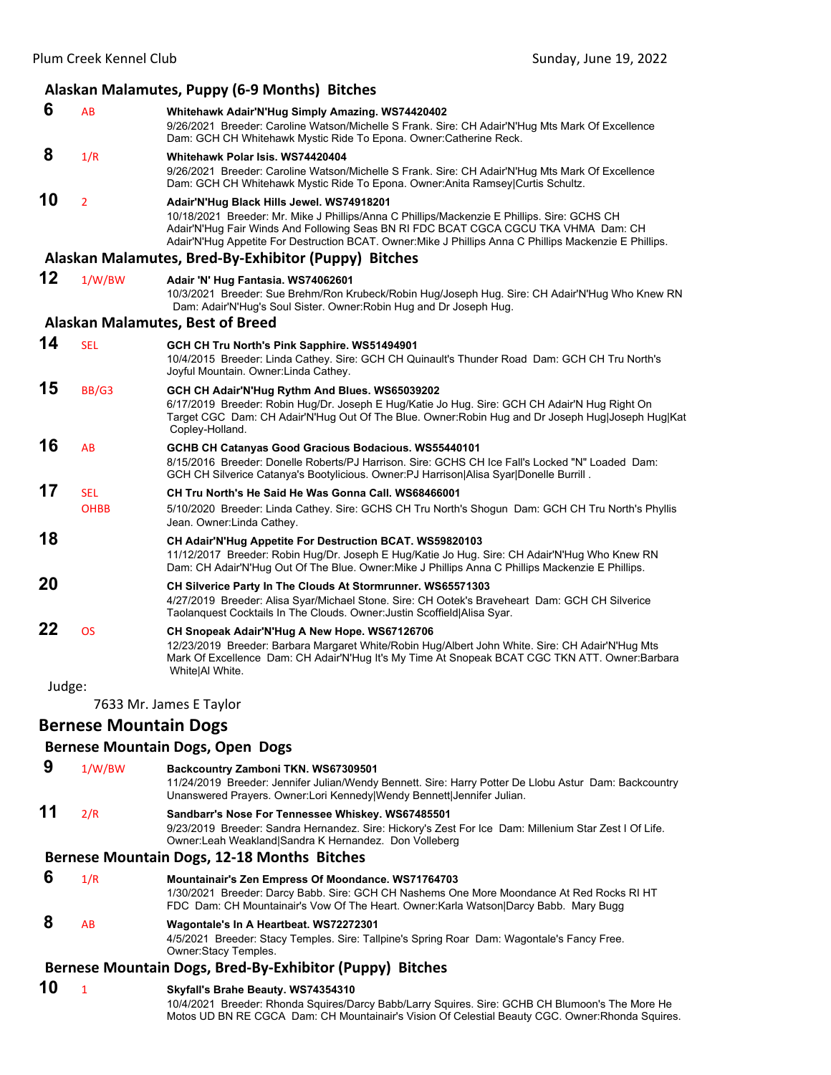# **Alaskan Malamutes, Puppy (6‐9 Months) Bitches**

| 6 | AB  | Whitehawk Adair'N'Hug Simply Amazing. WS74420402                                                 |
|---|-----|--------------------------------------------------------------------------------------------------|
|   |     | 9/26/2021 Breeder: Caroline Watson/Michelle S Frank. Sire: CH Adair'N'Hug Mts Mark Of Excellence |
|   |     | Dam: GCH CH Whitehawk Mystic Ride To Epona. Owner: Catherine Reck.                               |
| 8 | 1/R | Whitehawk Polar Isis, WS74420404                                                                 |
|   |     | 9/26/2021 Breeder: Caroline Watson/Michelle S Frank. Sire: CH Adair'N'Hug Mts Mark Of Excellence |
|   |     | Dam: GCH CH Whitehawk Mystic Ride To Epona. Owner: Anita Ramsey Curtis Schultz.                  |

**10** <sup>2</sup> **Adair'N'Hug Black Hills Jewel. WS74918201** 10/18/2021 Breeder: Mr. Mike J Phillips/Anna C Phillips/Mackenzie E Phillips. Sire: GCHS CH Adair'N'Hug Fair Winds And Following Seas BN RI FDC BCAT CGCA CGCU TKA VHMA Dam: CH Adair'N'Hug Appetite For Destruction BCAT. Owner:Mike J Phillips Anna C Phillips Mackenzie E Phillips.

# **Alaskan Malamutes, Bred‐By‐Exhibitor (Puppy) Bitches**

| 12 | 1/W/BW | Adair 'N' Hug Fantasia. WS74062601                                                              |
|----|--------|-------------------------------------------------------------------------------------------------|
|    |        | 10/3/2021 Breeder: Sue Brehm/Ron Krubeck/Robin Hug/Joseph Hug. Sire: CH Adair'N'Hug Who Knew RN |
|    |        | Dam: Adair'N'Hug's Soul Sister. Owner: Robin Hug and Dr Joseph Hug.                             |

#### **Alaskan Malamutes, Best of Breed**

| <b>SEL</b>  | GCH CH Tru North's Pink Sapphire. WS51494901                                                                                                                                                                                                                           |
|-------------|------------------------------------------------------------------------------------------------------------------------------------------------------------------------------------------------------------------------------------------------------------------------|
|             | 10/4/2015 Breeder: Linda Cathey. Sire: GCH CH Quinault's Thunder Road Dam: GCH CH Tru North's<br>Joyful Mountain. Owner: Linda Cathey.                                                                                                                                 |
| BB/G3       | GCH CH Adair'N'Hug Rythm And Blues. WS65039202<br>6/17/2019 Breeder: Robin Hug/Dr. Joseph E Hug/Katie Jo Hug. Sire: GCH CH Adair'N Hug Right On<br>Target CGC Dam: CH Adair'N'Hug Out Of The Blue. Owner:Robin Hug and Dr Joseph Hug Joseph Hug Kat<br>Copley-Holland. |
| <b>AB</b>   | GCHB CH Catanyas Good Gracious Bodacious. WS55440101<br>8/15/2016 Breeder: Donelle Roberts/PJ Harrison. Sire: GCHS CH Ice Fall's Locked "N" Loaded Dam:<br>GCH CH Silverice Catanya's Bootylicious. Owner: PJ Harrison Alisa Syar Donelle Burrill.                     |
| <b>SFI</b>  | CH Tru North's He Said He Was Gonna Call, WS68466001                                                                                                                                                                                                                   |
| <b>OHBB</b> | 5/10/2020 Breeder: Linda Cathey. Sire: GCHS CH Tru North's Shogun Dam: GCH CH Tru North's Phyllis<br>Jean. Owner: Linda Cathey.                                                                                                                                        |
|             | CH Adair'N'Hug Appetite For Destruction BCAT. WS59820103<br>11/12/2017 Breeder: Robin Hug/Dr. Joseph E Hug/Katie Jo Hug. Sire: CH Adair'N'Hug Who Knew RN<br>Dam: CH Adair'N'Hug Out Of The Blue. Owner: Mike J Phillips Anna C Phillips Mackenzie E Phillips.         |
|             | CH Silverice Party In The Clouds At Stormrunner. WS65571303<br>4/27/2019 Breeder: Alisa Syar/Michael Stone. Sire: CH Ootek's Braveheart Dam: GCH CH Silverice<br>Taolanquest Cocktails In The Clouds. Owner: Justin Scoffield Alisa Syar.                              |
| <b>OS</b>   | CH Snopeak Adair'N'Hug A New Hope. WS67126706<br>12/23/2019 Breeder: Barbara Margaret White/Robin Hug/Albert John White. Sire: CH Adair'N'Hug Mts<br>Mark Of Excellence Dam: CH Adair'N'Hug It's My Time At Snopeak BCAT CGC TKN ATT. Owner:Barbara<br>White Al White. |
| Judge:      |                                                                                                                                                                                                                                                                        |
|             |                                                                                                                                                                                                                                                                        |

7633 Mr. James E Taylor

# **Bernese Mountain Dogs**

#### **Bernese Mountain Dogs, Open Dogs**

 **9** 1/W/BW **Backcountry Zamboni TKN. WS67309501** 11/24/2019 Breeder: Jennifer Julian/Wendy Bennett. Sire: Harry Potter De Llobu Astur Dam: Backcountry Unanswered Prayers. Owner:Lori Kennedy|Wendy Bennett|Jennifer Julian. **11** 2/R **Sandbarr's Nose For Tennessee Whiskey. WS67485501** 9/23/2019 Breeder: Sandra Hernandez. Sire: Hickory's Zest For Ice Dam: Millenium Star Zest I Of Life. Owner:Leah Weakland|Sandra K Hernandez. Don Volleberg

# **Bernese Mountain Dogs, 12‐18 Months Bitches**

| 6 | 1/R            | Mountainair's Zen Empress Of Moondance. WS71764703<br>1/30/2021 Breeder: Darcy Babb. Sire: GCH CH Nashems One More Moondance At Red Rocks RI HT<br>FDC Dam: CH Mountainair's Vow Of The Heart. Owner: Karla Watson Darcy Babb. Mary Bugg |
|---|----------------|------------------------------------------------------------------------------------------------------------------------------------------------------------------------------------------------------------------------------------------|
| 8 | A <sub>R</sub> | Wagontale's In A Heartbeat. WS72272301<br>4/5/2021 Breeder: Stacy Temples. Sire: Tallpine's Spring Roar Dam: Wagontale's Fancy Free.<br>Owner:Stacy Temples.                                                                             |

#### **Bernese Mountain Dogs, Bred‐By‐Exhibitor (Puppy) Bitches**

# **10** <sup>1</sup> **Skyfall's Brahe Beauty. WS74354310**

10/4/2021 Breeder: Rhonda Squires/Darcy Babb/Larry Squires. Sire: GCHB CH Blumoon's The More He Motos UD BN RE CGCA Dam: CH Mountainair's Vision Of Celestial Beauty CGC. Owner:Rhonda Squires.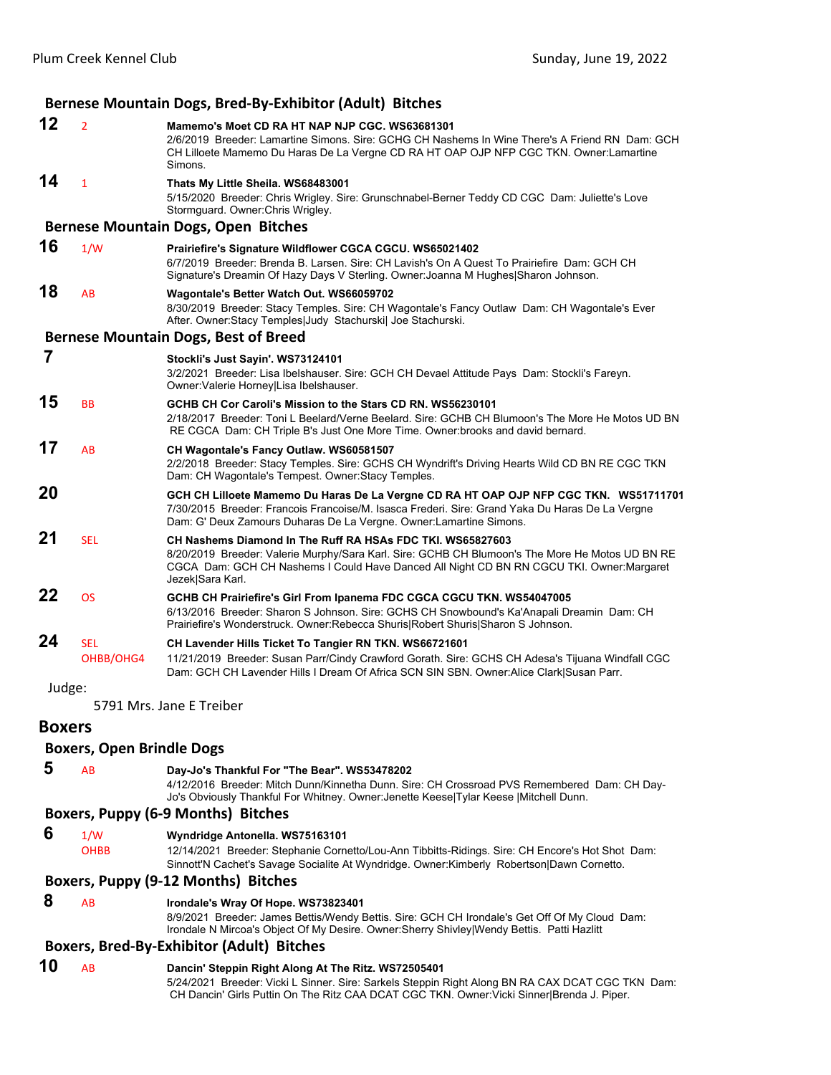|        |                         | Bernese Mountain Dogs, Bred-By-Exhibitor (Adult) Bitches                                                                                                                                                                                                                       |
|--------|-------------------------|--------------------------------------------------------------------------------------------------------------------------------------------------------------------------------------------------------------------------------------------------------------------------------|
| 12     | $\overline{2}$          | Mamemo's Moet CD RA HT NAP NJP CGC, WS63681301<br>2/6/2019 Breeder: Lamartine Simons, Sire: GCHG CH Nashems In Wine There's A Friend RN Dam: GCH<br>CH Lilloete Mamemo Du Haras De La Vergne CD RA HT OAP OJP NFP CGC TKN. Owner:Lamartine<br>Simons.                          |
| 14     | $\mathbf{1}$            | Thats My Little Sheila. WS68483001<br>5/15/2020 Breeder: Chris Wrigley. Sire: Grunschnabel-Berner Teddy CD CGC Dam: Juliette's Love<br>Stormguard. Owner: Chris Wrigley.                                                                                                       |
|        |                         | <b>Bernese Mountain Dogs, Open Bitches</b>                                                                                                                                                                                                                                     |
| 16     | 1/W                     | Prairiefire's Signature Wildflower CGCA CGCU. WS65021402<br>6/7/2019 Breeder: Brenda B. Larsen. Sire: CH Lavish's On A Quest To Prairiefire Dam: GCH CH<br>Signature's Dreamin Of Hazy Days V Sterling. Owner: Joanna M Hughes Sharon Johnson.                                 |
| 18     | AB                      | Wagontale's Better Watch Out. WS66059702<br>8/30/2019 Breeder: Stacy Temples. Sire: CH Wagontale's Fancy Outlaw Dam: CH Wagontale's Ever<br>After. Owner:Stacy Temples Judy Stachurski  Joe Stachurski.                                                                        |
|        |                         | <b>Bernese Mountain Dogs, Best of Breed</b>                                                                                                                                                                                                                                    |
| 7      |                         | Stockli's Just Sayin'. WS73124101<br>3/2/2021 Breeder: Lisa Ibelshauser. Sire: GCH CH Devael Attitude Pays Dam: Stockli's Fareyn.<br>Owner: Valerie Horney Lisa Ibelshauser.                                                                                                   |
| 15     | <b>BB</b>               | GCHB CH Cor Caroli's Mission to the Stars CD RN. WS56230101<br>2/18/2017 Breeder: Toni L Beelard/Verne Beelard, Sire: GCHB CH Blumoon's The More He Motos UD BN<br>RE CGCA Dam: CH Triple B's Just One More Time. Owner: brooks and david bernard.                             |
| 17     | AB                      | CH Wagontale's Fancy Outlaw. WS60581507<br>2/2/2018 Breeder: Stacy Temples. Sire: GCHS CH Wyndrift's Driving Hearts Wild CD BN RE CGC TKN<br>Dam: CH Wagontale's Tempest. Owner: Stacy Temples.                                                                                |
| 20     |                         | GCH CH Lilloete Mamemo Du Haras De La Vergne CD RA HT OAP OJP NFP CGC TKN. WS51711701<br>7/30/2015 Breeder: Francois Francoise/M. Isasca Frederi. Sire: Grand Yaka Du Haras De La Vergne<br>Dam: G' Deux Zamours Duharas De La Vergne. Owner: Lamartine Simons.                |
| 21     | <b>SEL</b>              | CH Nashems Diamond In The Ruff RA HSAs FDC TKI. WS65827603<br>8/20/2019 Breeder: Valerie Murphy/Sara Karl. Sire: GCHB CH Blumoon's The More He Motos UD BN RE<br>CGCA Dam: GCH CH Nashems I Could Have Danced All Night CD BN RN CGCU TKI. Owner: Margaret<br>Jezek Sara Karl. |
| 22     | <b>OS</b>               | GCHB CH Prairiefire's Girl From Ipanema FDC CGCA CGCU TKN. WS54047005<br>6/13/2016 Breeder: Sharon S Johnson. Sire: GCHS CH Snowbound's Ka'Anapali Dreamin Dam: CH<br>Prairiefire's Wonderstruck. Owner: Rebecca Shuris Robert Shuris Sharon S Johnson.                        |
| 24     | <b>SEL</b><br>OHBB/OHG4 | CH Lavender Hills Ticket To Tangier RN TKN. WS66721601<br>11/21/2019 Breeder: Susan Parr/Cindy Crawford Gorath. Sire: GCHS CH Adesa's Tijuana Windfall CGC<br>Dam: GCH CH Lavender Hills I Dream Of Africa SCN SIN SBN. Owner: Alice Clark Susan Parr.                         |
| Judge: |                         |                                                                                                                                                                                                                                                                                |

5791 Mrs. Jane E Treiber

# **Boxers**

# **Boxers, Open Brindle Dogs**

# **5** AB **Day-Jo's Thankful For "The Bear". WS53478202**

4/12/2016 Breeder: Mitch Dunn/Kinnetha Dunn. Sire: CH Crossroad PVS Remembered Dam: CH Day-Jo's Obviously Thankful For Whitney. Owner:Jenette Keese|Tylar Keese |Mitchell Dunn.

# **Boxers, Puppy (6‐9 Months) Bitches**

 **6** 1/W **Wyndridge Antonella. WS75163101**

OHBB 12/14/2021 Breeder: Stephanie Cornetto/Lou-Ann Tibbitts-Ridings. Sire: CH Encore's Hot Shot Dam: Sinnott'N Cachet's Savage Socialite At Wyndridge. Owner:Kimberly Robertson|Dawn Cornetto.

# **Boxers, Puppy (9‐12 Months) Bitches**

 **8** AB **Irondale's Wray Of Hope. WS73823401**

8/9/2021 Breeder: James Bettis/Wendy Bettis. Sire: GCH CH Irondale's Get Off Of My Cloud Dam: Irondale N Mircoa's Object Of My Desire. Owner:Sherry Shivley|Wendy Bettis. Patti Hazlitt

# **Boxers, Bred‐By‐Exhibitor (Adult) Bitches**

**10** AB **Dancin' Steppin Right Along At The Ritz. WS72505401** 5/24/2021 Breeder: Vicki L Sinner. Sire: Sarkels Steppin Right Along BN RA CAX DCAT CGC TKN Dam: CH Dancin' Girls Puttin On The Ritz CAA DCAT CGC TKN. Owner: Vicki Sinner|Brenda J. Piper.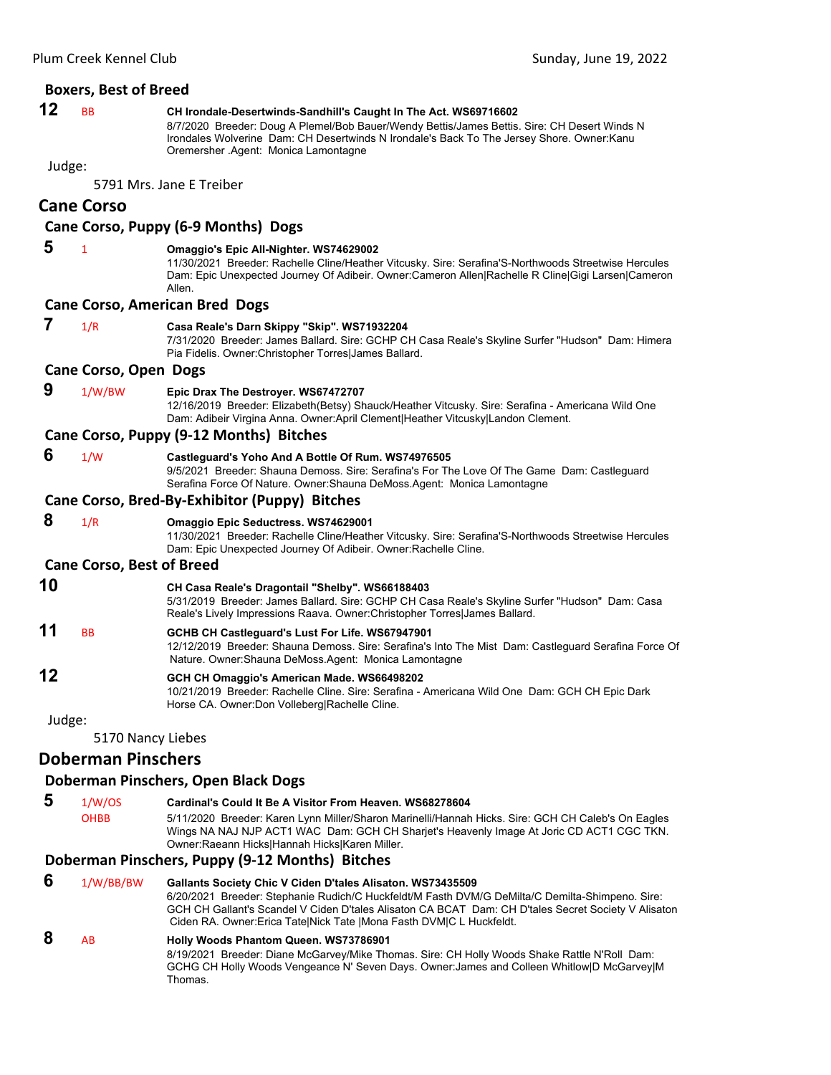|        | <b>Boxers, Best of Breed</b>     |                                                                                                                                                                                                                                                                                                              |
|--------|----------------------------------|--------------------------------------------------------------------------------------------------------------------------------------------------------------------------------------------------------------------------------------------------------------------------------------------------------------|
| 12     | <b>BB</b>                        | CH Irondale-Desertwinds-Sandhill's Caught In The Act. WS69716602<br>8/7/2020 Breeder: Doug A Plemel/Bob Bauer/Wendy Bettis/James Bettis. Sire: CH Desert Winds N<br>Irondales Wolverine Dam: CH Desertwinds N Irondale's Back To The Jersey Shore. Owner: Kanu<br>Oremersher Agent: Monica Lamontagne        |
| Judge: |                                  |                                                                                                                                                                                                                                                                                                              |
|        |                                  | 5791 Mrs. Jane E Treiber                                                                                                                                                                                                                                                                                     |
|        | <b>Cane Corso</b>                |                                                                                                                                                                                                                                                                                                              |
|        |                                  | Cane Corso, Puppy (6-9 Months) Dogs                                                                                                                                                                                                                                                                          |
| 5      | $\mathbf{1}$                     | Omaggio's Epic All-Nighter. WS74629002<br>11/30/2021 Breeder: Rachelle Cline/Heather Vitcusky. Sire: Serafina'S-Northwoods Streetwise Hercules<br>Dam: Epic Unexpected Journey Of Adibeir. Owner:Cameron Allen Rachelle R Cline Gigi Larsen Cameron<br>Allen.                                                |
|        |                                  | <b>Cane Corso, American Bred Dogs</b>                                                                                                                                                                                                                                                                        |
| 7      | 1/R                              | Casa Reale's Darn Skippy "Skip". WS71932204<br>7/31/2020 Breeder: James Ballard. Sire: GCHP CH Casa Reale's Skyline Surfer "Hudson" Dam: Himera<br>Pia Fidelis. Owner: Christopher Torres James Ballard.                                                                                                     |
|        | <b>Cane Corso, Open Dogs</b>     |                                                                                                                                                                                                                                                                                                              |
| 9      | 1/W/BW                           | Epic Drax The Destroyer. WS67472707<br>12/16/2019 Breeder: Elizabeth(Betsy) Shauck/Heather Vitcusky. Sire: Serafina - Americana Wild One<br>Dam: Adibeir Virgina Anna. Owner: April Clement Heather Vitcusky Landon Clement.                                                                                 |
|        |                                  | Cane Corso, Puppy (9-12 Months) Bitches                                                                                                                                                                                                                                                                      |
| 6      | 1/W                              | Castleguard's Yoho And A Bottle Of Rum. WS74976505<br>9/5/2021 Breeder: Shauna Demoss. Sire: Serafina's For The Love Of The Game Dam: Castleguard<br>Serafina Force Of Nature. Owner: Shauna DeMoss. Agent: Monica Lamontagne                                                                                |
|        |                                  | Cane Corso, Bred-By-Exhibitor (Puppy) Bitches                                                                                                                                                                                                                                                                |
| 8      | 1/R                              | Omaggio Epic Seductress. WS74629001<br>11/30/2021 Breeder: Rachelle Cline/Heather Vitcusky. Sire: Serafina'S-Northwoods Streetwise Hercules<br>Dam: Epic Unexpected Journey Of Adibeir. Owner: Rachelle Cline.                                                                                               |
|        | <b>Cane Corso, Best of Breed</b> |                                                                                                                                                                                                                                                                                                              |
| 10     |                                  | CH Casa Reale's Dragontail "Shelby". WS66188403<br>5/31/2019 Breeder: James Ballard. Sire: GCHP CH Casa Reale's Skyline Surfer "Hudson" Dam: Casa<br>Reale's Lively Impressions Raava. Owner:Christopher Torres James Ballard.                                                                               |
| 11     | BB                               | GCHB CH Castleguard's Lust For Life. WS67947901<br>12/12/2019 Breeder: Shauna Demoss. Sire: Serafina's Into The Mist Dam: Castleguard Serafina Force Of<br>Nature. Owner: Shauna DeMoss. Agent: Monica Lamontagne                                                                                            |
| 12     |                                  | GCH CH Omaggio's American Made. WS66498202<br>10/21/2019 Breeder: Rachelle Cline. Sire: Serafina - Americana Wild One Dam: GCH CH Epic Dark<br>Horse CA. Owner: Don Volleberg Rachelle Cline.                                                                                                                |
| Judge: |                                  |                                                                                                                                                                                                                                                                                                              |
|        | 5170 Nancy Liebes                |                                                                                                                                                                                                                                                                                                              |
|        | <b>Doberman Pinschers</b>        |                                                                                                                                                                                                                                                                                                              |
|        |                                  | Doberman Pinschers, Open Black Dogs                                                                                                                                                                                                                                                                          |
| 5      | 1/W/OS<br><b>OHBB</b>            | Cardinal's Could It Be A Visitor From Heaven, WS68278604<br>5/11/2020 Breeder: Karen Lynn Miller/Sharon Marinelli/Hannah Hicks. Sire: GCH CH Caleb's On Eagles<br>Wings NA NAJ NJP ACT1 WAC Dam: GCH CH Sharjet's Heavenly Image At Joric CD ACT1 CGC TKN.<br>Owner: Raeann Hicks Hannah Hicks Karen Miller. |
|        |                                  | Doberman Pinschers, Puppy (9-12 Months) Bitches                                                                                                                                                                                                                                                              |
| 6      | 1/W/BB/BW                        | Gallants Society Chic V Ciden D'tales Alisaton. WS73435509<br>6/20/2021 Rreeder: Stephanie Rudich/C Huckfeldt/M Easth DVM/C DeMilta/C Demilta-Shimpeno, Sire:                                                                                                                                                |

6/20/2021 Breeder: Stephanie Rudich/C Huckfeldt/M Fasth DVM/G DeMilta/C Demilta-Shimpeno. Sire: GCH CH Gallant's Scandel V Ciden D'tales Alisaton CA BCAT Dam: CH D'tales Secret Society V Alisaton Ciden RA. Owner:Erica Tate|Nick Tate |Mona Fasth DVM|C L Huckfeldt.

#### **8** AB **Holly Woods Phantom Queen. WS73786901** 8/19/2021 Breeder: Diane McGarvey/Mike Thomas. Sire: CH Holly Woods Shake Rattle N'Roll Dam: GCHG CH Holly Woods Vengeance N' Seven Days. Owner:James and Colleen Whitlow|D McGarvey|M Thomas.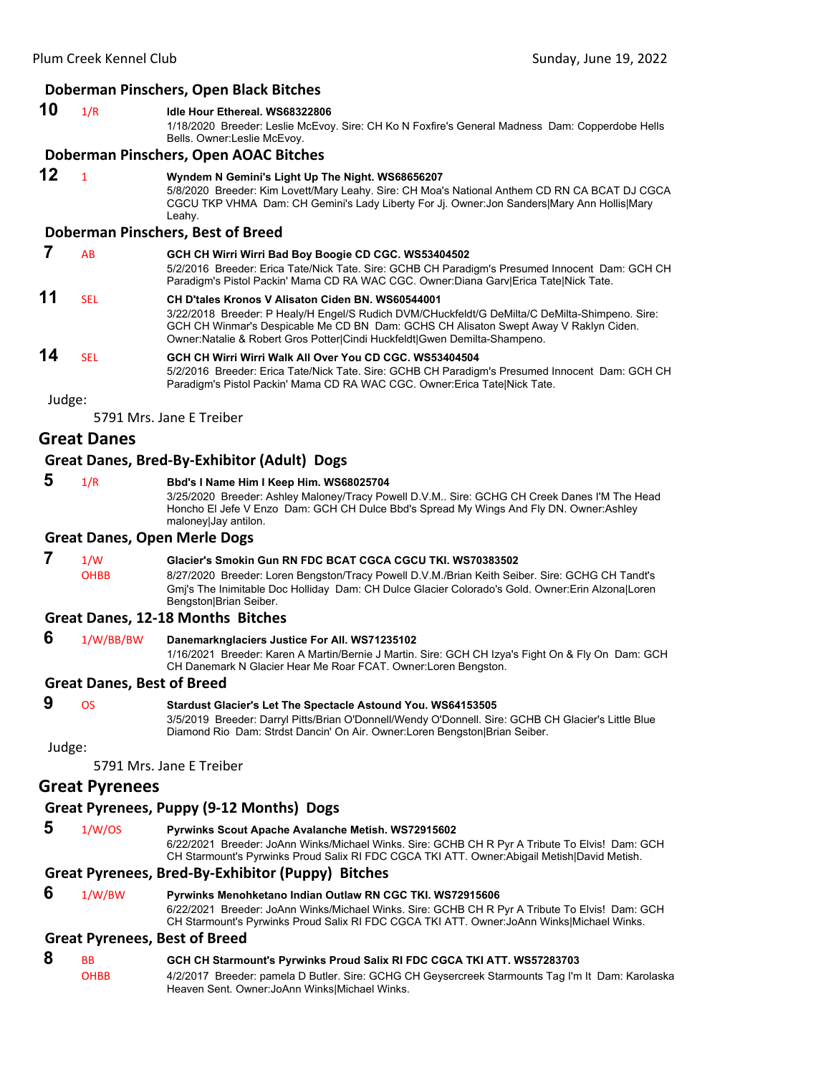#### **Doberman Pinschers, Open Black Bitches**

#### **10** 1/R **Idle Hour Ethereal. WS68322806**

1/18/2020 Breeder: Leslie McEvoy. Sire: CH Ko N Foxfire's General Madness Dam: Copperdobe Hells Bells. Owner:Leslie McEvoy.

#### **Doberman Pinschers, Open AOAC Bitches**

**12** <sup>1</sup> **Wyndem N Gemini's Light Up The Night. WS68656207** 5/8/2020 Breeder: Kim Lovett/Mary Leahy. Sire: CH Moa's National Anthem CD RN CA BCAT DJ CGCA CGCU TKP VHMA Dam: CH Gemini's Lady Liberty For Jj. Owner:Jon Sanders|Mary Ann Hollis|Mary Leahy.

# **Doberman Pinschers, Best of Breed**

|    | AB   | GCH CH Wirri Wirri Bad Boy Boogie CD CGC. WS53404502<br>5/2/2016 Breeder: Erica Tate/Nick Tate. Sire: GCHB CH Paradigm's Presumed Innocent Dam: GCH CH<br>Paradigm's Pistol Packin' Mama CD RA WAC CGC. Owner:Diana Gary Erica Tate Nick Tate.                                                                            |
|----|------|---------------------------------------------------------------------------------------------------------------------------------------------------------------------------------------------------------------------------------------------------------------------------------------------------------------------------|
| 11 | SFI. | CH D'tales Kronos V Alisaton Ciden BN, WS60544001<br>3/22/2018 Breeder: P Healy/H Engel/S Rudich DVM/CHuckfeldt/G DeMilta/C DeMilta-Shimpeno. Sire:<br>GCH CH Winmar's Despicable Me CD BN Dam: GCHS CH Alisaton Swept Away V Raklyn Ciden.<br>Owner: Natalie & Robert Gros Potter Cindi Huckfeldt Gwen Demilta-Shampeno. |
| 14 | SEL  | GCH CH Wirri Wirri Walk All Over You CD CGC, WS53404504<br>5/2/2016 Breeder: Erica Tate/Nick Tate. Sire: GCHB CH Paradigm's Presumed Innocent Dam: GCH CH<br>Paradigm's Pistol Packin' Mama CD RA WAC CGC. Owner: Erica Tate Nick Tate.                                                                                   |

Judge:

5791 Mrs. Jane E Treiber

# **Great Danes**

#### **Great Danes, Bred‐By‐Exhibitor (Adult) Dogs**

 **5** 1/R **Bbd's I Name Him I Keep Him. WS68025704**

3/25/2020 Breeder: Ashley Maloney/Tracy Powell D.V.M.. Sire: GCHG CH Creek Danes I'M The Head Honcho El Jefe V Enzo Dam: GCH CH Dulce Bbd's Spread My Wings And Fly DN. Owner:Ashley maloney|Jay antilon.

#### **Great Danes, Open Merle Dogs**

# **7** 1/W **Glacier's Smokin Gun RN FDC BCAT CGCA CGCU TKI. WS70383502**

OHBB 8/27/2020 Breeder: Loren Bengston/Tracy Powell D.V.M./Brian Keith Seiber. Sire: GCHG CH Tandt's Gmj's The Inimitable Doc Holliday Dam: CH Dulce Glacier Colorado's Gold. Owner:Erin Alzona|Loren Bengston|Brian Seiber.

#### **Great Danes, 12‐18 Months Bitches**

#### **6** 1/W/BB/BW **Danemarknglaciers Justice For All. WS71235102** 1/16/2021 Breeder: Karen A Martin/Bernie J Martin. Sire: GCH CH Izya's Fight On & Fly On Dam: GCH CH Danemark N Glacier Hear Me Roar FCAT. Owner:Loren Bengston.

# **Great Danes, Best of Breed**

# **9** OS **Stardust Glacier's Let The Spectacle Astound You. WS64153505**

3/5/2019 Breeder: Darryl Pitts/Brian O'Donnell/Wendy O'Donnell. Sire: GCHB CH Glacier's Little Blue Diamond Rio Dam: Strdst Dancin' On Air. Owner:Loren Bengston|Brian Seiber.

Judge:

5791 Mrs. Jane E Treiber

# **Great Pyrenees**

# **Great Pyrenees, Puppy (9‐12 Months) Dogs**

 **5** 1/W/OS **Pyrwinks Scout Apache Avalanche Metish. WS72915602** 6/22/2021 Breeder: JoAnn Winks/Michael Winks. Sire: GCHB CH R Pyr A Tribute To Elvis! Dam: GCH

CH Starmount's Pyrwinks Proud Salix RI FDC CGCA TKI ATT. Owner:Abigail Metish|David Metish.

# **Great Pyrenees, Bred‐By‐Exhibitor (Puppy) Bitches**

 **6** 1/W/BW **Pyrwinks Menohketano Indian Outlaw RN CGC TKI. WS72915606**

6/22/2021 Breeder: JoAnn Winks/Michael Winks. Sire: GCHB CH R Pyr A Tribute To Elvis! Dam: GCH CH Starmount's Pyrwinks Proud Salix RI FDC CGCA TKI ATT. Owner:JoAnn Winks|Michael Winks.

# **Great Pyrenees, Best of Breed**

# **8** BB **GCH CH Starmount's Pyrwinks Proud Salix RI FDC CGCA TKI ATT. WS57283703**

OHBB 4/2/2017 Breeder: pamela D Butler. Sire: GCHG CH Geysercreek Starmounts Tag I'm It Dam: Karolaska Heaven Sent. Owner:JoAnn Winks|Michael Winks.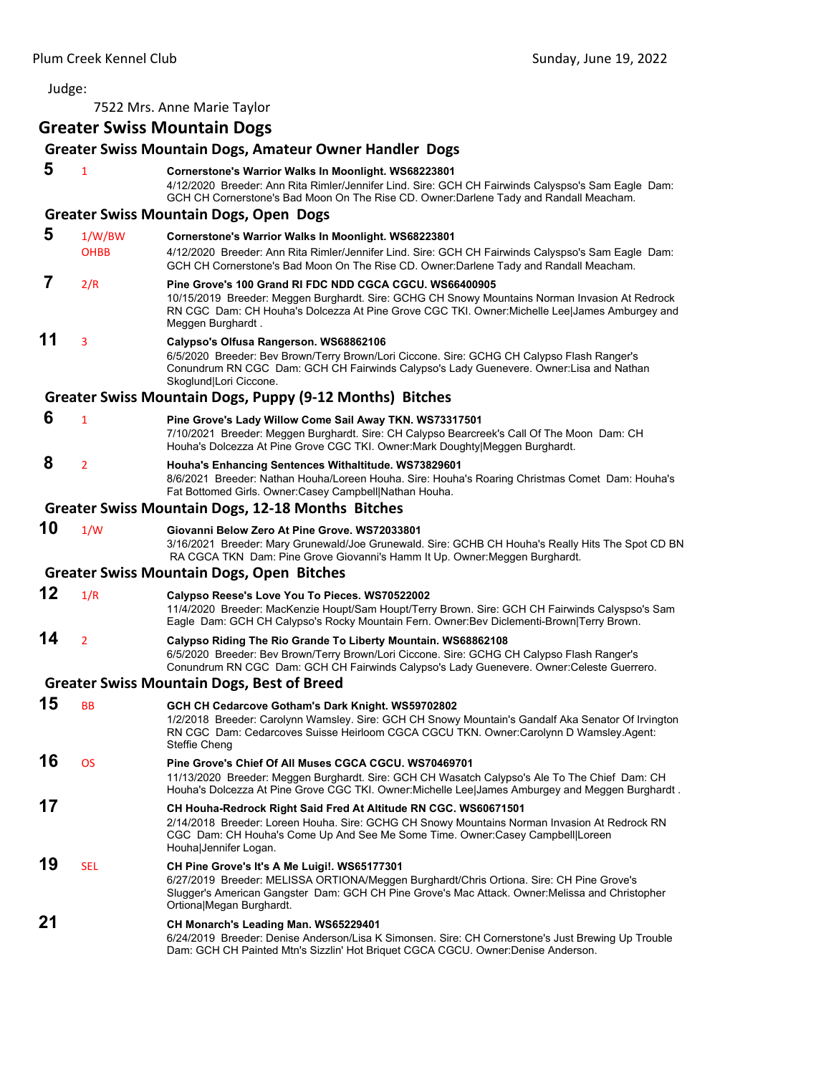7522 Mrs. Anne Marie Taylor

# **Greater Swiss Mountain Dogs**

|    |                       | Greater Swiss Mountain Dogs, Amateur Owner Handler Dogs                                                                                                                                                                                                                         |
|----|-----------------------|---------------------------------------------------------------------------------------------------------------------------------------------------------------------------------------------------------------------------------------------------------------------------------|
| 5  | 1                     | Cornerstone's Warrior Walks In Moonlight. WS68223801<br>4/12/2020 Breeder: Ann Rita Rimler/Jennifer Lind. Sire: GCH CH Fairwinds Calyspso's Sam Eagle Dam:<br>GCH CH Cornerstone's Bad Moon On The Rise CD. Owner:Darlene Tady and Randall Meacham.                             |
|    |                       | <b>Greater Swiss Mountain Dogs, Open Dogs</b>                                                                                                                                                                                                                                   |
| 5  | 1/W/BW<br><b>OHBB</b> | Cornerstone's Warrior Walks In Moonlight. WS68223801<br>4/12/2020 Breeder: Ann Rita Rimler/Jennifer Lind. Sire: GCH CH Fairwinds Calyspso's Sam Eagle Dam:<br>GCH CH Cornerstone's Bad Moon On The Rise CD. Owner:Darlene Tady and Randall Meacham.                             |
| 7  | 2/R                   | Pine Grove's 100 Grand RI FDC NDD CGCA CGCU. WS66400905<br>10/15/2019 Breeder: Meggen Burghardt. Sire: GCHG CH Snowy Mountains Norman Invasion At Redrock<br>RN CGC Dam: CH Houha's Dolcezza At Pine Grove CGC TKI. Owner: Michelle Lee James Amburgey and<br>Meggen Burghardt. |
| 11 | 3                     | Calypso's Olfusa Rangerson. WS68862106<br>6/5/2020 Breeder: Bev Brown/Terry Brown/Lori Ciccone. Sire: GCHG CH Calypso Flash Ranger's<br>Conundrum RN CGC Dam: GCH CH Fairwinds Calypso's Lady Guenevere. Owner:Lisa and Nathan<br>Skoglund Lori Ciccone.                        |
|    |                       | Greater Swiss Mountain Dogs, Puppy (9-12 Months) Bitches                                                                                                                                                                                                                        |
| 6  | $\overline{1}$        | Pine Grove's Lady Willow Come Sail Away TKN. WS73317501<br>7/10/2021 Breeder: Meggen Burghardt. Sire: CH Calypso Bearcreek's Call Of The Moon Dam: CH<br>Houha's Dolcezza At Pine Grove CGC TKI. Owner: Mark Doughty Meggen Burghardt.                                          |
| 8  | 2                     | Houha's Enhancing Sentences Withaltitude. WS73829601<br>8/6/2021 Breeder: Nathan Houha/Loreen Houha. Sire: Houha's Roaring Christmas Comet Dam: Houha's<br>Fat Bottomed Girls. Owner:Casey Campbell Nathan Houha.                                                               |
|    |                       | <b>Greater Swiss Mountain Dogs, 12-18 Months Bitches</b>                                                                                                                                                                                                                        |
| 10 | 1/W                   | Giovanni Below Zero At Pine Grove. WS72033801<br>3/16/2021 Breeder: Mary Grunewald/Joe Grunewald. Sire: GCHB CH Houha's Really Hits The Spot CD BN<br>RA CGCA TKN Dam: Pine Grove Giovanni's Hamm It Up. Owner: Meggen Burghardt.                                               |
|    |                       | <b>Greater Swiss Mountain Dogs, Open Bitches</b>                                                                                                                                                                                                                                |
| 12 | 1/R                   | Calypso Reese's Love You To Pieces. WS70522002<br>11/4/2020 Breeder: MacKenzie Houpt/Sam Houpt/Terry Brown. Sire: GCH CH Fairwinds Calyspso's Sam<br>Eagle Dam: GCH CH Calypso's Rocky Mountain Fern. Owner:Bev Diclementi-Brown Terry Brown.                                   |
| 14 | $\overline{2}$        | Calypso Riding The Rio Grande To Liberty Mountain. WS68862108<br>6/5/2020 Breeder: Bev Brown/Terry Brown/Lori Ciccone. Sire: GCHG CH Calypso Flash Ranger's<br>Conundrum RN CGC Dam: GCH CH Fairwinds Calypso's Lady Guenevere. Owner:Celeste Guerrero.                         |
|    |                       | <b>Greater Swiss Mountain Dogs, Best of Breed</b>                                                                                                                                                                                                                               |
| 15 | ВB                    | GCH CH Cedarcove Gotham's Dark Knight. WS59702802<br>1/2/2018 Breeder: Carolynn Wamsley. Sire: GCH CH Snowy Mountain's Gandalf Aka Senator Of Irvington<br>RN CGC Dam: Cedarcoves Suisse Heirloom CGCA CGCU TKN. Owner:Carolynn D Wamsley Agent:<br>Steffie Cheng               |
| 16 | OS                    | Pine Grove's Chief Of All Muses CGCA CGCU. WS70469701<br>11/13/2020 Breeder: Meggen Burghardt. Sire: GCH CH Wasatch Calypso's Ale To The Chief Dam: CH<br>Houha's Dolcezza At Pine Grove CGC TKI. Owner:Michelle Lee James Amburgey and Meggen Burghardt.                       |
| 17 |                       | CH Houha-Redrock Right Said Fred At Altitude RN CGC. WS60671501<br>2/14/2018 Breeder: Loreen Houha. Sire: GCHG CH Snowy Mountains Norman Invasion At Redrock RN<br>CGC Dam: CH Houha's Come Up And See Me Some Time. Owner:Casey Campbell Loreen<br>Houha Jennifer Logan.       |
| 19 | SEL                   | CH Pine Grove's It's A Me Luigi!. WS65177301<br>6/27/2019 Breeder: MELISSA ORTIONA/Meggen Burghardt/Chris Ortiona. Sire: CH Pine Grove's<br>Slugger's American Gangster Dam: GCH CH Pine Grove's Mac Attack. Owner: Melissa and Christopher<br>Ortiona Megan Burghardt.         |
| 21 |                       | CH Monarch's Leading Man. WS65229401<br>6/24/2019 Breeder: Denise Anderson/Lisa K Simonsen. Sire: CH Cornerstone's Just Brewing Up Trouble<br>Dam: GCH CH Painted Mtn's Sizzlin' Hot Briquet CGCA CGCU. Owner:Denise Anderson.                                                  |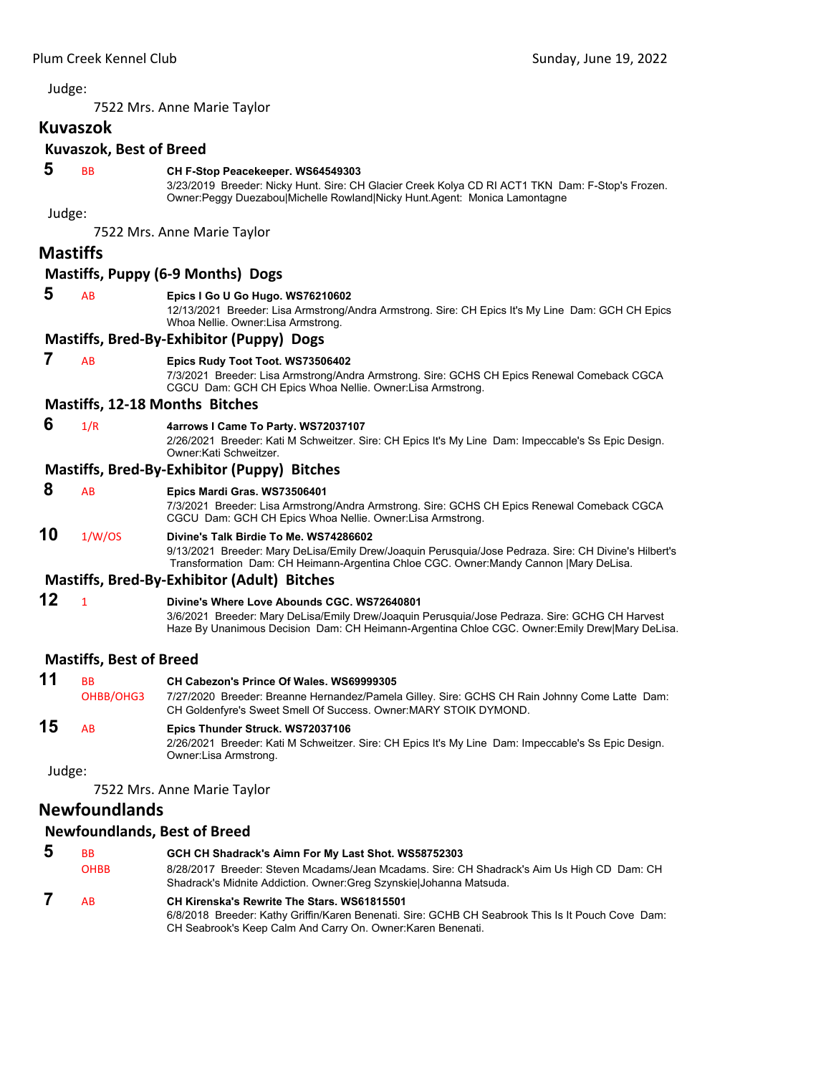7522 Mrs. Anne Marie Taylor

#### **Kuvaszok**

# **Kuvaszok, Best of Breed**

 **5** BB **CH F-Stop Peacekeeper. WS64549303**

3/23/2019 Breeder: Nicky Hunt. Sire: CH Glacier Creek Kolya CD RI ACT1 TKN Dam: F-Stop's Frozen. Owner:Peggy Duezabou|Michelle Rowland|Nicky Hunt.Agent: Monica Lamontagne

#### Judge:

7522 Mrs. Anne Marie Taylor

# **Mastiffs**

# **Mastiffs, Puppy (6‐9 Months) Dogs**

#### **5** AB **Epics I Go U Go Hugo. WS76210602**

12/13/2021 Breeder: Lisa Armstrong/Andra Armstrong. Sire: CH Epics It's My Line Dam: GCH CH Epics Whoa Nellie. Owner:Lisa Armstrong.

#### **Mastiffs, Bred‐By‐Exhibitor (Puppy) Dogs**

#### **7** AB **Epics Rudy Toot Toot. WS73506402**

7/3/2021 Breeder: Lisa Armstrong/Andra Armstrong. Sire: GCHS CH Epics Renewal Comeback CGCA CGCU Dam: GCH CH Epics Whoa Nellie. Owner:Lisa Armstrong.

#### **Mastiffs, 12‐18 Months Bitches**

#### **6** 1/R **4arrows I Came To Party. WS72037107**

2/26/2021 Breeder: Kati M Schweitzer. Sire: CH Epics It's My Line Dam: Impeccable's Ss Epic Design. Owner:Kati Schweitzer.

#### **Mastiffs, Bred‐By‐Exhibitor (Puppy) Bitches**

#### **8** AB **Epics Mardi Gras. WS73506401**

7/3/2021 Breeder: Lisa Armstrong/Andra Armstrong. Sire: GCHS CH Epics Renewal Comeback CGCA CGCU Dam: GCH CH Epics Whoa Nellie. Owner:Lisa Armstrong.

# **10** 1/W/OS **Divine's Talk Birdie To Me. WS74286602**

9/13/2021 Breeder: Mary DeLisa/Emily Drew/Joaquin Perusquia/Jose Pedraza. Sire: CH Divine's Hilbert's Transformation Dam: CH Heimann-Argentina Chloe CGC. Owner:Mandy Cannon |Mary DeLisa.

#### **Mastiffs, Bred‐By‐Exhibitor (Adult) Bitches**

```
12 1 Divine's Where Love Abounds CGC. WS72640801
                     3/6/2021 Breeder: Mary DeLisa/Emily Drew/Joaquin Perusquia/Jose Pedraza. Sire: GCHG CH Harvest 
                     Haze By Unanimous Decision Dam: CH Heimann-Argentina Chloe CGC. Owner:Emily Drew|Mary DeLisa.
```
# **Mastiffs, Best of Breed**

| 11 | <b>BB</b>      | CH Cabezon's Prince Of Wales. WS69999305                                                                                                                           |
|----|----------------|--------------------------------------------------------------------------------------------------------------------------------------------------------------------|
|    | OHBB/OHG3      | 7/27/2020 Breeder: Breanne Hernandez/Pamela Gilley. Sire: GCHS CH Rain Johnny Come Latte Dam:<br>CH Goldenfyre's Sweet Smell Of Success. Owner: MARY STOIK DYMOND. |
| 15 | A <sub>R</sub> | Epics Thunder Struck. WS72037106<br>2/26/2021 Breeder: Kati M Schweitzer. Sire: CH Epics It's My Line Dam: Impeccable's Ss Epic Design.<br>Owner:Lisa Armstrong.   |

Judge:

7522 Mrs. Anne Marie Taylor

# **Newfoundlands**

#### **Newfoundlands, Best of Breed**

| 5 | <b>BB</b>   | GCH CH Shadrack's Aimn For My Last Shot. WS58752303                                                                                                                                                              |
|---|-------------|------------------------------------------------------------------------------------------------------------------------------------------------------------------------------------------------------------------|
|   | <b>OHBB</b> | 8/28/2017 Breeder: Steven Mcadams/Jean Mcadams. Sire: CH Shadrack's Aim Us High CD Dam: CH<br>Shadrack's Midnite Addiction. Owner: Greg Szynskiel Johanna Matsuda.                                               |
|   | <b>AB</b>   | CH Kirenska's Rewrite The Stars, WS61815501<br>6/8/2018 Breeder: Kathy Griffin/Karen Benenati. Sire: GCHB CH Seabrook This Is It Pouch Cove Dam:<br>CH Seabrook's Keep Calm And Carry On. Owner: Karen Benenati. |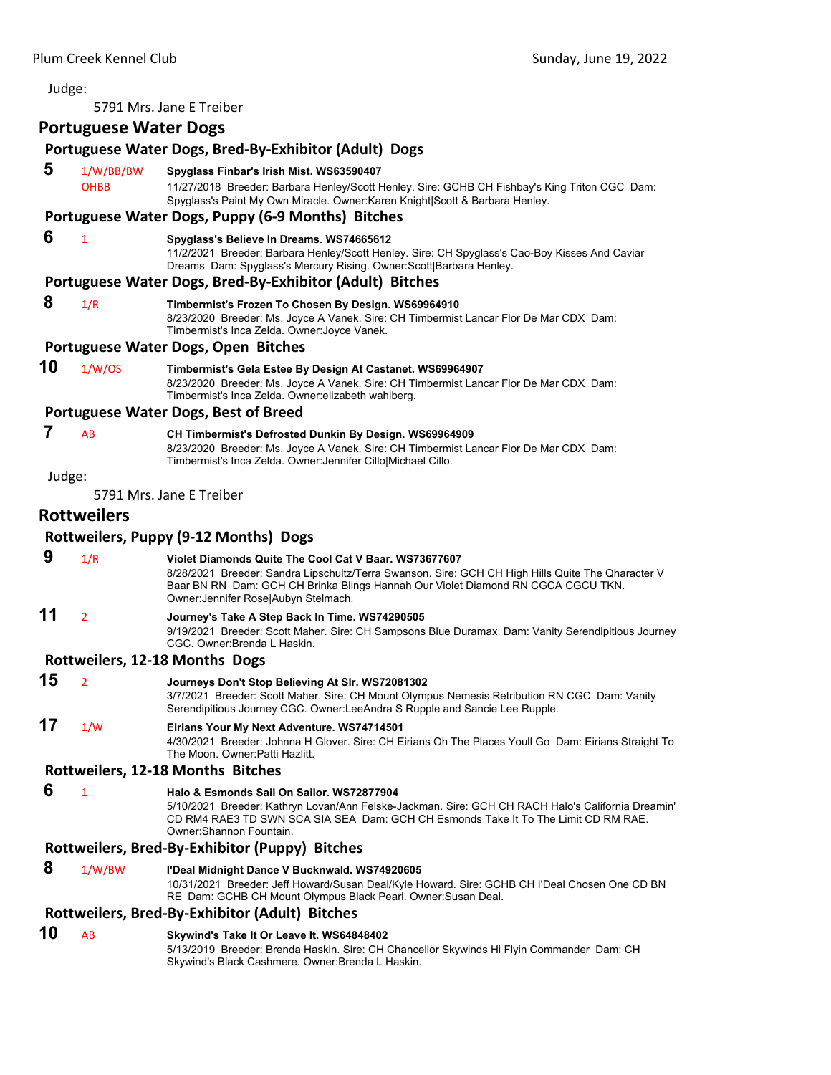5791 Mrs. Jane E Treiber

# **Portuguese Water Dogs**

# **Portuguese Water Dogs, Bred‐By‐Exhibitor (Adult) Dogs**

 **5** 1/W/BB/BW **Spyglass Finbar's Irish Mist. WS63590407** OHBB 11/27/2018 Breeder: Barbara Henley/Scott Henley. Sire: GCHB CH Fishbay's King Triton CGC Dam: Spyglass's Paint My Own Miracle. Owner:Karen Knight|Scott & Barbara Henley. **Portuguese Water Dogs, Puppy (6‐9 Months) Bitches 6** <sup>1</sup> **Spyglass's Believe In Dreams. WS74665612** 11/2/2021 Breeder: Barbara Henley/Scott Henley. Sire: CH Spyglass's Cao-Boy Kisses And Caviar Dreams Dam: Spyglass's Mercury Rising. Owner:Scott|Barbara Henley. **Portuguese Water Dogs, Bred‐By‐Exhibitor (Adult) Bitches 8** 1/R **Timbermist's Frozen To Chosen By Design. WS69964910** 8/23/2020 Breeder: Ms. Joyce A Vanek. Sire: CH Timbermist Lancar Flor De Mar CDX Dam: Timbermist's Inca Zelda. Owner:Joyce Vanek. **Portuguese Water Dogs, Open Bitches 10** 1/W/OS **Timbermist's Gela Estee By Design At Castanet. WS69964907** 8/23/2020 Breeder: Ms. Joyce A Vanek. Sire: CH Timbermist Lancar Flor De Mar CDX Dam: Timbermist's Inca Zelda. Owner:elizabeth wahlberg. **Portuguese Water Dogs, Best of Breed 7** AB **CH Timbermist's Defrosted Dunkin By Design. WS69964909** 8/23/2020 Breeder: Ms. Joyce A Vanek. Sire: CH Timbermist Lancar Flor De Mar CDX Dam: Timbermist's Inca Zelda. Owner:Jennifer Cillo|Michael Cillo. Judge: 5791 Mrs. Jane E Treiber **Rottweilers Rottweilers, Puppy (9‐12 Months) Dogs 9** 1/R **Violet Diamonds Quite The Cool Cat V Baar. WS73677607** 8/28/2021 Breeder: Sandra Lipschultz/Terra Swanson. Sire: GCH CH High Hills Quite The Qharacter V Baar BN RN Dam: GCH CH Brinka Blings Hannah Our Violet Diamond RN CGCA CGCU TKN. Owner:Jennifer Rose|Aubyn Stelmach. **11** <sup>2</sup> **Journey's Take A Step Back In Time. WS74290505** 9/19/2021 Breeder: Scott Maher. Sire: CH Sampsons Blue Duramax Dam: Vanity Serendipitious Journey CGC. Owner:Brenda L Haskin. **Rottweilers, 12‐18 Months Dogs 15** <sup>2</sup> **Journeys Don't Stop Believing At Slr. WS72081302** 3/7/2021 Breeder: Scott Maher. Sire: CH Mount Olympus Nemesis Retribution RN CGC Dam: Vanity Serendipitious Journey CGC. Owner:LeeAndra S Rupple and Sancie Lee Rupple. **17** 1/W **Eirians Your My Next Adventure. WS74714501** 4/30/2021 Breeder: Johnna H Glover. Sire: CH Eirians Oh The Places Youll Go Dam: Eirians Straight To The Moon. Owner:Patti Hazlitt. **Rottweilers, 12‐18 Months Bitches 6** <sup>1</sup> **Halo & Esmonds Sail On Sailor. WS72877904** 5/10/2021 Breeder: Kathryn Lovan/Ann Felske-Jackman. Sire: GCH CH RACH Halo's California Dreamin' CD RM4 RAE3 TD SWN SCA SIA SEA Dam: GCH CH Esmonds Take It To The Limit CD RM RAE. Owner:Shannon Fountain. **Rottweilers, Bred‐By‐Exhibitor (Puppy) Bitches 8** 1/W/BW **I'Deal Midnight Dance V Bucknwald. WS74920605** 10/31/2021 Breeder: Jeff Howard/Susan Deal/Kyle Howard. Sire: GCHB CH I'Deal Chosen One CD BN RE Dam: GCHB CH Mount Olympus Black Pearl. Owner:Susan Deal. **Rottweilers, Bred‐By‐Exhibitor (Adult) Bitches 10** AB **Skywind's Take It Or Leave It. WS64848402** 5/13/2019 Breeder: Brenda Haskin. Sire: CH Chancellor Skywinds Hi Flyin Commander Dam: CH

Skywind's Black Cashmere. Owner:Brenda L Haskin.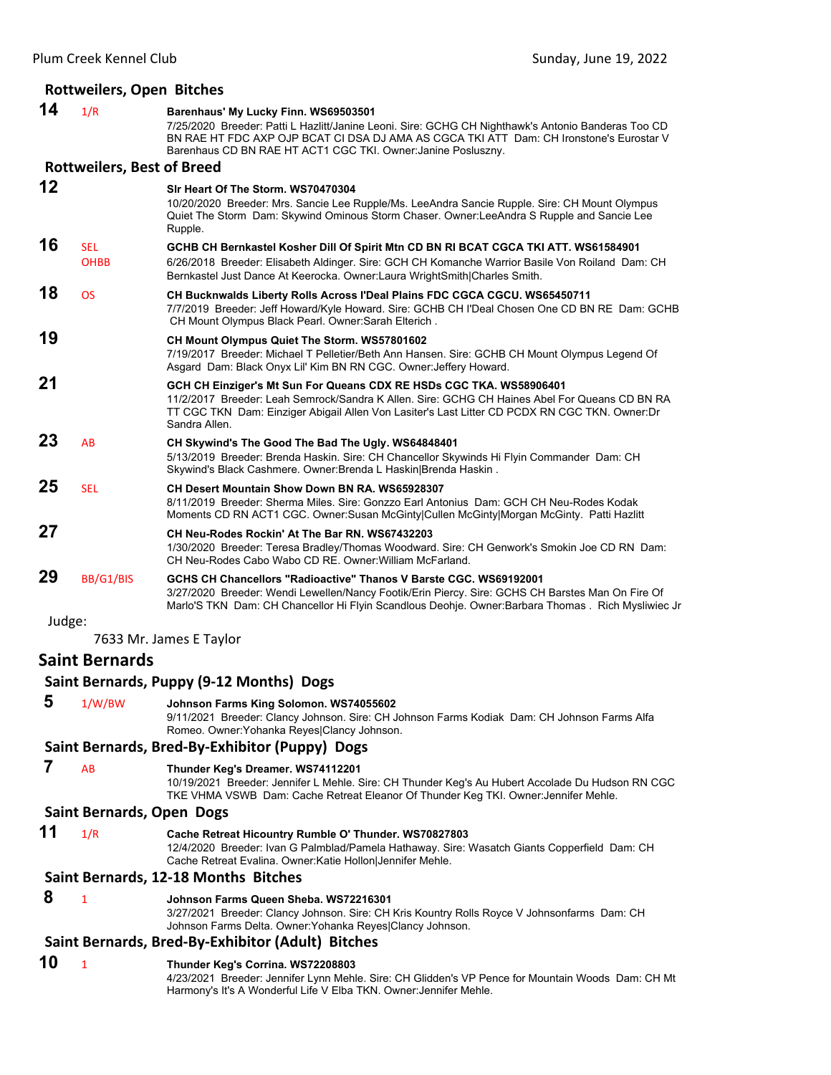# **Rottweilers, Open Bitches**

|        | NULLWEIIEIS, UPEII DILLIIES       |                                                                                                                                                                                                                                                                                                        |
|--------|-----------------------------------|--------------------------------------------------------------------------------------------------------------------------------------------------------------------------------------------------------------------------------------------------------------------------------------------------------|
| 14     | 1/R                               | Barenhaus' My Lucky Finn. WS69503501<br>7/25/2020 Breeder: Patti L Hazlitt/Janine Leoni. Sire: GCHG CH Nighthawk's Antonio Banderas Too CD<br>BN RAE HT FDC AXP OJP BCAT CI DSA DJ AMA AS CGCA TKI ATT Dam: CH Ironstone's Eurostar V<br>Barenhaus CD BN RAE HT ACT1 CGC TKI. Owner: Janine Posluszny. |
|        | <b>Rottweilers, Best of Breed</b> |                                                                                                                                                                                                                                                                                                        |
| 12     |                                   | Sir Heart Of The Storm, WS70470304<br>10/20/2020 Breeder: Mrs. Sancie Lee Rupple/Ms. LeeAndra Sancie Rupple. Sire: CH Mount Olympus<br>Quiet The Storm Dam: Skywind Ominous Storm Chaser. Owner: Lee Andra S Rupple and Sancie Lee<br>Rupple.                                                          |
| 16     | <b>SEL</b><br><b>OHBB</b>         | GCHB CH Bernkastel Kosher Dill Of Spirit Mtn CD BN RI BCAT CGCA TKI ATT. WS61584901<br>6/26/2018 Breeder: Elisabeth Aldinger. Sire: GCH CH Komanche Warrior Basile Von Roiland Dam: CH<br>Bernkastel Just Dance At Keerocka. Owner:Laura WrightSmith Charles Smith.                                    |
| 18     | <b>OS</b>                         | CH Bucknwalds Liberty Rolls Across l'Deal Plains FDC CGCA CGCU. WS65450711<br>7/7/2019 Breeder: Jeff Howard/Kyle Howard. Sire: GCHB CH I'Deal Chosen One CD BN RE Dam: GCHB<br>CH Mount Olympus Black Pearl. Owner: Sarah Elterich.                                                                    |
| 19     |                                   | CH Mount Olympus Quiet The Storm. WS57801602<br>7/19/2017 Breeder: Michael T Pelletier/Beth Ann Hansen. Sire: GCHB CH Mount Olympus Legend Of<br>Asgard Dam: Black Onyx Lil' Kim BN RN CGC. Owner: Jeffery Howard.                                                                                     |
| 21     |                                   | GCH CH Einziger's Mt Sun For Queans CDX RE HSDs CGC TKA. WS58906401<br>11/2/2017 Breeder: Leah Semrock/Sandra K Allen. Sire: GCHG CH Haines Abel For Queans CD BN RA<br>TT CGC TKN Dam: Einziger Abigail Allen Von Lasiter's Last Litter CD PCDX RN CGC TKN. Owner:Dr<br>Sandra Allen.                 |
| 23     | AB                                | CH Skywind's The Good The Bad The Ugly. WS64848401<br>5/13/2019 Breeder: Brenda Haskin. Sire: CH Chancellor Skywinds Hi Flyin Commander Dam: CH<br>Skywind's Black Cashmere. Owner: Brenda L Haskin   Brenda Haskin.                                                                                   |
| 25     | <b>SEL</b>                        | CH Desert Mountain Show Down BN RA. WS65928307<br>8/11/2019 Breeder: Sherma Miles. Sire: Gonzzo Earl Antonius Dam: GCH CH Neu-Rodes Kodak<br>Moments CD RN ACT1 CGC. Owner:Susan McGinty Cullen McGinty Morgan McGinty. Patti Hazlitt                                                                  |
| 27     |                                   | CH Neu-Rodes Rockin' At The Bar RN. WS67432203<br>1/30/2020 Breeder: Teresa Bradley/Thomas Woodward. Sire: CH Genwork's Smokin Joe CD RN Dam:<br>CH Neu-Rodes Cabo Wabo CD RE. Owner: William McFarland.                                                                                               |
| 29     | BB/G1/BIS                         | GCHS CH Chancellors "Radioactive" Thanos V Barste CGC. WS69192001<br>3/27/2020 Breeder: Wendi Lewellen/Nancy Footik/Erin Piercy. Sire: GCHS CH Barstes Man On Fire Of<br>Marlo'S TKN Dam: CH Chancellor Hi Flyin Scandlous Deohje. Owner:Barbara Thomas. Rich Mysliwiec Jr                             |
| Judge: |                                   | 7633 Mr. James E Taylor                                                                                                                                                                                                                                                                                |
|        | <b>Saint Bernards</b>             |                                                                                                                                                                                                                                                                                                        |
|        |                                   | Saint Bernards, Puppy (9-12 Months) Dogs                                                                                                                                                                                                                                                               |
| 5      | 1/W/BW                            | Johnson Farms King Solomon. WS74055602<br>9/11/2021 Breeder: Clancy Johnson. Sire: CH Johnson Farms Kodiak Dam: CH Johnson Farms Alfa<br>Romeo. Owner: Yohanka Reyes Clancy Johnson.                                                                                                                   |
|        |                                   | Saint Bernards, Bred-By-Exhibitor (Puppy) Dogs                                                                                                                                                                                                                                                         |
| 7      | AB                                | Thunder Keg's Dreamer. WS74112201<br>10/19/2021 Breeder: Jennifer L Mehle. Sire: CH Thunder Keg's Au Hubert Accolade Du Hudson RN CGC<br>TKE VHMA VSWB Dam: Cache Retreat Eleanor Of Thunder Keg TKI. Owner: Jennifer Mehle.                                                                           |
|        | Saint Bernards, Open Dogs         |                                                                                                                                                                                                                                                                                                        |
| 11     | 1/R                               | Cache Retreat Hicountry Rumble O' Thunder. WS70827803<br>12/4/2020 Breeder: Ivan G Palmblad/Pamela Hathaway. Sire: Wasatch Giants Copperfield Dam: CH<br>Cache Retreat Evalina. Owner: Katie Hollon Jennifer Mehle.                                                                                    |
|        |                                   | Saint Bernards, 12-18 Months Bitches                                                                                                                                                                                                                                                                   |
| 8      | $\mathbf{1}$                      | Johnson Farms Queen Sheba. WS72216301<br>3/27/2021 Breeder: Clancy Johnson. Sire: CH Kris Kountry Rolls Royce V Johnsonfarms Dam: CH                                                                                                                                                                   |
|        |                                   | Johnson Farms Delta. Owner: Yohanka Reyes Clancy Johnson.                                                                                                                                                                                                                                              |
|        |                                   | Saint Bernards, Bred-By-Exhibitor (Adult) Bitches                                                                                                                                                                                                                                                      |
| 10     | $\mathbf{1}$                      | Thunder Keg's Corrina. WS72208803                                                                                                                                                                                                                                                                      |

4/23/2021 Breeder: Jennifer Lynn Mehle. Sire: CH Glidden's VP Pence for Mountain Woods Dam: CH Mt Harmony's It's A Wonderful Life V Elba TKN. Owner:Jennifer Mehle.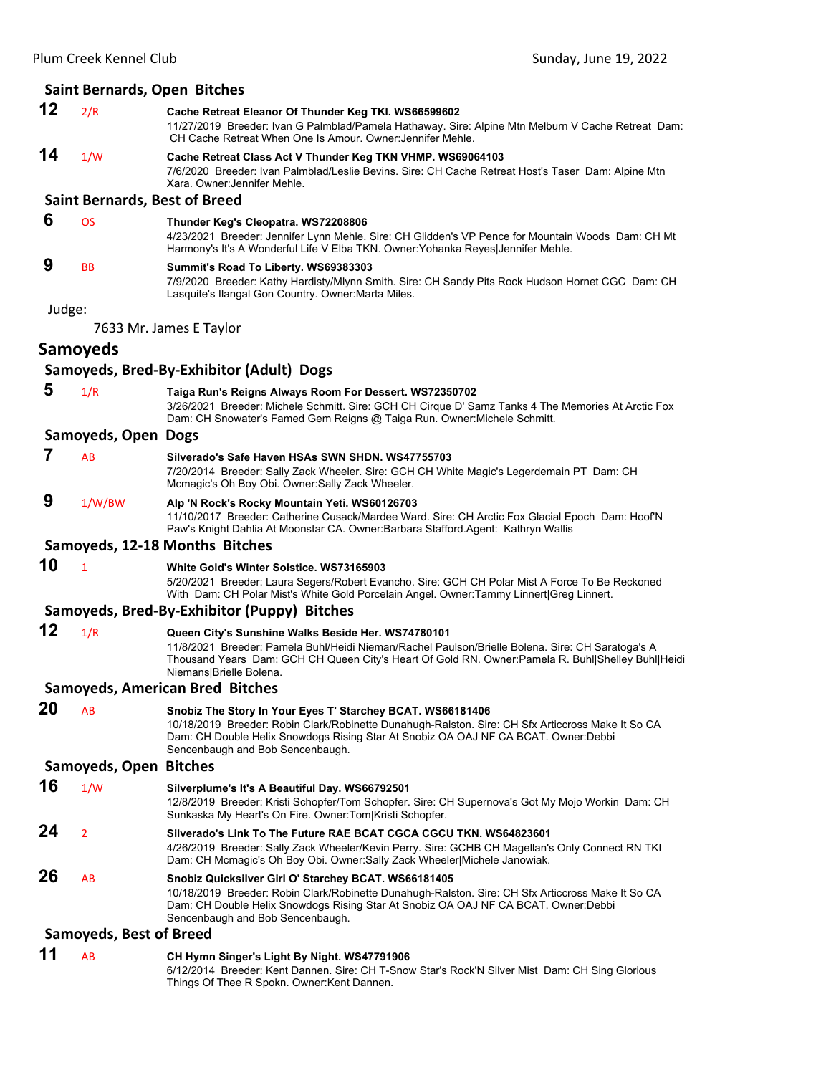|        | Plum Creek Kennel Club | Sunday, June 19, 2022                                                                                                                                                                                                                    |  |
|--------|------------------------|------------------------------------------------------------------------------------------------------------------------------------------------------------------------------------------------------------------------------------------|--|
|        |                        | Saint Bernards, Open Bitches                                                                                                                                                                                                             |  |
| 12     | 2/R                    | Cache Retreat Eleanor Of Thunder Keg TKI. WS66599602<br>11/27/2019 Breeder: Ivan G Palmblad/Pamela Hathaway. Sire: Alpine Mtn Melburn V Cache Retreat Dam:<br>CH Cache Retreat When One Is Amour. Owner: Jennifer Mehle.                 |  |
| 14     | 1/W                    | Cache Retreat Class Act V Thunder Keg TKN VHMP. WS69064103<br>7/6/2020 Breeder: Ivan Palmblad/Leslie Bevins. Sire: CH Cache Retreat Host's Taser Dam: Alpine Mtn<br>Xara, Owner: Jennifer Mehle.                                         |  |
|        |                        | <b>Saint Bernards, Best of Breed</b>                                                                                                                                                                                                     |  |
| 6      | <b>OS</b>              | Thunder Keg's Cleopatra. WS72208806<br>4/23/2021 Breeder: Jennifer Lynn Mehle. Sire: CH Glidden's VP Pence for Mountain Woods Dam: CH Mt<br>Harmony's It's A Wonderful Life V Elba TKN. Owner: Yohanka Reyes Jennifer Mehle.             |  |
| 9      | <b>BB</b>              | Summit's Road To Liberty. WS69383303<br>7/9/2020 Breeder: Kathy Hardisty/Mlynn Smith. Sire: CH Sandy Pits Rock Hudson Hornet CGC Dam: CH<br>Lasquite's Ilangal Gon Country. Owner: Marta Miles.                                          |  |
| Judge: |                        |                                                                                                                                                                                                                                          |  |
|        |                        | 7633 Mr. James E Taylor                                                                                                                                                                                                                  |  |
|        | <b>Samoyeds</b>        |                                                                                                                                                                                                                                          |  |
|        |                        | Samoyeds, Bred-By-Exhibitor (Adult) Dogs                                                                                                                                                                                                 |  |
| 5      | 1/R                    | Taiga Run's Reigns Always Room For Dessert. WS72350702<br>3/26/2021 Breeder: Michele Schmitt. Sire: GCH CH Cirque D' Samz Tanks 4 The Memories At Arctic Fox<br>Dam: CH Snowater's Famed Gem Reigns @ Taiga Run. Owner: Michele Schmitt. |  |
|        | Samoyeds, Open Dogs    |                                                                                                                                                                                                                                          |  |
|        | AB                     | Silverado's Safe Haven HSAs SWN SHDN, WS47755703                                                                                                                                                                                         |  |

7/20/2014 Breeder: Sally Zack Wheeler. Sire: GCH CH White Magic's Legerdemain PT Dam: CH Mcmagic's Oh Boy Obi. Owner:Sally Zack Wheeler.

# **9** 1/W/BW **Alp 'N Rock's Rocky Mountain Yeti. WS60126703**

11/10/2017 Breeder: Catherine Cusack/Mardee Ward. Sire: CH Arctic Fox Glacial Epoch Dam: Hoof'N Paw's Knight Dahlia At Moonstar CA. Owner:Barbara Stafford.Agent: Kathryn Wallis

#### **Samoyeds, 12‐18 Months Bitches**

**10** <sup>1</sup> **White Gold's Winter Solstice. WS73165903**

5/20/2021 Breeder: Laura Segers/Robert Evancho. Sire: GCH CH Polar Mist A Force To Be Reckoned With Dam: CH Polar Mist's White Gold Porcelain Angel. Owner:Tammy Linnert|Greg Linnert.

#### **Samoyeds, Bred‐By‐Exhibitor (Puppy) Bitches**

# **12** 1/R **Queen City's Sunshine Walks Beside Her. WS74780101**

11/8/2021 Breeder: Pamela Buhl/Heidi Nieman/Rachel Paulson/Brielle Bolena. Sire: CH Saratoga's A Thousand Years Dam: GCH CH Queen City's Heart Of Gold RN. Owner:Pamela R. Buhl|Shelley Buhl|Heidi Niemans|Brielle Bolena.

#### **Samoyeds, American Bred Bitches**

#### **20** AB **Snobiz The Story In Your Eyes T' Starchey BCAT. WS66181406** 10/18/2019 Breeder: Robin Clark/Robinette Dunahugh-Ralston. Sire: CH Sfx Articcross Make It So CA Dam: CH Double Helix Snowdogs Rising Star At Snobiz OA OAJ NF CA BCAT. Owner:Debbi Sencenbaugh and Bob Sencenbaugh. **Samoyeds, Open Bitches**

**16** 1/W **Silverplume's It's A Beautiful Day. WS66792501** 12/8/2019 Breeder: Kristi Schopfer/Tom Schopfer. Sire: CH Supernova's Got My Mojo Workin Dam: CH Sunkaska My Heart's On Fire. Owner:Tom|Kristi Schopfer. **24** <sup>2</sup> **Silverado's Link To The Future RAE BCAT CGCA CGCU TKN. WS64823601** 4/26/2019 Breeder: Sally Zack Wheeler/Kevin Perry. Sire: GCHB CH Magellan's Only Connect RN TKI Dam: CH Mcmagic's Oh Boy Obi. Owner:Sally Zack Wheeler|Michele Janowiak. **26** AB **Snobiz Quicksilver Girl O' Starchey BCAT. WS66181405** 10/18/2019 Breeder: Robin Clark/Robinette Dunahugh-Ralston. Sire: CH Sfx Articcross Make It So CA Dam: CH Double Helix Snowdogs Rising Star At Snobiz OA OAJ NF CA BCAT. Owner:Debbi

#### Sencenbaugh and Bob Sencenbaugh. **Samoyeds, Best of Breed**

# **11** AB **CH Hymn Singer's Light By Night. WS47791906** 6/12/2014 Breeder: Kent Dannen. Sire: CH T-Snow Star's Rock'N Silver Mist Dam: CH Sing Glorious

Things Of Thee R Spokn. Owner:Kent Dannen.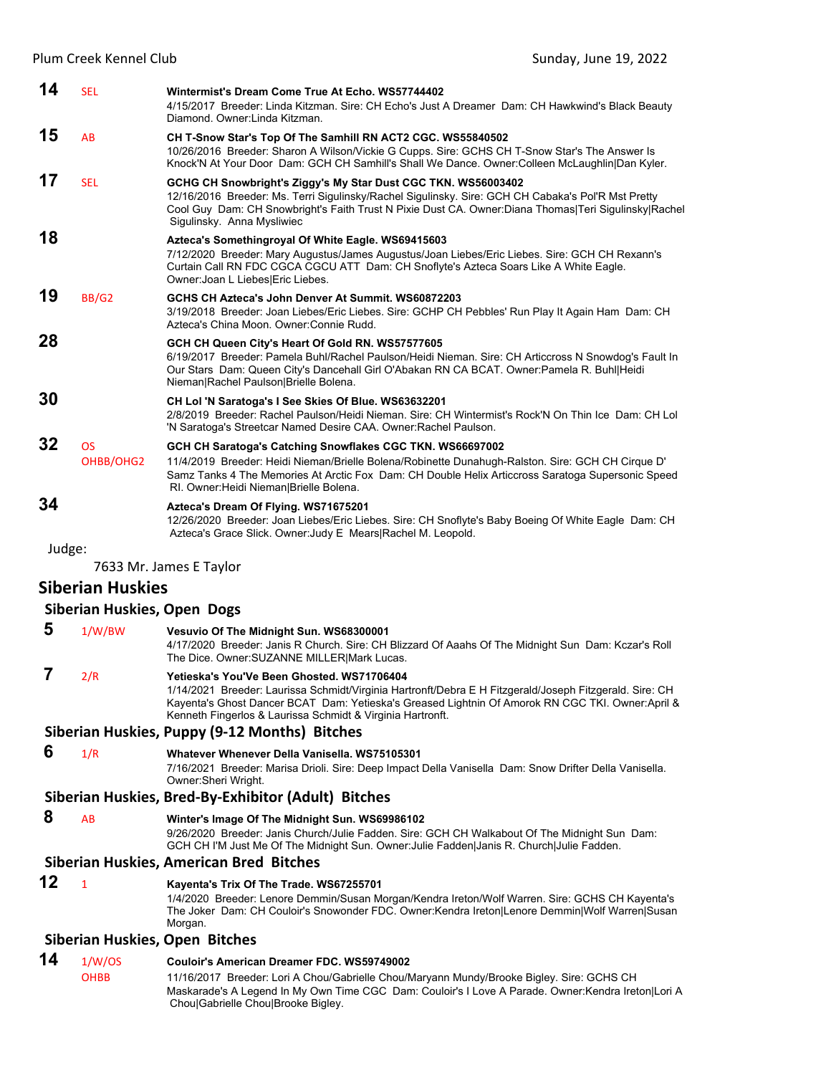| 14     | <b>SEL</b>             | Wintermist's Dream Come True At Echo. WS57744402<br>4/15/2017 Breeder: Linda Kitzman, Sire: CH Echo's Just A Dreamer Dam: CH Hawkwind's Black Beauty<br>Diamond, Owner:Linda Kitzman,                                                                                                                          |
|--------|------------------------|----------------------------------------------------------------------------------------------------------------------------------------------------------------------------------------------------------------------------------------------------------------------------------------------------------------|
| 15     | AB                     | CH T-Snow Star's Top Of The Samhill RN ACT2 CGC. WS55840502<br>10/26/2016 Breeder: Sharon A Wilson/Vickie G Cupps. Sire: GCHS CH T-Snow Star's The Answer Is<br>Knock'N At Your Door Dam: GCH CH Samhill's Shall We Dance. Owner: Colleen McLaughlin Dan Kyler.                                                |
| 17     | <b>SEL</b>             | GCHG CH Snowbright's Ziggy's My Star Dust CGC TKN. WS56003402<br>12/16/2016 Breeder: Ms. Terri Sigulinsky/Rachel Sigulinsky. Sire: GCH CH Cabaka's Pol'R Mst Pretty<br>Cool Guy Dam: CH Snowbright's Faith Trust N Pixie Dust CA. Owner:Diana Thomas Teri Sigulinsky Rachel<br>Sigulinsky. Anna Mysliwiec      |
| 18     |                        | Azteca's Somethingroyal Of White Eagle. WS69415603<br>7/12/2020 Breeder: Mary Augustus/James Augustus/Joan Liebes/Eric Liebes. Sire: GCH CH Rexann's<br>Curtain Call RN FDC CGCA CGCU ATT Dam: CH Snoflyte's Azteca Soars Like A White Eagle.<br>Owner: Joan L Liebes Eric Liebes.                             |
| 19     | BB/G2                  | GCHS CH Azteca's John Denver At Summit, WS60872203<br>3/19/2018 Breeder: Joan Liebes/Eric Liebes. Sire: GCHP CH Pebbles' Run Play It Again Ham Dam: CH<br>Azteca's China Moon, Owner: Connie Rudd,                                                                                                             |
| 28     |                        | GCH CH Queen City's Heart Of Gold RN. WS57577605<br>6/19/2017 Breeder: Pamela Buhl/Rachel Paulson/Heidi Nieman. Sire: CH Articcross N Snowdog's Fault In<br>Our Stars Dam: Queen City's Dancehall Girl O'Abakan RN CA BCAT. Owner: Pamela R. Buhl Heidi<br>Nieman Rachel Paulson Brielle Bolena.               |
| 30     |                        | CH Lol 'N Saratoga's I See Skies Of Blue. WS63632201<br>2/8/2019 Breeder: Rachel Paulson/Heidi Nieman, Sire: CH Wintermist's Rock'N On Thin Ice Dam: CH Lol<br>'N Saratoga's Streetcar Named Desire CAA. Owner: Rachel Paulson.                                                                                |
| 32     | <b>OS</b><br>OHBB/OHG2 | GCH CH Saratoga's Catching Snowflakes CGC TKN. WS66697002<br>11/4/2019 Breeder: Heidi Nieman/Brielle Bolena/Robinette Dunahugh-Ralston. Sire: GCH CH Cirque D'<br>Samz Tanks 4 The Memories At Arctic Fox Dam: CH Double Helix Articcross Saratoga Supersonic Speed<br>RI. Owner: Heidi Nieman Brielle Bolena. |
| 34     |                        | Azteca's Dream Of Flying. WS71675201<br>12/26/2020 Breeder: Joan Liebes/Eric Liebes. Sire: CH Snoflyte's Baby Boeing Of White Eagle Dam: CH<br>Azteca's Grace Slick. Owner: Judy E Mears Rachel M. Leopold.                                                                                                    |
| Judge: |                        |                                                                                                                                                                                                                                                                                                                |

7633 Mr. James E Taylor

# **Siberian Huskies**

# **Siberian Huskies, Open Dogs**

| 5  | 1/W/BW                                  | Vesuvio Of The Midnight Sun. WS68300001<br>4/17/2020 Breeder: Janis R Church. Sire: CH Blizzard Of Aaahs Of The Midnight Sun Dam: Kczar's Roll<br>The Dice. Owner: SUZANNE MILLER  Mark Lucas.                                                                                                                          |  |
|----|-----------------------------------------|-------------------------------------------------------------------------------------------------------------------------------------------------------------------------------------------------------------------------------------------------------------------------------------------------------------------------|--|
|    | 2/R                                     | Yetieska's You'Ve Been Ghosted. WS71706404<br>1/14/2021 Breeder: Laurissa Schmidt/Virginia Hartronft/Debra E H Fitzgerald/Joseph Fitzgerald. Sire: CH<br>Kayenta's Ghost Dancer BCAT Dam: Yetieska's Greased Lightnin Of Amorok RN CGC TKI. Owner:April &<br>Kenneth Fingerlos & Laurissa Schmidt & Virginia Hartronft. |  |
|    |                                         | Siberian Huskies, Puppy (9-12 Months) Bitches                                                                                                                                                                                                                                                                           |  |
| 6  | 1/R                                     | Whatever Whenever Della Vanisella, WS75105301<br>7/16/2021 Breeder: Marisa Drioli. Sire: Deep Impact Della Vanisella Dam: Snow Drifter Della Vanisella.<br>Owner: Sheri Wright.                                                                                                                                         |  |
|    |                                         | Siberian Huskies, Bred-By-Exhibitor (Adult) Bitches                                                                                                                                                                                                                                                                     |  |
| 8  | <b>AB</b>                               | Winter's Image Of The Midnight Sun. WS69986102<br>9/26/2020 Breeder: Janis Church/Julie Fadden. Sire: GCH CH Walkabout Of The Midnight Sun Dam:<br>GCH CH I'M Just Me Of The Midnight Sun. Owner: Julie Fadden Janis R. Church Julie Fadden.                                                                            |  |
|    | Siberian Huskies, American Bred Bitches |                                                                                                                                                                                                                                                                                                                         |  |
| 12 | 1                                       | Kayenta's Trix Of The Trade. WS67255701<br>1/4/2020 Breeder: Lenore Demmin/Susan Morgan/Kendra Ireton/Wolf Warren. Sire: GCHS CH Kayenta's<br>The Joker Dam: CH Couloir's Snowonder FDC. Owner:Kendra Ireton Lenore Demmin Wolf Warren Susan<br>Morgan.                                                                 |  |
|    |                                         | <b>Siberian Huskies, Open Bitches</b>                                                                                                                                                                                                                                                                                   |  |
|    |                                         |                                                                                                                                                                                                                                                                                                                         |  |

**14** 1/W/OS **Couloir's American Dreamer FDC. WS59749002** 11/16/2017 Breeder: Lori A Chou/Gabrielle Chou/Maryann Mundy/Brooke Bigley. Sire: GCHS CH Maskarade's A Legend In My Own Time CGC Dam: Couloir's I Love A Parade. Owner:Kendra Ireton|Lori A Chou|Gabrielle Chou|Brooke Bigley.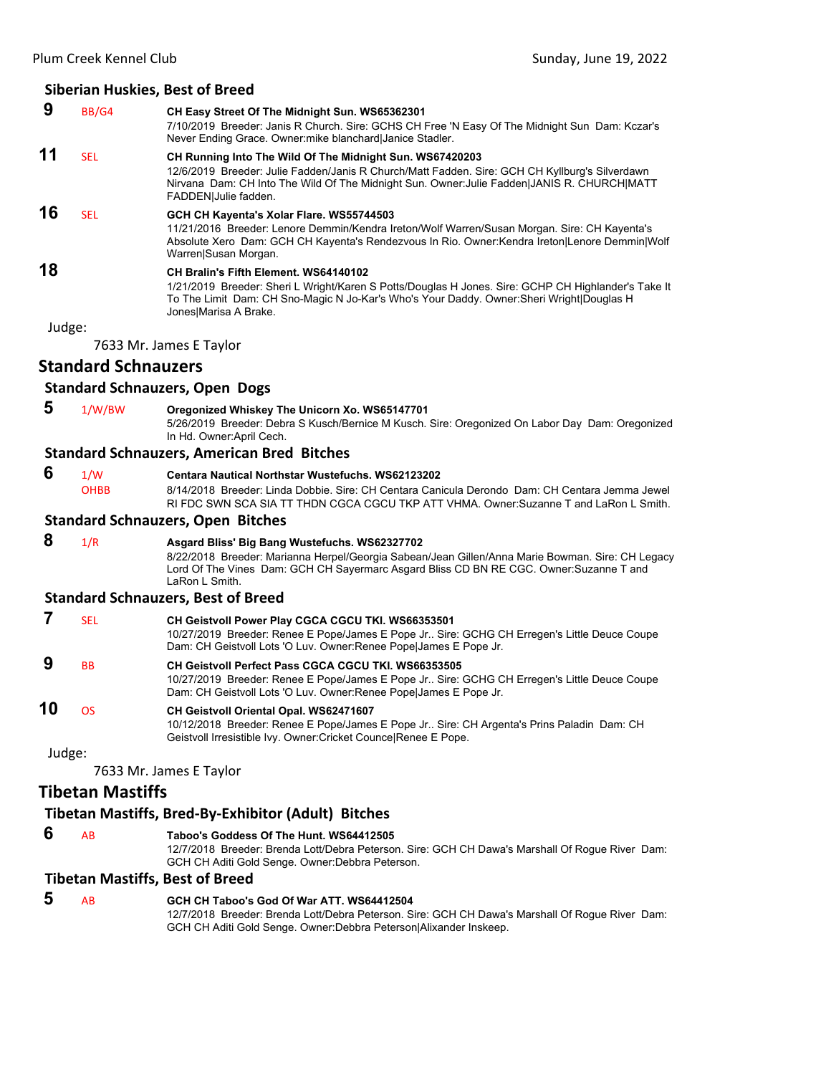#### **9** BB/G4 **CH Easy Street Of The Midnight Sun. WS65362301** 7/10/2019 Breeder: Janis R Church. Sire: GCHS CH Free 'N Easy Of The Midnight Sun Dam: Kczar's Never Ending Grace. Owner:mike blanchard|Janice Stadler. **11** SEL **CH Running Into The Wild Of The Midnight Sun. WS67420203** 12/6/2019 Breeder: Julie Fadden/Janis R Church/Matt Fadden. Sire: GCH CH Kyllburg's Silverdawn Nirvana Dam: CH Into The Wild Of The Midnight Sun. Owner:Julie Fadden|JANIS R. CHURCH|MATT FADDEN|Julie fadden. **16** SEL **GCH CH Kayenta's Xolar Flare. WS55744503** 11/21/2016 Breeder: Lenore Demmin/Kendra Ireton/Wolf Warren/Susan Morgan. Sire: CH Kayenta's Absolute Xero Dam: GCH CH Kayenta's Rendezvous In Rio. Owner:Kendra Ireton|Lenore Demmin|Wolf Warren|Susan Morgan. **18 CH Bralin's Fifth Element. WS64140102** 1/21/2019 Breeder: Sheri L Wright/Karen S Potts/Douglas H Jones. Sire: GCHP CH Highlander's Take It To The Limit Dam: CH Sno-Magic N Jo-Kar's Who's Your Daddy. Owner:Sheri Wright|Douglas H Jones|Marisa A Brake.

Judge:

7633 Mr. James E Taylor

# **Standard Schnauzers**

### **Standard Schnauzers, Open Dogs**

 **5** 1/W/BW **Oregonized Whiskey The Unicorn Xo. WS65147701**

5/26/2019 Breeder: Debra S Kusch/Bernice M Kusch. Sire: Oregonized On Labor Day Dam: Oregonized In Hd. Owner:April Cech.

#### **Standard Schnauzers, American Bred Bitches**

- **6** 1/W **Centara Nautical Northstar Wustefuchs. WS62123202** OHBB 8/14/2018 Breeder: Linda Dobbie. Sire: CH Centara Canicula Derondo Dam: CH Centara Jemma Jewel
	- RI FDC SWN SCA SIA TT THDN CGCA CGCU TKP ATT VHMA. Owner:Suzanne T and LaRon L Smith.

# **Standard Schnauzers, Open Bitches**

 **8** 1/R **Asgard Bliss' Big Bang Wustefuchs. WS62327702** 8/22/2018 Breeder: Marianna Herpel/Georgia Sabean/Jean Gillen/Anna Marie Bowman. Sire: CH Legacy Lord Of The Vines Dam: GCH CH Sayermarc Asgard Bliss CD BN RE CGC. Owner:Suzanne T and LaRon L Smith.

#### **Standard Schnauzers, Best of Breed**

- **7** SEL **CH Geistvoll Power Play CGCA CGCU TKI. WS66353501** 10/27/2019 Breeder: Renee E Pope/James E Pope Jr.. Sire: GCHG CH Erregen's Little Deuce Coupe Dam: CH Geistvoll Lots 'O Luv. Owner:Renee Pope|James E Pope Jr.  **9** BB **CH Geistvoll Perfect Pass CGCA CGCU TKI. WS66353505**
- 10/27/2019 Breeder: Renee E Pope/James E Pope Jr.. Sire: GCHG CH Erregen's Little Deuce Coupe Dam: CH Geistvoll Lots 'O Luv. Owner:Renee Pope|James E Pope Jr.

# **10** OS **CH Geistvoll Oriental Opal. WS62471607**

10/12/2018 Breeder: Renee E Pope/James E Pope Jr.. Sire: CH Argenta's Prins Paladin Dam: CH Geistvoll Irresistible Ivy. Owner:Cricket Counce|Renee E Pope.

Judge:

7633 Mr. James E Taylor

# **Tibetan Mastiffs**

#### **Tibetan Mastiffs, Bred‐By‐Exhibitor (Adult) Bitches**

 **6** AB **Taboo's Goddess Of The Hunt. WS64412505** 12/7/2018 Breeder: Brenda Lott/Debra Peterson. Sire: GCH CH Dawa's Marshall Of Rogue River Dam: GCH CH Aditi Gold Senge. Owner:Debbra Peterson.

#### **Tibetan Mastiffs, Best of Breed**

 **5** AB **GCH CH Taboo's God Of War ATT. WS64412504** 12/7/2018 Breeder: Brenda Lott/Debra Peterson. Sire: GCH CH Dawa's Marshall Of Rogue River Dam: GCH CH Aditi Gold Senge. Owner:Debbra Peterson|Alixander Inskeep.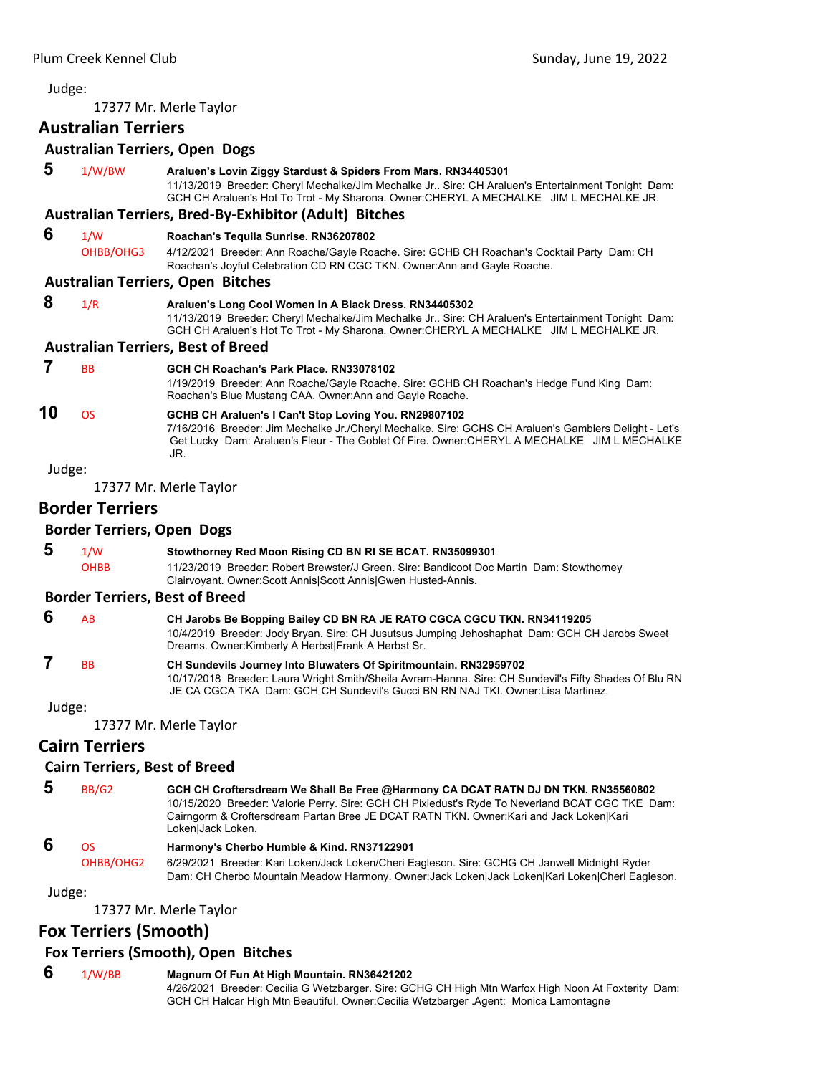# <span id="page-30-0"></span>Judge: 17377 Mr. Merle Taylor **Australian Terriers Australian Terriers, Open Dogs 5** 1/W/BW **Araluen's Lovin Ziggy Stardust & Spiders From Mars. RN34405301** 11/13/2019 Breeder: Cheryl Mechalke/Jim Mechalke Jr.. Sire: CH Araluen's Entertainment Tonight Dam: GCH CH Araluen's Hot To Trot - My Sharona. Owner:CHERYL A MECHALKE JIM L MECHALKE JR. **Australian Terriers, Bred‐By‐Exhibitor (Adult) Bitches 6** 1/W **Roachan's Tequila Sunrise. RN36207802** OHBB/OHG3 4/12/2021 Breeder: Ann Roache/Gayle Roache. Sire: GCHB CH Roachan's Cocktail Party Dam: CH Roachan's Joyful Celebration CD RN CGC TKN. Owner:Ann and Gayle Roache. **Australian Terriers, Open Bitches 8** 1/R **Araluen's Long Cool Women In A Black Dress. RN34405302** 11/13/2019 Breeder: Cheryl Mechalke/Jim Mechalke Jr.. Sire: CH Araluen's Entertainment Tonight Dam: GCH CH Araluen's Hot To Trot - My Sharona. Owner:CHERYL A MECHALKE JIM L MECHALKE JR. **Australian Terriers, Best of Breed 7** BB **GCH CH Roachan's Park Place. RN33078102** 1/19/2019 Breeder: Ann Roache/Gayle Roache. Sire: GCHB CH Roachan's Hedge Fund King Dam: Roachan's Blue Mustang CAA. Owner:Ann and Gayle Roache. **10** OS **GCHB CH Araluen's I Can't Stop Loving You. RN29807102** 7/16/2016 Breeder: Jim Mechalke Jr./Cheryl Mechalke. Sire: GCHS CH Araluen's Gamblers Delight - Let's Get Lucky Dam: Araluen's Fleur - The Goblet Of Fire. Owner:CHERYL A MECHALKE JIM L MECHALKE JR. Judge: 17377 Mr. Merle Taylor **Border Terriers Border Terriers, Open Dogs 5** 1/W **Stowthorney Red Moon Rising CD BN RI SE BCAT. RN35099301** OHBB 11/23/2019 Breeder: Robert Brewster/J Green. Sire: Bandicoot Doc Martin Dam: Stowthorney Clairvoyant. Owner:Scott Annis|Scott Annis|Gwen Husted-Annis. **Border Terriers, Best of Breed 6** AB **CH Jarobs Be Bopping Bailey CD BN RA JE RATO CGCA CGCU TKN. RN34119205** 10/4/2019 Breeder: Jody Bryan. Sire: CH Jusutsus Jumping Jehoshaphat Dam: GCH CH Jarobs Sweet Dreams. Owner:Kimberly A Herbst|Frank A Herbst Sr.  **7** BB **CH Sundevils Journey Into Bluwaters Of Spiritmountain. RN32959702** 10/17/2018 Breeder: Laura Wright Smith/Sheila Avram-Hanna. Sire: CH Sundevil's Fifty Shades Of Blu RN JE CA CGCA TKA Dam: GCH CH Sundevil's Gucci BN RN NAJ TKI. Owner:Lisa Martinez. Judge: 17377 Mr. Merle Taylor **Cairn Terriers Cairn Terriers, Best of Breed**

 **5** BB/G2 **GCH CH Croftersdream We Shall Be Free @Harmony CA DCAT RATN DJ DN TKN. RN35560802** 10/15/2020 Breeder: Valorie Perry. Sire: GCH CH Pixiedust's Ryde To Neverland BCAT CGC TKE Dam: Cairngorm & Croftersdream Partan Bree JE DCAT RATN TKN. Owner:Kari and Jack Loken|Kari Loken|Jack Loken.  **6** OS **Harmony's Cherbo Humble & Kind. RN37122901**

OHBB/OHG2 6/29/2021 Breeder: Kari Loken/Jack Loken/Cheri Eagleson. Sire: GCHG CH Janwell Midnight Ryder Dam: CH Cherbo Mountain Meadow Harmony. Owner:Jack Loken|Jack Loken|Kari Loken|Cheri Eagleson.

Judge:

17377 Mr. Merle Taylor

# **Fox Terriers (Smooth)**

# **Fox Terriers (Smooth), Open Bitches**

 **6** 1/W/BB **Magnum Of Fun At High Mountain. RN36421202** 4/26/2021 Breeder: Cecilia G Wetzbarger. Sire: GCHG CH High Mtn Warfox High Noon At Foxterity Dam: GCH CH Halcar High Mtn Beautiful. Owner:Cecilia Wetzbarger .Agent: Monica Lamontagne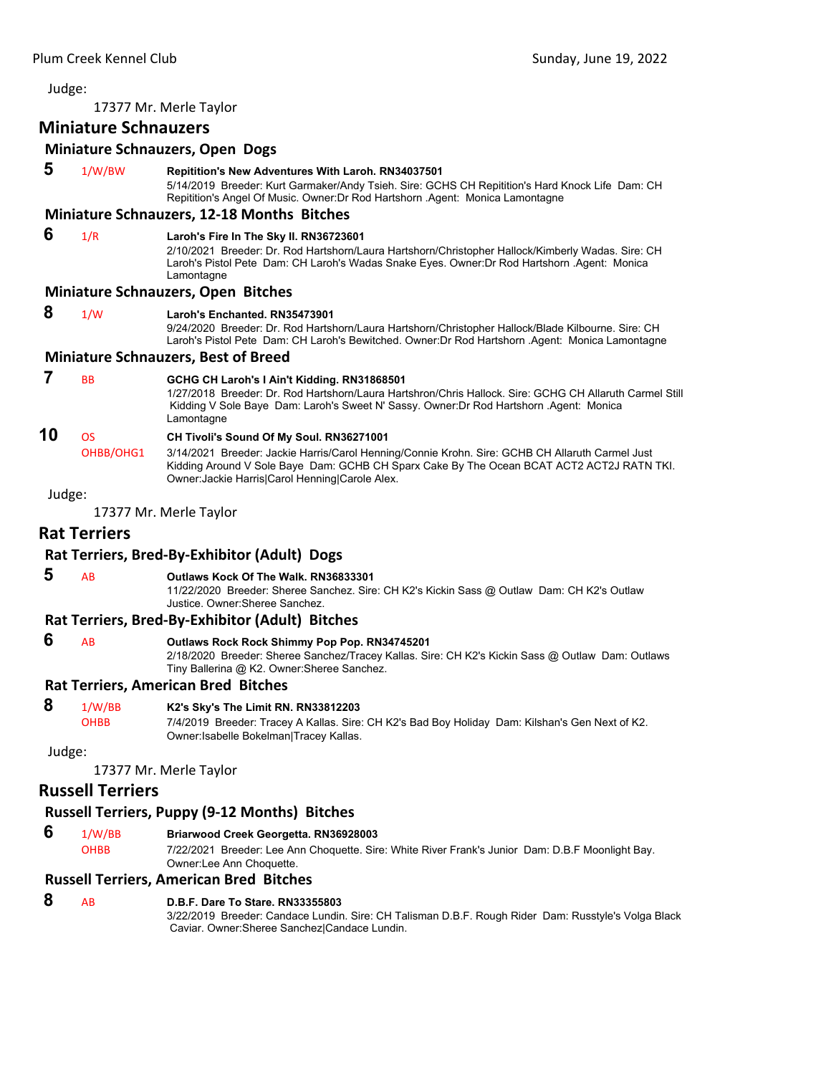# Judge: 17377 Mr. Merle Taylor **Miniature Schnauzers Miniature Schnauzers, Open Dogs 5** 1/W/BW **Repitition's New Adventures With Laroh. RN34037501** 5/14/2019 Breeder: Kurt Garmaker/Andy Tsieh. Sire: GCHS CH Repitition's Hard Knock Life Dam: CH Repitition's Angel Of Music. Owner:Dr Rod Hartshorn .Agent: Monica Lamontagne **Miniature Schnauzers, 12‐18 Months Bitches 6** 1/R **Laroh's Fire In The Sky II. RN36723601** 2/10/2021 Breeder: Dr. Rod Hartshorn/Laura Hartshorn/Christopher Hallock/Kimberly Wadas. Sire: CH Laroh's Pistol Pete Dam: CH Laroh's Wadas Snake Eyes. Owner:Dr Rod Hartshorn .Agent: Monica Lamontagne **Miniature Schnauzers, Open Bitches 8** 1/W **Laroh's Enchanted. RN35473901** 9/24/2020 Breeder: Dr. Rod Hartshorn/Laura Hartshorn/Christopher Hallock/Blade Kilbourne. Sire: CH Laroh's Pistol Pete Dam: CH Laroh's Bewitched. Owner:Dr Rod Hartshorn .Agent: Monica Lamontagne **Miniature Schnauzers, Best of Breed 7** BB **GCHG CH Laroh's I Ain't Kidding. RN31868501** 1/27/2018 Breeder: Dr. Rod Hartshorn/Laura Hartshron/Chris Hallock. Sire: GCHG CH Allaruth Carmel Still Kidding V Sole Baye Dam: Laroh's Sweet N' Sassy. Owner:Dr Rod Hartshorn .Agent: Monica Lamontagne

# **10** OS **CH Tivoli's Sound Of My Soul. RN36271001**

OHBB/OHG1 3/14/2021 Breeder: Jackie Harris/Carol Henning/Connie Krohn. Sire: GCHB CH Allaruth Carmel Just Kidding Around V Sole Baye Dam: GCHB CH Sparx Cake By The Ocean BCAT ACT2 ACT2J RATN TKI. Owner:Jackie Harris|Carol Henning|Carole Alex.

# Judge:

17377 Mr. Merle Taylor

#### **Rat Terriers**

#### **Rat Terriers, Bred‐By‐Exhibitor (Adult) Dogs**

 **5** AB **Outlaws Kock Of The Walk. RN36833301**

11/22/2020 Breeder: Sheree Sanchez. Sire: CH K2's Kickin Sass @ Outlaw Dam: CH K2's Outlaw Justice. Owner:Sheree Sanchez.

# **Rat Terriers, Bred‐By‐Exhibitor (Adult) Bitches**

 **6** AB **Outlaws Rock Rock Shimmy Pop Pop. RN34745201** 2/18/2020 Breeder: Sheree Sanchez/Tracey Kallas. Sire: CH K2's Kickin Sass @ Outlaw Dam: Outlaws Tiny Ballerina @ K2. Owner:Sheree Sanchez.

#### **Rat Terriers, American Bred Bitches**

 **8** 1/W/BB **K2's Sky's The Limit RN. RN33812203**

OHBB 7/4/2019 Breeder: Tracey A Kallas. Sire: CH K2's Bad Boy Holiday Dam: Kilshan's Gen Next of K2. Owner:Isabelle Bokelman|Tracey Kallas.

Judge:

17377 Mr. Merle Taylor

#### **Russell Terriers**

#### **Russell Terriers, Puppy (9‐12 Months) Bitches**

- **6** 1/W/BB **Briarwood Creek Georgetta. RN36928003**
	- OHBB 7/22/2021 Breeder: Lee Ann Choquette. Sire: White River Frank's Junior Dam: D.B.F Moonlight Bay. Owner:Lee Ann Choquette.

#### **Russell Terriers, American Bred Bitches**

# **8** AB **D.B.F. Dare To Stare. RN33355803**

3/22/2019 Breeder: Candace Lundin. Sire: CH Talisman D.B.F. Rough Rider Dam: Russtyle's Volga Black Caviar. Owner:Sheree Sanchez|Candace Lundin.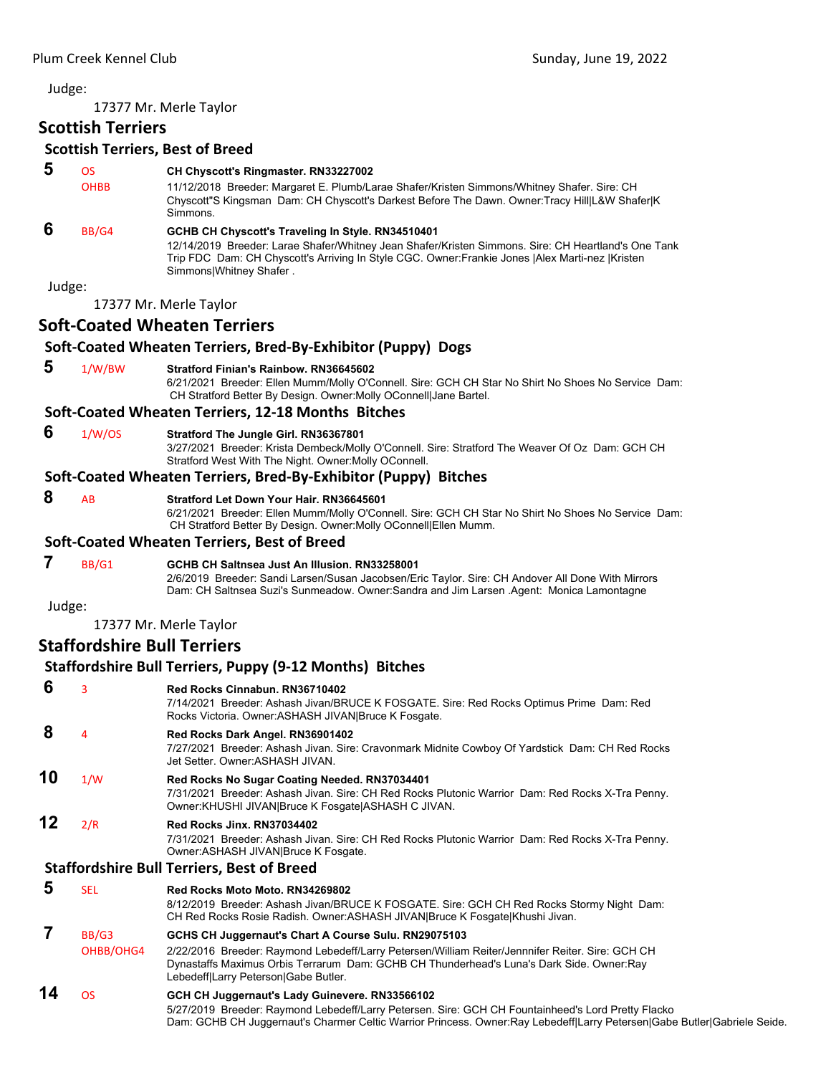17377 Mr. Merle Taylor

# **Scottish Terriers**

### **Scottish Terriers, Best of Breed**

- **5** OS **CH Chyscott's Ringmaster. RN33227002**
- OHBB 11/12/2018 Breeder: Margaret E. Plumb/Larae Shafer/Kristen Simmons/Whitney Shafer. Sire: CH Chyscott"S Kingsman Dam: CH Chyscott's Darkest Before The Dawn. Owner:Tracy Hill|L&W Shafer|K Simmons.

# **6** BB/G4 **GCHB CH Chyscott's Traveling In Style. RN34510401**

12/14/2019 Breeder: Larae Shafer/Whitney Jean Shafer/Kristen Simmons. Sire: CH Heartland's One Tank Trip FDC Dam: CH Chyscott's Arriving In Style CGC. Owner:Frankie Jones |Alex Marti-nez |Kristen Simmons|Whitney Shafer .

Judge:

17377 Mr. Merle Taylor

# **Soft‐Coated Wheaten Terriers**

# **Soft‐Coated Wheaten Terriers, Bred‐By‐Exhibitor (Puppy) Dogs**

 **5** 1/W/BW **Stratford Finian's Rainbow. RN36645602** 6/21/2021 Breeder: Ellen Mumm/Molly O'Connell. Sire: GCH CH Star No Shirt No Shoes No Service Dam: CH Stratford Better By Design. Owner:Molly OConnell|Jane Bartel.

#### **Soft‐Coated Wheaten Terriers, 12‐18 Months Bitches**

#### **6** 1/W/OS **Stratford The Jungle Girl. RN36367801**

3/27/2021 Breeder: Krista Dembeck/Molly O'Connell. Sire: Stratford The Weaver Of Oz Dam: GCH CH Stratford West With The Night. Owner:Molly OConnell.

# **Soft‐Coated Wheaten Terriers, Bred‐By‐Exhibitor (Puppy) Bitches**

### **8** AB **Stratford Let Down Your Hair. RN36645601**

6/21/2021 Breeder: Ellen Mumm/Molly O'Connell. Sire: GCH CH Star No Shirt No Shoes No Service Dam: CH Stratford Better By Design. Owner:Molly OConnell|Ellen Mumm.

#### **Soft‐Coated Wheaten Terriers, Best of Breed**

#### **7** BB/G1 **GCHB CH Saltnsea Just An Illusion. RN33258001**

2/6/2019 Breeder: Sandi Larsen/Susan Jacobsen/Eric Taylor. Sire: CH Andover All Done With Mirrors Dam: CH Saltnsea Suzi's Sunmeadow. Owner:Sandra and Jim Larsen .Agent: Monica Lamontagne

Judge:

# 17377 Mr. Merle Taylor

# **Staffordshire Bull Terriers**

# **Staffordshire Bull Terriers, Puppy (9‐12 Months) Bitches**

| 6  | 3              | Red Rocks Cinnabun, RN36710402<br>7/14/2021 Breeder: Ashash Jivan/BRUCE K FOSGATE. Sire: Red Rocks Optimus Prime Dam: Red<br>Rocks Victoria. Owner: ASHASH JIVAN Bruce K Fosgate.                                                                                                |
|----|----------------|----------------------------------------------------------------------------------------------------------------------------------------------------------------------------------------------------------------------------------------------------------------------------------|
| 8  | $\overline{4}$ | Red Rocks Dark Angel. RN36901402<br>7/27/2021 Breeder: Ashash Jivan. Sire: Cravonmark Midnite Cowboy Of Yardstick Dam: CH Red Rocks<br>Jet Setter, Owner:ASHASH JIVAN,                                                                                                           |
| 10 | 1/W            | Red Rocks No Sugar Coating Needed. RN37034401<br>7/31/2021 Breeder: Ashash Jivan. Sire: CH Red Rocks Plutonic Warrior Dam: Red Rocks X-Tra Penny.<br>Owner: KHUSHI JIVAN Bruce K Fosgate ASHASH C JIVAN.                                                                         |
| 12 | 2/R            | Red Rocks Jinx, RN37034402<br>7/31/2021 Breeder: Ashash Jivan. Sire: CH Red Rocks Plutonic Warrior Dam: Red Rocks X-Tra Penny.<br>Owner: ASHASH JIVAN Bruce K Fosgate.                                                                                                           |
|    |                | <b>Staffordshire Bull Terriers, Best of Breed</b>                                                                                                                                                                                                                                |
| 5  | <b>SEL</b>     | Red Rocks Moto Moto, RN34269802<br>8/12/2019 Breeder: Ashash Jivan/BRUCE K FOSGATE. Sire: GCH CH Red Rocks Stormy Night Dam:<br>CH Red Rocks Rosie Radish. Owner: ASHASH JIVAN Bruce K Fosgate Khushi Jivan.                                                                     |
| 7  | BB/G3          | GCHS CH Juggernaut's Chart A Course Sulu. RN29075103                                                                                                                                                                                                                             |
|    | OHBB/OHG4      | 2/22/2016 Breeder: Raymond Lebedeff/Larry Petersen/William Reiter/Jennnifer Reiter. Sire: GCH CH<br>Dynastaffs Maximus Orbis Terrarum Dam: GCHB CH Thunderhead's Luna's Dark Side. Owner:Ray<br>Lebedeff Larry Peterson Gabe Butler.                                             |
| 14 | <b>OS</b>      | GCH CH Juggernaut's Lady Guinevere. RN33566102<br>5/27/2019 Breeder: Raymond Lebedeff/Larry Petersen. Sire: GCH CH Fountainheed's Lord Pretty Flacko<br>Dam: GCHB CH Juggernaut's Charmer Celtic Warrior Princess. Owner:Ray Lebedeff Larry Petersen Gabe Butler Gabriele Seide. |
|    |                |                                                                                                                                                                                                                                                                                  |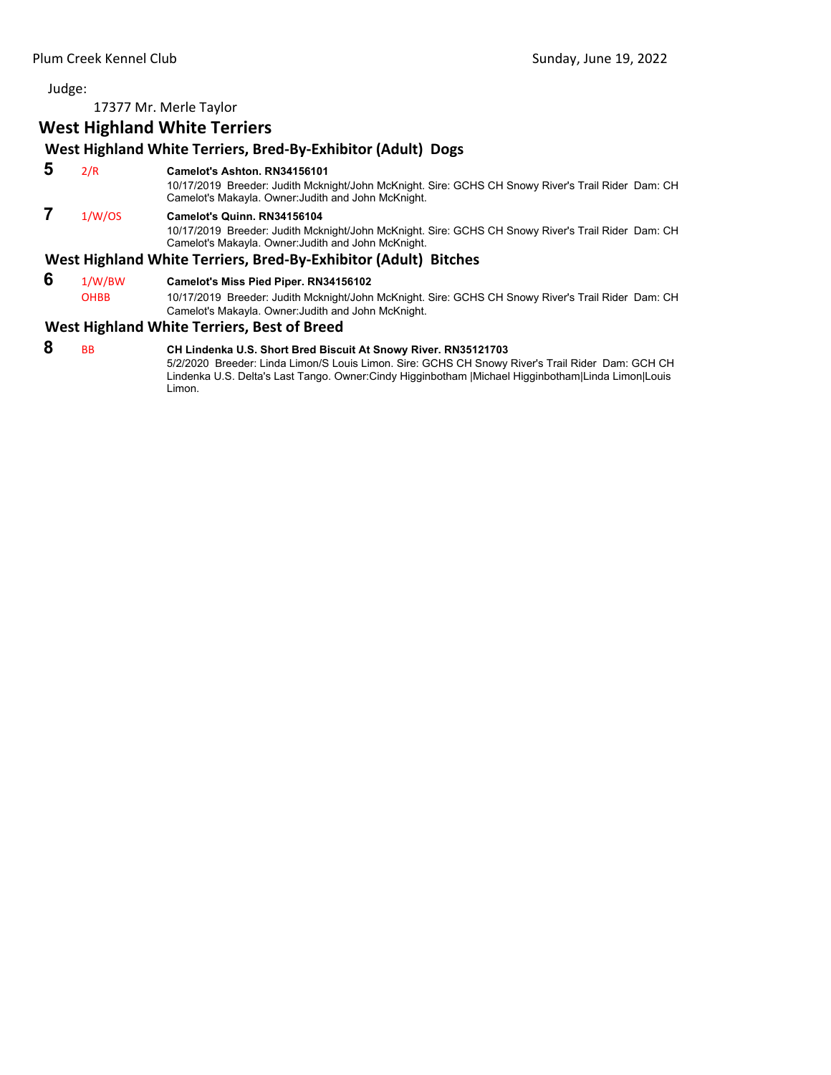17377 Mr. Merle Taylor

# **West Highland White Terriers**

# **West Highland White Terriers, Bred‐By‐Exhibitor (Adult) Dogs**

 **5** 2/R **Camelot's Ashton. RN34156101**

10/17/2019 Breeder: Judith Mcknight/John McKnight. Sire: GCHS CH Snowy River's Trail Rider Dam: CH Camelot's Makayla. Owner:Judith and John McKnight.

# **7** 1/W/OS **Camelot's Quinn. RN34156104**

10/17/2019 Breeder: Judith Mcknight/John McKnight. Sire: GCHS CH Snowy River's Trail Rider Dam: CH Camelot's Makayla. Owner:Judith and John McKnight.

### **West Highland White Terriers, Bred‐By‐Exhibitor (Adult) Bitches**

- **6** 1/W/BW **Camelot's Miss Pied Piper. RN34156102**
	- OHBB 10/17/2019 Breeder: Judith Mcknight/John McKnight. Sire: GCHS CH Snowy River's Trail Rider Dam: CH Camelot's Makayla. Owner:Judith and John McKnight.

# **West Highland White Terriers, Best of Breed**

 **8** BB **CH Lindenka U.S. Short Bred Biscuit At Snowy River. RN35121703** 5/2/2020 Breeder: Linda Limon/S Louis Limon. Sire: GCHS CH Snowy River's Trail Rider Dam: GCH CH Lindenka U.S. Delta's Last Tango. Owner:Cindy Higginbotham |Michael Higginbotham|Linda Limon|Louis Limon.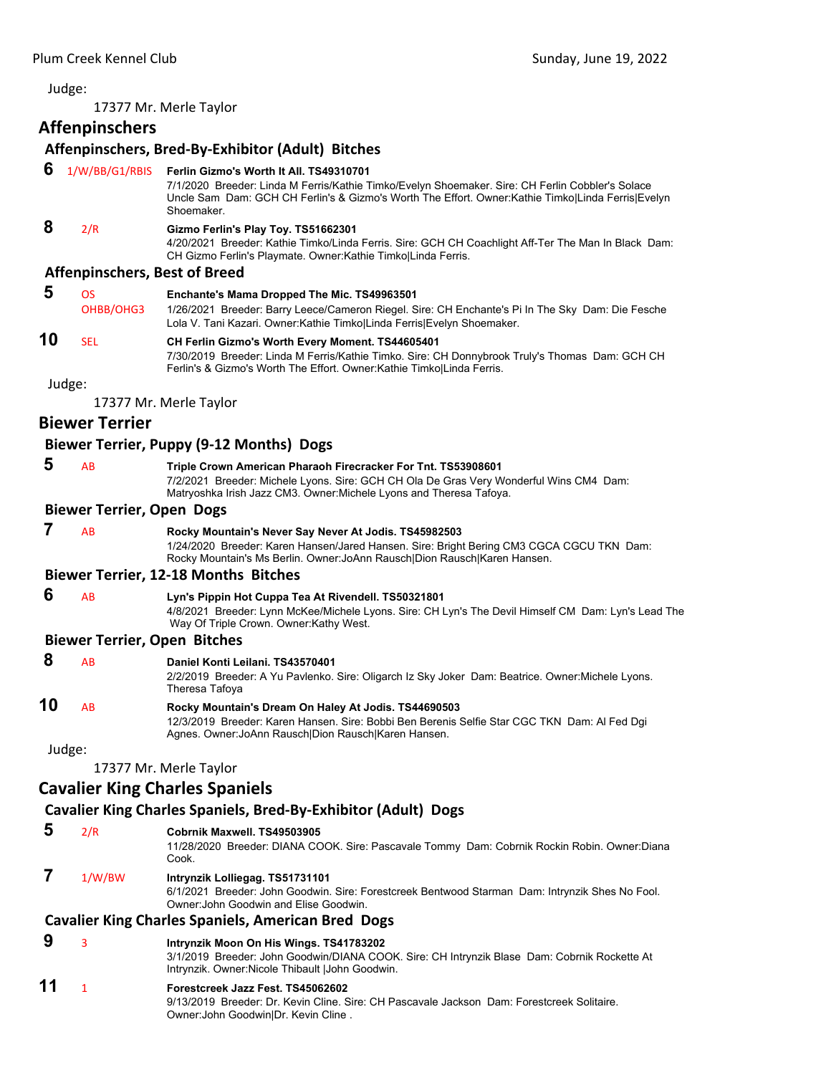<span id="page-34-0"></span>17377 Mr. Merle Taylor

**Affenpinschers**

# **Affenpinschers, Bred‐By‐Exhibitor (Adult) Bitches**

#### **6** 1/W/BB/G1/RBIS **Ferlin Gizmo's Worth It All. TS49310701**

7/1/2020 Breeder: Linda M Ferris/Kathie Timko/Evelyn Shoemaker. Sire: CH Ferlin Cobbler's Solace Uncle Sam Dam: GCH CH Ferlin's & Gizmo's Worth The Effort. Owner:Kathie Timko|Linda Ferris|Evelyn Shoemaker.

# **8** 2/R **Gizmo Ferlin's Play Toy. TS51662301**

4/20/2021 Breeder: Kathie Timko/Linda Ferris. Sire: GCH CH Coachlight Aff-Ter The Man In Black Dam: CH Gizmo Ferlin's Playmate. Owner:Kathie Timko|Linda Ferris.

#### **Affenpinschers, Best of Breed**

 **5** OS **Enchante's Mama Dropped The Mic. TS49963501** OHBB/OHG3 1/26/2021 Breeder: Barry Leece/Cameron Riegel. Sire: CH Enchante's Pi In The Sky Dam: Die Fesche Lola V. Tani Kazari. Owner:Kathie Timko|Linda Ferris|Evelyn Shoemaker.

# **10** SEL **CH Ferlin Gizmo's Worth Every Moment. TS44605401**

7/30/2019 Breeder: Linda M Ferris/Kathie Timko. Sire: CH Donnybrook Truly's Thomas Dam: GCH CH Ferlin's & Gizmo's Worth The Effort. Owner:Kathie Timko|Linda Ferris.

Judge:

17377 Mr. Merle Taylor

# **Biewer Terrier**

# **Biewer Terrier, Puppy (9‐12 Months) Dogs**

# **5** AB **Triple Crown American Pharaoh Firecracker For Tnt. TS53908601**

7/2/2021 Breeder: Michele Lyons. Sire: GCH CH Ola De Gras Very Wonderful Wins CM4 Dam: Matryoshka Irish Jazz CM3. Owner:Michele Lyons and Theresa Tafoya.

#### **Biewer Terrier, Open Dogs**

| A <sub>B</sub> | Rocky Mountain's Never Say Never At Jodis. TS45982503                                    |
|----------------|------------------------------------------------------------------------------------------|
|                | 1/24/2020 Breeder: Karen Hansen/Jared Hansen. Sire: Bright Bering CM3 CGCA CGCU TKN Dam: |
|                | Rocky Mountain's Ms Berlin. Owner: JoAnn Rausch Dion Rausch Karen Hansen.                |

#### **Biewer Terrier, 12‐18 Months Bitches**

 **6** AB **Lyn's Pippin Hot Cuppa Tea At Rivendell. TS50321801** 4/8/2021 Breeder: Lynn McKee/Michele Lyons. Sire: CH Lyn's The Devil Himself CM Dam: Lyn's Lead The Way Of Triple Crown. Owner:Kathy West.

#### **Biewer Terrier, Open Bitches**

| 8  | A <sub>R</sub> | Daniel Konti Leilani, TS43570401<br>2/2/2019 Breeder: A Yu Pavlenko. Sire: Oligarch Iz Sky Joker Dam: Beatrice. Owner: Michele Lyons.<br>Theresa Tafoya                                                      |
|----|----------------|--------------------------------------------------------------------------------------------------------------------------------------------------------------------------------------------------------------|
| 10 | AB.            | Rocky Mountain's Dream On Haley At Jodis. TS44690503<br>12/3/2019 Breeder: Karen Hansen. Sire: Bobbi Ben Berenis Selfie Star CGC TKN Dam: Al Fed Dqi<br>Agnes. Owner: JoAnn Rausch Dion Rausch Karen Hansen. |

Judge:

17377 Mr. Merle Taylor

# **Cavalier King Charles Spaniels**

# **Cavalier King Charles Spaniels, Bred‐By‐Exhibitor (Adult) Dogs**

- **5** 2/R **Cobrnik Maxwell. TS49503905**
- 11/28/2020 Breeder: DIANA COOK. Sire: Pascavale Tommy Dam: Cobrnik Rockin Robin. Owner:Diana Cook.
- **7** 1/W/BW **Intrynzik Lolliegag. TS51731101**

6/1/2021 Breeder: John Goodwin. Sire: Forestcreek Bentwood Starman Dam: Intrynzik Shes No Fool. Owner:John Goodwin and Elise Goodwin.

# **Cavalier King Charles Spaniels, American Bred Dogs**

- **9** <sup>3</sup> **Intrynzik Moon On His Wings. TS41783202**
	- 3/1/2019 Breeder: John Goodwin/DIANA COOK. Sire: CH Intrynzik Blase Dam: Cobrnik Rockette At Intrynzik. Owner:Nicole Thibault |John Goodwin.
- **11** <sup>1</sup> **Forestcreek Jazz Fest. TS45062602** 9/13/2019 Breeder: Dr. Kevin Cline. Sire: CH Pascavale Jackson Dam: Forestcreek Solitaire. Owner:John Goodwin|Dr. Kevin Cline .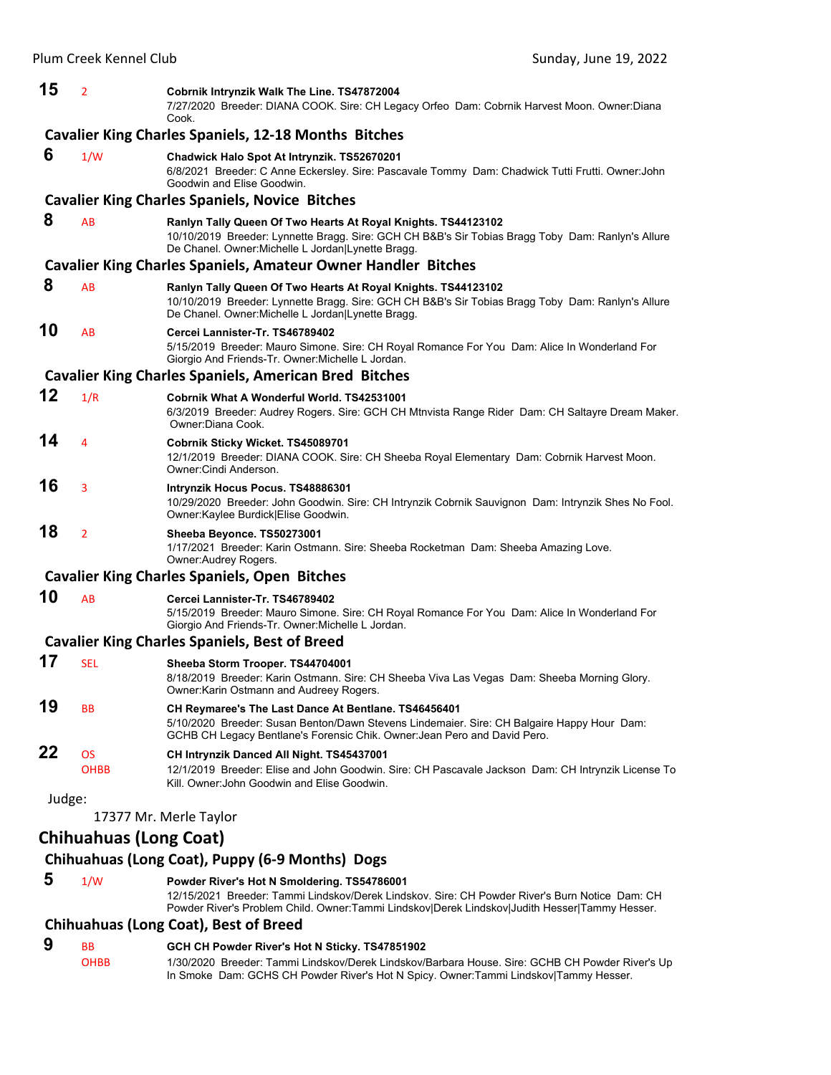| 15     | 2                             | Cobrnik Intrynzik Walk The Line. TS47872004<br>7/27/2020 Breeder: DIANA COOK. Sire: CH Legacy Orfeo Dam: Cobrnik Harvest Moon. Owner:Diana<br>Cook.                                                                                            |
|--------|-------------------------------|------------------------------------------------------------------------------------------------------------------------------------------------------------------------------------------------------------------------------------------------|
|        |                               | <b>Cavalier King Charles Spaniels, 12-18 Months Bitches</b>                                                                                                                                                                                    |
| 6      | 1/W                           | Chadwick Halo Spot At Intrynzik. TS52670201<br>6/8/2021 Breeder: C Anne Eckersley. Sire: Pascavale Tommy Dam: Chadwick Tutti Frutti. Owner: John<br>Goodwin and Elise Goodwin.                                                                 |
|        |                               | <b>Cavalier King Charles Spaniels, Novice Bitches</b>                                                                                                                                                                                          |
| 8      | AB                            | Ranlyn Tally Queen Of Two Hearts At Royal Knights. TS44123102<br>10/10/2019 Breeder: Lynnette Bragg. Sire: GCH CH B&B's Sir Tobias Bragg Toby Dam: Ranlyn's Allure<br>De Chanel. Owner: Michelle L Jordan   Lynette Bragg.                     |
|        |                               | <b>Cavalier King Charles Spaniels, Amateur Owner Handler Bitches</b>                                                                                                                                                                           |
| 8      | AB                            | Ranlyn Tally Queen Of Two Hearts At Royal Knights. TS44123102<br>10/10/2019 Breeder: Lynnette Bragg. Sire: GCH CH B&B's Sir Tobias Bragg Toby Dam: Ranlyn's Allure<br>De Chanel. Owner: Michelle L Jordan Lynette Bragg.                       |
| 10     | AB                            | Cercei Lannister-Tr. TS46789402<br>5/15/2019 Breeder: Mauro Simone. Sire: CH Royal Romance For You Dam: Alice In Wonderland For<br>Giorgio And Friends-Tr. Owner: Michelle L Jordan.                                                           |
|        |                               | <b>Cavalier King Charles Spaniels, American Bred Bitches</b>                                                                                                                                                                                   |
| 12     | 1/R                           | Cobrnik What A Wonderful World, TS42531001<br>6/3/2019 Breeder: Audrey Rogers. Sire: GCH CH Mtnvista Range Rider Dam: CH Saltayre Dream Maker.<br>Owner:Diana Cook.                                                                            |
| 14     | 4                             | Cobrnik Sticky Wicket. TS45089701<br>12/1/2019 Breeder: DIANA COOK. Sire: CH Sheeba Royal Elementary Dam: Cobrnik Harvest Moon.<br>Owner: Cindi Anderson.                                                                                      |
| 16     | 3                             | Intrynzik Hocus Pocus. TS48886301<br>10/29/2020 Breeder: John Goodwin. Sire: CH Intrynzik Cobrnik Sauvignon Dam: Intrynzik Shes No Fool.<br>Owner:Kaylee Burdick Elise Goodwin.                                                                |
| 18     | $\overline{2}$                | Sheeba Beyonce. TS50273001<br>1/17/2021 Breeder: Karin Ostmann. Sire: Sheeba Rocketman Dam: Sheeba Amazing Love.<br>Owner: Audrey Rogers.                                                                                                      |
|        |                               | <b>Cavalier King Charles Spaniels, Open Bitches</b>                                                                                                                                                                                            |
| 10     | AB                            | Cercei Lannister-Tr. TS46789402<br>5/15/2019 Breeder: Mauro Simone. Sire: CH Royal Romance For You Dam: Alice In Wonderland For<br>Giorgio And Friends-Tr. Owner: Michelle L Jordan.                                                           |
|        |                               | <b>Cavalier King Charles Spaniels, Best of Breed</b>                                                                                                                                                                                           |
| 17     | <b>SEL</b>                    | Sheeba Storm Trooper. TS44704001<br>8/18/2019 Breeder: Karin Ostmann. Sire: CH Sheeba Viva Las Vegas Dam: Sheeba Morning Glory.<br>Owner: Karin Ostmann and Audreey Rogers.                                                                    |
| 19     | BB                            | CH Reymaree's The Last Dance At Bentlane. TS46456401<br>5/10/2020 Breeder: Susan Benton/Dawn Stevens Lindemaier. Sire: CH Balgaire Happy Hour Dam:<br>GCHB CH Legacy Bentlane's Forensic Chik. Owner: Jean Pero and David Pero.                |
| 22     | <b>OS</b><br><b>OHBB</b>      | CH Intrynzik Danced All Night. TS45437001<br>12/1/2019 Breeder: Elise and John Goodwin. Sire: CH Pascavale Jackson Dam: CH Intrynzik License To<br>Kill. Owner:John Goodwin and Elise Goodwin.                                                 |
| Judge: |                               |                                                                                                                                                                                                                                                |
|        |                               | 17377 Mr. Merle Taylor                                                                                                                                                                                                                         |
|        | <b>Chihuahuas (Long Coat)</b> |                                                                                                                                                                                                                                                |
|        |                               | Chihuahuas (Long Coat), Puppy (6-9 Months) Dogs                                                                                                                                                                                                |
| 5      | 1/W                           | Powder River's Hot N Smoldering. TS54786001<br>12/15/2021 Breeder: Tammi Lindskov/Derek Lindskov. Sire: CH Powder River's Burn Notice Dam: CH<br>Powder River's Problem Child. Owner:Tammi Lindskov Derek Lindskov Judith Hesser Tammy Hesser. |

# **Chihuahuas (Long Coat), Best of Breed**

# **9** BB **GCH CH Powder River's Hot N Sticky. TS47851902**<br>
OHBB 1/30/2020 Breeder: Tammi Lindskov/Derek Lindskov/E

1/30/2020 Breeder: Tammi Lindskov/Derek Lindskov/Barbara House. Sire: GCHB CH Powder River's Up In Smoke Dam: GCHS CH Powder River's Hot N Spicy. Owner:Tammi Lindskov|Tammy Hesser.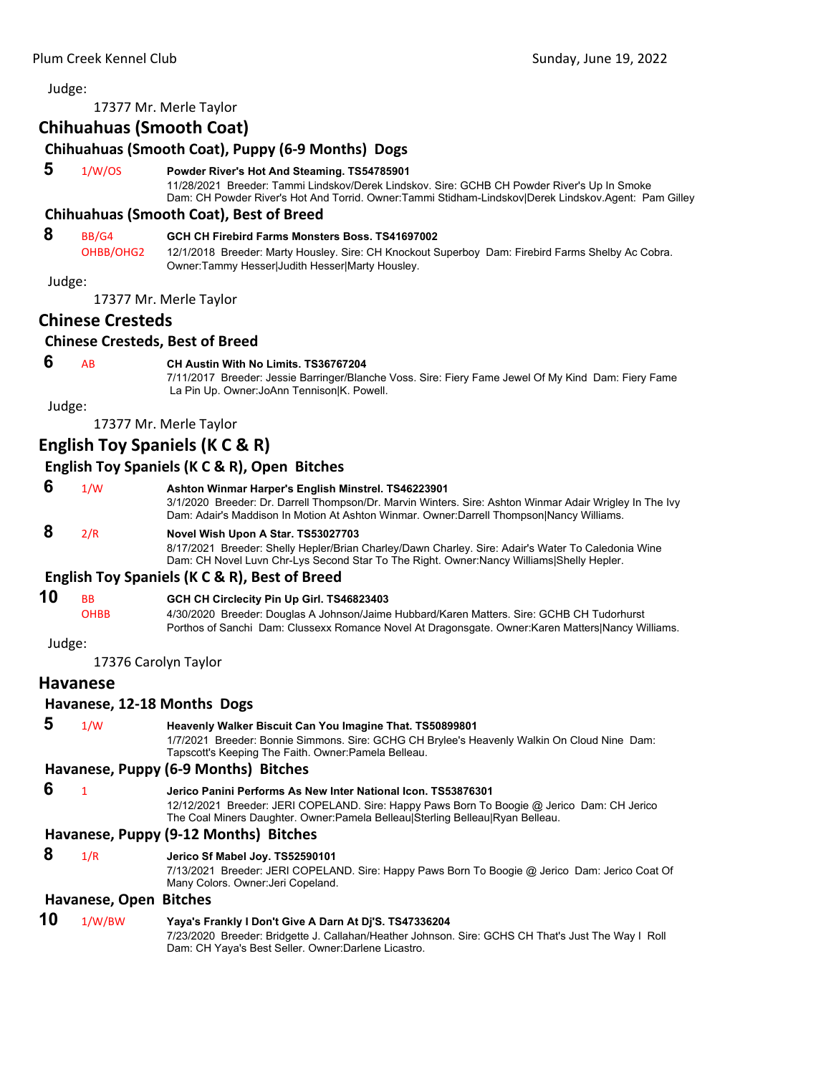17377 Mr. Merle Taylor

# **Chihuahuas (Smooth Coat) Chihuahuas (Smooth Coat), Puppy (6‐9 Months) Dogs 5** 1/W/OS **Powder River's Hot And Steaming. TS54785901** 11/28/2021 Breeder: Tammi Lindskov/Derek Lindskov. Sire: GCHB CH Powder River's Up In Smoke Dam: CH Powder River's Hot And Torrid. Owner:Tammi Stidham-Lindskov|Derek Lindskov.Agent: Pam Gilley **Chihuahuas (Smooth Coat), Best of Breed 8** BB/G4 **GCH CH Firebird Farms Monsters Boss. TS41697002** OHBB/OHG2 12/1/2018 Breeder: Marty Housley. Sire: CH Knockout Superboy Dam: Firebird Farms Shelby Ac Cobra. Owner:Tammy Hesser|Judith Hesser|Marty Housley. Judge: 17377 Mr. Merle Taylor **Chinese Cresteds Chinese Cresteds, Best of Breed 6** AB **CH Austin With No Limits. TS36767204** 7/11/2017 Breeder: Jessie Barringer/Blanche Voss. Sire: Fiery Fame Jewel Of My Kind Dam: Fiery Fame La Pin Up. Owner:JoAnn Tennison|K. Powell. Judge: 17377 Mr. Merle Taylor **English Toy Spaniels (K C & R) English Toy Spaniels (K C & R), Open Bitches 6** 1/W **Ashton Winmar Harper's English Minstrel. TS46223901** 3/1/2020 Breeder: Dr. Darrell Thompson/Dr. Marvin Winters. Sire: Ashton Winmar Adair Wrigley In The Ivy Dam: Adair's Maddison In Motion At Ashton Winmar. Owner:Darrell Thompson|Nancy Williams.  **8** 2/R **Novel Wish Upon A Star. TS53027703** 8/17/2021 Breeder: Shelly Hepler/Brian Charley/Dawn Charley. Sire: Adair's Water To Caledonia Wine Dam: CH Novel Luvn Chr-Lys Second Star To The Right. Owner:Nancy Williams|Shelly Hepler. **English Toy Spaniels (K C & R), Best of Breed 10** BB **GCH CH Circlecity Pin Up Girl. TS46823403** OHBB 4/30/2020 Breeder: Douglas A Johnson/Jaime Hubbard/Karen Matters. Sire: GCHB CH Tudorhurst Porthos of Sanchi Dam: Clussexx Romance Novel At Dragonsgate. Owner:Karen Matters|Nancy Williams. Judge: 17376 Carolyn Taylor **Havanese Havanese, 12‐18 Months Dogs 5** 1/W **Heavenly Walker Biscuit Can You Imagine That. TS50899801** 1/7/2021 Breeder: Bonnie Simmons. Sire: GCHG CH Brylee's Heavenly Walkin On Cloud Nine Dam: Tapscott's Keeping The Faith. Owner:Pamela Belleau. **Havanese, Puppy (6‐9 Months) Bitches 6** <sup>1</sup> **Jerico Panini Performs As New Inter National Icon. TS53876301** 12/12/2021 Breeder: JERI COPELAND. Sire: Happy Paws Born To Boogie @ Jerico Dam: CH Jerico The Coal Miners Daughter. Owner:Pamela Belleau|Sterling Belleau|Ryan Belleau. **Havanese, Puppy (9‐12 Months) Bitches 8** 1/R **Jerico Sf Mabel Joy. TS52590101** 7/13/2021 Breeder: JERI COPELAND. Sire: Happy Paws Born To Boogie @ Jerico Dam: Jerico Coat Of Many Colors. Owner:Jeri Copeland.

# **Havanese, Open Bitches**

#### **10** 1/W/BW **Yaya's Frankly I Don't Give A Darn At Dj'S. TS47336204** 7/23/2020 Breeder: Bridgette J. Callahan/Heather Johnson. Sire: GCHS CH That's Just The Way I Roll Dam: CH Yaya's Best Seller. Owner:Darlene Licastro.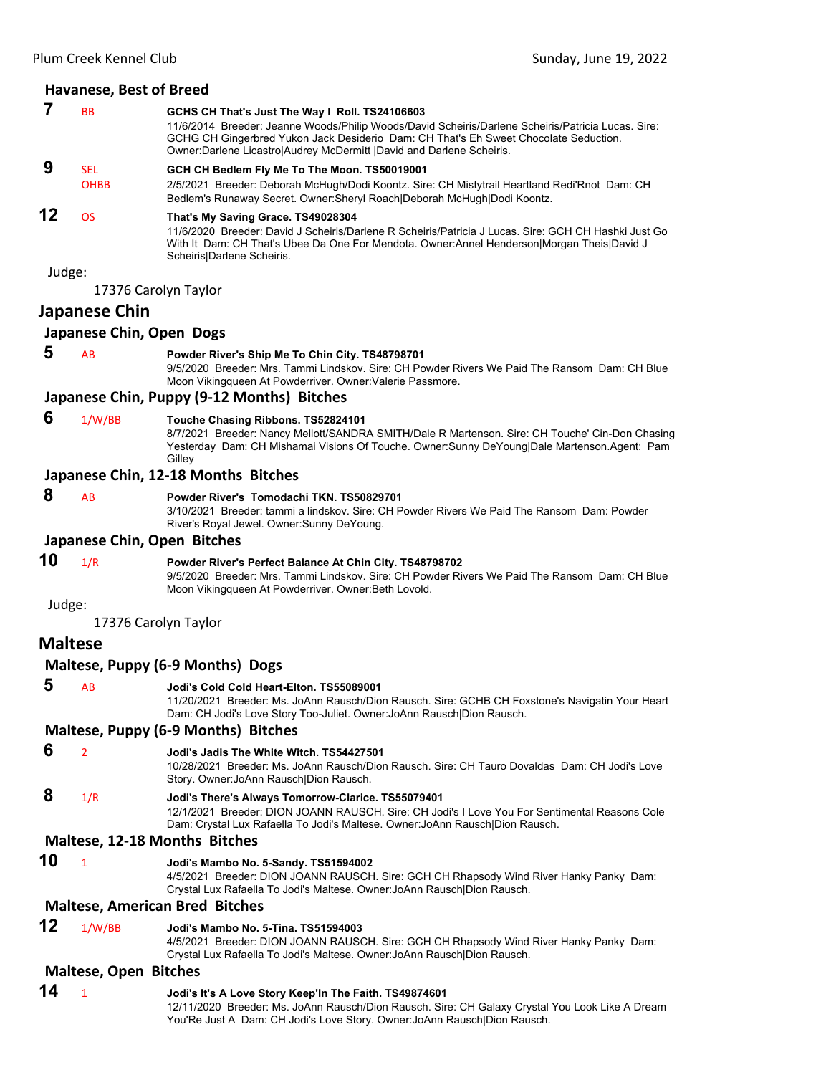| 7              | BB                           | GCHS CH That's Just The Way I Roll. TS24106603<br>11/6/2014 Breeder: Jeanne Woods/Philip Woods/David Scheiris/Darlene Scheiris/Patricia Lucas. Sire:<br>GCHG CH Gingerbred Yukon Jack Desiderio Dam: CH That's Eh Sweet Chocolate Seduction.<br>Owner: Darlene Licastro Audrey McDermitt   David and Darlene Scheiris. |  |  |
|----------------|------------------------------|------------------------------------------------------------------------------------------------------------------------------------------------------------------------------------------------------------------------------------------------------------------------------------------------------------------------|--|--|
| 9              | <b>SEL</b>                   | GCH CH Bedlem Fly Me To The Moon. TS50019001                                                                                                                                                                                                                                                                           |  |  |
|                | <b>OHBB</b>                  | 2/5/2021 Breeder: Deborah McHugh/Dodi Koontz. Sire: CH Mistytrail Heartland Redi'Rnot Dam: CH<br>Bedlem's Runaway Secret. Owner: Sheryl Roach Deborah McHugh Dodi Koontz.                                                                                                                                              |  |  |
| 12             | <b>OS</b>                    | That's My Saving Grace. TS49028304<br>11/6/2020 Breeder: David J Scheiris/Darlene R Scheiris/Patricia J Lucas. Sire: GCH CH Hashki Just Go<br>With It Dam: CH That's Ubee Da One For Mendota. Owner:Annel Henderson Morgan Theis David J<br>Scheiris Darlene Scheiris.                                                 |  |  |
| Judge:         | 17376 Carolyn Taylor         |                                                                                                                                                                                                                                                                                                                        |  |  |
|                | Japanese Chin                |                                                                                                                                                                                                                                                                                                                        |  |  |
|                | Japanese Chin, Open Dogs     |                                                                                                                                                                                                                                                                                                                        |  |  |
| 5              | AB                           | Powder River's Ship Me To Chin City. TS48798701<br>9/5/2020 Breeder: Mrs. Tammi Lindskov. Sire: CH Powder Rivers We Paid The Ransom Dam: CH Blue<br>Moon Vikingqueen At Powderriver. Owner: Valerie Passmore.                                                                                                          |  |  |
|                |                              | Japanese Chin, Puppy (9-12 Months) Bitches                                                                                                                                                                                                                                                                             |  |  |
| 6              | 1/W/BB                       | Touche Chasing Ribbons. TS52824101<br>8/7/2021 Breeder: Nancy Mellott/SANDRA SMITH/Dale R Martenson. Sire: CH Touche' Cin-Don Chasing<br>Yesterday Dam: CH Mishamai Visions Of Touche. Owner: Sunny DeYoung Dale Martenson. Agent: Pam<br>Gilley                                                                       |  |  |
|                |                              | Japanese Chin, 12-18 Months Bitches                                                                                                                                                                                                                                                                                    |  |  |
| 8              | AB                           | Powder River's Tomodachi TKN, TS50829701<br>3/10/2021 Breeder: tammi a lindskov. Sire: CH Powder Rivers We Paid The Ransom Dam: Powder<br>River's Royal Jewel. Owner: Sunny DeYoung.                                                                                                                                   |  |  |
|                | Japanese Chin, Open Bitches  |                                                                                                                                                                                                                                                                                                                        |  |  |
| 10             | 1/R                          | Powder River's Perfect Balance At Chin City. TS48798702<br>9/5/2020 Breeder: Mrs. Tammi Lindskov. Sire: CH Powder Rivers We Paid The Ransom Dam: CH Blue<br>Moon Vikingqueen At Powderriver. Owner:Beth Lovold.                                                                                                        |  |  |
| Judge:         | 17376 Carolyn Taylor         |                                                                                                                                                                                                                                                                                                                        |  |  |
| <b>Maltese</b> |                              |                                                                                                                                                                                                                                                                                                                        |  |  |
|                |                              | Maltese, Puppy (6-9 Months) Dogs                                                                                                                                                                                                                                                                                       |  |  |
| 5              | AB                           | Jodi's Cold Cold Heart-Elton. TS55089001<br>11/20/2021 Breeder: Ms. JoAnn Rausch/Dion Rausch. Sire: GCHB CH Foxstone's Navigatin Your Heart<br>Dam: CH Jodi's Love Story Too-Juliet. Owner: JoAnn Rausch Dion Rausch.                                                                                                  |  |  |
|                |                              | Maltese, Puppy (6-9 Months) Bitches                                                                                                                                                                                                                                                                                    |  |  |
| 6              | $\overline{2}$               | Jodi's Jadis The White Witch. TS54427501<br>10/28/2021 Breeder: Ms. JoAnn Rausch/Dion Rausch. Sire: CH Tauro Dovaldas Dam: CH Jodi's Love<br>Story. Owner: JoAnn Rausch Dion Rausch.                                                                                                                                   |  |  |
| 8              | 1/R                          | Jodi's There's Always Tomorrow-Clarice. TS55079401<br>12/1/2021 Breeder: DION JOANN RAUSCH. Sire: CH Jodi's I Love You For Sentimental Reasons Cole<br>Dam: Crystal Lux Rafaella To Jodi's Maltese. Owner: JoAnn Rausch Dion Rausch.                                                                                   |  |  |
|                |                              | Maltese, 12-18 Months Bitches                                                                                                                                                                                                                                                                                          |  |  |
| 10             | $\mathbf{1}$                 | Jodi's Mambo No. 5-Sandy. TS51594002<br>4/5/2021 Breeder: DION JOANN RAUSCH. Sire: GCH CH Rhapsody Wind River Hanky Panky Dam:<br>Crystal Lux Rafaella To Jodi's Maltese. Owner: JoAnn Rausch Dion Rausch.                                                                                                             |  |  |
|                |                              | <b>Maltese, American Bred Bitches</b>                                                                                                                                                                                                                                                                                  |  |  |
| 12             | 1/W/BB                       | Jodi's Mambo No. 5-Tina. TS51594003<br>4/5/2021 Breeder: DION JOANN RAUSCH. Sire: GCH CH Rhapsody Wind River Hanky Panky Dam:<br>Crystal Lux Rafaella To Jodi's Maltese. Owner: JoAnn Rausch Dion Rausch.                                                                                                              |  |  |
|                | <b>Maltese, Open Bitches</b> |                                                                                                                                                                                                                                                                                                                        |  |  |
| 14             | 1                            | Jodi's It's A Love Story Keep'In The Faith. TS49874601<br>12/11/2020 Breeder: Ms. JoAnn Rausch/Dion Rausch. Sire: CH Galaxy Crystal You Look Like A Dream                                                                                                                                                              |  |  |

You'Re Just A Dam: CH Jodi's Love Story. Owner:JoAnn Rausch|Dion Rausch.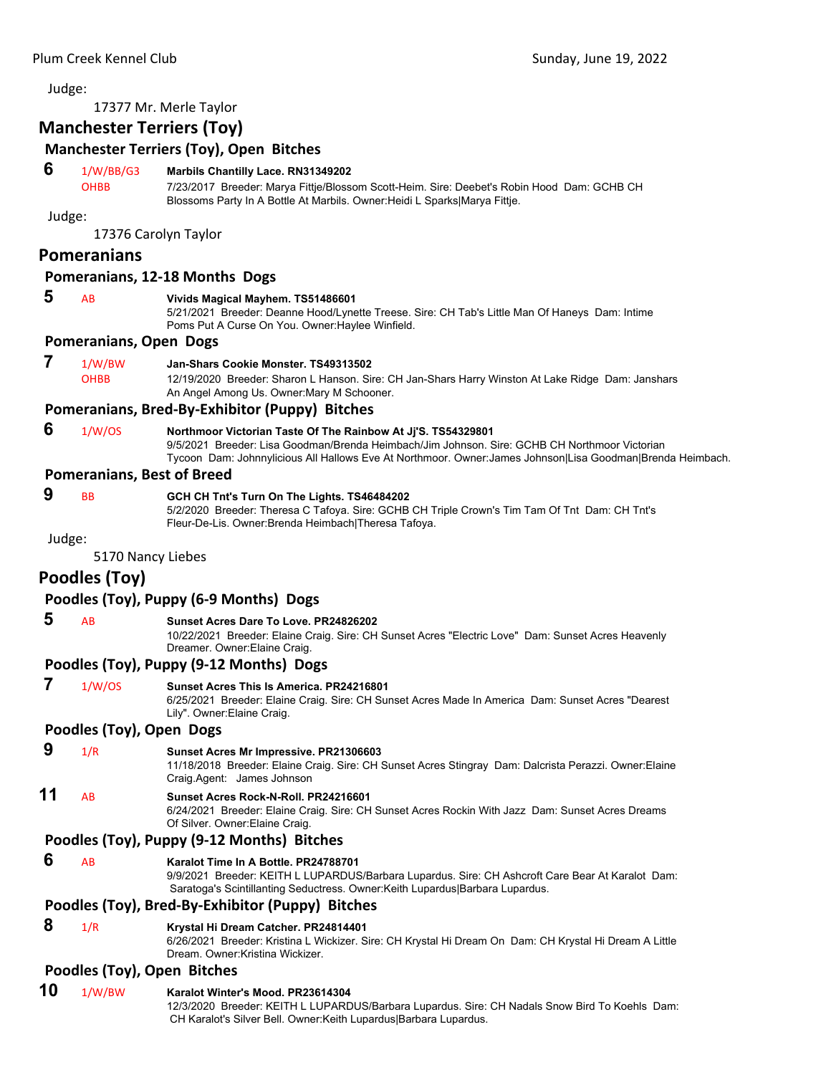17377 Mr. Merle Taylor

# **Manchester Terriers (Toy)**

# **Manchester Terriers (Toy), Open Bitches**

# **6** 1/W/BB/G3 **Marbils Chantilly Lace. RN31349202**

OHBB 7/23/2017 Breeder: Marya Fittje/Blossom Scott-Heim. Sire: Deebet's Robin Hood Dam: GCHB CH Blossoms Party In A Bottle At Marbils. Owner:Heidi L Sparks|Marya Fittje.

Judge:

17376 Carolyn Taylor

# **Pomeranians**

# **Pomeranians, 12‐18 Months Dogs**

# **5** AB **Vivids Magical Mayhem. TS51486601**

5/21/2021 Breeder: Deanne Hood/Lynette Treese. Sire: CH Tab's Little Man Of Haneys Dam: Intime Poms Put A Curse On You. Owner:Haylee Winfield.

# **Pomeranians, Open Dogs**

 **7** 1/W/BW **Jan-Shars Cookie Monster. TS49313502** OHBB 12/19/2020 Breeder: Sharon L Hanson. Sire: CH Jan-Shars Harry Winston At Lake Ridge Dam: Janshars An Angel Among Us. Owner:Mary M Schooner.

# **Pomeranians, Bred‐By‐Exhibitor (Puppy) Bitches**

 **6** 1/W/OS **Northmoor Victorian Taste Of The Rainbow At Jj'S. TS54329801** 9/5/2021 Breeder: Lisa Goodman/Brenda Heimbach/Jim Johnson. Sire: GCHB CH Northmoor Victorian Tycoon Dam: Johnnylicious All Hallows Eve At Northmoor. Owner:James Johnson|Lisa Goodman|Brenda Heimbach.

# **Pomeranians, Best of Breed**

# **9** BB **GCH CH Tnt's Turn On The Lights. TS46484202**

5/2/2020 Breeder: Theresa C Tafoya. Sire: GCHB CH Triple Crown's Tim Tam Of Tnt Dam: CH Tnt's Fleur-De-Lis. Owner:Brenda Heimbach|Theresa Tafoya.

Judge:

5170 Nancy Liebes

# **Poodles (Toy)**

# **Poodles (Toy), Puppy (6‐9 Months) Dogs**

# **5** AB **Sunset Acres Dare To Love. PR24826202**

10/22/2021 Breeder: Elaine Craig. Sire: CH Sunset Acres "Electric Love" Dam: Sunset Acres Heavenly Dreamer. Owner:Elaine Craig.

# **Poodles (Toy), Puppy (9‐12 Months) Dogs**

#### **7** 1/W/OS **Sunset Acres This Is America. PR24216801**

6/25/2021 Breeder: Elaine Craig. Sire: CH Sunset Acres Made In America Dam: Sunset Acres "Dearest Lily". Owner:Elaine Craig.

# **Poodles (Toy), Open Dogs**

 **9** 1/R **Sunset Acres Mr Impressive. PR21306603**

11/18/2018 Breeder: Elaine Craig. Sire: CH Sunset Acres Stingray Dam: Dalcrista Perazzi. Owner:Elaine Craig.Agent: James Johnson

# **11** AB **Sunset Acres Rock-N-Roll. PR24216601**

6/24/2021 Breeder: Elaine Craig. Sire: CH Sunset Acres Rockin With Jazz Dam: Sunset Acres Dreams Of Silver. Owner:Elaine Craig.

# **Poodles (Toy), Puppy (9‐12 Months) Bitches**

# **6** AB **Karalot Time In A Bottle. PR24788701**

9/9/2021 Breeder: KEITH L LUPARDUS/Barbara Lupardus. Sire: CH Ashcroft Care Bear At Karalot Dam: Saratoga's Scintillanting Seductress. Owner:Keith Lupardus|Barbara Lupardus.

# **Poodles (Toy), Bred‐By‐Exhibitor (Puppy) Bitches**

#### **8** 1/R **Krystal Hi Dream Catcher. PR24814401**

6/26/2021 Breeder: Kristina L Wickizer. Sire: CH Krystal Hi Dream On Dam: CH Krystal Hi Dream A Little Dream. Owner:Kristina Wickizer.

# **Poodles (Toy), Open Bitches**

#### **10** 1/W/BW **Karalot Winter's Mood. PR23614304**

12/3/2020 Breeder: KEITH L LUPARDUS/Barbara Lupardus. Sire: CH Nadals Snow Bird To Koehls Dam: CH Karalot's Silver Bell. Owner:Keith Lupardus|Barbara Lupardus.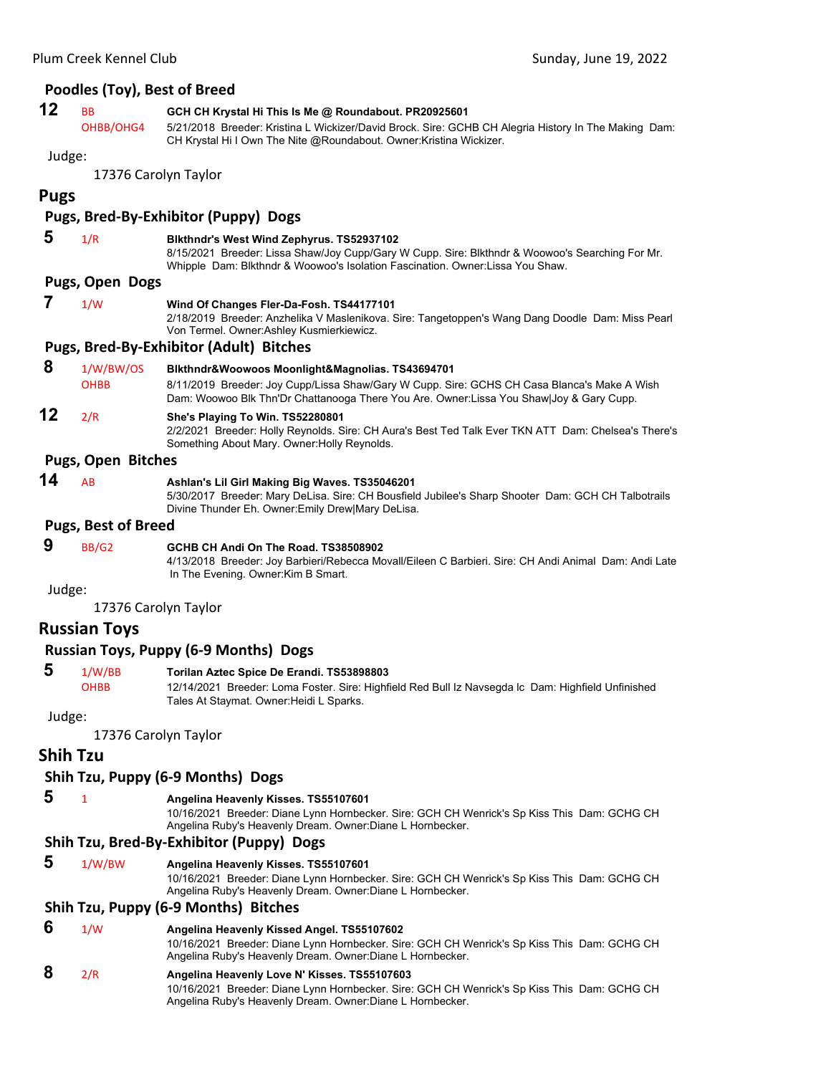|             | Poodles (Toy), Best of Breed |                                                                                                                                                                                                                                      |
|-------------|------------------------------|--------------------------------------------------------------------------------------------------------------------------------------------------------------------------------------------------------------------------------------|
| 12          | ВB                           | GCH CH Krystal Hi This Is Me @ Roundabout. PR20925601                                                                                                                                                                                |
|             | OHBB/OHG4                    | 5/21/2018 Breeder: Kristina L Wickizer/David Brock. Sire: GCHB CH Alegria History In The Making Dam:<br>CH Krystal Hi I Own The Nite @Roundabout. Owner: Kristina Wickizer.                                                          |
| Judge:      |                              |                                                                                                                                                                                                                                      |
|             |                              | 17376 Carolyn Taylor                                                                                                                                                                                                                 |
| <b>Pugs</b> |                              |                                                                                                                                                                                                                                      |
|             |                              | <b>Pugs, Bred-By-Exhibitor (Puppy) Dogs</b>                                                                                                                                                                                          |
| 5           | 1/R                          | <b>Bikthndr's West Wind Zephyrus. TS52937102</b><br>8/15/2021 Breeder: Lissa Shaw/Joy Cupp/Gary W Cupp. Sire: Blkthndr & Woowoo's Searching For Mr.<br>Whipple Dam: Blkthndr & Woowoo's Isolation Fascination. Owner:Lissa You Shaw. |
|             | Pugs, Open Dogs              |                                                                                                                                                                                                                                      |
| 7           | 1/W                          | Wind Of Changes Fler-Da-Fosh. TS44177101<br>2/18/2019 Breeder: Anzhelika V Maslenikova. Sire: Tangetoppen's Wang Dang Doodle Dam: Miss Pearl<br>Von Termel. Owner: Ashley Kusmierkiewicz.                                            |
|             |                              | <b>Pugs, Bred-By-Exhibitor (Adult) Bitches</b>                                                                                                                                                                                       |
| 8           | 1/W/BW/OS                    | Blkthndr&Woowoos Moonlight&Magnolias. TS43694701                                                                                                                                                                                     |
|             | <b>OHBB</b>                  | 8/11/2019 Breeder: Joy Cupp/Lissa Shaw/Gary W Cupp. Sire: GCHS CH Casa Blanca's Make A Wish<br>Dam: Woowoo Blk Thn'Dr Chattanooga There You Are. Owner:Lissa You Shaw Joy & Gary Cupp.                                               |
| 12          | 2/R                          | She's Playing To Win. TS52280801<br>2/2/2021 Breeder: Holly Reynolds. Sire: CH Aura's Best Ted Talk Ever TKN ATT Dam: Chelsea's There's<br>Something About Mary. Owner: Holly Reynolds.                                              |
|             | <b>Pugs, Open Bitches</b>    |                                                                                                                                                                                                                                      |
| 14          | AB                           | Ashlan's Lil Girl Making Big Waves. TS35046201<br>5/30/2017 Breeder: Mary DeLisa. Sire: CH Bousfield Jubilee's Sharp Shooter Dam: GCH CH Talbotrails<br>Divine Thunder Eh. Owner: Emily Drew Mary DeLisa.                            |
|             | <b>Pugs, Best of Breed</b>   |                                                                                                                                                                                                                                      |
| 9           | <b>BB/G2</b>                 | GCHB CH Andi On The Road. TS38508902<br>4/13/2018 Breeder: Joy Barbieri/Rebecca Movall/Eileen C Barbieri. Sire: CH Andi Animal Dam: Andi Late<br>In The Evening. Owner: Kim B Smart.                                                 |
| Judge:      |                              |                                                                                                                                                                                                                                      |
|             |                              | 17376 Carolyn Taylor                                                                                                                                                                                                                 |
|             | <b>Russian Toys</b>          |                                                                                                                                                                                                                                      |
|             |                              | <b>Russian Toys, Puppy (6-9 Months) Dogs</b>                                                                                                                                                                                         |
| 5           | 1/W/BB<br><b>OHBB</b>        | Torilan Aztec Spice De Erandi. TS53898803<br>12/14/2021 Breeder: Loma Foster. Sire: Highfield Red Bull Iz Navsegda Ic Dam: Highfield Unfinished<br>Tales At Staymat. Owner: Heidi L Sparks.                                          |
| Judge:      |                              |                                                                                                                                                                                                                                      |
|             |                              | 17376 Carolyn Taylor                                                                                                                                                                                                                 |
|             | <b>Shih Tzu</b>              |                                                                                                                                                                                                                                      |
|             |                              | Shih Tzu, Puppy (6-9 Months) Dogs                                                                                                                                                                                                    |

 **5** <sup>1</sup> **Angelina Heavenly Kisses. TS55107601**

10/16/2021 Breeder: Diane Lynn Hornbecker. Sire: GCH CH Wenrick's Sp Kiss This Dam: GCHG CH Angelina Ruby's Heavenly Dream. Owner:Diane L Hornbecker.

# **Shih Tzu, Bred‐By‐Exhibitor (Puppy) Dogs**

 **5** 1/W/BW **Angelina Heavenly Kisses. TS55107601**

10/16/2021 Breeder: Diane Lynn Hornbecker. Sire: GCH CH Wenrick's Sp Kiss This Dam: GCHG CH Angelina Ruby's Heavenly Dream. Owner:Diane L Hornbecker.

#### **Shih Tzu, Puppy (6‐9 Months) Bitches**

- **6** 1/W **Angelina Heavenly Kissed Angel. TS55107602** 10/16/2021 Breeder: Diane Lynn Hornbecker. Sire: GCH CH Wenrick's Sp Kiss This Dam: GCHG CH Angelina Ruby's Heavenly Dream. Owner:Diane L Hornbecker.
- **8** 2/R **Angelina Heavenly Love N' Kisses. TS55107603**
	- 10/16/2021 Breeder: Diane Lynn Hornbecker. Sire: GCH CH Wenrick's Sp Kiss This Dam: GCHG CH Angelina Ruby's Heavenly Dream. Owner:Diane L Hornbecker.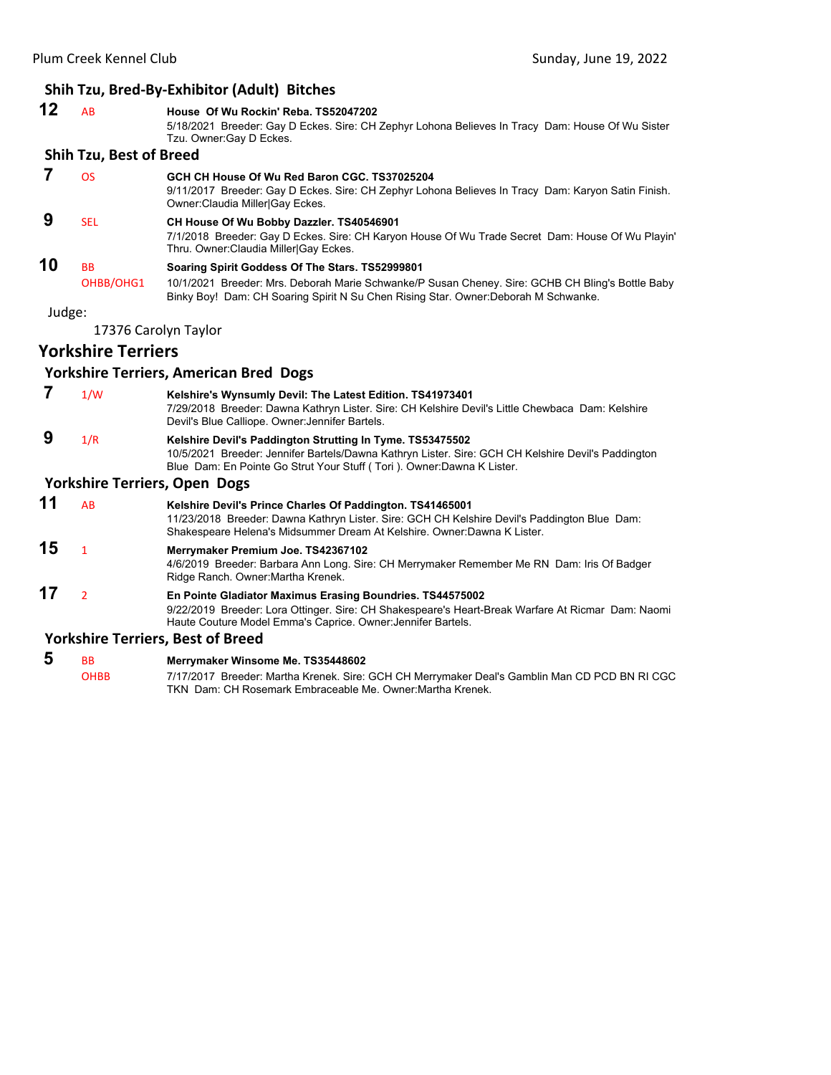# **Shih Tzu, Bred‐By‐Exhibitor (Adult) Bitches**

|        |                                | 311111 TZU, DI CU-DY-LAHIDILOI (AUUIL) DILLIICS                                                                                                                                                                                            |
|--------|--------------------------------|--------------------------------------------------------------------------------------------------------------------------------------------------------------------------------------------------------------------------------------------|
| 12     | <b>AB</b>                      | House Of Wu Rockin' Reba. TS52047202<br>5/18/2021 Breeder: Gay D Eckes. Sire: CH Zephyr Lohona Believes In Tracy Dam: House Of Wu Sister<br>Tzu. Owner: Gay D Eckes.                                                                       |
|        | <b>Shih Tzu, Best of Breed</b> |                                                                                                                                                                                                                                            |
| 7      | <b>OS</b>                      | GCH CH House Of Wu Red Baron CGC. TS37025204<br>9/11/2017 Breeder: Gay D Eckes. Sire: CH Zephyr Lohona Believes In Tracy Dam: Karyon Satin Finish.<br>Owner: Claudia Miller Gay Eckes.                                                     |
| 9      | <b>SEL</b>                     | CH House Of Wu Bobby Dazzler. TS40546901<br>7/1/2018 Breeder: Gay D Eckes. Sire: CH Karyon House Of Wu Trade Secret Dam: House Of Wu Playin'<br>Thru. Owner: Claudia Miller Gay Eckes.                                                     |
| 10     | <b>BB</b><br>OHBB/OHG1         | Soaring Spirit Goddess Of The Stars. TS52999801<br>10/1/2021 Breeder: Mrs. Deborah Marie Schwanke/P Susan Cheney. Sire: GCHB CH Bling's Bottle Baby<br>Binky Boy! Dam: CH Soaring Spirit N Su Chen Rising Star. Owner: Deborah M Schwanke. |
| Judge: |                                |                                                                                                                                                                                                                                            |
|        |                                | 17376 Carolyn Taylor                                                                                                                                                                                                                       |
|        | <b>Yorkshire Terriers</b>      |                                                                                                                                                                                                                                            |
|        |                                | <b>Yorkshire Terriers, American Bred Dogs</b>                                                                                                                                                                                              |
| 7      | 1/W                            | Kelshire's Wynsumly Devil: The Latest Edition. TS41973401<br>7/29/2018 Breeder: Dawna Kathryn Lister. Sire: CH Kelshire Devil's Little Chewbaca Dam: Kelshire<br>Devil's Blue Calliope. Owner: Jennifer Bartels.                           |
| 9      | 1/R                            | Kelshire Devil's Paddington Strutting In Tyme. TS53475502<br>10/5/2021 Breeder: Jennifer Bartels/Dawna Kathryn Lister, Sire: GCH CH Kelshire Devil's Paddington<br>Blue Dam: En Pointe Go Strut Your Stuff (Tori). Owner: Dawna K Lister.  |
|        |                                | <b>Yorkshire Terriers, Open Dogs</b>                                                                                                                                                                                                       |

# **11** AB **Kelshire Devil's Prince Charles Of Paddington. TS41465001** 11/23/2018 Breeder: Dawna Kathryn Lister. Sire: GCH CH Kelshire Devil's Paddington Blue Dam: Shakespeare Helena's Midsummer Dream At Kelshire. Owner:Dawna K Lister. **15** <sup>1</sup> **Merrymaker Premium Joe. TS42367102** 4/6/2019 Breeder: Barbara Ann Long. Sire: CH Merrymaker Remember Me RN Dam: Iris Of Badger Ridge Ranch. Owner:Martha Krenek. **17** <sup>2</sup> **En Pointe Gladiator Maximus Erasing Boundries. TS44575002** 9/22/2019 Breeder: Lora Ottinger. Sire: CH Shakespeare's Heart-Break Warfare At Ricmar Dam: Naomi Haute Couture Model Emma's Caprice. Owner:Jennifer Bartels.

# **Yorkshire Terriers, Best of Breed**

**5** BB **Merrymaker Winsome Me. TS35448602**<br>**OHBB** 7/17/2017 Breeder: Martha Krenek. Sire: 7/17/2017 Breeder: Martha Krenek. Sire: GCH CH Merrymaker Deal's Gamblin Man CD PCD BN RI CGC TKN Dam: CH Rosemark Embraceable Me. Owner:Martha Krenek.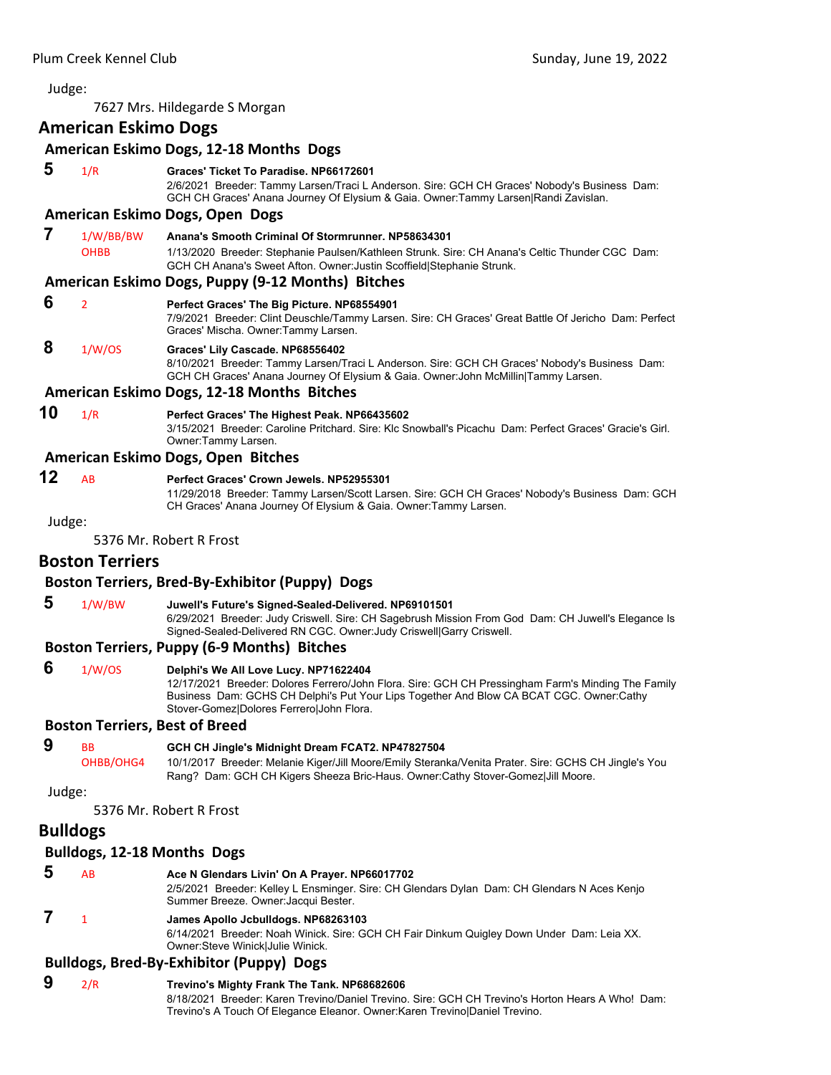<span id="page-41-0"></span>7627 Mrs. Hildegarde S Morgan

# **American Eskimo Dogs**

|        |                          | American Eskimo Dogs, 12-18 Months Dogs                                                                                                                                                                                                                                            |
|--------|--------------------------|------------------------------------------------------------------------------------------------------------------------------------------------------------------------------------------------------------------------------------------------------------------------------------|
| 5      | 1/R                      | Graces' Ticket To Paradise. NP66172601<br>2/6/2021 Breeder: Tammy Larsen/Traci L Anderson. Sire: GCH CH Graces' Nobody's Business Dam:<br>GCH CH Graces' Anana Journey Of Elysium & Gaia. Owner:Tammy Larsen Randi Zavislan.                                                       |
|        |                          | American Eskimo Dogs, Open Dogs                                                                                                                                                                                                                                                    |
| 7      | 1/W/BB/BW<br><b>OHBB</b> | Anana's Smooth Criminal Of Stormrunner, NP58634301<br>1/13/2020 Breeder: Stephanie Paulsen/Kathleen Strunk. Sire: CH Anana's Celtic Thunder CGC Dam:<br>GCH CH Anana's Sweet Afton. Owner: Justin Scoffield Stephanie Strunk.                                                      |
|        |                          | American Eskimo Dogs, Puppy (9-12 Months) Bitches                                                                                                                                                                                                                                  |
| 6      | $\overline{2}$           | Perfect Graces' The Big Picture. NP68554901<br>7/9/2021 Breeder: Clint Deuschle/Tammy Larsen. Sire: CH Graces' Great Battle Of Jericho Dam: Perfect<br>Graces' Mischa. Owner: Tammy Larsen.                                                                                        |
| 8      | 1/W/OS                   | Graces' Lily Cascade. NP68556402<br>8/10/2021 Breeder: Tammy Larsen/Traci L Anderson. Sire: GCH CH Graces' Nobody's Business Dam:<br>GCH CH Graces' Anana Journey Of Elysium & Gaia. Owner: John McMillin Tammy Larsen.                                                            |
|        |                          | American Eskimo Dogs, 12-18 Months Bitches                                                                                                                                                                                                                                         |
| 10     | 1/R                      | Perfect Graces' The Highest Peak. NP66435602<br>3/15/2021 Breeder: Caroline Pritchard, Sire: Klc Snowball's Picachu Dam: Perfect Graces' Gracie's Girl,<br>Owner:Tammy Larsen.                                                                                                     |
|        |                          | American Eskimo Dogs, Open Bitches                                                                                                                                                                                                                                                 |
| 12     | AB                       | Perfect Graces' Crown Jewels, NP52955301<br>11/29/2018 Breeder: Tammy Larsen/Scott Larsen. Sire: GCH CH Graces' Nobody's Business Dam: GCH<br>CH Graces' Anana Journey Of Elysium & Gaia. Owner: Tammy Larsen.                                                                     |
| Judge: |                          |                                                                                                                                                                                                                                                                                    |
|        |                          | 5376 Mr. Robert R Frost                                                                                                                                                                                                                                                            |
|        | <b>Boston Terriers</b>   |                                                                                                                                                                                                                                                                                    |
|        |                          | Boston Terriers, Bred-By-Exhibitor (Puppy) Dogs                                                                                                                                                                                                                                    |
| 5      | 1/W/BW                   | Juwell's Future's Signed-Sealed-Delivered. NP69101501<br>6/29/2021 Breeder: Judy Criswell. Sire: CH Sagebrush Mission From God Dam: CH Juwell's Elegance Is<br>Signed-Sealed-Delivered RN CGC. Owner: Judy Criswell Garry Criswell.                                                |
|        |                          | <b>Boston Terriers, Puppy (6-9 Months) Bitches</b>                                                                                                                                                                                                                                 |
| 6      | 1/W/OS                   | Delphi's We All Love Lucy. NP71622404<br>12/17/2021 Breeder: Dolores Ferrero/John Flora. Sire: GCH CH Pressingham Farm's Minding The Family<br>Business Dam: GCHS CH Delphi's Put Your Lips Together And Blow CA BCAT CGC. Owner:Cathy<br>Stover-Gomez Dolores Ferrero John Flora. |
|        |                          | <b>Boston Terriers, Best of Breed</b>                                                                                                                                                                                                                                              |
| 9      | <b>BB</b><br>OHBB/OHG4   | GCH CH Jingle's Midnight Dream FCAT2. NP47827504<br>10/1/2017 Breeder: Melanie Kiger/Jill Moore/Emily Steranka/Venita Prater. Sire: GCHS CH Jingle's You<br>Rang? Dam: GCH CH Kigers Sheeza Bric-Haus. Owner:Cathy Stover-Gomez Jill Moore.                                        |
| Judge: |                          |                                                                                                                                                                                                                                                                                    |
|        |                          |                                                                                                                                                                                                                                                                                    |

5376 Mr. Robert R Frost

# **Bulldogs**

#### **Bulldogs, 12‐18 Months Dogs**

 **5** AB **Ace N Glendars Livin' On A Prayer. NP66017702** 2/5/2021 Breeder: Kelley L Ensminger. Sire: CH Glendars Dylan Dam: CH Glendars N Aces Kenjo Summer Breeze. Owner:Jacqui Bester.  **7** <sup>1</sup> **James Apollo Jcbulldogs. NP68263103** 6/14/2021 Breeder: Noah Winick. Sire: GCH CH Fair Dinkum Quigley Down Under Dam: Leia XX.

# **Bulldogs, Bred‐By‐Exhibitor (Puppy) Dogs**

# **9** 2/R **Trevino's Mighty Frank The Tank. NP68682606**

Owner:Steve Winick|Julie Winick.

8/18/2021 Breeder: Karen Trevino/Daniel Trevino. Sire: GCH CH Trevino's Horton Hears A Who! Dam: Trevino's A Touch Of Elegance Eleanor. Owner:Karen Trevino|Daniel Trevino.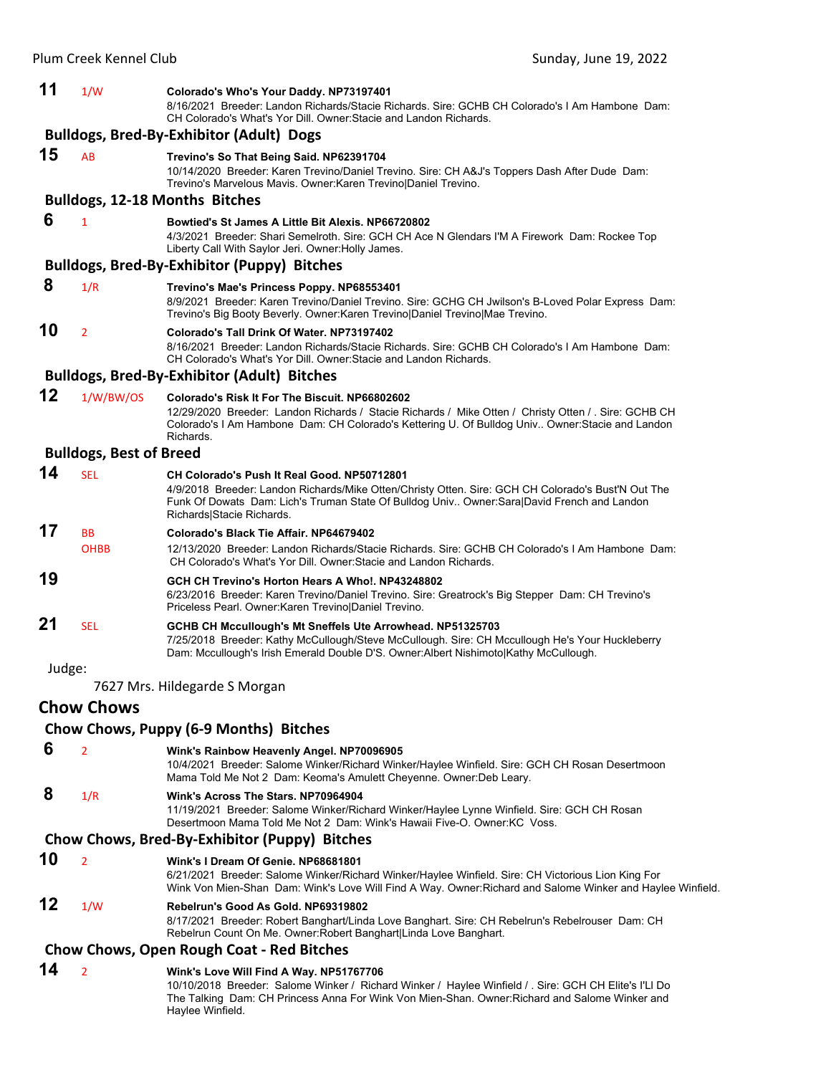| 11     | 1/W                            | Colorado's Who's Your Daddy. NP73197401<br>8/16/2021 Breeder: Landon Richards/Stacie Richards. Sire: GCHB CH Colorado's I Am Hambone Dam:<br>CH Colorado's What's Yor Dill. Owner: Stacie and Landon Richards.                                                                       |
|--------|--------------------------------|--------------------------------------------------------------------------------------------------------------------------------------------------------------------------------------------------------------------------------------------------------------------------------------|
|        |                                | <b>Bulldogs, Bred-By-Exhibitor (Adult) Dogs</b>                                                                                                                                                                                                                                      |
| 15     | AB                             | Trevino's So That Being Said. NP62391704<br>10/14/2020 Breeder: Karen Trevino/Daniel Trevino. Sire: CH A&J's Toppers Dash After Dude Dam:<br>Trevino's Marvelous Mavis. Owner: Karen Trevino Daniel Trevino.                                                                         |
|        |                                | <b>Bulldogs, 12-18 Months Bitches</b>                                                                                                                                                                                                                                                |
| 6      | $\mathbf{1}$                   | Bowtied's St James A Little Bit Alexis. NP66720802                                                                                                                                                                                                                                   |
|        |                                | 4/3/2021 Breeder: Shari Semelroth. Sire: GCH CH Ace N Glendars I'M A Firework Dam: Rockee Top<br>Liberty Call With Saylor Jeri. Owner: Holly James.                                                                                                                                  |
|        |                                | <b>Bulldogs, Bred-By-Exhibitor (Puppy) Bitches</b>                                                                                                                                                                                                                                   |
| 8      | 1/R                            | Trevino's Mae's Princess Poppy. NP68553401<br>8/9/2021 Breeder: Karen Trevino/Daniel Trevino. Sire: GCHG CH Jwilson's B-Loved Polar Express Dam:<br>Trevino's Big Booty Beverly. Owner: Karen Trevino   Daniel Trevino   Mae Trevino.                                                |
| 10     | $\overline{2}$                 | Colorado's Tall Drink Of Water, NP73197402<br>8/16/2021 Breeder: Landon Richards/Stacie Richards. Sire: GCHB CH Colorado's I Am Hambone Dam:<br>CH Colorado's What's Yor Dill. Owner: Stacie and Landon Richards.                                                                    |
|        |                                | <b>Bulldogs, Bred-By-Exhibitor (Adult) Bitches</b>                                                                                                                                                                                                                                   |
| 12     | 1/W/BW/OS                      | Colorado's Risk It For The Biscuit, NP66802602<br>12/29/2020 Breeder: Landon Richards / Stacie Richards / Mike Otten / Christy Otten / . Sire: GCHB CH<br>Colorado's I Am Hambone Dam: CH Colorado's Kettering U. Of Bulldog Univ Owner: Stacie and Landon<br>Richards.              |
|        | <b>Bulldogs, Best of Breed</b> |                                                                                                                                                                                                                                                                                      |
| 14     | <b>SEL</b>                     | <b>CH Colorado's Push It Real Good. NP50712801</b><br>4/9/2018 Breeder: Landon Richards/Mike Otten/Christy Otten. Sire: GCH CH Colorado's Bust'N Out The<br>Funk Of Dowats Dam: Lich's Truman State Of Bulldog Univ Owner: Sara David French and Landon<br>Richards Stacie Richards. |
| 17     | <b>BB</b>                      | Colorado's Black Tie Affair, NP64679402                                                                                                                                                                                                                                              |
|        | <b>OHBB</b>                    | 12/13/2020 Breeder: Landon Richards/Stacie Richards. Sire: GCHB CH Colorado's I Am Hambone Dam:<br>CH Colorado's What's Yor Dill. Owner: Stacie and Landon Richards.                                                                                                                 |
| 19     |                                | GCH CH Trevino's Horton Hears A Who!. NP43248802<br>6/23/2016 Breeder: Karen Trevino/Daniel Trevino. Sire: Greatrock's Big Stepper Dam: CH Trevino's<br>Priceless Pearl. Owner: Karen Trevino Daniel Trevino.                                                                        |
| 21     | <b>SEL</b>                     | GCHB CH Mccullough's Mt Sneffels Ute Arrowhead. NP51325703<br>7/25/2018 Breeder: Kathy McCullough/Steve McCullough. Sire: CH Mccullough He's Your Huckleberry<br>Dam: Mccullough's Irish Emerald Double D'S. Owner: Albert Nishimotol Kathy McCullough.                              |
| Judge: |                                |                                                                                                                                                                                                                                                                                      |
|        |                                | 7627 Mrs. Hildegarde S Morgan                                                                                                                                                                                                                                                        |
|        | <b>Chow Chows</b>              |                                                                                                                                                                                                                                                                                      |
|        |                                | Chow Chows, Puppy (6-9 Months) Bitches                                                                                                                                                                                                                                               |
| 6      | $\overline{2}$                 | Wink's Rainbow Heavenly Angel. NP70096905<br>10/4/2021 Breeder: Salome Winker/Richard Winker/Haylee Winfield. Sire: GCH CH Rosan Desertmoon<br>Mama Told Me Not 2 Dam: Keoma's Amulett Cheyenne. Owner: Deb Leary.                                                                   |
| 8      | 1/R                            | Wink's Across The Stars. NP70964904<br>11/19/2021 Breeder: Salome Winker/Richard Winker/Haylee Lynne Winfield. Sire: GCH CH Rosan<br>Desertmoon Mama Told Me Not 2 Dam: Wink's Hawaii Five-O. Owner: KC Voss.                                                                        |
|        |                                | Chow Chows, Bred-By-Exhibitor (Puppy) Bitches                                                                                                                                                                                                                                        |
| 10     | $\overline{2}$                 | Wink's I Dream Of Genie, NP68681801<br>6/21/2021 Breeder: Salome Winker/Richard Winker/Haylee Winfield. Sire: CH Victorious Lion King For<br>Wink Von Mien-Shan Dam: Wink's Love Will Find A Way. Owner: Richard and Salome Winker and Haylee Winfield.                              |
| 12     | 1/W                            | Rebelrun's Good As Gold. NP69319802<br>8/17/2021 Breeder: Robert Banghart/Linda Love Banghart. Sire: CH Rebelrun's Rebelrouser Dam: CH<br>Rebelrun Count On Me. Owner: Robert Banghart Linda Love Banghart.                                                                          |
|        |                                | <b>Chow Chows, Open Rough Coat - Red Bitches</b>                                                                                                                                                                                                                                     |
| 14     | $\overline{2}$                 | Wink's Love Will Find A Way. NP51767706                                                                                                                                                                                                                                              |
|        |                                | 10/10/2018 Breeder: Salome Winker / Richard Winker / Haylee Winfield / . Sire: GCH CH Elite's I'LI Do<br>The Talking  Dam: CH Princess Anna For Wink Von Mien-Shan. Owner:Richard and Salome Winker and<br>Haylee Winfield.                                                          |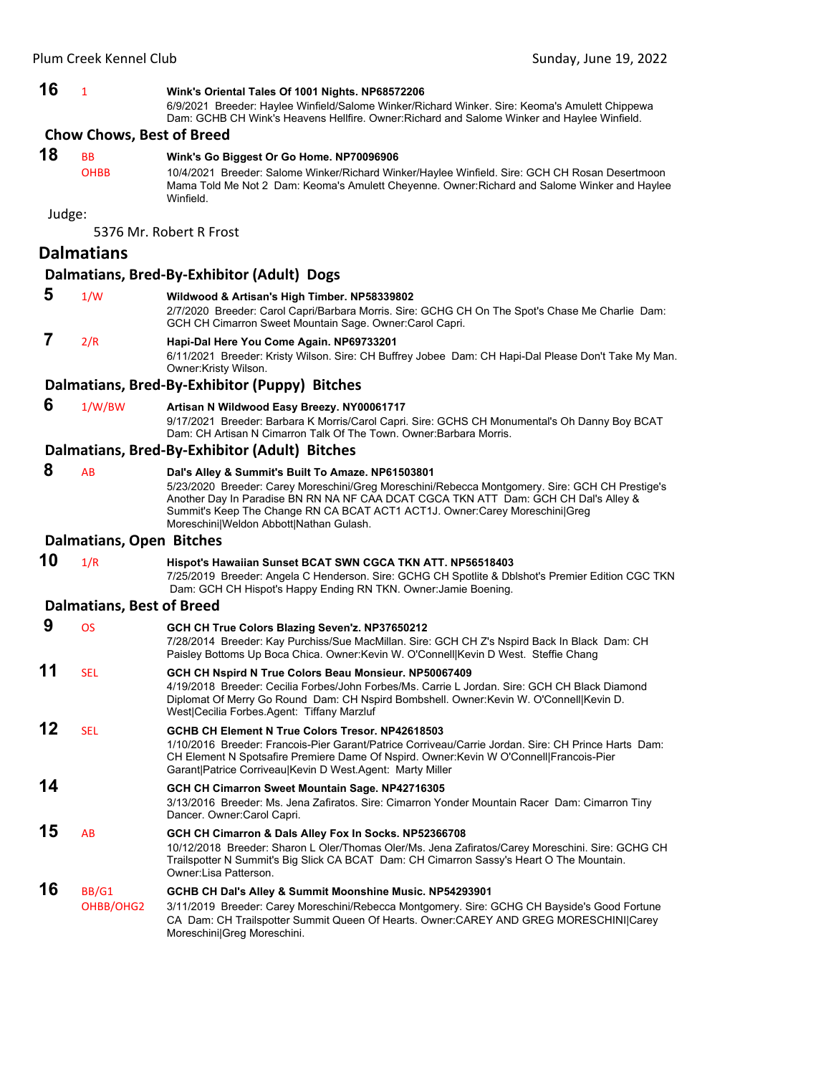# **16** <sup>1</sup> **Wink's Oriental Tales Of 1001 Nights. NP68572206**

6/9/2021 Breeder: Haylee Winfield/Salome Winker/Richard Winker. Sire: Keoma's Amulett Chippewa Dam: GCHB CH Wink's Heavens Hellfire. Owner:Richard and Salome Winker and Haylee Winfield.

#### **Chow Chows, Best of Breed**

# **18** BB **Wink's Go Biggest Or Go Home. NP70096906**

OHBB 10/4/2021 Breeder: Salome Winker/Richard Winker/Haylee Winfield. Sire: GCH CH Rosan Desertmoon Mama Told Me Not 2 Dam: Keoma's Amulett Cheyenne. Owner:Richard and Salome Winker and Haylee Winfield.

Judge:

5376 Mr. Robert R Frost

### **Dalmatians**

#### **Dalmatians, Bred‐By‐Exhibitor (Adult) Dogs**

# **5** 1/W **Wildwood & Artisan's High Timber. NP58339802**

2/7/2020 Breeder: Carol Capri/Barbara Morris. Sire: GCHG CH On The Spot's Chase Me Charlie Dam: GCH CH Cimarron Sweet Mountain Sage. Owner:Carol Capri.

# **7** 2/R **Hapi-Dal Here You Come Again. NP69733201**

6/11/2021 Breeder: Kristy Wilson. Sire: CH Buffrey Jobee Dam: CH Hapi-Dal Please Don't Take My Man. Owner:Kristy Wilson.

#### **Dalmatians, Bred‐By‐Exhibitor (Puppy) Bitches**

#### **6** 1/W/BW **Artisan N Wildwood Easy Breezy. NY00061717**

Moreschini|Greg Moreschini.

9/17/2021 Breeder: Barbara K Morris/Carol Capri. Sire: GCHS CH Monumental's Oh Danny Boy BCAT Dam: CH Artisan N Cimarron Talk Of The Town. Owner:Barbara Morris.

#### **Dalmatians, Bred‐By‐Exhibitor (Adult) Bitches**

 **8** AB **Dal's Alley & Summit's Built To Amaze. NP61503801** 5/23/2020 Breeder: Carey Moreschini/Greg Moreschini/Rebecca Montgomery. Sire: GCH CH Prestige's Another Day In Paradise BN RN NA NF CAA DCAT CGCA TKN ATT Dam: GCH CH Dal's Alley & Summit's Keep The Change RN CA BCAT ACT1 ACT1J. Owner:Carey Moreschini|Greg Moreschini|Weldon Abbott|Nathan Gulash.

#### **Dalmatians, Open Bitches**

# **10** 1/R **Hispot's Hawaiian Sunset BCAT SWN CGCA TKN ATT. NP56518403**

7/25/2019 Breeder: Angela C Henderson. Sire: GCHG CH Spotlite & Dblshot's Premier Edition CGC TKN Dam: GCH CH Hispot's Happy Ending RN TKN. Owner:Jamie Boening.

#### **Dalmatians, Best of Breed**

| 9  | <b>OS</b>          | GCH CH True Colors Blazing Seven'z. NP37650212<br>7/28/2014 Breeder: Kay Purchiss/Sue MacMillan. Sire: GCH CH Z's Nspird Back In Black Dam: CH                                                                                                                                                                   |
|----|--------------------|------------------------------------------------------------------------------------------------------------------------------------------------------------------------------------------------------------------------------------------------------------------------------------------------------------------|
|    |                    | Paisley Bottoms Up Boca Chica. Owner: Kevin W. O'Connell Kevin D West. Steffie Chang                                                                                                                                                                                                                             |
| 11 | <b>SEL</b>         | GCH CH Nspird N True Colors Beau Monsieur. NP50067409<br>4/19/2018 Breeder: Cecilia Forbes/John Forbes/Ms, Carrie L Jordan, Sire: GCH CH Black Diamond<br>Diplomat Of Merry Go Round Dam: CH Nspird Bombshell. Owner: Kevin W. O'Connell Kevin D.<br>West Cecilia Forbes Agent: Tiffany Marzluf                  |
| 12 | <b>SEL</b>         | GCHB CH Element N True Colors Tresor, NP42618503<br>1/10/2016 Breeder: Francois-Pier Garant/Patrice Corriveau/Carrie Jordan, Sire: CH Prince Harts, Dam:<br>CH Element N Spotsafire Premiere Dame Of Nspird. Owner: Kevin W O'Connell Francois-Pier<br>Garant Patrice Corriveau Kevin D West Agent: Marty Miller |
| 14 |                    | GCH CH Cimarron Sweet Mountain Sage. NP42716305<br>3/13/2016 Breeder: Ms. Jena Zafiratos. Sire: Cimarron Yonder Mountain Racer Dam: Cimarron Tiny<br>Dancer. Owner: Carol Capri.                                                                                                                                 |
| 15 | AB                 | GCH CH Cimarron & Dals Alley Fox In Socks. NP52366708<br>10/12/2018 Breeder: Sharon L Oler/Thomas Oler/Ms. Jena Zafiratos/Carey Moreschini. Sire: GCHG CH<br>Trailspotter N Summit's Big Slick CA BCAT Dam: CH Cimarron Sassy's Heart O The Mountain.<br>Owner:Lisa Patterson.                                   |
| 16 | BB/G1<br>OHBB/OHG2 | GCHB CH Dal's Alley & Summit Moonshine Music. NP54293901<br>3/11/2019 Breeder: Carey Moreschini/Rebecca Montgomery. Sire: GCHG CH Bayside's Good Fortune<br>CA Dam: CH Trailspotter Summit Queen Of Hearts. Owner:CAREY AND GREG MORESCHINI Carey                                                                |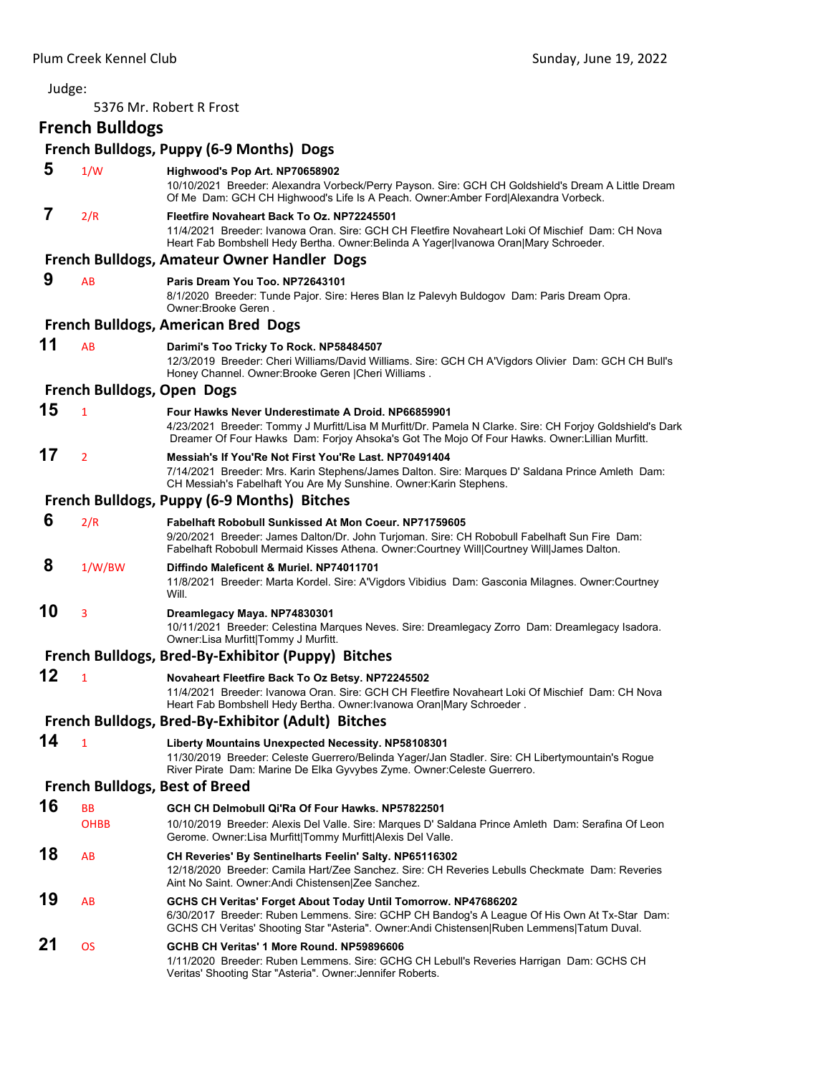| Judge: |                            |                                                                                                                                                                                                                                                                  |
|--------|----------------------------|------------------------------------------------------------------------------------------------------------------------------------------------------------------------------------------------------------------------------------------------------------------|
|        |                            | 5376 Mr. Robert R Frost                                                                                                                                                                                                                                          |
|        | <b>French Bulldogs</b>     |                                                                                                                                                                                                                                                                  |
|        |                            | French Bulldogs, Puppy (6-9 Months) Dogs                                                                                                                                                                                                                         |
| 5      | 1/W                        | Highwood's Pop Art. NP70658902                                                                                                                                                                                                                                   |
|        |                            | 10/10/2021 Breeder: Alexandra Vorbeck/Perry Payson. Sire: GCH CH Goldshield's Dream A Little Dream<br>Of Me Dam: GCH CH Highwood's Life Is A Peach. Owner:Amber Ford Alexandra Vorbeck.                                                                          |
| 7      | 2/R                        | Fleetfire Novaheart Back To Oz. NP72245501<br>11/4/2021 Breeder: Ivanowa Oran. Sire: GCH CH Fleetfire Novaheart Loki Of Mischief Dam: CH Nova<br>Heart Fab Bombshell Hedy Bertha. Owner: Belinda A Yager Ivanowa Oran Mary Schroeder.                            |
|        |                            | French Bulldogs, Amateur Owner Handler Dogs                                                                                                                                                                                                                      |
| 9      | AB                         | Paris Dream You Too. NP72643101<br>8/1/2020 Breeder: Tunde Pajor. Sire: Heres Blan Iz Palevyh Buldogov Dam: Paris Dream Opra.<br>Owner:Brooke Geren.                                                                                                             |
|        |                            | <b>French Bulldogs, American Bred Dogs</b>                                                                                                                                                                                                                       |
| 11     | AB                         | Darimi's Too Tricky To Rock. NP58484507<br>12/3/2019 Breeder: Cheri Williams/David Williams. Sire: GCH CH A'Vigdors Olivier Dam: GCH CH Bull's<br>Honey Channel. Owner: Brooke Geren   Cheri Williams.                                                           |
|        | French Bulldogs, Open Dogs |                                                                                                                                                                                                                                                                  |
| 15     | $\mathbf{1}$               | Four Hawks Never Underestimate A Droid. NP66859901<br>4/23/2021 Breeder: Tommy J Murfitt/Lisa M Murfitt/Dr. Pamela N Clarke. Sire: CH Forjoy Goldshield's Dark<br>Dreamer Of Four Hawks Dam: Forjoy Ahsoka's Got The Mojo Of Four Hawks. Owner: Lillian Murfitt. |
| 17     | $\overline{2}$             | Messiah's If You'Re Not First You'Re Last. NP70491404<br>7/14/2021 Breeder: Mrs. Karin Stephens/James Dalton. Sire: Marques D' Saldana Prince Amleth Dam:<br>CH Messiah's Fabelhaft You Are My Sunshine. Owner: Karin Stephens.                                  |
|        |                            | French Bulldogs, Puppy (6-9 Months) Bitches                                                                                                                                                                                                                      |
| 6      | 2/R                        | <b>Fabelhaft Robobull Sunkissed At Mon Coeur. NP71759605</b><br>9/20/2021 Breeder: James Dalton/Dr. John Turjoman. Sire: CH Robobull Fabelhaft Sun Fire Dam:<br>Fabelhaft Robobull Mermaid Kisses Athena. Owner:Courtney Will Courtney Will James Dalton.        |
| 8      | 1/W/BW                     | Diffindo Maleficent & Muriel. NP74011701<br>11/8/2021 Breeder: Marta Kordel. Sire: A'Vigdors Vibidius Dam: Gasconia Milagnes. Owner: Courtney<br>Will.                                                                                                           |
| 10     | 3                          | Dreamlegacy Maya. NP74830301<br>10/11/2021 Breeder: Celestina Marques Neves. Sire: Dreamlegacy Zorro Dam: Dreamlegacy Isadora.<br>Owner:Lisa Murfitt Tommy J Murfitt.                                                                                            |
|        |                            | <b>French Bulldogs, Bred-By-Exhibitor (Puppy) Bitches</b>                                                                                                                                                                                                        |
| 12     | $\mathbf{1}$               | Novaheart Fleetfire Back To Oz Betsy. NP72245502                                                                                                                                                                                                                 |
|        |                            | 11/4/2021 Breeder: Ivanowa Oran. Sire: GCH CH Fleetfire Novaheart Loki Of Mischief Dam: CH Nova<br>Heart Fab Bombshell Hedy Bertha. Owner: Ivanowa Oran Mary Schroeder.                                                                                          |
|        |                            | French Bulldogs, Bred-By-Exhibitor (Adult) Bitches                                                                                                                                                                                                               |
| 14     | $\mathbf{1}$               | Liberty Mountains Unexpected Necessity. NP58108301<br>11/30/2019 Breeder: Celeste Guerrero/Belinda Yager/Jan Stadler. Sire: CH Libertymountain's Rogue<br>River Pirate Dam: Marine De Elka Gyvybes Zyme. Owner: Celeste Guerrero.                                |
|        |                            | <b>French Bulldogs, Best of Breed</b>                                                                                                                                                                                                                            |
| 16     | <b>BB</b>                  | GCH CH Delmobull Qi'Ra Of Four Hawks. NP57822501                                                                                                                                                                                                                 |
|        | <b>OHBB</b>                | 10/10/2019 Breeder: Alexis Del Valle. Sire: Marques D' Saldana Prince Amleth Dam: Serafina Of Leon<br>Gerome. Owner:Lisa Murfitt Tommy Murfitt Alexis Del Valle.                                                                                                 |
| 18     | AB                         | CH Reveries' By Sentinelharts Feelin' Salty. NP65116302<br>12/18/2020 Breeder: Camila Hart/Zee Sanchez. Sire: CH Reveries Lebulls Checkmate Dam: Reveries<br>Aint No Saint. Owner: Andi Chistensen Zee Sanchez.                                                  |
| 19     | AB                         | GCHS CH Veritas' Forget About Today Until Tomorrow. NP47686202<br>6/30/2017 Breeder: Ruben Lemmens. Sire: GCHP CH Bandog's A League Of His Own At Tx-Star Dam:<br>GCHS CH Veritas' Shooting Star "Asteria". Owner:Andi Chistensen Ruben Lemmens Tatum Duval.     |
| 21     | <b>OS</b>                  | GCHB CH Veritas' 1 More Round. NP59896606<br>1/11/2020 Breeder: Ruben Lemmens. Sire: GCHG CH Lebull's Reveries Harrigan Dam: GCHS CH<br>Veritas' Shooting Star "Asteria". Owner: Jennifer Roberts.                                                               |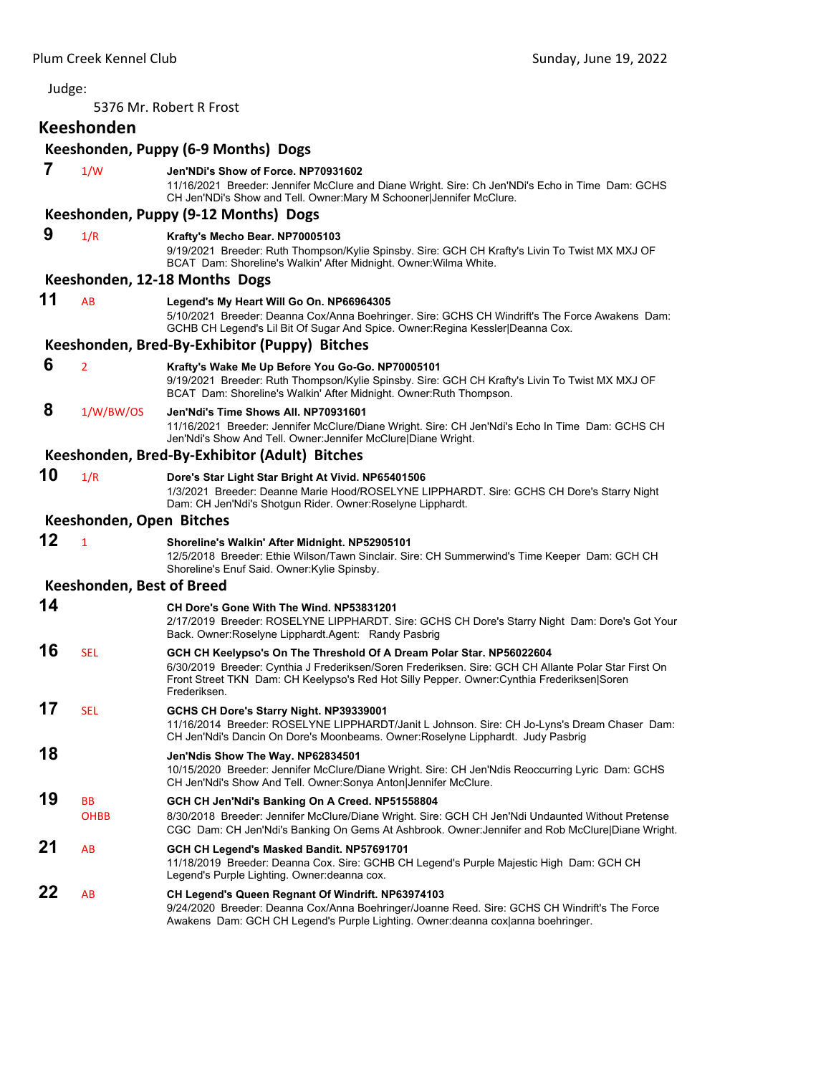Judge: 5376 Mr. Robert R Frost **Keeshonden Keeshonden, Puppy (6‐9 Months) Dogs 7** 1/W **Jen'NDi's Show of Force. NP70931602** 11/16/2021 Breeder: Jennifer McClure and Diane Wright. Sire: Ch Jen'NDi's Echo in Time Dam: GCHS CH Jen'NDi's Show and Tell. Owner:Mary M Schooner|Jennifer McClure. **Keeshonden, Puppy (9‐12 Months) Dogs 9** 1/R **Krafty's Mecho Bear. NP70005103** 9/19/2021 Breeder: Ruth Thompson/Kylie Spinsby. Sire: GCH CH Krafty's Livin To Twist MX MXJ OF BCAT Dam: Shoreline's Walkin' After Midnight. Owner:Wilma White. **Keeshonden, 12‐18 Months Dogs 11** AB **Legend's My Heart Will Go On. NP66964305** 5/10/2021 Breeder: Deanna Cox/Anna Boehringer. Sire: GCHS CH Windrift's The Force Awakens Dam: GCHB CH Legend's Lil Bit Of Sugar And Spice. Owner:Regina Kessler|Deanna Cox. **Keeshonden, Bred‐By‐Exhibitor (Puppy) Bitches 6** <sup>2</sup> **Krafty's Wake Me Up Before You Go-Go. NP70005101** 9/19/2021 Breeder: Ruth Thompson/Kylie Spinsby. Sire: GCH CH Krafty's Livin To Twist MX MXJ OF BCAT Dam: Shoreline's Walkin' After Midnight. Owner:Ruth Thompson.  **8** 1/W/BW/OS **Jen'Ndi's Time Shows All. NP70931601** 11/16/2021 Breeder: Jennifer McClure/Diane Wright. Sire: CH Jen'Ndi's Echo In Time Dam: GCHS CH Jen'Ndi's Show And Tell. Owner:Jennifer McClure|Diane Wright. **Keeshonden, Bred‐By‐Exhibitor (Adult) Bitches 10** 1/R **Dore's Star Light Star Bright At Vivid. NP65401506** 1/3/2021 Breeder: Deanne Marie Hood/ROSELYNE LIPPHARDT. Sire: GCHS CH Dore's Starry Night Dam: CH Jen'Ndi's Shotgun Rider. Owner:Roselyne Lipphardt. **Keeshonden, Open Bitches 12** <sup>1</sup> **Shoreline's Walkin' After Midnight. NP52905101** 12/5/2018 Breeder: Ethie Wilson/Tawn Sinclair. Sire: CH Summerwind's Time Keeper Dam: GCH CH Shoreline's Enuf Said. Owner:Kylie Spinsby. **Keeshonden, Best of Breed 14 CH Dore's Gone With The Wind. NP53831201** 2/17/2019 Breeder: ROSELYNE LIPPHARDT. Sire: GCHS CH Dore's Starry Night Dam: Dore's Got Your Back. Owner:Roselyne Lipphardt.Agent: Randy Pasbrig **16** SEL **GCH CH Keelypso's On The Threshold Of A Dream Polar Star. NP56022604** 6/30/2019 Breeder: Cynthia J Frederiksen/Soren Frederiksen. Sire: GCH CH Allante Polar Star First On Front Street TKN Dam: CH Keelypso's Red Hot Silly Pepper. Owner:Cynthia Frederiksen|Soren Frederiksen. **17** SEL **GCHS CH Dore's Starry Night. NP39339001** 11/16/2014 Breeder: ROSELYNE LIPPHARDT/Janit L Johnson. Sire: CH Jo-Lyns's Dream Chaser Dam: CH Jen'Ndi's Dancin On Dore's Moonbeams. Owner:Roselyne Lipphardt. Judy Pasbrig **18 Jen'Ndis Show The Way. NP62834501** 10/15/2020 Breeder: Jennifer McClure/Diane Wright. Sire: CH Jen'Ndis Reoccurring Lyric Dam: GCHS CH Jen'Ndi's Show And Tell. Owner:Sonya Anton|Jennifer McClure. **19** BB **GCH CH Jen'Ndi's Banking On A Creed. NP51558804** OHBB 8/30/2018 Breeder: Jennifer McClure/Diane Wright. Sire: GCH CH Jen'Ndi Undaunted Without Pretense CGC Dam: CH Jen'Ndi's Banking On Gems At Ashbrook. Owner:Jennifer and Rob McClure|Diane Wright. **21** AB **GCH CH Legend's Masked Bandit. NP57691701** 11/18/2019 Breeder: Deanna Cox. Sire: GCHB CH Legend's Purple Majestic High Dam: GCH CH Legend's Purple Lighting. Owner:deanna cox. **22** AB **CH Legend's Queen Regnant Of Windrift. NP63974103** 9/24/2020 Breeder: Deanna Cox/Anna Boehringer/Joanne Reed. Sire: GCHS CH Windrift's The Force Awakens Dam: GCH CH Legend's Purple Lighting. Owner:deanna cox|anna boehringer.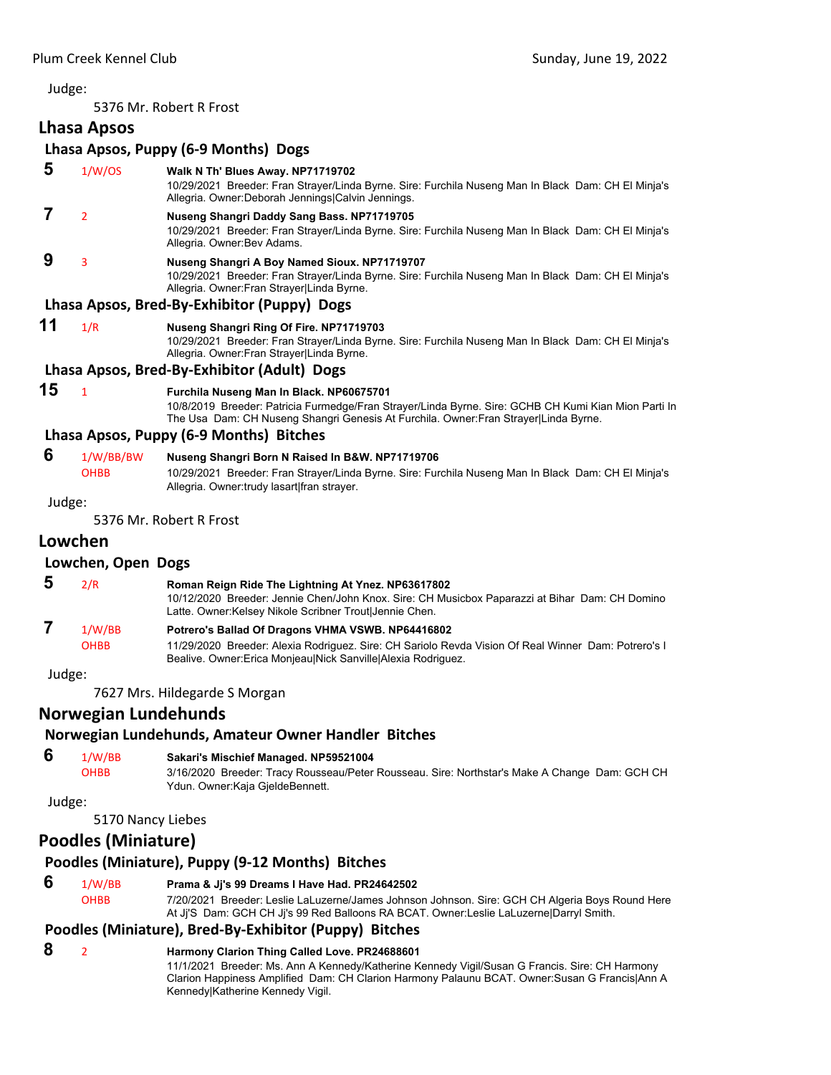5376 Mr. Robert R Frost

# **Lhasa Apsos**

# **Lhasa Apsos, Puppy (6‐9 Months) Dogs**

 **5** 1/W/OS **Walk N Th' Blues Away. NP71719702** 10/29/2021 Breeder: Fran Strayer/Linda Byrne. Sire: Furchila Nuseng Man In Black Dam: CH El Minja's Allegria. Owner:Deborah Jennings|Calvin Jennings.  **7** <sup>2</sup> **Nuseng Shangri Daddy Sang Bass. NP71719705** 10/29/2021 Breeder: Fran Strayer/Linda Byrne. Sire: Furchila Nuseng Man In Black Dam: CH El Minja's Allegria. Owner:Bev Adams.  **9** <sup>3</sup> **Nuseng Shangri A Boy Named Sioux. NP71719707** 10/29/2021 Breeder: Fran Strayer/Linda Byrne. Sire: Furchila Nuseng Man In Black Dam: CH El Minja's Allegria. Owner:Fran Strayer|Linda Byrne. **Lhasa Apsos, Bred‐By‐Exhibitor (Puppy) Dogs**

**11** 1/R **Nuseng Shangri Ring Of Fire. NP71719703**

10/29/2021 Breeder: Fran Strayer/Linda Byrne. Sire: Furchila Nuseng Man In Black Dam: CH El Minja's Allegria. Owner:Fran Strayer|Linda Byrne.

# **Lhasa Apsos, Bred‐By‐Exhibitor (Adult) Dogs**

**15** <sup>1</sup> **Furchila Nuseng Man In Black. NP60675701**

10/8/2019 Breeder: Patricia Furmedge/Fran Strayer/Linda Byrne. Sire: GCHB CH Kumi Kian Mion Parti In The Usa Dam: CH Nuseng Shangri Genesis At Furchila. Owner:Fran Strayer|Linda Byrne.

# **Lhasa Apsos, Puppy (6‐9 Months) Bitches**

# **6** 1/W/BB/BW **Nuseng Shangri Born N Raised In B&W. NP71719706**

OHBB 10/29/2021 Breeder: Fran Strayer/Linda Byrne. Sire: Furchila Nuseng Man In Black Dam: CH El Minja's Allegria. Owner:trudy lasart|fran strayer.

Judge:

5376 Mr. Robert R Frost

# **Lowchen**

#### **Lowchen, Open Dogs**

| $\overline{\mathbf{5}}$ | 2/R              | Roman Reign Ride The Lightning At Ynez. NP63617802<br>10/12/2020 Breeder: Jennie Chen/John Knox. Sire: CH Musicbox Paparazzi at Bihar Dam: CH Domino<br>Latte. Owner:Kelsey Nikole Scribner Trout Jennie Chen. |
|-------------------------|------------------|----------------------------------------------------------------------------------------------------------------------------------------------------------------------------------------------------------------|
|                         | 1/W/BB<br>$\sim$ | Potrero's Ballad Of Dragons VHMA VSWB. NP64416802                                                                                                                                                              |

OHBB 11/29/2020 Breeder: Alexia Rodriguez. Sire: CH Sariolo Revda Vision Of Real Winner Dam: Potrero's I Bealive. Owner:Erica Monjeau|Nick Sanville|Alexia Rodriguez.

Judge:

7627 Mrs. Hildegarde S Morgan

# **Norwegian Lundehunds**

# **Norwegian Lundehunds, Amateur Owner Handler Bitches**

# **6** 1/W/BB **Sakari's Mischief Managed. NP59521004**

OHBB 3/16/2020 Breeder: Tracy Rousseau/Peter Rousseau. Sire: Northstar's Make A Change Dam: GCH CH Ydun. Owner:Kaja GjeldeBennett.

Judge:

# 5170 Nancy Liebes

# **Poodles (Miniature)**

# **Poodles (Miniature), Puppy (9‐12 Months) Bitches**

 **6** 1/W/BB **Prama & Jj's 99 Dreams I Have Had. PR24642502**

OHBB 7/20/2021 Breeder: Leslie LaLuzerne/James Johnson Johnson. Sire: GCH CH Algeria Boys Round Here At Jj'S Dam: GCH CH Jj's 99 Red Balloons RA BCAT. Owner:Leslie LaLuzerne|Darryl Smith.

# **Poodles (Miniature), Bred‐By‐Exhibitor (Puppy) Bitches**

 **8** <sup>2</sup> **Harmony Clarion Thing Called Love. PR24688601**

11/1/2021 Breeder: Ms. Ann A Kennedy/Katherine Kennedy Vigil/Susan G Francis. Sire: CH Harmony Clarion Happiness Amplified Dam: CH Clarion Harmony Palaunu BCAT. Owner:Susan G Francis|Ann A Kennedy|Katherine Kennedy Vigil.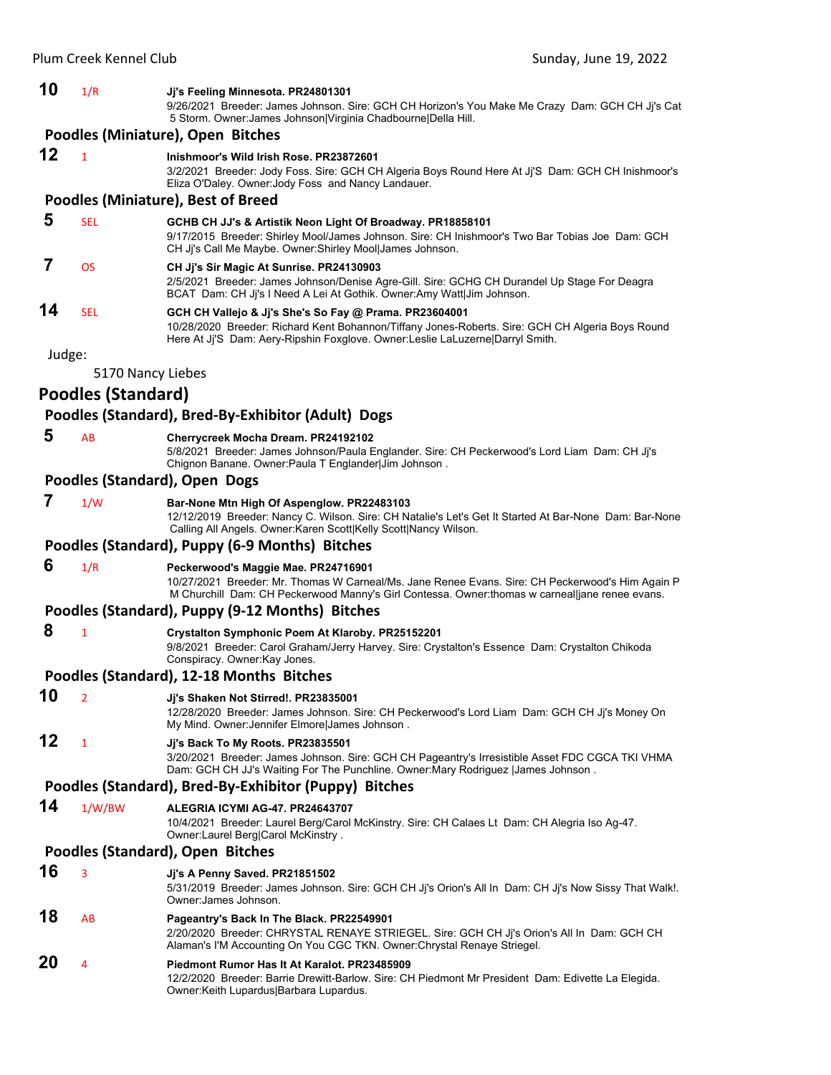#### **10** 1/R **Jj's Feeling Minnesota. PR24801301**

9/26/2021 Breeder: James Johnson. Sire: GCH CH Horizon's You Make Me Crazy Dam: GCH CH Jj's Cat 5 Storm. Owner:James Johnson|Virginia Chadbourne|Della Hill.

#### **Poodles (Miniature), Open Bitches**

#### **12** <sup>1</sup> **Inishmoor's Wild Irish Rose. PR23872601**

3/2/2021 Breeder: Jody Foss. Sire: GCH CH Algeria Boys Round Here At Jj'S Dam: GCH CH Inishmoor's Eliza O'Daley. Owner:Jody Foss and Nancy Landauer.

#### **Poodles (Miniature), Best of Breed**

# **5** SEL **GCHB CH JJ's & Artistik Neon Light Of Broadway. PR18858101**

9/17/2015 Breeder: Shirley Mool/James Johnson. Sire: CH Inishmoor's Two Bar Tobias Joe Dam: GCH CH Jj's Call Me Maybe. Owner:Shirley Mool|James Johnson.

# **7** OS **CH Jj's Sir Magic At Sunrise. PR24130903**

2/5/2021 Breeder: James Johnson/Denise Agre-Gill. Sire: GCHG CH Durandel Up Stage For Deagra BCAT Dam: CH Jj's I Need A Lei At Gothik. Owner:Amy Watt|Jim Johnson.

#### **14** SEL **GCH CH Vallejo & Jj's She's So Fay @ Prama. PR23604001** 10/28/2020 Breeder: Richard Kent Bohannon/Tiffany Jones-Roberts. Sire: GCH CH Algeria Boys Round Here At Jj'S Dam: Aery-Ripshin Foxglove. Owner:Leslie LaLuzerne|Darryl Smith.

Judge:

5170 Nancy Liebes

# **Poodles (Standard)**

# **Poodles (Standard), Bred‐By‐Exhibitor (Adult) Dogs**

 **5** AB **Cherrycreek Mocha Dream. PR24192102**

5/8/2021 Breeder: James Johnson/Paula Englander. Sire: CH Peckerwood's Lord Liam Dam: CH Jj's Chignon Banane. Owner:Paula T Englander|Jim Johnson .

### **Poodles (Standard), Open Dogs**

# **7** 1/W **Bar-None Mtn High Of Aspenglow. PR22483103**

12/12/2019 Breeder: Nancy C. Wilson. Sire: CH Natalie's Let's Get It Started At Bar-None Dam: Bar-None Calling All Angels. Owner:Karen Scott|Kelly Scott|Nancy Wilson.

# **Poodles (Standard), Puppy (6‐9 Months) Bitches**

 **6** 1/R **Peckerwood's Maggie Mae. PR24716901**

10/27/2021 Breeder: Mr. Thomas W Carneal/Ms. Jane Renee Evans. Sire: CH Peckerwood's Him Again P M Churchill Dam: CH Peckerwood Manny's Girl Contessa. Owner:thomas w carneal|jane renee evans.

#### **Poodles (Standard), Puppy (9‐12 Months) Bitches**

 **8** <sup>1</sup> **Crystalton Symphonic Poem At Klaroby. PR25152201**

9/8/2021 Breeder: Carol Graham/Jerry Harvey. Sire: Crystalton's Essence Dam: Crystalton Chikoda Conspiracy. Owner:Kay Jones.

#### **Poodles (Standard), 12‐18 Months Bitches**

**10** <sup>2</sup> **Jj's Shaken Not Stirred!. PR23835001**

12/28/2020 Breeder: James Johnson. Sire: CH Peckerwood's Lord Liam Dam: GCH CH Jj's Money On My Mind. Owner:Jennifer Elmore|James Johnson .

# **12** <sup>1</sup> **Jj's Back To My Roots. PR23835501**

3/20/2021 Breeder: James Johnson. Sire: GCH CH Pageantry's Irresistible Asset FDC CGCA TKI VHMA Dam: GCH CH JJ's Waiting For The Punchline. Owner:Mary Rodriguez |James Johnson.

# **Poodles (Standard), Bred‐By‐Exhibitor (Puppy) Bitches**

### **14** 1/W/BW **ALEGRIA ICYMI AG-47. PR24643707**

10/4/2021 Breeder: Laurel Berg/Carol McKinstry. Sire: CH Calaes Lt Dam: CH Alegria Iso Ag-47. Owner:Laurel Berg|Carol McKinstry .

#### **Poodles (Standard), Open Bitches**

**16** <sup>3</sup> **Jj's A Penny Saved. PR21851502**

5/31/2019 Breeder: James Johnson. Sire: GCH CH Jj's Orion's All In Dam: CH Jj's Now Sissy That Walk!. Owner:James Johnson.

**18** AB **Pageantry's Back In The Black. PR22549901** 2/20/2020 Breeder: CHRYSTAL RENAYE STRIEGEL. Sire: GCH CH Jj's Orion's All In Dam: GCH CH Alaman's I'M Accounting On You CGC TKN. Owner:Chrystal Renaye Striegel.

# **20** <sup>4</sup> **Piedmont Rumor Has It At Karalot. PR23485909**

12/2/2020 Breeder: Barrie Drewitt-Barlow. Sire: CH Piedmont Mr President Dam: Edivette La Elegida. Owner:Keith Lupardus|Barbara Lupardus.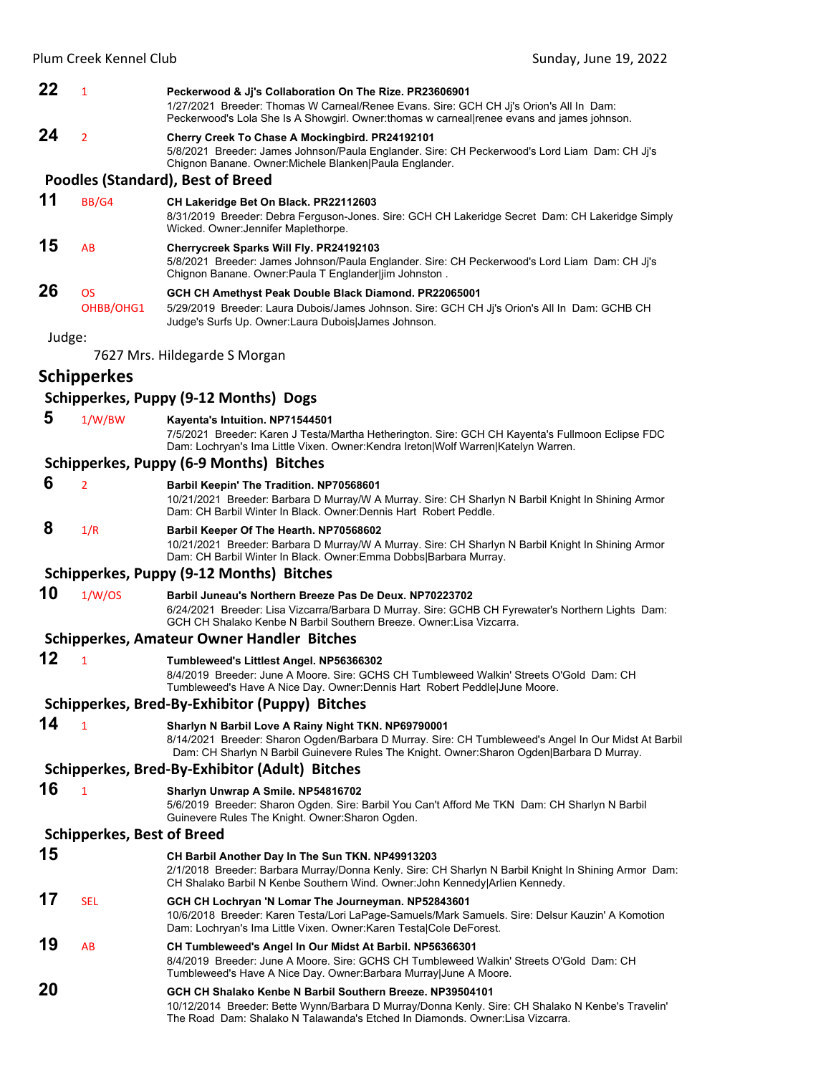|        | Plum Creek Kennel Club            | Sunday, June 19, 2022                                                                                                                                                                                                                                     |  |
|--------|-----------------------------------|-----------------------------------------------------------------------------------------------------------------------------------------------------------------------------------------------------------------------------------------------------------|--|
| 22     | $\mathbf{1}$                      | Peckerwood & Jj's Collaboration On The Rize. PR23606901<br>1/27/2021 Breeder: Thomas W Carneal/Renee Evans. Sire: GCH CH Jj's Orion's All In Dam:<br>Peckerwood's Lola She Is A Showgirl. Owner:thomas w carneal renee evans and james johnson.           |  |
| 24     | $\overline{2}$                    | Cherry Creek To Chase A Mockingbird. PR24192101<br>5/8/2021 Breeder: James Johnson/Paula Englander. Sire: CH Peckerwood's Lord Liam Dam: CH Ji's<br>Chignon Banane. Owner: Michele Blanken Paula Englander.                                               |  |
|        |                                   | <b>Poodles (Standard), Best of Breed</b>                                                                                                                                                                                                                  |  |
| 11     | BB/G4                             | CH Lakeridge Bet On Black. PR22112603<br>8/31/2019 Breeder: Debra Ferguson-Jones. Sire: GCH CH Lakeridge Secret Dam: CH Lakeridge Simply<br>Wicked. Owner: Jennifer Maplethorpe.                                                                          |  |
| 15     | AB                                | Cherrycreek Sparks Will Fly. PR24192103<br>5/8/2021 Breeder: James Johnson/Paula Englander. Sire: CH Peckerwood's Lord Liam Dam: CH Ji's<br>Chignon Banane. Owner: Paula T Englander jim Johnston.                                                        |  |
| 26     | <b>OS</b><br>OHBB/OHG1            | GCH CH Amethyst Peak Double Black Diamond. PR22065001<br>5/29/2019 Breeder: Laura Dubois/James Johnson. Sire: GCH CH Jj's Orion's All In Dam: GCHB CH<br>Judge's Surfs Up. Owner: Laura Dubois James Johnson.                                             |  |
| Judge: |                                   |                                                                                                                                                                                                                                                           |  |
|        |                                   | 7627 Mrs. Hildegarde S Morgan                                                                                                                                                                                                                             |  |
|        | <b>Schipperkes</b>                |                                                                                                                                                                                                                                                           |  |
|        |                                   | Schipperkes, Puppy (9-12 Months) Dogs                                                                                                                                                                                                                     |  |
| 5      | 1/W/BW                            | Kayenta's Intuition. NP71544501<br>7/5/2021 Breeder: Karen J Testa/Martha Hetherington. Sire: GCH CH Kayenta's Fullmoon Eclipse FDC<br>Dam: Lochryan's Ima Little Vixen. Owner:Kendra Ireton Wolf Warren Katelyn Warren.                                  |  |
|        |                                   | Schipperkes, Puppy (6-9 Months) Bitches                                                                                                                                                                                                                   |  |
| 6      | $\overline{2}$                    | Barbil Keepin' The Tradition. NP70568601<br>10/21/2021 Breeder: Barbara D Murray/W A Murray. Sire: CH Sharlyn N Barbil Knight In Shining Armor<br>Dam: CH Barbil Winter In Black. Owner: Dennis Hart Robert Peddle.                                       |  |
| 8      | 1/R                               | Barbil Keeper Of The Hearth. NP70568602<br>10/21/2021 Breeder: Barbara D Murray/W A Murray. Sire: CH Sharlyn N Barbil Knight In Shining Armor<br>Dam: CH Barbil Winter In Black. Owner: Emma Dobbs Barbara Murray.                                        |  |
|        |                                   | Schipperkes, Puppy (9-12 Months) Bitches                                                                                                                                                                                                                  |  |
| 10     | 1/W/OS                            | Barbil Juneau's Northern Breeze Pas De Deux. NP70223702<br>6/24/2021 Breeder: Lisa Vizcarra/Barbara D Murray. Sire: GCHB CH Fyrewater's Northern Lights Dam:<br>GCH CH Shalako Kenbe N Barbil Southern Breeze. Owner: Lisa Vizcarra.                      |  |
|        |                                   | <b>Schipperkes, Amateur Owner Handler Bitches</b>                                                                                                                                                                                                         |  |
| 12     |                                   | Tumbleweed's Littlest Angel. NP56366302<br>8/4/2019 Breeder: June A Moore. Sire: GCHS CH Tumbleweed Walkin' Streets O'Gold Dam: CH<br>Tumbleweed's Have A Nice Day. Owner:Dennis Hart Robert Peddle June Moore.                                           |  |
|        |                                   | Schipperkes, Bred-By-Exhibitor (Puppy) Bitches                                                                                                                                                                                                            |  |
| 14     | $\mathbf{1}$                      | Sharlyn N Barbil Love A Rainy Night TKN. NP69790001<br>8/14/2021 Breeder: Sharon Ogden/Barbara D Murray. Sire: CH Tumbleweed's Angel In Our Midst At Barbil<br>Dam: CH Sharlyn N Barbil Guinevere Rules The Knight. Owner: Sharon Ogden Barbara D Murray. |  |
|        |                                   | Schipperkes, Bred-By-Exhibitor (Adult) Bitches                                                                                                                                                                                                            |  |
| 16     | $\mathbf{1}$                      | Sharlyn Unwrap A Smile. NP54816702<br>5/6/2019 Breeder: Sharon Ogden. Sire: Barbil You Can't Afford Me TKN Dam: CH Sharlyn N Barbil<br>Guinevere Rules The Knight. Owner: Sharon Ogden.                                                                   |  |
|        | <b>Schipperkes, Best of Breed</b> |                                                                                                                                                                                                                                                           |  |
| 15     |                                   | CH Barbil Another Day In The Sun TKN. NP49913203<br>2/1/2018 Breeder: Barbara Murray/Donna Kenly. Sire: CH Sharlyn N Barbil Knight In Shining Armor Dam:<br>CH Shalako Barbil N Kenbe Southern Wind. Owner: John Kennedy Arlien Kennedy.                  |  |
| 17     | <b>SEL</b>                        | GCH CH Lochryan 'N Lomar The Journeyman. NP52843601                                                                                                                                                                                                       |  |

- 10/6/2018 Breeder: Karen Testa/Lori LaPage-Samuels/Mark Samuels. Sire: Delsur Kauzin' A Komotion Dam: Lochryan's Ima Little Vixen. Owner:Karen Testa|Cole DeForest. **19** AB **CH Tumbleweed's Angel In Our Midst At Barbil. NP56366301** 8/4/2019 Breeder: June A Moore. Sire: GCHS CH Tumbleweed Walkin' Streets O'Gold Dam: CH
- Tumbleweed's Have A Nice Day. Owner:Barbara Murray|June A Moore. **20 GCH CH Shalako Kenbe N Barbil Southern Breeze. NP39504101**
	- 10/12/2014 Breeder: Bette Wynn/Barbara D Murray/Donna Kenly. Sire: CH Shalako N Kenbe's Travelin' The Road Dam: Shalako N Talawanda's Etched In Diamonds. Owner:Lisa Vizcarra.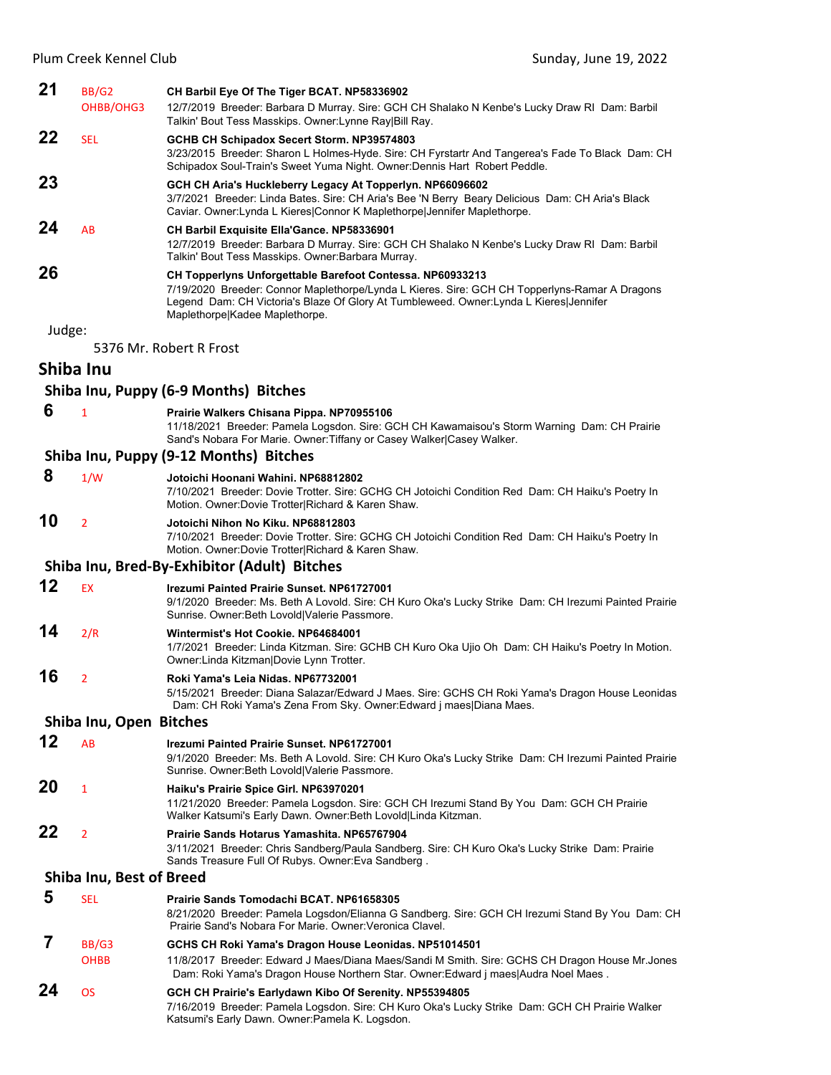| 21     | BB/G2<br>OHBB/OHG3       | CH Barbil Eye Of The Tiger BCAT. NP58336902<br>12/7/2019 Breeder: Barbara D Murray. Sire: GCH CH Shalako N Kenbe's Lucky Draw RI Dam: Barbil                                                                                                                                           |
|--------|--------------------------|----------------------------------------------------------------------------------------------------------------------------------------------------------------------------------------------------------------------------------------------------------------------------------------|
| 22     |                          | Talkin' Bout Tess Masskips. Owner: Lynne Ray Bill Ray.                                                                                                                                                                                                                                 |
|        | <b>SEL</b>               | GCHB CH Schipadox Secert Storm. NP39574803<br>3/23/2015 Breeder: Sharon L Holmes-Hyde. Sire: CH Fyrstartr And Tangerea's Fade To Black Dam: CH<br>Schipadox Soul-Train's Sweet Yuma Night. Owner: Dennis Hart Robert Peddle.                                                           |
| 23     |                          | GCH CH Aria's Huckleberry Legacy At Topperlyn. NP66096602<br>3/7/2021 Breeder: Linda Bates. Sire: CH Aria's Bee 'N Berry Beary Delicious Dam: CH Aria's Black<br>Caviar. Owner: Lynda L Kieres Connor K Maplethorpe Jennifer Maplethorpe.                                              |
| 24     | AB                       | CH Barbil Exquisite Ella'Gance. NP58336901<br>12/7/2019 Breeder: Barbara D Murray. Sire: GCH CH Shalako N Kenbe's Lucky Draw RI Dam: Barbil<br>Talkin' Bout Tess Masskips. Owner: Barbara Murray.                                                                                      |
| 26     |                          | CH Topperlyns Unforgettable Barefoot Contessa. NP60933213<br>7/19/2020 Breeder: Connor Maplethorpe/Lynda L Kieres. Sire: GCH CH Topperlyns-Ramar A Dragons<br>Legend Dam: CH Victoria's Blaze Of Glory At Tumbleweed. Owner: Lynda L Kieres Jennifer<br>Maplethorpe Kadee Maplethorpe. |
| Judge: |                          | 5376 Mr. Robert R Frost                                                                                                                                                                                                                                                                |
|        | Shiba Inu                |                                                                                                                                                                                                                                                                                        |
|        |                          | Shiba Inu, Puppy (6-9 Months) Bitches                                                                                                                                                                                                                                                  |
|        |                          |                                                                                                                                                                                                                                                                                        |
| 6      | $\mathbf{1}$             | Prairie Walkers Chisana Pippa. NP70955106<br>11/18/2021 Breeder: Pamela Logsdon. Sire: GCH CH Kawamaisou's Storm Warning Dam: CH Prairie<br>Sand's Nobara For Marie. Owner: Tiffany or Casey Walker Casey Walker.<br>Shiba Inu, Puppy (9-12 Months) Bitches                            |
|        |                          |                                                                                                                                                                                                                                                                                        |
| 8      | 1/W                      | Jotoichi Hoonani Wahini. NP68812802<br>7/10/2021 Breeder: Dovie Trotter. Sire: GCHG CH Jotoichi Condition Red Dam: CH Haiku's Poetry In<br>Motion. Owner:Dovie Trotter Richard & Karen Shaw.                                                                                           |
| 10     | $\overline{2}$           | Jotoichi Nihon No Kiku. NP68812803<br>7/10/2021 Breeder: Dovie Trotter. Sire: GCHG CH Jotoichi Condition Red Dam: CH Haiku's Poetry In<br>Motion. Owner: Dovie Trotter Richard & Karen Shaw.                                                                                           |
|        |                          | Shiba Inu, Bred-By-Exhibitor (Adult) Bitches                                                                                                                                                                                                                                           |
| 12     | <b>EX</b>                | <b>Irezumi Painted Prairie Sunset, NP61727001</b><br>9/1/2020 Breeder: Ms. Beth A Lovold. Sire: CH Kuro Oka's Lucky Strike Dam: CH Irezumi Painted Prairie<br>Sunrise. Owner: Beth Lovold Valerie Passmore.                                                                            |
| 14     | 2/R                      | Wintermist's Hot Cookie, NP64684001<br>1/7/2021 Breeder: Linda Kitzman. Sire: GCHB CH Kuro Oka Ujio Oh Dam: CH Haiku's Poetry In Motion.<br>Owner: Linda Kitzman Dovie Lynn Trotter.                                                                                                   |
| 16     | 2                        | Roki Yama's Leia Nidas. NP67732001<br>5/15/2021 Breeder: Diana Salazar/Edward J Maes. Sire: GCHS CH Roki Yama's Dragon House Leonidas<br>Dam: CH Roki Yama's Zena From Sky. Owner: Edward j maes   Diana Maes.                                                                         |
|        | Shiba Inu, Open Bitches  |                                                                                                                                                                                                                                                                                        |
| 12     | AB                       | Irezumi Painted Prairie Sunset. NP61727001<br>9/1/2020 Breeder: Ms. Beth A Lovold. Sire: CH Kuro Oka's Lucky Strike Dam: CH Irezumi Painted Prairie<br>Sunrise. Owner: Beth Lovold Valerie Passmore.                                                                                   |
| 20     | $\mathbf{1}$             | Haiku's Prairie Spice Girl. NP63970201<br>11/21/2020 Breeder: Pamela Logsdon. Sire: GCH CH Irezumi Stand By You Dam: GCH CH Prairie<br>Walker Katsumi's Early Dawn. Owner: Beth Lovold Linda Kitzman.                                                                                  |
| 22     | $\overline{2}$           | Prairie Sands Hotarus Yamashita. NP65767904<br>3/11/2021 Breeder: Chris Sandberg/Paula Sandberg. Sire: CH Kuro Oka's Lucky Strike Dam: Prairie<br>Sands Treasure Full Of Rubys. Owner: Eva Sandberg.                                                                                   |
|        | Shiba Inu, Best of Breed |                                                                                                                                                                                                                                                                                        |
| 5      | <b>SEL</b>               | Prairie Sands Tomodachi BCAT. NP61658305<br>8/21/2020 Breeder: Pamela Logsdon/Elianna G Sandberg. Sire: GCH CH Irezumi Stand By You Dam: CH<br>Prairie Sand's Nobara For Marie. Owner Veronica Clavel.                                                                                 |
| 7      | BB/G3<br><b>OHBB</b>     | GCHS CH Roki Yama's Dragon House Leonidas. NP51014501<br>11/8/2017 Breeder: Edward J Maes/Diana Maes/Sandi M Smith. Sire: GCHS CH Dragon House Mr.Jones<br>Dam: Roki Yama's Dragon House Northern Star. Owner:Edward j maes Audra Noel Maes.                                           |
|        |                          |                                                                                                                                                                                                                                                                                        |

**24** OS **GCH CH Prairie's Earlydawn Kibo Of Serenity. NP55394805** 7/16/2019 Breeder: Pamela Logsdon. Sire: CH Kuro Oka's Lucky Strike Dam: GCH CH Prairie Walker Katsumi's Early Dawn. Owner:Pamela K. Logsdon.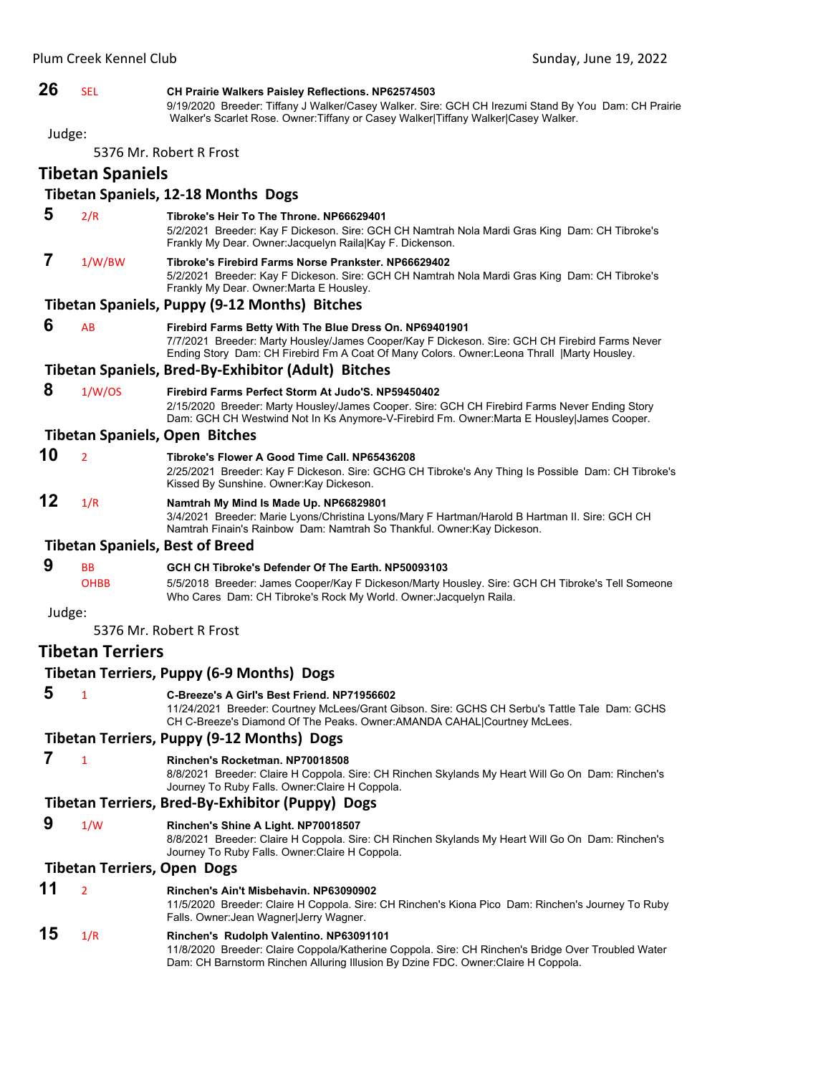# **26** SEL **CH Prairie Walkers Paisley Reflections. NP62574503**

9/19/2020 Breeder: Tiffany J Walker/Casey Walker. Sire: GCH CH Irezumi Stand By You Dam: CH Prairie Walker's Scarlet Rose. Owner: Tiffany or Casey Walker|Tiffany Walker|Casey Walker.

Judge:

5376 Mr. Robert R Frost

**Tibetan Spaniels**

# **Tibetan Spaniels, 12‐18 Months Dogs**

 **5** 2/R **Tibroke's Heir To The Throne. NP66629401** 5/2/2021 Breeder: Kay F Dickeson. Sire: GCH CH Namtrah Nola Mardi Gras King Dam: CH Tibroke's Frankly My Dear. Owner:Jacquelyn Raila|Kay F. Dickenson.  **7** 1/W/BW **Tibroke's Firebird Farms Norse Prankster. NP66629402** 5/2/2021 Breeder: Kay F Dickeson. Sire: GCH CH Namtrah Nola Mardi Gras King Dam: CH Tibroke's Frankly My Dear. Owner:Marta E Housley. **Tibetan Spaniels, Puppy (9‐12 Months) Bitches 6** AB **Firebird Farms Betty With The Blue Dress On. NP69401901** 7/7/2021 Breeder: Marty Housley/James Cooper/Kay F Dickeson. Sire: GCH CH Firebird Farms Never Ending Story Dam: CH Firebird Fm A Coat Of Many Colors. Owner:Leona Thrall |Marty Housley. **Tibetan Spaniels, Bred‐By‐Exhibitor (Adult) Bitches 8** 1/W/OS **Firebird Farms Perfect Storm At Judo'S. NP59450402** 2/15/2020 Breeder: Marty Housley/James Cooper. Sire: GCH CH Firebird Farms Never Ending Story Dam: GCH CH Westwind Not In Ks Anymore-V-Firebird Fm. Owner:Marta E Housley|James Cooper. **Tibetan Spaniels, Open Bitches 10** <sup>2</sup> **Tibroke's Flower A Good Time Call. NP65436208** 2/25/2021 Breeder: Kay F Dickeson. Sire: GCHG CH Tibroke's Any Thing Is Possible Dam: CH Tibroke's Kissed By Sunshine. Owner:Kay Dickeson. **12** 1/R **Namtrah My Mind Is Made Up. NP66829801** 3/4/2021 Breeder: Marie Lyons/Christina Lyons/Mary F Hartman/Harold B Hartman II. Sire: GCH CH Namtrah Finain's Rainbow Dam: Namtrah So Thankful. Owner:Kay Dickeson. **Tibetan Spaniels, Best of Breed 9** BB **GCH CH Tibroke's Defender Of The Earth. NP50093103** OHBB 5/5/2018 Breeder: James Cooper/Kay F Dickeson/Marty Housley. Sire: GCH CH Tibroke's Tell Someone Who Cares Dam: CH Tibroke's Rock My World. Owner:Jacquelyn Raila. Judge:

5376 Mr. Robert R Frost

# **Tibetan Terriers**

**Tibetan Terriers, Puppy (6‐9 Months) Dogs 5** <sup>1</sup> **C-Breeze's A Girl's Best Friend. NP71956602** 11/24/2021 Breeder: Courtney McLees/Grant Gibson. Sire: GCHS CH Serbu's Tattle Tale Dam: GCHS CH C-Breeze's Diamond Of The Peaks. Owner:AMANDA CAHAL|Courtney McLees. **Tibetan Terriers, Puppy (9‐12 Months) Dogs 7** <sup>1</sup> **Rinchen's Rocketman. NP70018508** 8/8/2021 Breeder: Claire H Coppola. Sire: CH Rinchen Skylands My Heart Will Go On Dam: Rinchen's Journey To Ruby Falls. Owner:Claire H Coppola. **Tibetan Terriers, Bred‐By‐Exhibitor (Puppy) Dogs 9** 1/W **Rinchen's Shine A Light. NP70018507** 8/8/2021 Breeder: Claire H Coppola. Sire: CH Rinchen Skylands My Heart Will Go On Dam: Rinchen's Journey To Ruby Falls. Owner:Claire H Coppola. **Tibetan Terriers, Open Dogs 11** <sup>2</sup> **Rinchen's Ain't Misbehavin. NP63090902** 11/5/2020 Breeder: Claire H Coppola. Sire: CH Rinchen's Kiona Pico Dam: Rinchen's Journey To Ruby Falls. Owner:Jean Wagner|Jerry Wagner. **15** 1/R **Rinchen's Rudolph Valentino. NP63091101**

11/8/2020 Breeder: Claire Coppola/Katherine Coppola. Sire: CH Rinchen's Bridge Over Troubled Water Dam: CH Barnstorm Rinchen Alluring Illusion By Dzine FDC. Owner:Claire H Coppola.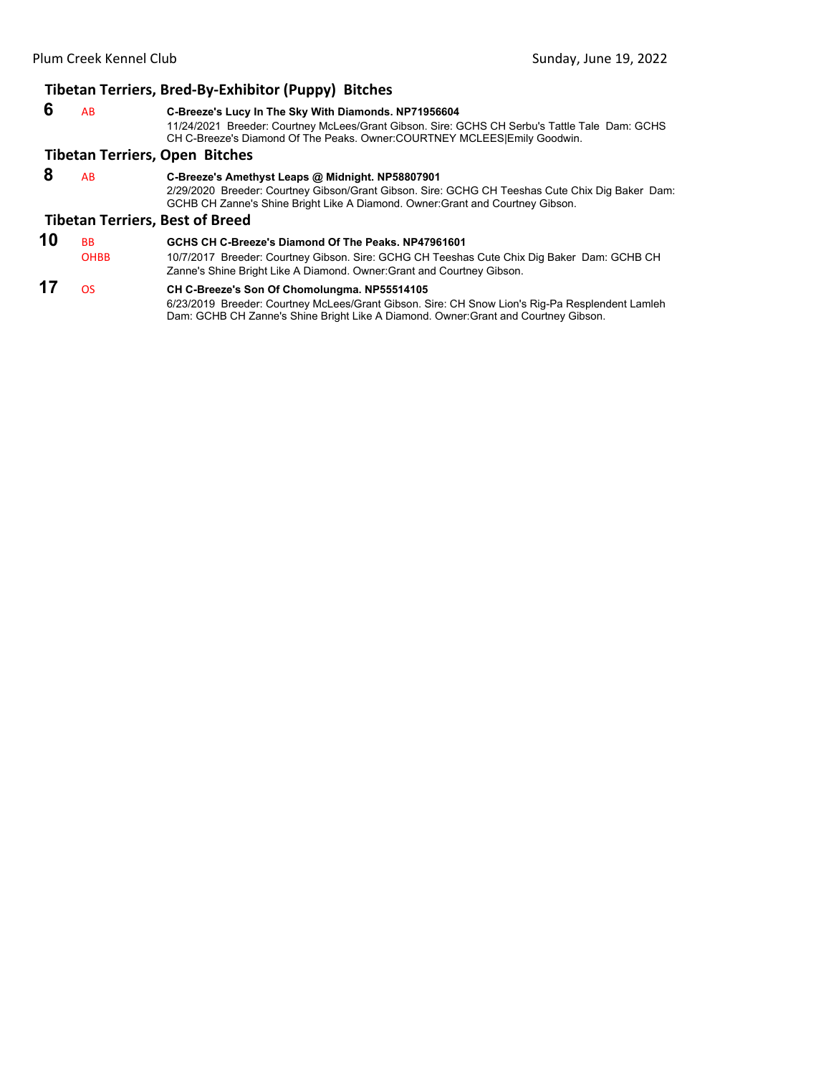# **Tibetan Terriers, Bred‐By‐Exhibitor (Puppy) Bitches**

|    |                          | <b>TINGUL TUTTURY, DICA BY EXITINGUL (FUPPY)</b> BRUILS                                                                                                                                                                               |
|----|--------------------------|---------------------------------------------------------------------------------------------------------------------------------------------------------------------------------------------------------------------------------------|
| 6  | AB                       | C-Breeze's Lucy In The Sky With Diamonds. NP71956604<br>11/24/2021 Breeder: Courtney McLees/Grant Gibson. Sire: GCHS CH Serbu's Tattle Tale Dam: GCHS<br>CH C-Breeze's Diamond Of The Peaks. Owner: COURTNEY MCLEES Emily Goodwin.    |
|    |                          | <b>Tibetan Terriers, Open Bitches</b>                                                                                                                                                                                                 |
| 8  | AB                       | C-Breeze's Amethyst Leaps @ Midnight. NP58807901<br>2/29/2020 Breeder: Courtney Gibson/Grant Gibson. Sire: GCHG CH Teeshas Cute Chix Dig Baker Dam:<br>GCHB CH Zanne's Shine Bright Like A Diamond. Owner: Grant and Courtney Gibson. |
|    |                          | <b>Tibetan Terriers, Best of Breed</b>                                                                                                                                                                                                |
| 10 | <b>BB</b><br><b>OHBB</b> | GCHS CH C-Breeze's Diamond Of The Peaks, NP47961601<br>10/7/2017 Breeder: Courtney Gibson. Sire: GCHG CH Teeshas Cute Chix Dig Baker Dam: GCHB CH<br>Zanne's Shine Bright Like A Diamond. Owner: Grant and Courtney Gibson.           |
| 17 | 0S.                      | CH C-Breeze's Son Of Chomolungma. NP55514105                                                                                                                                                                                          |

6/23/2019 Breeder: Courtney McLees/Grant Gibson. Sire: CH Snow Lion's Rig-Pa Resplendent Lamleh Dam: GCHB CH Zanne's Shine Bright Like A Diamond. Owner:Grant and Courtney Gibson.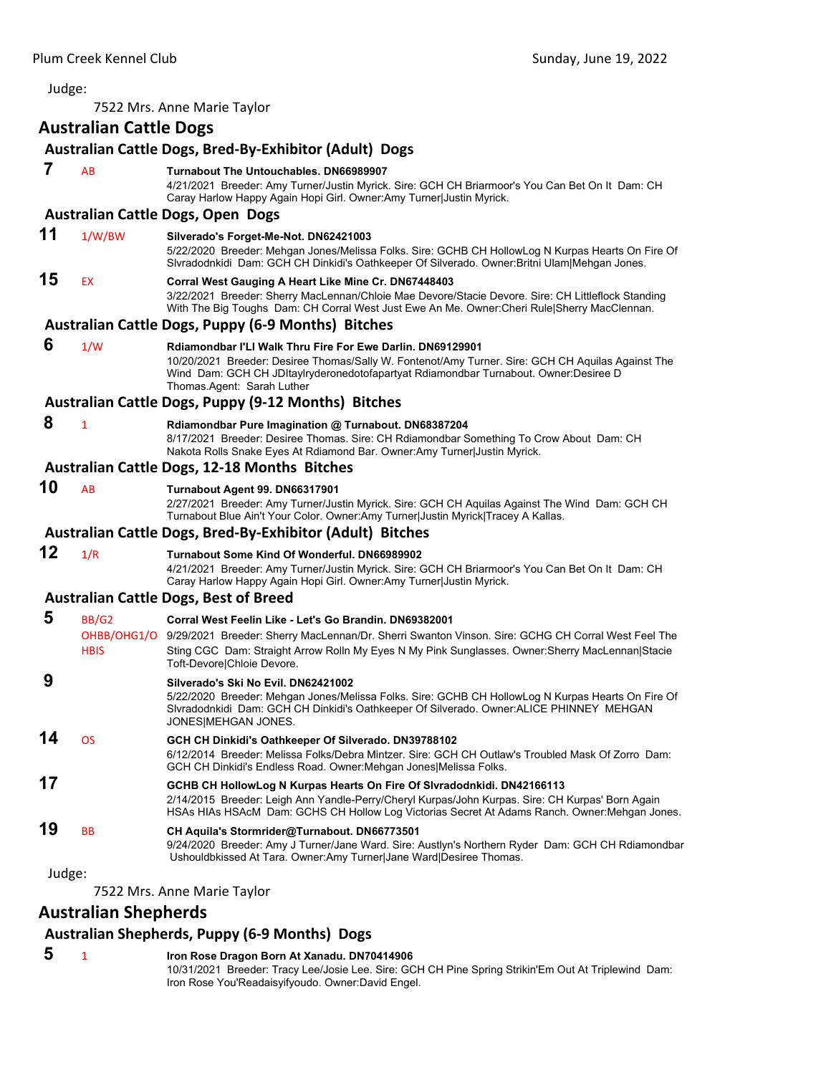7522 Mrs. Anne Marie Taylor

# <span id="page-52-0"></span>**Australian Cattle Dogs**

|        |                      | Australian Cattle Dogs, Bred-By-Exhibitor (Adult) Dogs                                                                                                                                                                                                                                                    |
|--------|----------------------|-----------------------------------------------------------------------------------------------------------------------------------------------------------------------------------------------------------------------------------------------------------------------------------------------------------|
| 7      | AB                   | Turnabout The Untouchables, DN66989907<br>4/21/2021 Breeder: Amy Turner/Justin Myrick. Sire: GCH CH Briarmoor's You Can Bet On It Dam: CH<br>Caray Harlow Happy Again Hopi Girl. Owner:Amy Turner Justin Myrick.                                                                                          |
|        |                      | <b>Australian Cattle Dogs, Open Dogs</b>                                                                                                                                                                                                                                                                  |
| 11     | 1/W/BW               | Silverado's Forget-Me-Not. DN62421003<br>5/22/2020 Breeder: Mehgan Jones/Melissa Folks. Sire: GCHB CH HollowLog N Kurpas Hearts On Fire Of<br>SIvradodnkidi Dam: GCH CH Dinkidi's Oathkeeper Of Silverado. Owner: Britni Ulam Mehgan Jones.                                                               |
| 15     | EX                   | Corral West Gauging A Heart Like Mine Cr. DN67448403<br>3/22/2021 Breeder: Sherry MacLennan/Chloie Mae Devore/Stacie Devore. Sire: CH Littleflock Standing<br>With The Big Toughs Dam: CH Corral West Just Ewe An Me. Owner: Cheri Rule Sherry MacClennan.                                                |
|        |                      | <b>Australian Cattle Dogs, Puppy (6-9 Months) Bitches</b>                                                                                                                                                                                                                                                 |
| 6      | 1/W                  | Rdiamondbar I'Ll Walk Thru Fire For Ewe Darlin, DN69129901<br>10/20/2021 Breeder: Desiree Thomas/Sally W. Fontenot/Amy Turner. Sire: GCH CH Aquilas Against The<br>Wind Dam: GCH CH JDItaylryderonedotofapartyat Rdiamondbar Turnabout. Owner:Desiree D<br>Thomas.Agent: Sarah Luther                     |
|        |                      | <b>Australian Cattle Dogs, Puppy (9-12 Months) Bitches</b>                                                                                                                                                                                                                                                |
| 8      | $\mathbf{1}$         | Rdiamondbar Pure Imagination @ Turnabout. DN68387204<br>8/17/2021 Breeder: Desiree Thomas. Sire: CH Rdiamondbar Something To Crow About Dam: CH<br>Nakota Rolls Snake Eyes At Rdiamond Bar. Owner: Amy Turner Justin Myrick.                                                                              |
|        |                      | <b>Australian Cattle Dogs, 12-18 Months Bitches</b>                                                                                                                                                                                                                                                       |
| 10     | AB                   | Turnabout Agent 99. DN66317901<br>2/27/2021 Breeder: Amy Turner/Justin Myrick. Sire: GCH CH Aquilas Against The Wind Dam: GCH CH<br>Turnabout Blue Ain't Your Color. Owner:Amy Turner Justin Myrick Tracey A Kallas.                                                                                      |
|        |                      | Australian Cattle Dogs, Bred-By-Exhibitor (Adult) Bitches                                                                                                                                                                                                                                                 |
| 12     | 1/R                  | Turnabout Some Kind Of Wonderful. DN66989902<br>4/21/2021 Breeder: Amy Turner/Justin Myrick. Sire: GCH CH Briarmoor's You Can Bet On It Dam: CH<br>Caray Harlow Happy Again Hopi Girl. Owner:Amy Turner Justin Myrick.                                                                                    |
|        |                      | <b>Australian Cattle Dogs, Best of Breed</b>                                                                                                                                                                                                                                                              |
| 5      | BB/G2<br><b>HBIS</b> | Corral West Feelin Like - Let's Go Brandin. DN69382001<br>OHBB/OHG1/O 9/29/2021 Breeder: Sherry MacLennan/Dr. Sherri Swanton Vinson. Sire: GCHG CH Corral West Feel The<br>Sting CGC Dam: Straight Arrow Rolln My Eyes N My Pink Sunglasses. Owner: Sherry MacLennan Stacie<br>Toft-Devore Chloie Devore. |
| 9      |                      | Silverado's Ski No Evil. DN62421002<br>5/22/2020 Breeder: Mehgan Jones/Melissa Folks. Sire: GCHB CH HollowLog N Kurpas Hearts On Fire Of<br>Sivradodnkidi Dam: GCH CH Dinkidi's Oathkeeper Of Silverado. Owner: ALICE PHINNEY MEHGAN<br>JONES MEHGAN JONES.                                               |
| 14     | <b>OS</b>            | GCH CH Dinkidi's Oathkeeper Of Silverado. DN39788102<br>6/12/2014 Breeder: Melissa Folks/Debra Mintzer. Sire: GCH CH Outlaw's Troubled Mask Of Zorro Dam:<br>GCH CH Dinkidi's Endless Road. Owner: Mehgan Jones Melissa Folks.                                                                            |
| 17     |                      | GCHB CH HollowLog N Kurpas Hearts On Fire Of Slvradodnkidi. DN42166113<br>2/14/2015 Breeder: Leigh Ann Yandle-Perry/Cheryl Kurpas/John Kurpas. Sire: CH Kurpas' Born Again<br>HSAs HIAs HSAcM Dam: GCHS CH Hollow Log Victorias Secret At Adams Ranch. Owner: Mehgan Jones.                               |
| 19     | <b>BB</b>            | CH Aquila's Stormrider@Turnabout. DN66773501<br>9/24/2020 Breeder: Amy J Turner/Jane Ward. Sire: Austlyn's Northern Ryder Dam: GCH CH Rdiamondbar<br>Ushouldbkissed At Tara. Owner:Amy Turner Jane Ward Desiree Thomas.                                                                                   |
| Judge: |                      |                                                                                                                                                                                                                                                                                                           |
|        |                      | 7522 Mrs. Anne Marie Taylor                                                                                                                                                                                                                                                                               |

# **Australian Shepherds**

# **Australian Shepherds, Puppy (6‐9 Months) Dogs**

 **5** <sup>1</sup> **Iron Rose Dragon Born At Xanadu. DN70414906** 10/31/2021 Breeder: Tracy Lee/Josie Lee. Sire: GCH CH Pine Spring Strikin'Em Out At Triplewind Dam: Iron Rose You'Readaisyifyoudo. Owner:David Engel.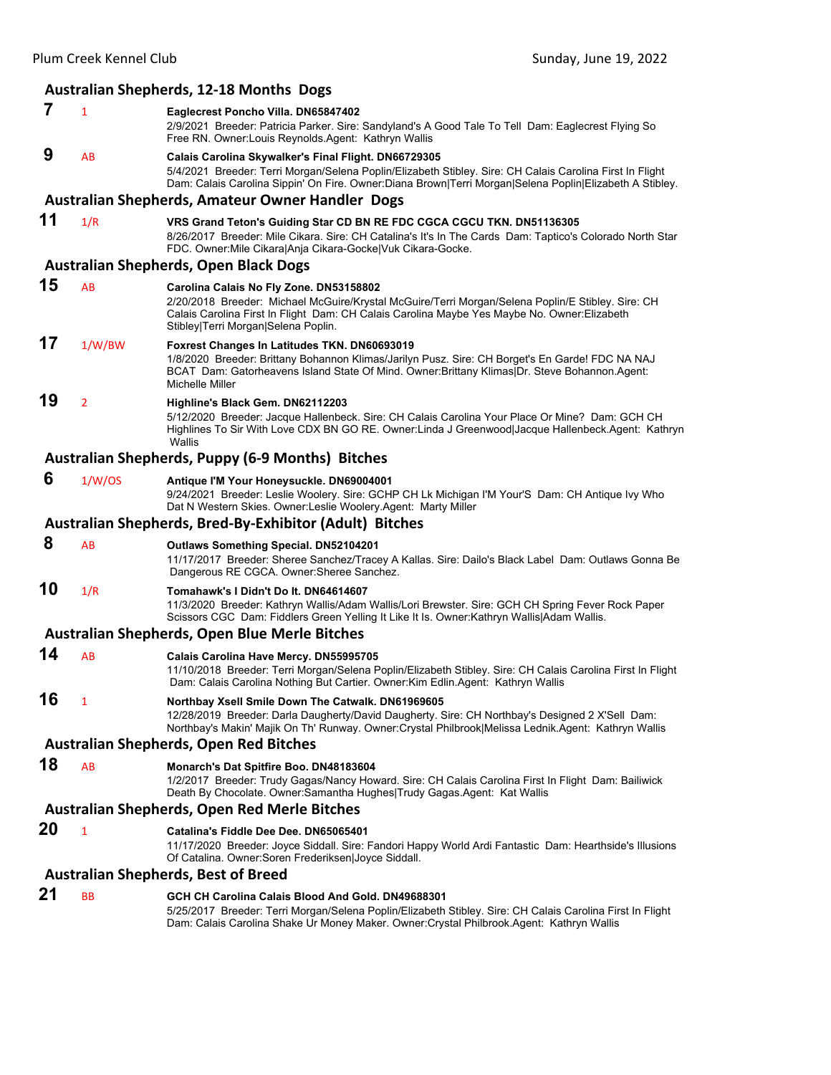# **Australian Shepherds, 12‐18 Months Dogs**

- **7** <sup>1</sup> **Eaglecrest Poncho Villa. DN65847402**
	- 2/9/2021 Breeder: Patricia Parker. Sire: Sandyland's A Good Tale To Tell Dam: Eaglecrest Flying So Free RN. Owner:Louis Reynolds.Agent: Kathryn Wallis

#### **9** AB **Calais Carolina Skywalker's Final Flight. DN66729305** 5/4/2021 Breeder: Terri Morgan/Selena Poplin/Elizabeth Stibley. Sire: CH Calais Carolina First In Flight

Dam: Calais Carolina Sippin' On Fire. Owner:Diana Brown|Terri Morgan|Selena Poplin|Elizabeth A Stibley.

# **Australian Shepherds, Amateur Owner Handler Dogs**

# **11** 1/R **VRS Grand Teton's Guiding Star CD BN RE FDC CGCA CGCU TKN. DN51136305**

8/26/2017 Breeder: Mile Cikara. Sire: CH Catalina's It's In The Cards Dam: Taptico's Colorado North Star FDC. Owner:Mile Cikara|Anja Cikara-Gocke|Vuk Cikara-Gocke.

#### **Australian Shepherds, Open Black Dogs**

- **15** AB **Carolina Calais No Fly Zone. DN53158802**
	- 2/20/2018 Breeder: Michael McGuire/Krystal McGuire/Terri Morgan/Selena Poplin/E Stibley. Sire: CH Calais Carolina First In Flight Dam: CH Calais Carolina Maybe Yes Maybe No. Owner:Elizabeth Stibley|Terri Morgan|Selena Poplin.

# **17** 1/W/BW **Foxrest Changes In Latitudes TKN. DN60693019**

1/8/2020 Breeder: Brittany Bohannon Klimas/Jarilyn Pusz. Sire: CH Borget's En Garde! FDC NA NAJ BCAT Dam: Gatorheavens Island State Of Mind. Owner:Brittany Klimas|Dr. Steve Bohannon.Agent: Michelle Miller

# **19** <sup>2</sup> **Highline's Black Gem. DN62112203**

5/12/2020 Breeder: Jacque Hallenbeck. Sire: CH Calais Carolina Your Place Or Mine? Dam: GCH CH Highlines To Sir With Love CDX BN GO RE. Owner:Linda J Greenwood|Jacque Hallenbeck.Agent: Kathryn **Wallis** 

# **Australian Shepherds, Puppy (6‐9 Months) Bitches**

 **6** 1/W/OS **Antique I'M Your Honeysuckle. DN69004001**

9/24/2021 Breeder: Leslie Woolery. Sire: GCHP CH Lk Michigan I'M Your'S Dam: CH Antique Ivy Who Dat N Western Skies. Owner:Leslie Woolery.Agent: Marty Miller

# **Australian Shepherds, Bred‐By‐Exhibitor (Adult) Bitches**

# **8** AB **Outlaws Something Special. DN52104201**

11/17/2017 Breeder: Sheree Sanchez/Tracey A Kallas. Sire: Dailo's Black Label Dam: Outlaws Gonna Be Dangerous RE CGCA. Owner:Sheree Sanchez.

# **10** 1/R **Tomahawk's I Didn't Do It. DN64614607**

11/3/2020 Breeder: Kathryn Wallis/Adam Wallis/Lori Brewster. Sire: GCH CH Spring Fever Rock Paper Scissors CGC Dam: Fiddlers Green Yelling It Like It Is. Owner:Kathryn Wallis|Adam Wallis.

#### **Australian Shepherds, Open Blue Merle Bitches**

**14** AB **Calais Carolina Have Mercy. DN55995705** 11/10/2018 Breeder: Terri Morgan/Selena Poplin/Elizabeth Stibley. Sire: CH Calais Carolina First In Flight Dam: Calais Carolina Nothing But Cartier. Owner:Kim Edlin.Agent: Kathryn Wallis

#### **16** <sup>1</sup> **Northbay Xsell Smile Down The Catwalk. DN61969605** 12/28/2019 Breeder: Darla Daugherty/David Daugherty. Sire: CH Northbay's Designed 2 X'Sell Dam:

Northbay's Makin' Majik On Th' Runway. Owner:Crystal Philbrook|Melissa Lednik.Agent: Kathryn Wallis

# **Australian Shepherds, Open Red Bitches**

**18** AB **Monarch's Dat Spitfire Boo. DN48183604**

1/2/2017 Breeder: Trudy Gagas/Nancy Howard. Sire: CH Calais Carolina First In Flight Dam: Bailiwick Death By Chocolate. Owner:Samantha Hughes|Trudy Gagas.Agent: Kat Wallis

# **Australian Shepherds, Open Red Merle Bitches**

**20** <sup>1</sup> **Catalina's Fiddle Dee Dee. DN65065401**

11/17/2020 Breeder: Joyce Siddall. Sire: Fandori Happy World Ardi Fantastic Dam: Hearthside's Illusions Of Catalina. Owner:Soren Frederiksen|Joyce Siddall.

### **Australian Shepherds, Best of Breed**

# **21** BB **GCH CH Carolina Calais Blood And Gold. DN49688301**

5/25/2017 Breeder: Terri Morgan/Selena Poplin/Elizabeth Stibley. Sire: CH Calais Carolina First In Flight Dam: Calais Carolina Shake Ur Money Maker. Owner:Crystal Philbrook.Agent: Kathryn Wallis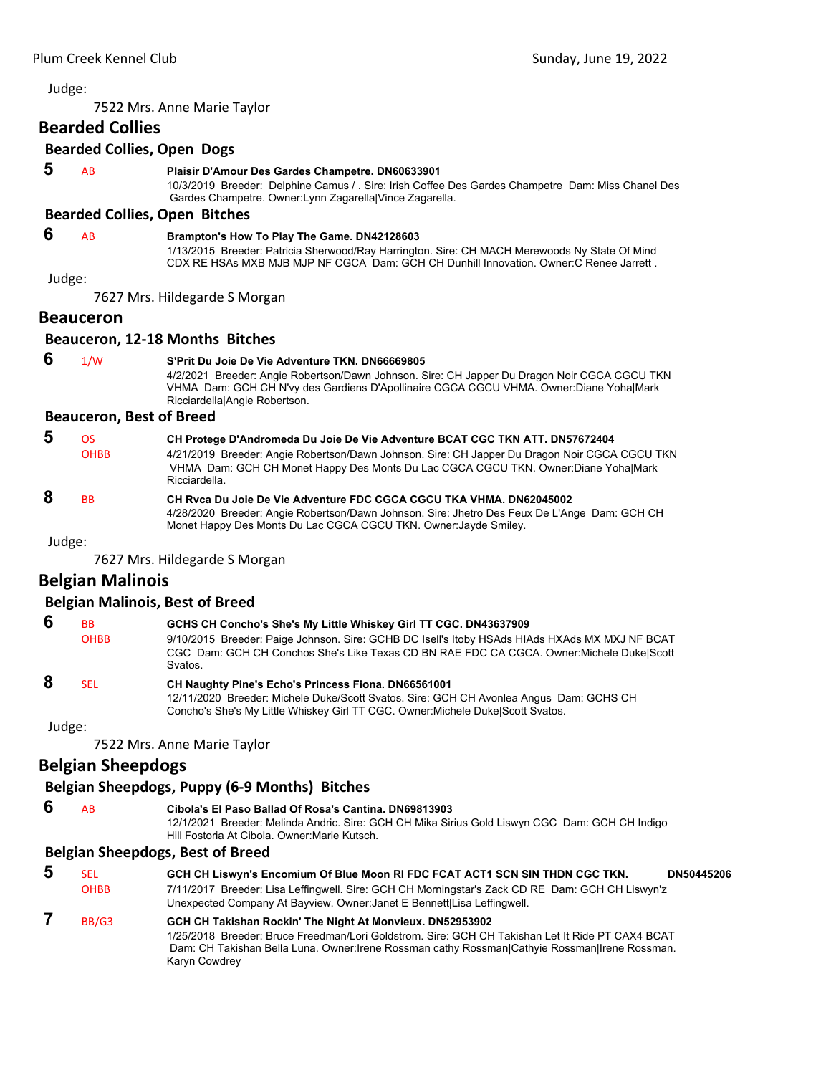7522 Mrs. Anne Marie Taylor

# **Bearded Collies**

# **Bearded Collies, Open Dogs**

#### **5** AB **Plaisir D'Amour Des Gardes Champetre. DN60633901**

10/3/2019 Breeder: Delphine Camus / . Sire: Irish Coffee Des Gardes Champetre Dam: Miss Chanel Des Gardes Champetre. Owner:Lynn Zagarella|Vince Zagarella.

# **Bearded Collies, Open Bitches**

# **6** AB **Brampton's How To Play The Game. DN42128603**

1/13/2015 Breeder: Patricia Sherwood/Ray Harrington. Sire: CH MACH Merewoods Ny State Of Mind CDX RE HSAs MXB MJB MJP NF CGCA Dam: GCH CH Dunhill Innovation. Owner:C Renee Jarrett .

#### Judge:

7627 Mrs. Hildegarde S Morgan

#### **Beauceron**

#### **Beauceron, 12‐18 Months Bitches**

 **6** 1/W **S'Prit Du Joie De Vie Adventure TKN. DN66669805** 4/2/2021 Breeder: Angie Robertson/Dawn Johnson. Sire: CH Japper Du Dragon Noir CGCA CGCU TKN VHMA Dam: GCH CH N'vy des Gardiens D'Apollinaire CGCA CGCU VHMA. Owner:Diane Yoha|Mark Ricciardella|Angie Robertson.

#### **Beauceron, Best of Breed**

| 5 | OS.                  | CH Protege D'Andromeda Du Joie De Vie Adventure BCAT CGC TKN ATT. DN57672404                                                                                                                          |
|---|----------------------|-------------------------------------------------------------------------------------------------------------------------------------------------------------------------------------------------------|
|   | <b>OHBB</b>          | 4/21/2019 Breeder: Angie Robertson/Dawn Johnson. Sire: CH Japper Du Dragon Noir CGCA CGCU TKN<br>VHMA Dam: GCH CH Monet Happy Des Monts Du Lac CGCA CGCU TKN. Owner: Diane YohalMark<br>Ricciardella. |
| 8 | <b>B<sub>B</sub></b> | CH Ryca Du Joie De Vie Adventure FDC CGCA CGCU TKA VHMA, DN62045002<br>4/28/2020 Breeder: Angie Robertson/Dawn Johnson. Sire: Jhetro Des Feux De L'Ange Dam: GCH CH                                   |

Monet Happy Des Monts Du Lac CGCA CGCU TKN. Owner:Jayde Smiley.

Judge:

7627 Mrs. Hildegarde S Morgan

# **Belgian Malinois**

#### **Belgian Malinois, Best of Breed**

| 6 | <b>BB</b>   | GCHS CH Concho's She's My Little Whiskey Girl TT CGC. DN43637909                                                                                                                                             |
|---|-------------|--------------------------------------------------------------------------------------------------------------------------------------------------------------------------------------------------------------|
|   | <b>OHBB</b> | 9/10/2015 Breeder: Paige Johnson. Sire: GCHB DC Isell's Itoby HSAds HIAds HXAds MX MXJ NF BCAT<br>CGC Dam: GCH CH Conchos She's Like Texas CD BN RAE FDC CA CGCA. Owner: Michele Duke Scott<br><b>Svatos</b> |
|   | <b>SEL</b>  | CH Naughty Pine's Echo's Princess Fiona. DN66561001                                                                                                                                                          |

# 12/11/2020 Breeder: Michele Duke/Scott Svatos. Sire: GCH CH Avonlea Angus Dam: GCHS CH Concho's She's My Little Whiskey Girl TT CGC. Owner:Michele Duke|Scott Svatos.

Judge:

7522 Mrs. Anne Marie Taylor

# **Belgian Sheepdogs**

# **Belgian Sheepdogs, Puppy (6‐9 Months) Bitches**

- **6** AB **Cibola's El Paso Ballad Of Rosa's Cantina. DN69813903**
	- 12/1/2021 Breeder: Melinda Andric. Sire: GCH CH Mika Sirius Gold Liswyn CGC Dam: GCH CH Indigo Hill Fostoria At Cibola. Owner:Marie Kutsch.

# **Belgian Sheepdogs, Best of Breed**

| -5 | SEL         | GCH CH Liswyn's Encomium Of Blue Moon RI FDC FCAT ACT1 SCN SIN THDN CGC TKN.                                                                                                                                                                                                     | DN50445206 |
|----|-------------|----------------------------------------------------------------------------------------------------------------------------------------------------------------------------------------------------------------------------------------------------------------------------------|------------|
|    | <b>OHBB</b> | 7/11/2017 Breeder: Lisa Leffingwell. Sire: GCH CH Morningstar's Zack CD RE Dam: GCH CH Liswyn'z<br>Unexpected Company At Bayview. Owner: Janet E Bennett Lisa Leffingwell.                                                                                                       |            |
|    | BB/G3       | GCH CH Takishan Rockin' The Night At Monvieux. DN52953902<br>1/25/2018 Breeder: Bruce Freedman/Lori Goldstrom, Sire: GCH CH Takishan Let It Ride PT CAX4 BCAT<br>Dam: CH Takishan Bella Luna. Owner: Irene Rossman cathy Rossman Cathyie Rossman Irene Rossman.<br>Karyn Cowdrey |            |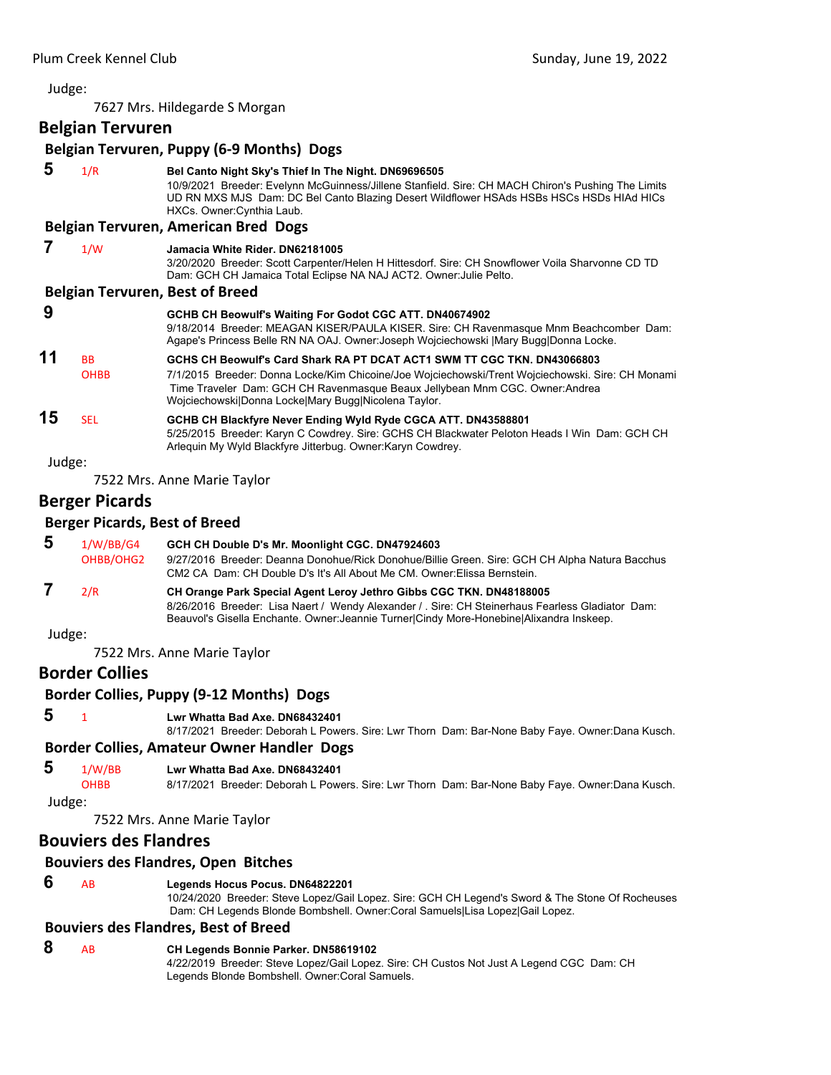7627 Mrs. Hildegarde S Morgan

**Belgian Tervuren**

|        | Belgian Tervuren, Puppy (6-9 Months) Dogs |                                                                                                                                                                                                                                                                                                                     |  |  |
|--------|-------------------------------------------|---------------------------------------------------------------------------------------------------------------------------------------------------------------------------------------------------------------------------------------------------------------------------------------------------------------------|--|--|
| 5      | 1/R                                       | Bel Canto Night Sky's Thief In The Night. DN69696505<br>10/9/2021 Breeder: Evelynn McGuinness/Jillene Stanfield. Sire: CH MACH Chiron's Pushing The Limits<br>UD RN MXS MJS Dam: DC Bel Canto Blazing Desert Wildflower HSAds HSBs HSCs HSDs HIAd HICs<br>HXCs. Owner: Cynthia Laub.                                |  |  |
|        |                                           | Belgian Tervuren, American Bred Dogs                                                                                                                                                                                                                                                                                |  |  |
| 7      | 1/W                                       | Jamacia White Rider, DN62181005<br>3/20/2020 Breeder: Scott Carpenter/Helen H Hittesdorf. Sire: CH Snowflower Voila Sharvonne CD TD<br>Dam: GCH CH Jamaica Total Eclipse NA NAJ ACT2. Owner: Julie Pelto.                                                                                                           |  |  |
|        |                                           | <b>Belgian Tervuren, Best of Breed</b>                                                                                                                                                                                                                                                                              |  |  |
| 9      |                                           | GCHB CH Beowulf's Waiting For Godot CGC ATT. DN40674902<br>9/18/2014 Breeder: MEAGAN KISER/PAULA KISER. Sire: CH Ravenmasque Mnm Beachcomber Dam:<br>Agape's Princess Belle RN NA OAJ. Owner: Joseph Wojciechowski   Mary Bugg  Donna Locke.                                                                        |  |  |
| 11     | <b>BB</b><br><b>OHBB</b>                  | GCHS CH Beowulf's Card Shark RA PT DCAT ACT1 SWM TT CGC TKN, DN43066803<br>7/1/2015 Breeder: Donna Locke/Kim Chicoine/Joe Wojciechowski/Trent Wojciechowski. Sire: CH Monami<br>Time Traveler Dam: GCH CH Ravenmasque Beaux Jellybean Mnm CGC. Owner:Andrea<br>Wojciechowski Donna Locke Mary Bugg Nicolena Taylor. |  |  |
| 15     | <b>SEL</b>                                | GCHB CH Blackfyre Never Ending Wyld Ryde CGCA ATT. DN43588801<br>5/25/2015 Breeder: Karyn C Cowdrey. Sire: GCHS CH Blackwater Peloton Heads I Win Dam: GCH CH<br>Arlequin My Wyld Blackfyre Jitterbug. Owner: Karyn Cowdrey.                                                                                        |  |  |
| Judge: |                                           |                                                                                                                                                                                                                                                                                                                     |  |  |
|        |                                           | 7522 Mrs. Anne Marie Taylor                                                                                                                                                                                                                                                                                         |  |  |
|        | <b>Berger Picards</b>                     |                                                                                                                                                                                                                                                                                                                     |  |  |
|        | <b>Berger Picards, Best of Breed</b>      |                                                                                                                                                                                                                                                                                                                     |  |  |
| 5      | 1/W/BB/G4<br>OHBB/OHG2                    | GCH CH Double D's Mr. Moonlight CGC. DN47924603<br>9/27/2016 Breeder: Deanna Donohue/Rick Donohue/Billie Green. Sire: GCH CH Alpha Natura Bacchus<br>CM2 CA Dam: CH Double D's It's All About Me CM. Owner: Elissa Bernstein.                                                                                       |  |  |
| 7      | 2/R                                       | CH Orange Park Special Agent Leroy Jethro Gibbs CGC TKN. DN48188005<br>8/26/2016 Breeder: Lisa Naert / Wendy Alexander / Sire: CH Steinerhaus Fearless Gladiator Dam:<br>Beauvol's Gisella Enchante. Owner: Jeannie Turner Cindy More-Honebine Alixandra Inskeep.                                                   |  |  |
| Judge: |                                           |                                                                                                                                                                                                                                                                                                                     |  |  |
|        |                                           | 7522 Mrs. Anne Marie Taylor                                                                                                                                                                                                                                                                                         |  |  |
|        | <b>Border Collies</b>                     |                                                                                                                                                                                                                                                                                                                     |  |  |
|        |                                           | Border Collies, Puppy (9-12 Months) Dogs                                                                                                                                                                                                                                                                            |  |  |
| 5      | $\mathbf{1}$                              | Lwr Whatta Bad Axe. DN68432401<br>8/17/2021 Breeder: Deborah L Powers. Sire: Lwr Thorn Dam: Bar-None Baby Faye. Owner:Dana Kusch.                                                                                                                                                                                   |  |  |
|        |                                           | <b>Border Collies, Amateur Owner Handler Dogs</b>                                                                                                                                                                                                                                                                   |  |  |
| 5      | 1/W/BB<br><b>OHBB</b>                     | Lwr Whatta Bad Axe. DN68432401<br>8/17/2021 Breeder: Deborah L Powers. Sire: Lwr Thorn Dam: Bar-None Baby Faye. Owner:Dana Kusch.                                                                                                                                                                                   |  |  |

Judge:

7522 Mrs. Anne Marie Taylor

# **Bouviers des Flandres**

# **Bouviers des Flandres, Open Bitches**

# **6** AB **Legends Hocus Pocus. DN64822201**

10/24/2020 Breeder: Steve Lopez/Gail Lopez. Sire: GCH CH Legend's Sword & The Stone Of Rocheuses Dam: CH Legends Blonde Bombshell. Owner:Coral Samuels|Lisa Lopez|Gail Lopez.

# **Bouviers des Flandres, Best of Breed**

# **8** AB **CH Legends Bonnie Parker. DN58619102**

4/22/2019 Breeder: Steve Lopez/Gail Lopez. Sire: CH Custos Not Just A Legend CGC Dam: CH Legends Blonde Bombshell. Owner:Coral Samuels.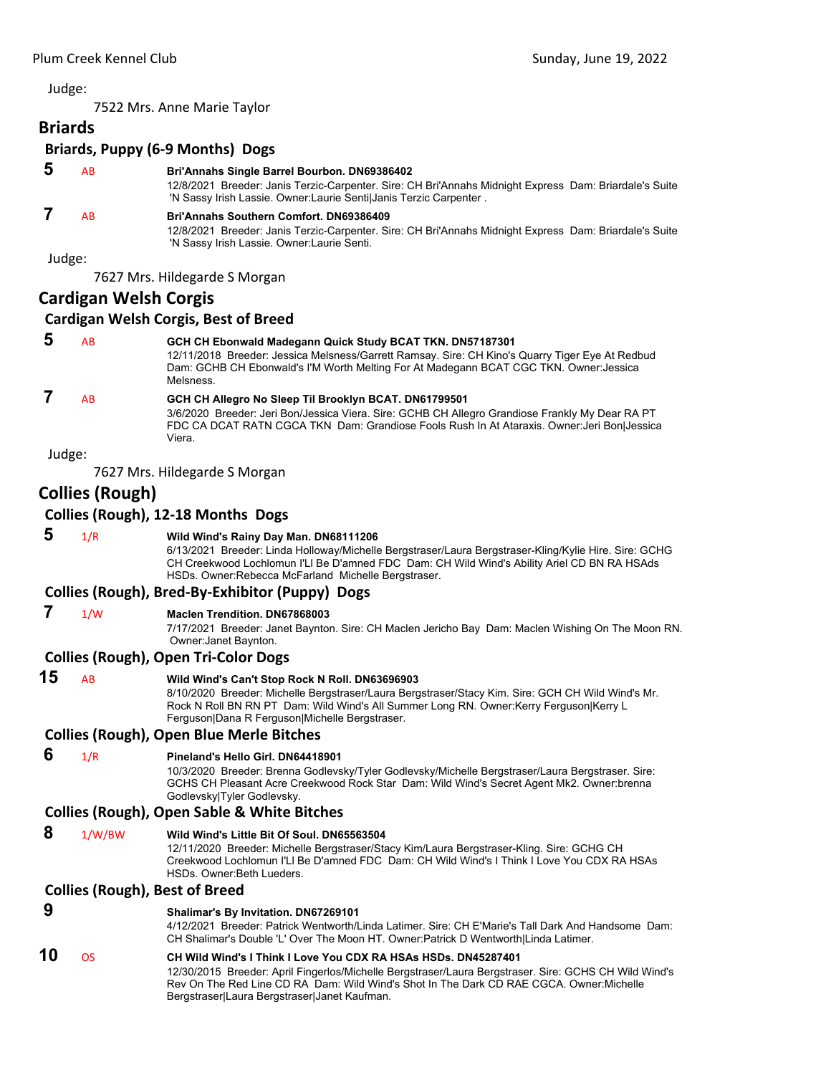7522 Mrs. Anne Marie Taylor

| <b>Briards</b>                   |  |
|----------------------------------|--|
| Briards, Puppy (6-9 Months) Dogs |  |

# **5** AB **Bri'Annahs Single Barrel Bourbon. DN69386402**

12/8/2021 Breeder: Janis Terzic-Carpenter. Sire: CH Bri'Annahs Midnight Express Dam: Briardale's Suite 'N Sassy Irish Lassie. Owner:Laurie Senti|Janis Terzic Carpenter .

# **7** AB **Bri'Annahs Southern Comfort. DN69386409**

12/8/2021 Breeder: Janis Terzic-Carpenter. Sire: CH Bri'Annahs Midnight Express Dam: Briardale's Suite 'N Sassy Irish Lassie. Owner:Laurie Senti.

Judge:

7627 Mrs. Hildegarde S Morgan

# **Cardigan Welsh Corgis**

# **Cardigan Welsh Corgis, Best of Breed**

| 5      | AB | GCH CH Ebonwald Madegann Quick Study BCAT TKN. DN57187301<br>12/11/2018 Breeder: Jessica Melsness/Garrett Ramsay. Sire: CH Kino's Quarry Tiger Eye At Redbud<br>Dam: GCHB CH Ebonwald's I'M Worth Melting For At Madegann BCAT CGC TKN. Owner: Jessica<br>Melsness. |
|--------|----|---------------------------------------------------------------------------------------------------------------------------------------------------------------------------------------------------------------------------------------------------------------------|
|        | AB | GCH CH Allegro No Sleep Til Brooklyn BCAT. DN61799501<br>3/6/2020 Breeder: Jeri Bon/Jessica Viera. Sire: GCHB CH Allegro Grandiose Frankly My Dear RA PT<br>FDC CA DCAT RATN CGCA TKN Dam: Grandiose Fools Rush In At Ataraxis. Owner: Jeri Bon Jessica<br>Viera.   |
| Judge: |    |                                                                                                                                                                                                                                                                     |

7627 Mrs. Hildegarde S Morgan

# **Collies (Rough)**

# **Collies (Rough), 12‐18 Months Dogs**

 **5** 1/R **Wild Wind's Rainy Day Man. DN68111206**

6/13/2021 Breeder: Linda Holloway/Michelle Bergstraser/Laura Bergstraser-Kling/Kylie Hire. Sire: GCHG CH Creekwood Lochlomun I'Ll Be D'amned FDC Dam: CH Wild Wind's Ability Ariel CD BN RA HSAds HSDs. Owner:Rebecca McFarland Michelle Bergstraser.

# **Collies (Rough), Bred‐By‐Exhibitor (Puppy) Dogs**

# **7** 1/W **Maclen Trendition. DN67868003**

7/17/2021 Breeder: Janet Baynton. Sire: CH Maclen Jericho Bay Dam: Maclen Wishing On The Moon RN. Owner:Janet Baynton.

# **Collies (Rough), Open Tri‐Color Dogs**

# **15** AB **Wild Wind's Can't Stop Rock N Roll. DN63696903**

8/10/2020 Breeder: Michelle Bergstraser/Laura Bergstraser/Stacy Kim. Sire: GCH CH Wild Wind's Mr. Rock N Roll BN RN PT Dam: Wild Wind's All Summer Long RN. Owner:Kerry Ferguson|Kerry L Ferguson|Dana R Ferguson|Michelle Bergstraser.

# **Collies (Rough), Open Blue Merle Bitches**

# **6** 1/R **Pineland's Hello Girl. DN64418901**

10/3/2020 Breeder: Brenna Godlevsky/Tyler Godlevsky/Michelle Bergstraser/Laura Bergstraser. Sire: GCHS CH Pleasant Acre Creekwood Rock Star Dam: Wild Wind's Secret Agent Mk2. Owner:brenna Godlevsky|Tyler Godlevsky.

# **Collies (Rough), Open Sable & White Bitches**

 **8** 1/W/BW **Wild Wind's Little Bit Of Soul. DN65563504**

12/11/2020 Breeder: Michelle Bergstraser/Stacy Kim/Laura Bergstraser-Kling. Sire: GCHG CH Creekwood Lochlomun I'Ll Be D'amned FDC Dam: CH Wild Wind's I Think I Love You CDX RA HSAs HSDs. Owner:Beth Lueders.

# **Collies (Rough), Best of Breed**

 **9 Shalimar's By Invitation. DN67269101**

4/12/2021 Breeder: Patrick Wentworth/Linda Latimer. Sire: CH E'Marie's Tall Dark And Handsome Dam: CH Shalimar's Double 'L' Over The Moon HT. Owner:Patrick D Wentworth|Linda Latimer.

# **10** OS **CH Wild Wind's I Think I Love You CDX RA HSAs HSDs. DN45287401**

12/30/2015 Breeder: April Fingerlos/Michelle Bergstraser/Laura Bergstraser. Sire: GCHS CH Wild Wind's Rev On The Red Line CD RA Dam: Wild Wind's Shot In The Dark CD RAE CGCA. Owner: Michelle Bergstraser|Laura Bergstraser|Janet Kaufman.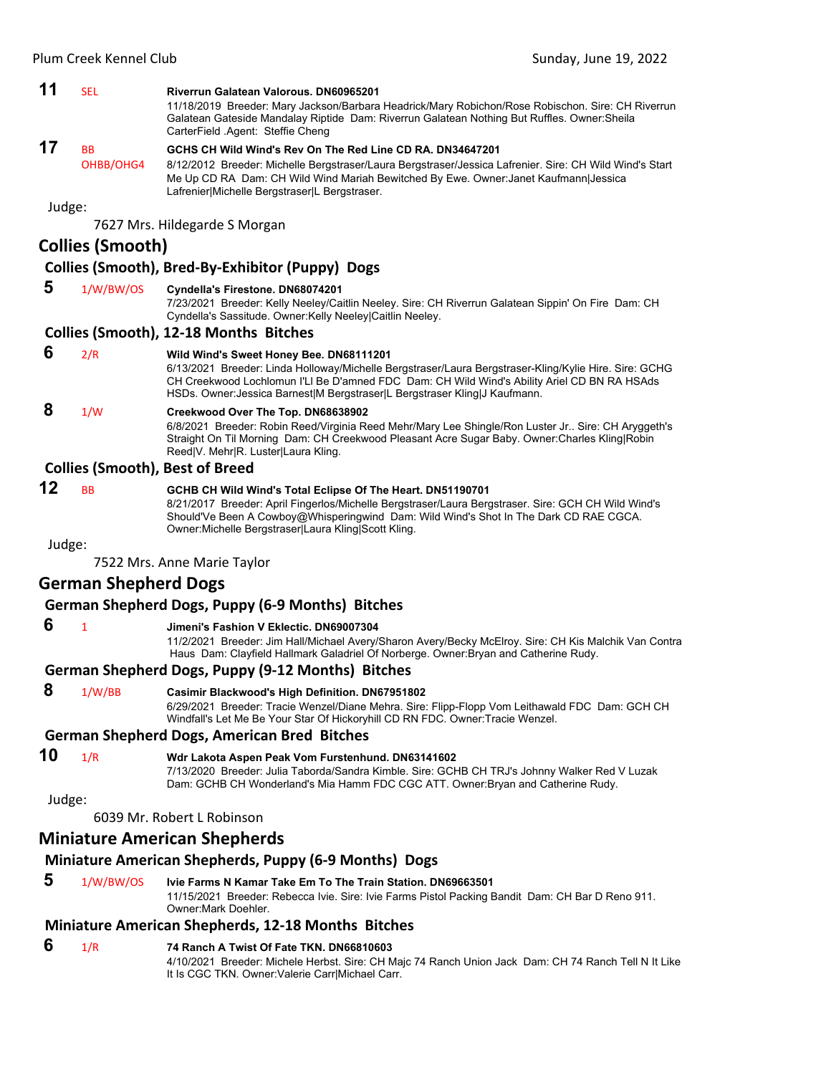#### **11** SEL **Riverrun Galatean Valorous. DN60965201**

11/18/2019 Breeder: Mary Jackson/Barbara Headrick/Mary Robichon/Rose Robischon. Sire: CH Riverrun Galatean Gateside Mandalay Riptide Dam: Riverrun Galatean Nothing But Ruffles. Owner:Sheila CarterField .Agent: Steffie Cheng

# **17** BB **GCHS CH Wild Wind's Rev On The Red Line CD RA. DN34647201**

OHBB/OHG4 8/12/2012 Breeder: Michelle Bergstraser/Laura Bergstraser/Jessica Lafrenier. Sire: CH Wild Wind's Start Me Up CD RA Dam: CH Wild Wind Mariah Bewitched By Ewe. Owner:Janet Kaufmann|Jessica Lafrenier|Michelle Bergstraser|L Bergstraser.

Judge:

7627 Mrs. Hildegarde S Morgan

# **Collies (Smooth)**

# **Collies (Smooth), Bred‐By‐Exhibitor (Puppy) Dogs**

### **5** 1/W/BW/OS **Cyndella's Firestone. DN68074201**

7/23/2021 Breeder: Kelly Neeley/Caitlin Neeley. Sire: CH Riverrun Galatean Sippin' On Fire Dam: CH Cyndella's Sassitude. Owner:Kelly Neeley|Caitlin Neeley.

#### **Collies (Smooth), 12‐18 Months Bitches**

# **6** 2/R **Wild Wind's Sweet Honey Bee. DN68111201**

6/13/2021 Breeder: Linda Holloway/Michelle Bergstraser/Laura Bergstraser-Kling/Kylie Hire. Sire: GCHG CH Creekwood Lochlomun I'Ll Be D'amned FDC Dam: CH Wild Wind's Ability Ariel CD BN RA HSAds HSDs. Owner: Jessica Barnest|M Bergstraser|L Bergstraser Kling|J Kaufmann.

# **8** 1/W **Creekwood Over The Top. DN68638902**

6/8/2021 Breeder: Robin Reed/Virginia Reed Mehr/Mary Lee Shingle/Ron Luster Jr.. Sire: CH Aryggeth's Straight On Til Morning Dam: CH Creekwood Pleasant Acre Sugar Baby. Owner:Charles Kling|Robin Reed|V. Mehr|R. Luster|Laura Kling.

#### **Collies (Smooth), Best of Breed**

# **12** BB **GCHB CH Wild Wind's Total Eclipse Of The Heart. DN51190701**

8/21/2017 Breeder: April Fingerlos/Michelle Bergstraser/Laura Bergstraser. Sire: GCH CH Wild Wind's Should'Ve Been A Cowboy@Whisperingwind Dam: Wild Wind's Shot In The Dark CD RAE CGCA. Owner:Michelle Bergstraser|Laura Kling|Scott Kling.

Judge:

7522 Mrs. Anne Marie Taylor

# **German Shepherd Dogs**

**German Shepherd Dogs, Puppy (6‐9 Months) Bitches**

#### **6** <sup>1</sup> **Jimeni's Fashion V Eklectic. DN69007304**

11/2/2021 Breeder: Jim Hall/Michael Avery/Sharon Avery/Becky McElroy. Sire: CH Kis Malchik Van Contra Haus Dam: Clayfield Hallmark Galadriel Of Norberge. Owner:Bryan and Catherine Rudy.

#### **German Shepherd Dogs, Puppy (9‐12 Months) Bitches**

 **8** 1/W/BB **Casimir Blackwood's High Definition. DN67951802** 6/29/2021 Breeder: Tracie Wenzel/Diane Mehra. Sire: Flipp-Flopp Vom Leithawald FDC Dam: GCH CH Windfall's Let Me Be Your Star Of Hickoryhill CD RN FDC. Owner:Tracie Wenzel.

#### **German Shepherd Dogs, American Bred Bitches**

# **10** 1/R **Wdr Lakota Aspen Peak Vom Furstenhund. DN63141602**

7/13/2020 Breeder: Julia Taborda/Sandra Kimble. Sire: GCHB CH TRJ's Johnny Walker Red V Luzak Dam: GCHB CH Wonderland's Mia Hamm FDC CGC ATT. Owner:Bryan and Catherine Rudy.

#### Judge:

6039 Mr. Robert L Robinson

# **Miniature American Shepherds**

# **Miniature American Shepherds, Puppy (6‐9 Months) Dogs**

 **5** 1/W/BW/OS **Ivie Farms N Kamar Take Em To The Train Station. DN69663501** 11/15/2021 Breeder: Rebecca Ivie. Sire: Ivie Farms Pistol Packing Bandit Dam: CH Bar D Reno 911. Owner:Mark Doehler.

# **Miniature American Shepherds, 12‐18 Months Bitches**

# **6** 1/R **74 Ranch A Twist Of Fate TKN. DN66810603**

4/10/2021 Breeder: Michele Herbst. Sire: CH Majc 74 Ranch Union Jack Dam: CH 74 Ranch Tell N It Like It Is CGC TKN. Owner:Valerie Carr|Michael Carr.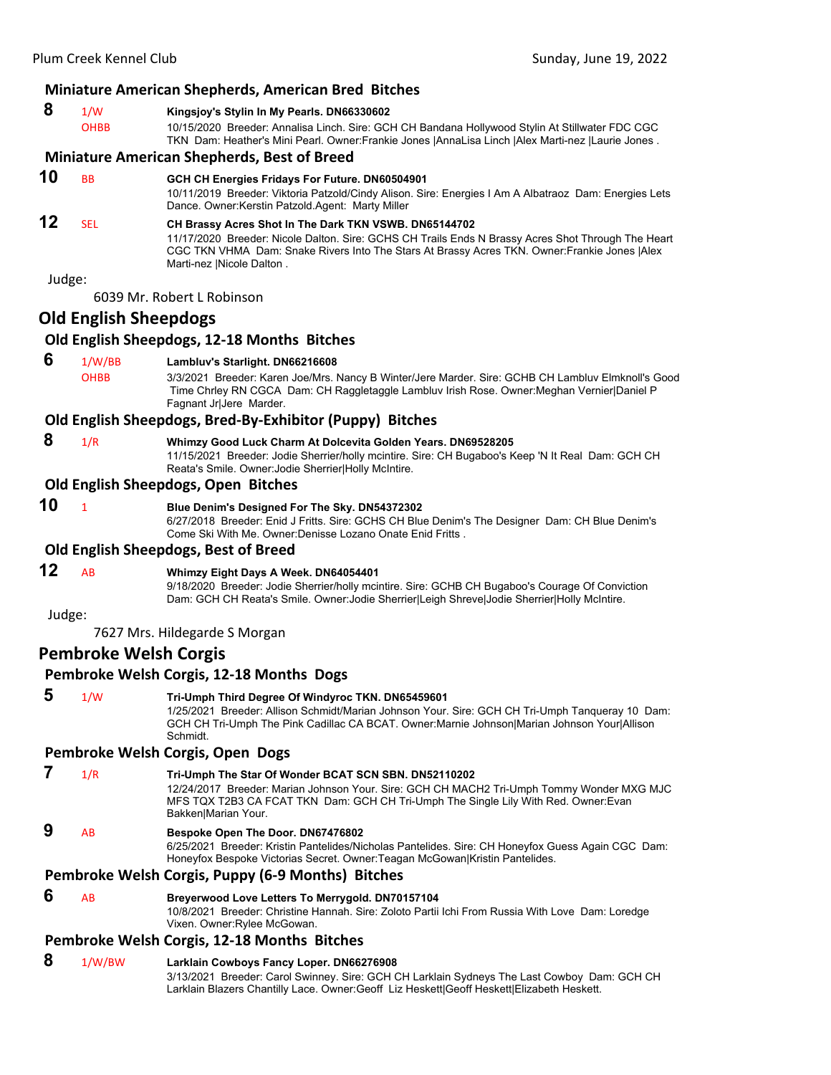#### **Miniature American Shepherds, American Bred Bitches**

# **8** 1/W **Kingsjoy's Stylin In My Pearls. DN66330602**

OHBB 10/15/2020 Breeder: Annalisa Linch. Sire: GCH CH Bandana Hollywood Stylin At Stillwater FDC CGC TKN Dam: Heather's Mini Pearl. Owner:Frankie Jones |AnnaLisa Linch |Alex Marti-nez |Laurie Jones .

# **Miniature American Shepherds, Best of Breed**

**10** BB **GCH CH Energies Fridays For Future. DN60504901**

10/11/2019 Breeder: Viktoria Patzold/Cindy Alison. Sire: Energies I Am A Albatraoz Dam: Energies Lets Dance. Owner:Kerstin Patzold.Agent: Marty Miller

# **12** SEL **CH Brassy Acres Shot In The Dark TKN VSWB. DN65144702**

11/17/2020 Breeder: Nicole Dalton. Sire: GCHS CH Trails Ends N Brassy Acres Shot Through The Heart CGC TKN VHMA Dam: Snake Rivers Into The Stars At Brassy Acres TKN. Owner:Frankie Jones |Alex Marti-nez |Nicole Dalton .

Judge:

6039 Mr. Robert L Robinson

# **Old English Sheepdogs**

# **Old English Sheepdogs, 12‐18 Months Bitches**

#### **6** 1/W/BB **Lambluv's Starlight. DN66216608**

OHBB 3/3/2021 Breeder: Karen Joe/Mrs. Nancy B Winter/Jere Marder. Sire: GCHB CH Lambluv Elmknoll's Good Time Chrley RN CGCA Dam: CH Raggletaggle Lambluv Irish Rose. Owner:Meghan Vernier|Daniel P Fagnant Jr|Jere Marder.

# **Old English Sheepdogs, Bred‐By‐Exhibitor (Puppy) Bitches**

 **8** 1/R **Whimzy Good Luck Charm At Dolcevita Golden Years. DN69528205**

11/15/2021 Breeder: Jodie Sherrier/holly mcintire. Sire: CH Bugaboo's Keep 'N It Real Dam: GCH CH Reata's Smile. Owner:Jodie Sherrier|Holly McIntire.

#### **Old English Sheepdogs, Open Bitches**

# **10** <sup>1</sup> **Blue Denim's Designed For The Sky. DN54372302**

6/27/2018 Breeder: Enid J Fritts. Sire: GCHS CH Blue Denim's The Designer Dam: CH Blue Denim's Come Ski With Me. Owner:Denisse Lozano Onate Enid Fritts .

#### **Old English Sheepdogs, Best of Breed**

**12** AB **Whimzy Eight Days A Week. DN64054401**

9/18/2020 Breeder: Jodie Sherrier/holly mcintire. Sire: GCHB CH Bugaboo's Courage Of Conviction Dam: GCH CH Reata's Smile. Owner:Jodie Sherrier|Leigh Shreve|Jodie Sherrier|Holly McIntire.

Judge:

7627 Mrs. Hildegarde S Morgan

# **Pembroke Welsh Corgis**

# **Pembroke Welsh Corgis, 12‐18 Months Dogs**

# **5** 1/W **Tri-Umph Third Degree Of Windyroc TKN. DN65459601**

1/25/2021 Breeder: Allison Schmidt/Marian Johnson Your. Sire: GCH CH Tri-Umph Tanqueray 10 Dam: GCH CH Tri-Umph The Pink Cadillac CA BCAT. Owner:Marnie Johnson|Marian Johnson Your|Allison Schmidt.

#### **Pembroke Welsh Corgis, Open Dogs**

- **7** 1/R **Tri-Umph The Star Of Wonder BCAT SCN SBN. DN52110202**
	- 12/24/2017 Breeder: Marian Johnson Your. Sire: GCH CH MACH2 Tri-Umph Tommy Wonder MXG MJC MFS TQX T2B3 CA FCAT TKN Dam: GCH CH Tri-Umph The Single Lily With Red. Owner:Evan Bakken|Marian Your.

# **9** AB **Bespoke Open The Door. DN67476802**

6/25/2021 Breeder: Kristin Pantelides/Nicholas Pantelides. Sire: CH Honeyfox Guess Again CGC Dam: Honeyfox Bespoke Victorias Secret. Owner:Teagan McGowan|Kristin Pantelides.

# **Pembroke Welsh Corgis, Puppy (6‐9 Months) Bitches**

 **6** AB **Breyerwood Love Letters To Merrygold. DN70157104**

10/8/2021 Breeder: Christine Hannah. Sire: Zoloto Partii Ichi From Russia With Love Dam: Loredge Vixen. Owner:Rylee McGowan.

# **Pembroke Welsh Corgis, 12‐18 Months Bitches**

 **8** 1/W/BW **Larklain Cowboys Fancy Loper. DN66276908** 3/13/2021 Breeder: Carol Swinney. Sire: GCH CH Larklain Sydneys The Last Cowboy Dam: GCH CH Larklain Blazers Chantilly Lace. Owner:Geoff Liz Heskett|Geoff Heskett|Elizabeth Heskett.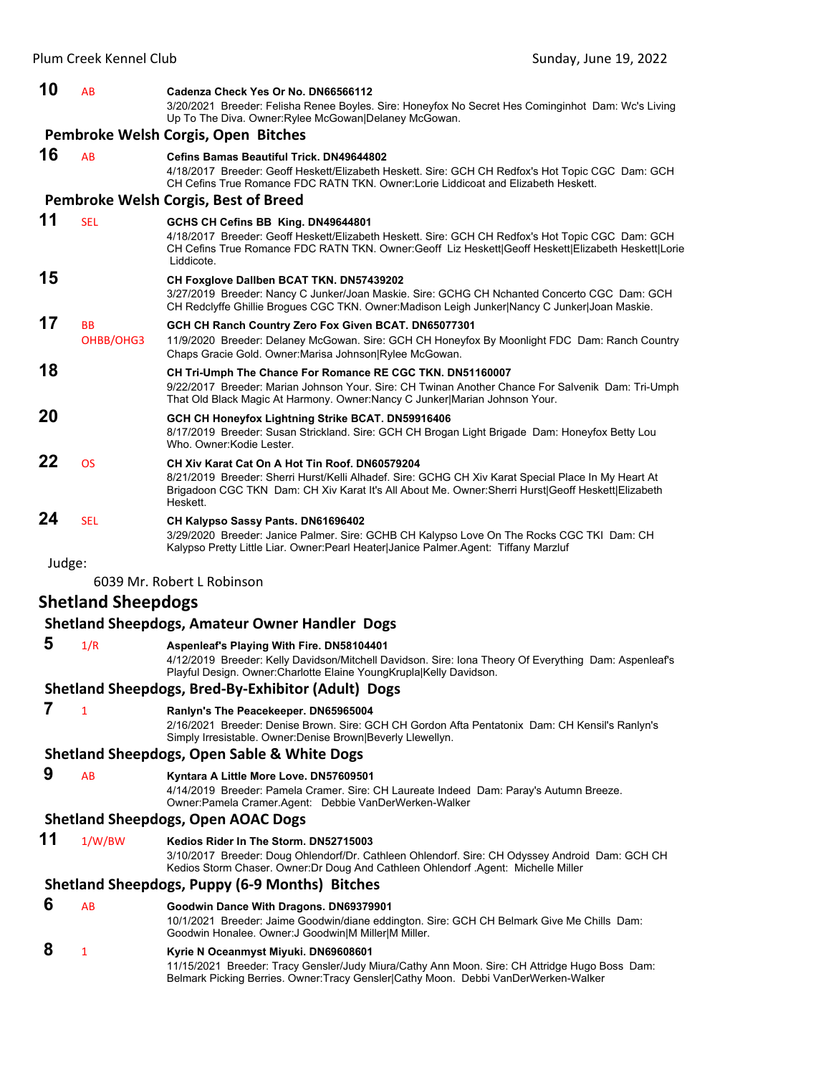| 10     | AB                        | Cadenza Check Yes Or No. DN66566112<br>3/20/2021 Breeder: Felisha Renee Boyles. Sire: Honeyfox No Secret Hes Cominginhot Dam: Wc's Living<br>Up To The Diva. Owner: Rylee McGowan Delaney McGowan.                                                                      |
|--------|---------------------------|-------------------------------------------------------------------------------------------------------------------------------------------------------------------------------------------------------------------------------------------------------------------------|
|        |                           | Pembroke Welsh Corgis, Open Bitches                                                                                                                                                                                                                                     |
| 16     | <b>AB</b>                 | <b>Cefins Bamas Beautiful Trick, DN49644802</b><br>4/18/2017 Breeder: Geoff Heskett/Elizabeth Heskett. Sire: GCH CH Redfox's Hot Topic CGC Dam: GCH<br>CH Cefins True Romance FDC RATN TKN, Owner:Lorie Liddicoat and Elizabeth Heskett.                                |
|        |                           | Pembroke Welsh Corgis, Best of Breed                                                                                                                                                                                                                                    |
| 11     | <b>SEL</b>                | GCHS CH Cefins BB King. DN49644801<br>4/18/2017 Breeder: Geoff Heskett/Elizabeth Heskett. Sire: GCH CH Redfox's Hot Topic CGC Dam: GCH<br>CH Cefins True Romance FDC RATN TKN. Owner:Geoff Liz Heskett Geoff Heskett Elizabeth Heskett Lorie<br>Liddicote.              |
| 15     |                           | CH Foxglove Dallben BCAT TKN. DN57439202<br>3/27/2019 Breeder: Nancy C Junker/Joan Maskie. Sire: GCHG CH Nchanted Concerto CGC Dam: GCH<br>CH Redclyffe Ghillie Brogues CGC TKN. Owner:Madison Leigh Junker Nancy C Junker Joan Maskie.                                 |
| 17     | ВB<br>OHBB/OHG3           | GCH CH Ranch Country Zero Fox Given BCAT. DN65077301<br>11/9/2020 Breeder: Delaney McGowan. Sire: GCH CH Honeyfox By Moonlight FDC Dam: Ranch Country<br>Chaps Gracie Gold. Owner: Marisa Johnson Rylee McGowan.                                                        |
| 18     |                           | CH Tri-Umph The Chance For Romance RE CGC TKN. DN51160007<br>9/22/2017 Breeder: Marian Johnson Your. Sire: CH Twinan Another Chance For Salvenik Dam: Tri-Umph<br>That Old Black Magic At Harmony. Owner: Nancy C Junker Marian Johnson Your.                           |
| 20     |                           | GCH CH Honeyfox Lightning Strike BCAT. DN59916406<br>8/17/2019 Breeder: Susan Strickland. Sire: GCH CH Brogan Light Brigade Dam: Honeyfox Betty Lou<br>Who. Owner: Kodie Lester.                                                                                        |
| 22     | OS                        | CH Xiv Karat Cat On A Hot Tin Roof. DN60579204<br>8/21/2019 Breeder: Sherri Hurst/Kelli Alhadef. Sire: GCHG CH Xiv Karat Special Place In My Heart At<br>Brigadoon CGC TKN Dam: CH Xiv Karat It's All About Me. Owner: Sherri Hurst Geoff Heskett Elizabeth<br>Heskett. |
| 24     | <b>SEL</b>                | CH Kalypso Sassy Pants. DN61696402<br>3/29/2020 Breeder: Janice Palmer. Sire: GCHB CH Kalypso Love On The Rocks CGC TKI Dam: CH<br>Kalypso Pretty Little Liar. Owner:Pearl Heater Janice Palmer.Agent: Tiffany Marzluf                                                  |
| Judge: |                           |                                                                                                                                                                                                                                                                         |
|        |                           | 6039 Mr. Robert L Robinson                                                                                                                                                                                                                                              |
|        | <b>Shetland Sheepdogs</b> |                                                                                                                                                                                                                                                                         |
|        |                           | <b>Shetland Sheepdogs, Amateur Owner Handler Dogs</b>                                                                                                                                                                                                                   |

- 
- **5** 1/R **Aspenleaf's Playing With Fire. DN58104401**

4/12/2019 Breeder: Kelly Davidson/Mitchell Davidson. Sire: Iona Theory Of Everything Dam: Aspenleaf's Playful Design. Owner:Charlotte Elaine YoungKrupla|Kelly Davidson.

# **Shetland Sheepdogs, Bred‐By‐Exhibitor (Adult) Dogs**

 **7** <sup>1</sup> **Ranlyn's The Peacekeeper. DN65965004**

2/16/2021 Breeder: Denise Brown. Sire: GCH CH Gordon Afta Pentatonix Dam: CH Kensil's Ranlyn's

# Simply Irresistable. Owner:Denise Brown|Beverly Llewellyn.

# **Shetland Sheepdogs, Open Sable & White Dogs**

- **9** AB **Kyntara A Little More Love. DN57609501**
	- 4/14/2019 Breeder: Pamela Cramer. Sire: CH Laureate Indeed Dam: Paray's Autumn Breeze. Owner:Pamela Cramer.Agent: Debbie VanDerWerken-Walker

# **Shetland Sheepdogs, Open AOAC Dogs**

**11** 1/W/BW **Kedios Rider In The Storm. DN52715003**

3/10/2017 Breeder: Doug Ohlendorf/Dr. Cathleen Ohlendorf. Sire: CH Odyssey Android Dam: GCH CH Kedios Storm Chaser. Owner:Dr Doug And Cathleen Ohlendorf .Agent: Michelle Miller

# **Shetland Sheepdogs, Puppy (6‐9 Months) Bitches**

 **6** AB **Goodwin Dance With Dragons. DN69379901**

10/1/2021 Breeder: Jaime Goodwin/diane eddington. Sire: GCH CH Belmark Give Me Chills Dam: Goodwin Honalee. Owner:J Goodwin|M Miller|M Miller.

# **8** <sup>1</sup> **Kyrie N Oceanmyst Miyuki. DN69608601**

11/15/2021 Breeder: Tracy Gensler/Judy Miura/Cathy Ann Moon. Sire: CH Attridge Hugo Boss Dam: Belmark Picking Berries. Owner:Tracy Gensler|Cathy Moon. Debbi VanDerWerken-Walker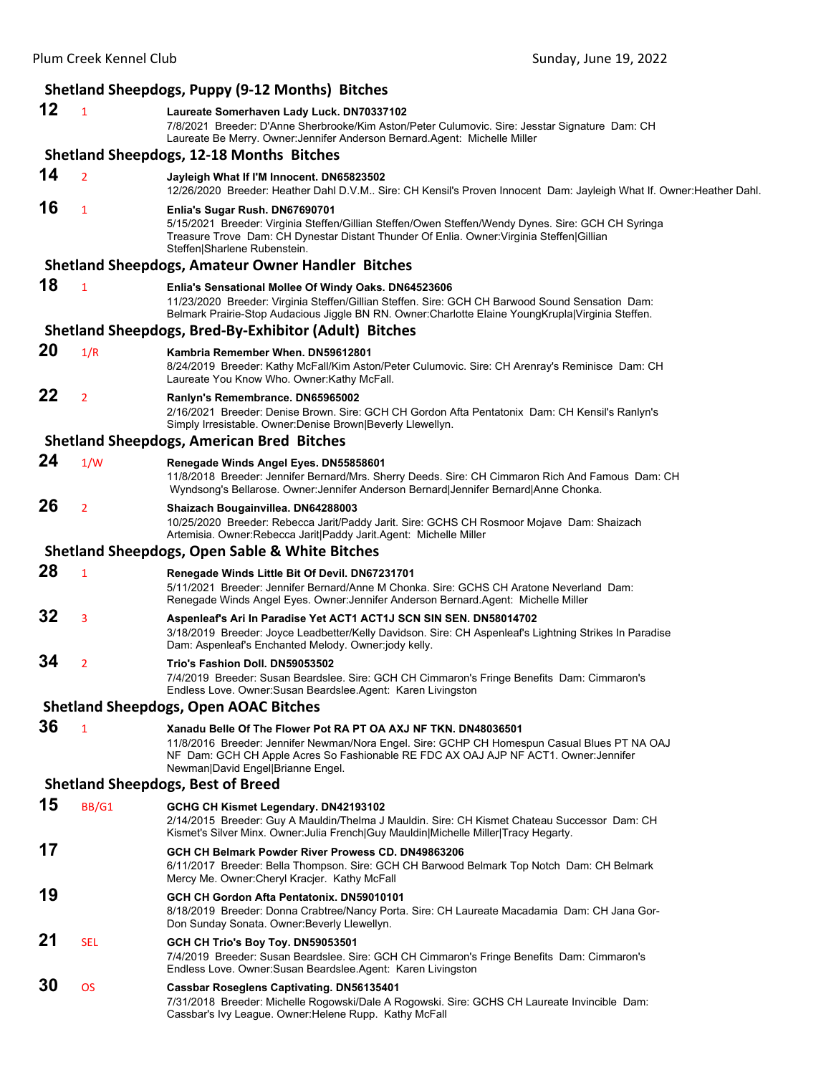| Shetland Sheepdogs, Puppy (9-12 Months) Bitches |                |                                                                                                                                                                                                                                                                                             |
|-------------------------------------------------|----------------|---------------------------------------------------------------------------------------------------------------------------------------------------------------------------------------------------------------------------------------------------------------------------------------------|
| 12                                              | 1              | Laureate Somerhaven Lady Luck. DN70337102<br>7/8/2021 Breeder: D'Anne Sherbrooke/Kim Aston/Peter Culumovic. Sire: Jesstar Signature Dam: CH<br>Laureate Be Merry. Owner: Jennifer Anderson Bernard. Agent: Michelle Miller                                                                  |
|                                                 |                | <b>Shetland Sheepdogs, 12-18 Months Bitches</b>                                                                                                                                                                                                                                             |
| 14                                              | $\overline{2}$ | Jayleigh What If I'M Innocent. DN65823502<br>12/26/2020 Breeder: Heather Dahl D.V.M Sire: CH Kensil's Proven Innocent Dam: Jayleigh What If. Owner: Heather Dahl.                                                                                                                           |
| 16                                              | 1              | Enlia's Sugar Rush. DN67690701<br>5/15/2021 Breeder: Virginia Steffen/Gillian Steffen/Owen Steffen/Wendy Dynes. Sire: GCH CH Syringa<br>Treasure Trove Dam: CH Dynestar Distant Thunder Of Enlia. Owner: Virginia Steffen Gillian<br>Steffen Sharlene Rubenstein.                           |
|                                                 |                | <b>Shetland Sheepdogs, Amateur Owner Handler Bitches</b>                                                                                                                                                                                                                                    |
| 18                                              | $\mathbf{1}$   | Enlia's Sensational Mollee Of Windy Oaks. DN64523606<br>11/23/2020 Breeder: Virginia Steffen/Gillian Steffen. Sire: GCH CH Barwood Sound Sensation Dam:<br>Belmark Prairie-Stop Audacious Jiggle BN RN. Owner:Charlotte Elaine YoungKrupla Virginia Steffen.                                |
|                                                 |                | Shetland Sheepdogs, Bred-By-Exhibitor (Adult) Bitches                                                                                                                                                                                                                                       |
| 20                                              | 1/R            | Kambria Remember When. DN59612801<br>8/24/2019 Breeder: Kathy McFall/Kim Aston/Peter Culumovic. Sire: CH Arenray's Reminisce Dam: CH<br>Laureate You Know Who. Owner: Kathy McFall.                                                                                                         |
| 22                                              | $\overline{2}$ | Ranlyn's Remembrance. DN65965002<br>2/16/2021 Breeder: Denise Brown. Sire: GCH CH Gordon Afta Pentatonix Dam: CH Kensil's Ranlyn's<br>Simply Irresistable. Owner: Denise Brown   Beverly Llewellyn.                                                                                         |
|                                                 |                | <b>Shetland Sheepdogs, American Bred Bitches</b>                                                                                                                                                                                                                                            |
| 24                                              | 1/W            | Renegade Winds Angel Eyes. DN55858601<br>11/8/2018 Breeder: Jennifer Bernard/Mrs. Sherry Deeds. Sire: CH Cimmaron Rich And Famous Dam: CH<br>Wyndsong's Bellarose. Owner: Jennifer Anderson Bernard Jennifer Bernard Anne Chonka.                                                           |
| 26                                              | $\overline{2}$ | Shaizach Bougainvillea. DN64288003<br>10/25/2020 Breeder: Rebecca Jarit/Paddy Jarit. Sire: GCHS CH Rosmoor Mojave Dam: Shaizach<br>Artemisia. Owner: Rebecca Jarit Paddy Jarit. Agent: Michelle Miller                                                                                      |
|                                                 |                | <b>Shetland Sheepdogs, Open Sable &amp; White Bitches</b>                                                                                                                                                                                                                                   |
| 28                                              | $\mathbf{1}$   | Renegade Winds Little Bit Of Devil. DN67231701                                                                                                                                                                                                                                              |
|                                                 |                | 5/11/2021 Breeder: Jennifer Bernard/Anne M Chonka. Sire: GCHS CH Aratone Neverland Dam:<br>Renegade Winds Angel Eyes. Owner: Jennifer Anderson Bernard. Agent: Michelle Miller                                                                                                              |
| 32                                              | 3              | Aspenleaf's Ari In Paradise Yet ACT1 ACT1J SCN SIN SEN. DN58014702<br>3/18/2019 Breeder: Joyce Leadbetter/Kelly Davidson. Sire: CH Aspenleaf's Lightning Strikes In Paradise<br>Dam: Aspenleaf's Enchanted Melody. Owner:jody kelly.                                                        |
| 34                                              | 2              | Trio's Fashion Doll. DN59053502<br>7/4/2019 Breeder: Susan Beardslee. Sire: GCH CH Cimmaron's Fringe Benefits Dam: Cimmaron's<br>Endless Love. Owner: Susan Beardslee. Agent: Karen Livingston                                                                                              |
|                                                 |                | <b>Shetland Sheepdogs, Open AOAC Bitches</b>                                                                                                                                                                                                                                                |
| 36                                              | $\mathbf{1}$   | Xanadu Belle Of The Flower Pot RA PT OA AXJ NF TKN. DN48036501<br>11/8/2016 Breeder: Jennifer Newman/Nora Engel. Sire: GCHP CH Homespun Casual Blues PT NA OAJ<br>NF Dam: GCH CH Apple Acres So Fashionable RE FDC AX OAJ AJP NF ACT1. Owner: Jennifer<br>Newman David Engel Brianne Engel. |
|                                                 |                | <b>Shetland Sheepdogs, Best of Breed</b>                                                                                                                                                                                                                                                    |
| 15                                              | BB/G1          | GCHG CH Kismet Legendary. DN42193102<br>2/14/2015 Breeder: Guy A Mauldin/Thelma J Mauldin. Sire: CH Kismet Chateau Successor Dam: CH<br>Kismet's Silver Minx. Owner: Julia French Guy Mauldin Michelle Miller Tracy Hegarty.                                                                |
| 17                                              |                | GCH CH Belmark Powder River Prowess CD, DN49863206<br>6/11/2017 Breeder: Bella Thompson. Sire: GCH CH Barwood Belmark Top Notch Dam: CH Belmark<br>Mercy Me. Owner: Cheryl Kracjer. Kathy McFall                                                                                            |
| 19                                              |                | GCH CH Gordon Afta Pentatonix. DN59010101<br>8/18/2019 Breeder: Donna Crabtree/Nancy Porta. Sire: CH Laureate Macadamia Dam: CH Jana Gor-<br>Don Sunday Sonata. Owner: Beverly Llewellyn.                                                                                                   |
| 21                                              | <b>SEL</b>     | GCH CH Trio's Boy Toy. DN59053501<br>7/4/2019 Breeder: Susan Beardslee. Sire: GCH CH Cimmaron's Fringe Benefits Dam: Cimmaron's<br>Endless Love. Owner:Susan Beardslee.Agent: Karen Livingston                                                                                              |
| 30                                              | <b>OS</b>      | <b>Cassbar Roseglens Captivating. DN56135401</b><br>7/31/2018 Breeder: Michelle Rogowski/Dale A Rogowski. Sire: GCHS CH Laureate Invincible Dam:<br>Cassbar's Ivy League. Owner: Helene Rupp. Kathy McFall                                                                                  |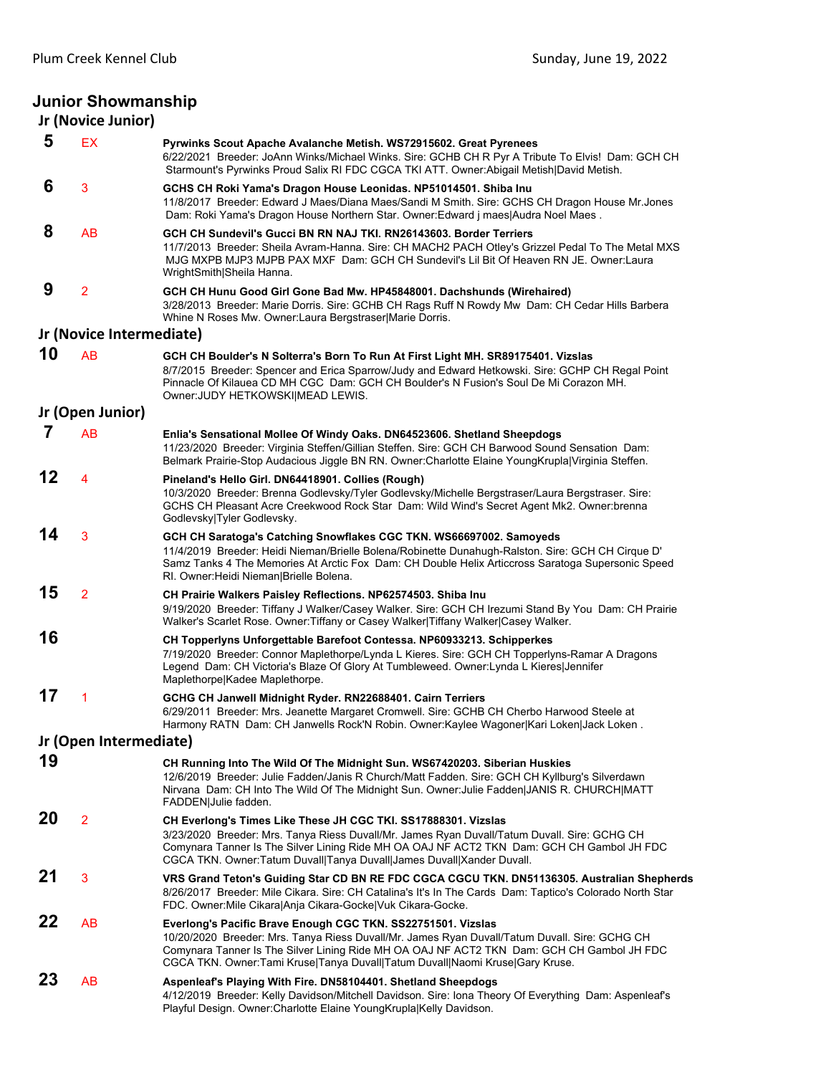# **Junior Showmanship**

|    | Jr (Novice Junior)       |                                                                                                                                                                                                                                                                                                                                            |
|----|--------------------------|--------------------------------------------------------------------------------------------------------------------------------------------------------------------------------------------------------------------------------------------------------------------------------------------------------------------------------------------|
| 5  | EX                       | Pyrwinks Scout Apache Avalanche Metish. WS72915602. Great Pyrenees<br>6/22/2021 Breeder: JoAnn Winks/Michael Winks. Sire: GCHB CH R Pyr A Tribute To Elvis! Dam: GCH CH<br>Starmount's Pyrwinks Proud Salix RI FDC CGCA TKI ATT. Owner: Abigail Metish David Metish.                                                                       |
| 6  | 3                        | GCHS CH Roki Yama's Dragon House Leonidas. NP51014501. Shiba Inu<br>11/8/2017 Breeder: Edward J Maes/Diana Maes/Sandi M Smith, Sire: GCHS CH Dragon House Mr.Jones<br>Dam: Roki Yama's Dragon House Northern Star. Owner: Edward j maes Audra Noel Maes.                                                                                   |
| 8  | AB                       | GCH CH Sundevil's Gucci BN RN NAJ TKI. RN26143603. Border Terriers<br>11/7/2013 Breeder: Sheila Avram-Hanna. Sire: CH MACH2 PACH Otley's Grizzel Pedal To The Metal MXS<br>MJG MXPB MJP3 MJPB PAX MXF Dam: GCH CH Sundevil's Lil Bit Of Heaven RN JE. Owner:Laura<br>WrightSmith Sheila Hanna.                                             |
| 9  | 2                        | GCH CH Hunu Good Girl Gone Bad Mw. HP45848001. Dachshunds (Wirehaired)<br>3/28/2013 Breeder: Marie Dorris. Sire: GCHB CH Rags Ruff N Rowdy Mw Dam: CH Cedar Hills Barbera<br>Whine N Roses Mw. Owner: Laura Bergstraser Marie Dorris.                                                                                                      |
|    | Jr (Novice Intermediate) |                                                                                                                                                                                                                                                                                                                                            |
| 10 | AB                       | GCH CH Boulder's N Solterra's Born To Run At First Light MH. SR89175401. Vizslas<br>8/7/2015 Breeder: Spencer and Erica Sparrow/Judy and Edward Hetkowski. Sire: GCHP CH Regal Point<br>Pinnacle Of Kilauea CD MH CGC Dam: GCH CH Boulder's N Fusion's Soul De Mi Corazon MH.<br>Owner: JUDY HETKOWSKI MEAD LEWIS.                         |
|    | Jr (Open Junior)         |                                                                                                                                                                                                                                                                                                                                            |
| 7  | AB                       | Enlia's Sensational Mollee Of Windy Oaks. DN64523606. Shetland Sheepdogs<br>11/23/2020 Breeder: Virginia Steffen/Gillian Steffen. Sire: GCH CH Barwood Sound Sensation Dam:<br>Belmark Prairie-Stop Audacious Jiggle BN RN. Owner:Charlotte Elaine YoungKrupla Virginia Steffen.                                                           |
| 12 | 4                        | Pineland's Hello Girl. DN64418901. Collies (Rough)<br>10/3/2020 Breeder: Brenna Godlevsky/Tyler Godlevsky/Michelle Bergstraser/Laura Bergstraser. Sire:<br>GCHS CH Pleasant Acre Creekwood Rock Star Dam: Wild Wind's Secret Agent Mk2. Owner: brenna<br>Godlevsky Tyler Godlevsky.                                                        |
| 14 | 3                        | GCH CH Saratoga's Catching Snowflakes CGC TKN. WS66697002. Samoyeds<br>11/4/2019 Breeder: Heidi Nieman/Brielle Bolena/Robinette Dunahugh-Ralston. Sire: GCH CH Cirque D'<br>Samz Tanks 4 The Memories At Arctic Fox Dam: CH Double Helix Articcross Saratoga Supersonic Speed<br>RI. Owner:Heidi Nieman Brielle Bolena.                    |
| 15 | $\overline{2}$           | CH Prairie Walkers Paisley Reflections. NP62574503. Shiba Inu<br>9/19/2020 Breeder: Tiffany J Walker/Casey Walker. Sire: GCH CH Irezumi Stand By You Dam: CH Prairie<br>Walker's Scarlet Rose. Owner: Tiffany or Casey Walker Tiffany Walker Casey Walker.                                                                                 |
| 16 |                          | CH Topperlyns Unforgettable Barefoot Contessa. NP60933213. Schipperkes<br>7/19/2020 Breeder: Connor Maplethorpe/Lynda L Kieres. Sire: GCH CH Topperlyns-Ramar A Dragons<br>Legend Dam: CH Victoria's Blaze Of Glory At Tumbleweed. Owner: Lynda L Kieres Jennifer<br>Maplethorpe Kadee Maplethorpe.                                        |
| 17 | 1                        | GCHG CH Janwell Midnight Ryder. RN22688401. Cairn Terriers<br>6/29/2011 Breeder: Mrs. Jeanette Margaret Cromwell. Sire: GCHB CH Cherbo Harwood Steele at<br>Harmony RATN_Dam: CH Janwells Rock'N Robin. Owner:Kaylee Wagoner Kari Loken Jack Loken .                                                                                       |
|    | Jr (Open Intermediate)   |                                                                                                                                                                                                                                                                                                                                            |
| 19 |                          | CH Running Into The Wild Of The Midnight Sun. WS67420203. Siberian Huskies<br>12/6/2019 Breeder: Julie Fadden/Janis R Church/Matt Fadden. Sire: GCH CH Kyllburg's Silverdawn<br>Nirvana Dam: CH Into The Wild Of The Midnight Sun. Owner:Julie Fadden JANIS R. CHURCH MATT<br>FADDEN Julie fadden.                                         |
| 20 | 2                        | CH Everlong's Times Like These JH CGC TKI. SS17888301. Vizslas<br>3/23/2020 Breeder: Mrs. Tanya Riess Duvall/Mr. James Ryan Duvall/Tatum Duvall. Sire: GCHG CH<br>Comynara Tanner Is The Silver Lining Ride MH OA OAJ NF ACT2 TKN Dam: GCH CH Gambol JH FDC<br>CGCA TKN. Owner: Tatum Duvall Tanya Duvall James Duvall Xander Duvall.      |
| 21 | 3                        | VRS Grand Teton's Guiding Star CD BN RE FDC CGCA CGCU TKN. DN51136305. Australian Shepherds<br>8/26/2017 Breeder: Mile Cikara. Sire: CH Catalina's It's In The Cards Dam: Taptico's Colorado North Star<br>FDC. Owner: Mile Cikara Anja Cikara-Gocke Vuk Cikara-Gocke.                                                                     |
| 22 | AB                       | Everlong's Pacific Brave Enough CGC TKN. SS22751501. Vizslas<br>10/20/2020 Breeder: Mrs. Tanya Riess Duvall/Mr. James Ryan Duvall/Tatum Duvall. Sire: GCHG CH<br>Comynara Tanner Is The Silver Lining Ride MH OA OAJ NF ACT2 TKN Dam: GCH CH Gambol JH FDC<br>CGCA TKN. Owner:Tami Kruse Tanya Duvall Tatum Duvall Naomi Kruse Gary Kruse. |
| 23 | AB                       | Aspenleaf's Playing With Fire. DN58104401. Shetland Sheepdogs<br>4/12/2019 Breeder: Kelly Davidson/Mitchell Davidson. Sire: Iona Theory Of Everything Dam: Aspenleaf's<br>Playful Design. Owner: Charlotte Elaine Young Krupla Kelly Davidson.                                                                                             |